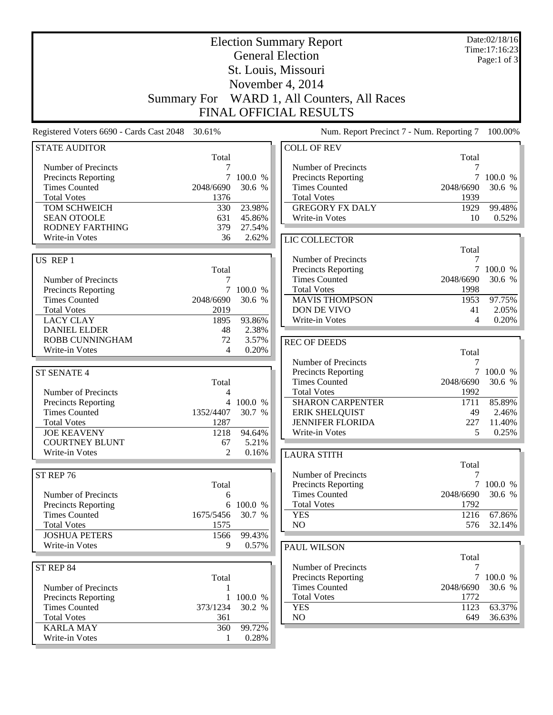|                                                   | Date:02/18/16<br>Time:17:16:23<br>Page:1 of $3$ |                |                                             |                   |                     |
|---------------------------------------------------|-------------------------------------------------|----------------|---------------------------------------------|-------------------|---------------------|
|                                                   |                                                 |                | St. Louis, Missouri                         |                   |                     |
|                                                   |                                                 |                | November 4, 2014                            |                   |                     |
|                                                   | <b>Summary For</b>                              |                | WARD 1, All Counters, All Races             |                   |                     |
|                                                   |                                                 |                | <b>FINAL OFFICIAL RESULTS</b>               |                   |                     |
| Registered Voters 6690 - Cards Cast 2048          | 30.61%                                          |                | Num. Report Precinct 7 - Num. Reporting 7   |                   | 100.00%             |
| <b>STATE AUDITOR</b>                              | Total                                           |                | <b>COLL OF REV</b>                          | Total             |                     |
| Number of Precincts                               |                                                 |                | Number of Precincts                         | 7                 |                     |
| Precincts Reporting                               | $\tau$                                          | 100.0 %        | <b>Precincts Reporting</b>                  |                   | 100.0 %             |
| <b>Times Counted</b><br><b>Total Votes</b>        | 2048/6690<br>1376                               | 30.6 %         | <b>Times Counted</b><br><b>Total Votes</b>  | 2048/6690<br>1939 | 30.6 %              |
| TOM SCHWEICH                                      | 330                                             | 23.98%         | <b>GREGORY FX DALY</b>                      | 1929              | 99.48%              |
| <b>SEAN OTOOLE</b>                                | 631                                             | 45.86%         | Write-in Votes                              | 10                | 0.52%               |
| RODNEY FARTHING                                   | 379                                             | 27.54%         |                                             |                   |                     |
| Write-in Votes                                    | 36                                              | 2.62%          | LIC COLLECTOR                               |                   |                     |
|                                                   |                                                 |                |                                             | Total             |                     |
| US REP 1                                          |                                                 |                | Number of Precincts                         | 7                 |                     |
|                                                   | Total                                           |                | <b>Precincts Reporting</b>                  |                   | 7 100.0 %           |
| Number of Precincts                               | 7                                               |                | <b>Times Counted</b>                        | 2048/6690         | 30.6 %              |
| Precincts Reporting                               | $\tau$                                          | 100.0 %        | <b>Total Votes</b>                          | 1998              |                     |
| <b>Times Counted</b>                              | 2048/6690                                       | 30.6 %         | <b>MAVIS THOMPSON</b>                       | 1953              | 97.75%              |
| <b>Total Votes</b>                                | 2019                                            |                | DON DE VIVO                                 | 41                | 2.05%               |
| <b>LACY CLAY</b>                                  | 1895                                            | 93.86%         | Write-in Votes                              | 4                 | $0.20\%$            |
| <b>DANIEL ELDER</b><br>ROBB CUNNINGHAM            | 48<br>72                                        | 2.38%<br>3.57% |                                             |                   |                     |
| Write-in Votes                                    | 4                                               | 0.20%          | <b>REC OF DEEDS</b>                         |                   |                     |
|                                                   |                                                 |                | Number of Precincts                         | Total<br>7        |                     |
| <b>ST SENATE 4</b>                                |                                                 |                | <b>Precincts Reporting</b>                  |                   | 7 100.0 %           |
|                                                   | Total                                           |                | <b>Times Counted</b>                        | 2048/6690         | 30.6 %              |
| Number of Precincts                               | 4                                               |                | <b>Total Votes</b>                          | 1992              |                     |
| <b>Precincts Reporting</b>                        | 4                                               | 100.0 %        | <b>SHARON CARPENTER</b>                     | 1711              | 85.89%              |
| <b>Times Counted</b>                              | 1352/4407                                       | 30.7 %         | <b>ERIK SHELQUIST</b>                       | 49                | 2.46%               |
| <b>Total Votes</b>                                | 1287                                            |                | <b>JENNIFER FLORIDA</b>                     | 227               | 11.40%              |
| <b>JOE KEAVENY</b>                                | 1218                                            | 94.64%         | Write-in Votes                              | 5                 | 0.25%               |
| <b>COURTNEY BLUNT</b>                             | 67                                              | 5.21%          |                                             |                   |                     |
| Write-in Votes                                    | $\mathfrak{D}$                                  | 0.16%          | <b>LAURA STITH</b>                          |                   |                     |
| ST REP 76                                         |                                                 |                | Number of Precincts                         | Total<br>7        |                     |
|                                                   | Total                                           |                | Precincts Reporting                         | 7                 | 100.0 %             |
| Number of Precincts                               | 6                                               |                | <b>Times Counted</b>                        | 2048/6690         | 30.6 %              |
| Precincts Reporting                               | 6                                               | 100.0 %        | <b>Total Votes</b>                          | 1792              |                     |
| <b>Times Counted</b>                              | 1675/5456                                       | 30.7 %         | <b>YES</b>                                  | 1216              | 67.86%              |
| <b>Total Votes</b>                                | 1575                                            |                | NO                                          | 576               | 32.14%              |
| <b>JOSHUA PETERS</b>                              | 1566                                            | 99.43%         |                                             |                   |                     |
| Write-in Votes                                    | 9                                               | 0.57%          | <b>PAUL WILSON</b>                          |                   |                     |
|                                                   |                                                 |                |                                             | Total             |                     |
| ST REP 84                                         |                                                 |                | Number of Precincts                         | 7                 |                     |
|                                                   | Total                                           |                | Precincts Reporting<br><b>Times Counted</b> | 2048/6690         | 7 100.0 %<br>30.6 % |
| Number of Precincts<br><b>Precincts Reporting</b> | 1<br>$\mathbf{1}$                               | 100.0 %        | <b>Total Votes</b>                          | 1772              |                     |
| <b>Times Counted</b>                              | 373/1234                                        | 30.2 %         | <b>YES</b>                                  | 1123              | 63.37%              |
| <b>Total Votes</b>                                | 361                                             |                | NO                                          | 649               | $36.63\%$           |
| <b>KARLA MAY</b>                                  | 360                                             | 99.72%         |                                             |                   |                     |
| Write-in Votes                                    | 1                                               | 0.28%          |                                             |                   |                     |
|                                                   |                                                 |                |                                             |                   |                     |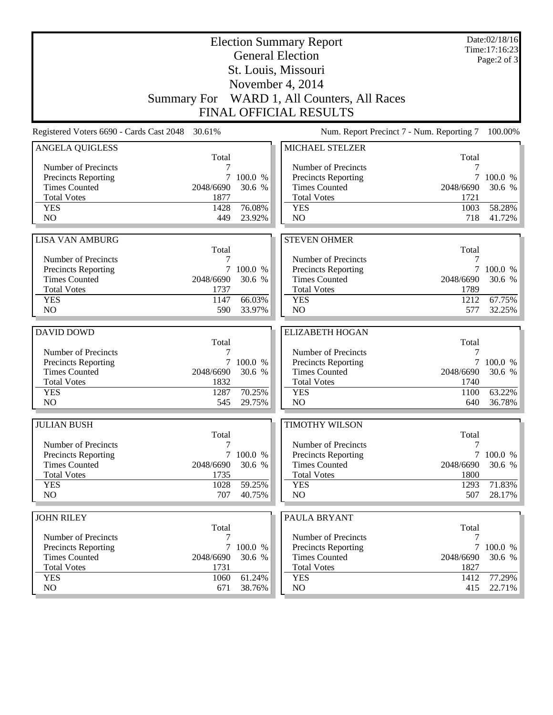| <b>Election Summary Report</b><br><b>General Election</b> |                    |                  |                                           |             | Date:02/18/16<br>Time:17:16:23 |
|-----------------------------------------------------------|--------------------|------------------|-------------------------------------------|-------------|--------------------------------|
|                                                           |                    |                  | St. Louis, Missouri                       |             | Page:2 of 3                    |
|                                                           |                    |                  | November 4, 2014                          |             |                                |
|                                                           | <b>Summary For</b> |                  | WARD 1, All Counters, All Races           |             |                                |
|                                                           |                    |                  | <b>FINAL OFFICIAL RESULTS</b>             |             |                                |
|                                                           |                    |                  |                                           |             |                                |
| Registered Voters 6690 - Cards Cast 2048                  | 30.61%             |                  | Num. Report Precinct 7 - Num. Reporting 7 |             | 100.00%                        |
| <b>ANGELA QUIGLESS</b>                                    | Total              |                  | <b>MICHAEL STELZER</b>                    | Total       |                                |
| Number of Precincts                                       |                    |                  | Number of Precincts                       | 7           |                                |
| Precincts Reporting                                       | 7                  | 100.0 %          | <b>Precincts Reporting</b>                | 7           | 100.0 %                        |
| <b>Times Counted</b>                                      | 2048/6690          | 30.6 %           | <b>Times Counted</b>                      | 2048/6690   | 30.6 %                         |
| <b>Total Votes</b>                                        | 1877               |                  | <b>Total Votes</b>                        | 1721        |                                |
| <b>YES</b>                                                | 1428               | 76.08%           | <b>YES</b>                                | 1003        | 58.28%                         |
| N <sub>O</sub>                                            | 449                | 23.92%           | NO                                        | 718         | 41.72%                         |
| <b>LISA VAN AMBURG</b>                                    |                    |                  | <b>STEVEN OHMER</b>                       |             |                                |
|                                                           | Total              |                  |                                           | Total       |                                |
| Number of Precincts                                       | 7                  |                  | Number of Precincts                       | 7           |                                |
| Precincts Reporting                                       | $7^{\circ}$        | 100.0 %          | Precincts Reporting                       |             | 7 100.0 %                      |
| <b>Times Counted</b>                                      | 2048/6690          | 30.6 %           | <b>Times Counted</b>                      | 2048/6690   | 30.6 %                         |
| <b>Total Votes</b>                                        | 1737               |                  | <b>Total Votes</b>                        | 1789        |                                |
| <b>YES</b>                                                | 1147               | 66.03%           | <b>YES</b>                                | 1212        | 67.75%                         |
| NO                                                        | 590                | 33.97%           | NO                                        | 577         | 32.25%                         |
| <b>DAVID DOWD</b>                                         |                    |                  | <b>ELIZABETH HOGAN</b>                    |             |                                |
|                                                           | Total              |                  |                                           | Total       |                                |
| Number of Precincts                                       | 7                  |                  | Number of Precincts                       | 7           |                                |
| Precincts Reporting                                       |                    | 7 100.0 %        | Precincts Reporting                       |             | 7 100.0 %                      |
| <b>Times Counted</b>                                      | 2048/6690          | 30.6 %           | <b>Times Counted</b>                      | 2048/6690   | 30.6 %                         |
| <b>Total Votes</b>                                        | 1832               |                  | <b>Total Votes</b>                        | 1740        |                                |
| <b>YES</b>                                                | 1287               | 70.25%           | <b>YES</b>                                | 1100        | 63.22%                         |
| NO                                                        | 545                | 29.75%           | NO                                        | 640         | 36.78%                         |
| <b>JULIAN BUSH</b>                                        |                    |                  | <b>TIMOTHY WILSON</b>                     |             |                                |
|                                                           | Total              |                  |                                           | Total       |                                |
| Number of Precincts                                       | 7                  |                  | Number of Precincts                       | 7           |                                |
| Precincts Reporting                                       | $\tau$             | 100.0 %          | Precincts Reporting                       |             | 7 100.0 %                      |
|                                                           |                    |                  |                                           |             | 30.6 %                         |
| <b>Times Counted</b>                                      | 2048/6690          | 30.6 %           | <b>Times Counted</b>                      | 2048/6690   |                                |
| <b>Total Votes</b>                                        | 1735               |                  | <b>Total Votes</b>                        | 1800        |                                |
| <b>YES</b>                                                | 1028               | 59.25%           | <b>YES</b>                                | 1293        | 71.83%                         |
| NO                                                        | 707                | 40.75%           | NO                                        | 507         | 28.17%                         |
|                                                           |                    |                  |                                           |             |                                |
| <b>JOHN RILEY</b>                                         | Total              |                  | PAULA BRYANT                              | Total       |                                |
| Number of Precincts                                       | 7                  |                  | Number of Precincts                       | 7           |                                |
| <b>Precincts Reporting</b>                                | 7                  | 100.0 %          | Precincts Reporting                       | 7           | 100.0 %                        |
| <b>Times Counted</b>                                      | 2048/6690          | 30.6 %           | <b>Times Counted</b>                      | 2048/6690   | 30.6 %                         |
| <b>Total Votes</b>                                        | 1731               |                  | <b>Total Votes</b>                        | 1827        |                                |
| <b>YES</b><br>NO                                          | 1060<br>671        | 61.24%<br>38.76% | <b>YES</b><br>NO                          | 1412<br>415 | 77.29%<br>22.71%               |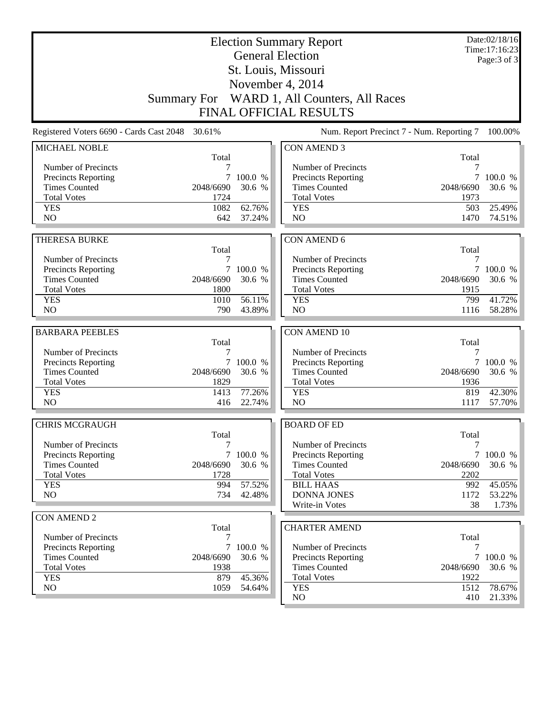|                                          |                    | Date:02/18/16<br>Time: 17:16:23 |                                                |              |                  |
|------------------------------------------|--------------------|---------------------------------|------------------------------------------------|--------------|------------------|
|                                          |                    |                                 | <b>General Election</b><br>St. Louis, Missouri |              | Page: $3$ of $3$ |
|                                          |                    |                                 | November 4, 2014                               |              |                  |
|                                          |                    |                                 |                                                |              |                  |
|                                          | <b>Summary For</b> |                                 | WARD 1, All Counters, All Races                |              |                  |
|                                          |                    |                                 | <b>FINAL OFFICIAL RESULTS</b>                  |              |                  |
| Registered Voters 6690 - Cards Cast 2048 | 30.61%             |                                 | Num. Report Precinct 7 - Num. Reporting 7      |              | 100.00%          |
| MICHAEL NOBLE                            |                    |                                 | <b>CON AMEND 3</b>                             |              |                  |
| Number of Precincts                      | Total<br>7         |                                 | Number of Precincts                            | Total<br>7   |                  |
| <b>Precincts Reporting</b>               | 7                  | 100.0 %                         | <b>Precincts Reporting</b>                     | 7            | 100.0 %          |
| <b>Times Counted</b>                     | 2048/6690          | 30.6 %                          | <b>Times Counted</b>                           | 2048/6690    | 30.6 %           |
| <b>Total Votes</b>                       | 1724               |                                 | <b>Total Votes</b>                             | 1973         |                  |
| <b>YES</b>                               | 1082               | 62.76%                          | <b>YES</b>                                     | 503          | 25.49%           |
| N <sub>O</sub>                           | 642                | 37.24%                          | NO                                             | 1470         | 74.51%           |
| <b>THERESA BURKE</b>                     |                    |                                 | <b>CON AMEND 6</b>                             |              |                  |
|                                          | Total              |                                 |                                                | Total        |                  |
| Number of Precincts                      | 7                  |                                 | Number of Precincts                            | 7            |                  |
| Precincts Reporting                      | 7                  | 100.0 %                         | Precincts Reporting                            | 7            | 100.0 %          |
| <b>Times Counted</b>                     | 2048/6690          | 30.6 %                          | <b>Times Counted</b>                           | 2048/6690    | 30.6 %           |
| <b>Total Votes</b>                       | 1800               |                                 | <b>Total Votes</b>                             | 1915         |                  |
| <b>YES</b>                               | 1010               | 56.11%                          | <b>YES</b>                                     | 799          | 41.72%           |
| NO                                       | 790                | 43.89%                          | NO                                             | 1116         | 58.28%           |
| <b>BARBARA PEEBLES</b>                   |                    |                                 | <b>CON AMEND 10</b>                            |              |                  |
|                                          | Total              |                                 |                                                | Total        |                  |
| Number of Precincts                      | 7                  |                                 | Number of Precincts                            | 7            |                  |
| Precincts Reporting                      |                    | 7 100.0 %                       | Precincts Reporting                            |              | 7 100.0 %        |
| <b>Times Counted</b>                     | 2048/6690          | 30.6 %                          | <b>Times Counted</b>                           | 2048/6690    | 30.6 %           |
| <b>Total Votes</b>                       | 1829               |                                 | <b>Total Votes</b>                             | 1936         |                  |
| <b>YES</b><br>NO                         | 1413<br>416        | 77.26%<br>22.74%                | <b>YES</b><br>NO                               | 819<br>1117  | 42.30%<br>57.70% |
|                                          |                    |                                 |                                                |              |                  |
| <b>CHRIS MCGRAUGH</b>                    |                    |                                 | <b>BOARD OF ED</b>                             |              |                  |
|                                          | Total              |                                 |                                                | Total        |                  |
| Number of Precincts                      | 7                  |                                 | Number of Precincts                            | 7            |                  |
| <b>Precincts Reporting</b>               |                    | 7 100.0 %                       | Precincts Reporting                            |              | 7 100.0 %        |
| <b>Times Counted</b>                     | 2048/6690          | 30.6 %                          | <b>Times Counted</b>                           | 2048/6690    | 30.6 %           |
| <b>Total Votes</b>                       | 1728               |                                 | <b>Total Votes</b>                             | 2202         |                  |
| <b>YES</b><br>NO                         | 994<br>734         | 57.52%<br>42.48%                | <b>BILL HAAS</b><br><b>DONNA JONES</b>         | 992<br>1172  | 45.05%<br>53.22% |
|                                          |                    |                                 | Write-in Votes                                 | 38           | 1.73%            |
| <b>CON AMEND 2</b>                       |                    |                                 |                                                |              |                  |
|                                          | Total              |                                 | <b>CHARTER AMEND</b>                           |              |                  |
| Number of Precincts                      | 7                  |                                 |                                                | Total        |                  |
| <b>Precincts Reporting</b>               | 7                  | 100.0 %                         | Number of Precincts                            | 7            |                  |
| <b>Times Counted</b>                     | 2048/6690          | 30.6 %                          | Precincts Reporting                            |              | 7 100.0 %        |
| <b>Total Votes</b>                       | 1938               |                                 | <b>Times Counted</b>                           | 2048/6690    | 30.6 %           |
| <b>YES</b><br>NO                         | 879<br>1059        | 45.36%                          | <b>Total Votes</b>                             | 1922<br>1512 |                  |
|                                          |                    | 54.64%                          | <b>YES</b><br>NO                               | 410          | 78.67%<br>21.33% |
|                                          |                    |                                 |                                                |              |                  |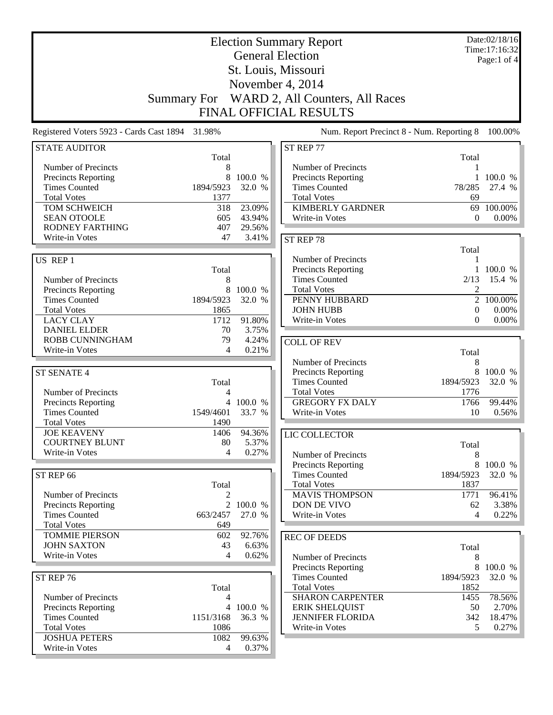|                                                 | <b>Election Summary Report</b> |                   |                                              |                   | Date:02/18/16<br>Time:17:16:32 |
|-------------------------------------------------|--------------------------------|-------------------|----------------------------------------------|-------------------|--------------------------------|
|                                                 |                                |                   | <b>General Election</b>                      |                   | Page:1 of 4                    |
|                                                 |                                |                   | St. Louis, Missouri                          |                   |                                |
|                                                 |                                |                   | November 4, 2014                             |                   |                                |
|                                                 | <b>Summary For</b>             |                   | WARD 2, All Counters, All Races              |                   |                                |
|                                                 |                                |                   | <b>FINAL OFFICIAL RESULTS</b>                |                   |                                |
| Registered Voters 5923 - Cards Cast 1894 31.98% |                                |                   | Num. Report Precinct 8 - Num. Reporting 8    |                   | 100.00%                        |
| <b>STATE AUDITOR</b>                            |                                |                   | ST REP 77                                    |                   |                                |
| Number of Precincts                             | Total<br>8                     |                   | Number of Precincts                          | Total             |                                |
| Precincts Reporting                             | 8                              | 100.0 %           | Precincts Reporting                          | $\mathbf{1}$      | 100.0 %                        |
| <b>Times Counted</b>                            | 1894/5923                      | 32.0 %            | <b>Times Counted</b>                         | 78/285            | 27.4 %                         |
| <b>Total Votes</b>                              | 1377                           |                   | <b>Total Votes</b>                           | 69                |                                |
| TOM SCHWEICH                                    | 318                            | 23.09%            | <b>KIMBERLY GARDNER</b>                      | 69                | 100.00%                        |
| <b>SEAN OTOOLE</b>                              | 605                            | 43.94%            | Write-in Votes                               | $\Omega$          | $0.00\%$                       |
| RODNEY FARTHING<br>Write-in Votes               | 407<br>47                      | 29.56%<br>3.41%   |                                              |                   |                                |
|                                                 |                                |                   | ST REP 78                                    | Total             |                                |
| US REP 1                                        |                                |                   | Number of Precincts                          | 1                 |                                |
|                                                 | Total                          |                   | Precincts Reporting                          |                   | $1\,100.0\%$                   |
| Number of Precincts                             | 8                              |                   | <b>Times Counted</b>                         | 2/13              | 15.4 %                         |
| <b>Precincts Reporting</b>                      | 8                              | 100.0 %           | <b>Total Votes</b>                           | $\overline{c}$    |                                |
| <b>Times Counted</b>                            | 1894/5923                      | 32.0 %            | PENNY HUBBARD                                | $\overline{2}$    | 100.00%                        |
| <b>Total Votes</b>                              | 1865                           |                   | <b>JOHN HUBB</b>                             | $\overline{0}$    | $0.00\%$                       |
| <b>LACY CLAY</b><br><b>DANIEL ELDER</b>         | 1712<br>70                     | 91.80%<br>3.75%   | Write-in Votes                               | $\Omega$          | $0.00\%$                       |
| ROBB CUNNINGHAM                                 | 79                             | 4.24%             | <b>COLL OF REV</b>                           |                   |                                |
| Write-in Votes                                  | 4                              | 0.21%             |                                              | Total             |                                |
|                                                 |                                |                   | Number of Precincts                          | 8                 |                                |
| <b>ST SENATE 4</b>                              |                                |                   | Precincts Reporting                          | 8                 | 100.0 %                        |
|                                                 | Total                          |                   | <b>Times Counted</b>                         | 1894/5923         | 32.0 %                         |
| Number of Precincts                             | 4                              |                   | <b>Total Votes</b><br><b>GREGORY FX DALY</b> | 1776              |                                |
| Precincts Reporting<br><b>Times Counted</b>     | 4<br>1549/4601                 | 100.0 %<br>33.7 % | Write-in Votes                               | 1766<br>10        | 99.44%<br>0.56%                |
| <b>Total Votes</b>                              | 1490                           |                   |                                              |                   |                                |
| <b>JOE KEAVENY</b>                              | 1406                           | 94.36%            | LIC COLLECTOR                                |                   |                                |
| <b>COURTNEY BLUNT</b>                           | 80                             | 5.37%             |                                              | Total             |                                |
| Write-in Votes                                  | 4                              | 0.27%             | Number of Precincts                          | 8                 |                                |
|                                                 |                                |                   | <b>Precincts Reporting</b>                   | 8                 | 100.0 %                        |
| ST REP 66                                       |                                |                   | <b>Times Counted</b>                         | 1894/5923         | 32.0 %                         |
| Number of Precincts                             | Total<br>2                     |                   | <b>Total Votes</b><br><b>MAVIS THOMPSON</b>  | 1837<br>1771      | 96.41%                         |
| Precincts Reporting                             |                                | 2 100.0 %         | DON DE VIVO                                  | 62                | 3.38%                          |
| <b>Times Counted</b>                            | 663/2457                       | 27.0 %            | Write-in Votes                               | 4                 | 0.22%                          |
| <b>Total Votes</b>                              | 649                            |                   |                                              |                   |                                |
| <b>TOMMIE PIERSON</b>                           | 602                            | 92.76%            | <b>REC OF DEEDS</b>                          |                   |                                |
| <b>JOHN SAXTON</b>                              | 43                             | 6.63%             |                                              | Total             |                                |
| Write-in Votes                                  | 4                              | 0.62%             | Number of Precincts                          | $\,8\,$           |                                |
|                                                 |                                |                   | Precincts Reporting                          | 8                 | 100.0 %                        |
| ST REP 76                                       | Total                          |                   | <b>Times Counted</b><br><b>Total Votes</b>   | 1894/5923<br>1852 | 32.0 %                         |
| Number of Precincts                             | 4                              |                   | <b>SHARON CARPENTER</b>                      | 1455              | 78.56%                         |
| <b>Precincts Reporting</b>                      |                                | 4 100.0 %         | <b>ERIK SHELQUIST</b>                        | 50                | 2.70%                          |
| <b>Times Counted</b>                            | 1151/3168                      | 36.3 %            | <b>JENNIFER FLORIDA</b>                      | 342               | 18.47%                         |
| <b>Total Votes</b>                              | 1086                           |                   | Write-in Votes                               | 5                 | 0.27%                          |
| <b>JOSHUA PETERS</b>                            | 1082                           | 99.63%            |                                              |                   |                                |
| Write-in Votes                                  | $\overline{4}$                 | 0.37%             |                                              |                   |                                |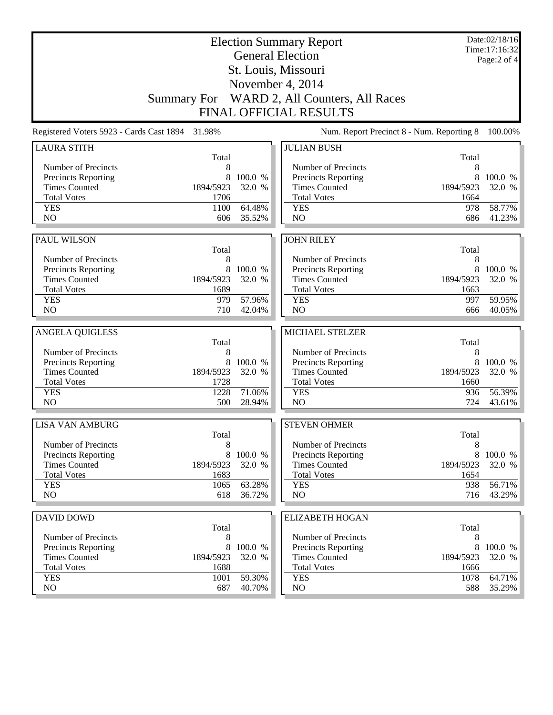|                                                    |                    | Date:02/18/16<br>Time:17:16:32<br>Page:2 of 4 |                                                                  |                |                   |
|----------------------------------------------------|--------------------|-----------------------------------------------|------------------------------------------------------------------|----------------|-------------------|
|                                                    |                    |                                               |                                                                  |                |                   |
|                                                    | <b>Summary For</b> |                                               | WARD 2, All Counters, All Races<br><b>FINAL OFFICIAL RESULTS</b> |                |                   |
| Registered Voters 5923 - Cards Cast 1894 31.98%    |                    |                                               | Num. Report Precinct 8 - Num. Reporting 8                        |                | 100.00%           |
| <b>LAURA STITH</b>                                 |                    |                                               | <b>JULIAN BUSH</b>                                               |                |                   |
|                                                    | Total              |                                               |                                                                  | Total          |                   |
| Number of Precincts                                | 8                  |                                               | Number of Precincts                                              | 8              |                   |
| Precincts Reporting                                | 8                  | 100.0 %                                       | Precincts Reporting                                              | 8              | 100.0 %           |
| <b>Times Counted</b>                               | 1894/5923          | 32.0 %                                        | <b>Times Counted</b>                                             | 1894/5923      | 32.0 %            |
| <b>Total Votes</b>                                 | 1706               |                                               | <b>Total Votes</b>                                               | 1664           |                   |
| <b>YES</b>                                         | 1100               | 64.48%                                        | <b>YES</b>                                                       | 978            | 58.77%            |
| N <sub>O</sub>                                     | 606                | 35.52%                                        | N <sub>O</sub>                                                   | 686            | 41.23%            |
|                                                    |                    |                                               |                                                                  |                |                   |
| <b>PAUL WILSON</b>                                 |                    |                                               | <b>JOHN RILEY</b>                                                |                |                   |
|                                                    | Total              |                                               |                                                                  | Total          |                   |
| Number of Precincts                                | 8<br>8             | 100.0 %                                       | Number of Precincts                                              | 8<br>8         |                   |
| Precincts Reporting<br><b>Times Counted</b>        | 1894/5923          | 32.0 %                                        | Precincts Reporting<br><b>Times Counted</b>                      | 1894/5923      | 100.0 %<br>32.0 % |
| <b>Total Votes</b>                                 | 1689               |                                               | <b>Total Votes</b>                                               | 1663           |                   |
| <b>YES</b>                                         | 979                | 57.96%                                        | <b>YES</b>                                                       | 997            | 59.95%            |
| N <sub>O</sub>                                     | 710                | 42.04%                                        | N <sub>O</sub>                                                   | 666            | 40.05%            |
|                                                    |                    |                                               |                                                                  |                |                   |
| <b>ANGELA QUIGLESS</b>                             |                    |                                               | MICHAEL STELZER                                                  |                |                   |
|                                                    | Total              |                                               |                                                                  | Total          |                   |
| Number of Precincts                                | 8                  |                                               | Number of Precincts                                              | 8              |                   |
| Precincts Reporting                                | 8                  | 100.0 %                                       | Precincts Reporting                                              | 8              | 100.0 %           |
| <b>Times Counted</b>                               | 1894/5923          | 32.0 %                                        | <b>Times Counted</b>                                             | 1894/5923      | 32.0 %            |
| <b>Total Votes</b>                                 | 1728               |                                               | <b>Total Votes</b>                                               | 1660           |                   |
| <b>YES</b>                                         | 1228               | 71.06%                                        | <b>YES</b>                                                       | 936            | 56.39%            |
| NO                                                 | 500                | 28.94%                                        | NO                                                               | 724            | 43.61%            |
| <b>LISA VAN AMBURG</b>                             |                    |                                               | <b>STEVEN OHMER</b>                                              |                |                   |
|                                                    | Total              |                                               |                                                                  | Total          |                   |
| Number of Precincts                                | 8                  |                                               | Number of Precincts                                              | 8              |                   |
| <b>Precincts Reporting</b>                         | 8                  | 100.0 %                                       | Precincts Reporting                                              | 8              | 100.0 %           |
| <b>Times Counted</b>                               | 1894/5923          | 32.0 %                                        | <b>Times Counted</b>                                             | 1894/5923      | 32.0 %            |
| <b>Total Votes</b>                                 | 1683               |                                               | <b>Total Votes</b>                                               | 1654           |                   |
| <b>YES</b>                                         | 1065               | 63.28%                                        | <b>YES</b>                                                       | 938            | 56.71%            |
| NO                                                 | 618                | 36.72%                                        | NO                                                               | 716            | 43.29%            |
|                                                    |                    |                                               |                                                                  |                |                   |
| <b>DAVID DOWD</b>                                  |                    |                                               | <b>ELIZABETH HOGAN</b>                                           |                |                   |
|                                                    | Total              |                                               |                                                                  | Total          |                   |
| Number of Precincts                                | 8                  |                                               | Number of Precincts                                              | 8              |                   |
| <b>Precincts Reporting</b><br><b>Times Counted</b> | 8<br>1894/5923     | 100.0 %<br>32.0 %                             | <b>Precincts Reporting</b><br><b>Times Counted</b>               | 8<br>1894/5923 | 100.0 %<br>32.0 % |
| <b>Total Votes</b>                                 | 1688               |                                               | <b>Total Votes</b>                                               | 1666           |                   |
|                                                    |                    |                                               |                                                                  |                |                   |
|                                                    |                    |                                               |                                                                  |                |                   |
| <b>YES</b><br>NO                                   | 1001<br>687        | 59.30%<br>40.70%                              | <b>YES</b><br>NO                                                 | 1078<br>588    | 64.71%<br>35.29%  |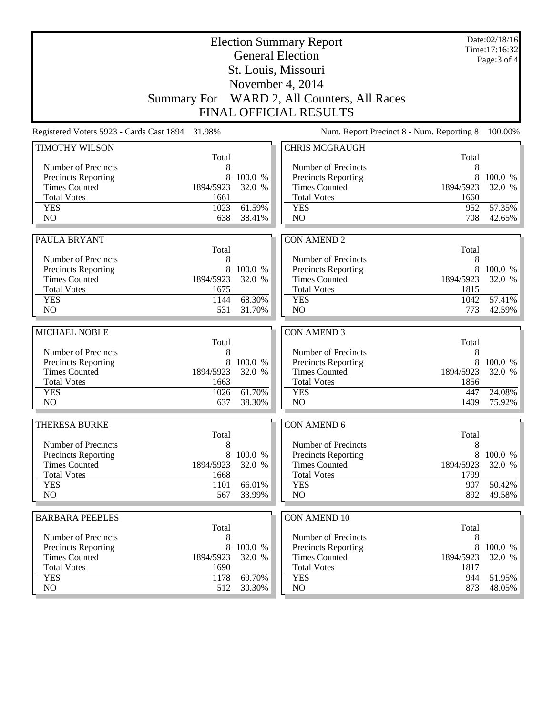| <b>Election Summary Report</b><br><b>General Election</b> |                    |                   |                                             |                | Date:02/18/16<br>Time:17:16:32<br>Page: 3 of 4 |
|-----------------------------------------------------------|--------------------|-------------------|---------------------------------------------|----------------|------------------------------------------------|
|                                                           |                    |                   | St. Louis, Missouri                         |                |                                                |
|                                                           |                    |                   | November 4, 2014                            |                |                                                |
|                                                           | <b>Summary For</b> |                   | WARD 2, All Counters, All Races             |                |                                                |
|                                                           |                    |                   | <b>FINAL OFFICIAL RESULTS</b>               |                |                                                |
|                                                           |                    |                   |                                             |                |                                                |
| Registered Voters 5923 - Cards Cast 1894                  | 31.98%             |                   | Num. Report Precinct 8 - Num. Reporting 8   |                | 100.00%                                        |
| <b>TIMOTHY WILSON</b>                                     | Total              |                   | <b>CHRIS MCGRAUGH</b>                       | Total          |                                                |
| Number of Precincts                                       | 8                  |                   | Number of Precincts                         | 8              |                                                |
| <b>Precincts Reporting</b>                                | 8                  | 100.0 %           | <b>Precincts Reporting</b>                  | 8              | 100.0 %                                        |
| <b>Times Counted</b>                                      | 1894/5923          | 32.0 %            | <b>Times Counted</b>                        | 1894/5923      | 32.0 %                                         |
| <b>Total Votes</b>                                        | 1661               |                   | <b>Total Votes</b>                          | 1660           |                                                |
| <b>YES</b>                                                | 1023               | 61.59%            | <b>YES</b>                                  | 952            | 57.35%                                         |
| N <sub>O</sub>                                            | 638                | 38.41%            | N <sub>O</sub>                              | 708            | 42.65%                                         |
|                                                           |                    |                   |                                             |                |                                                |
| PAULA BRYANT                                              |                    |                   | <b>CON AMEND 2</b>                          |                |                                                |
|                                                           | Total              |                   |                                             | Total          |                                                |
| Number of Precincts                                       | 8                  |                   | Number of Precincts                         | 8              |                                                |
| Precincts Reporting<br><b>Times Counted</b>               | 8<br>1894/5923     | 100.0 %<br>32.0 % | Precincts Reporting<br><b>Times Counted</b> | 8<br>1894/5923 | 100.0 %                                        |
| <b>Total Votes</b>                                        | 1675               |                   | <b>Total Votes</b>                          | 1815           | 32.0 %                                         |
| <b>YES</b>                                                | 1144               | 68.30%            | <b>YES</b>                                  | 1042           | 57.41%                                         |
| NO                                                        | 531                | 31.70%            | NO                                          | 773            | 42.59%                                         |
|                                                           |                    |                   |                                             |                |                                                |
| MICHAEL NOBLE                                             |                    |                   | <b>CON AMEND 3</b>                          |                |                                                |
|                                                           |                    |                   |                                             |                |                                                |
|                                                           | Total              |                   |                                             | Total          |                                                |
| Number of Precincts                                       | 8                  |                   | Number of Precincts                         | 8              |                                                |
| Precincts Reporting                                       | 8                  | 100.0 %           | Precincts Reporting                         | 8              | 100.0 %                                        |
| <b>Times Counted</b>                                      | 1894/5923          | 32.0 %            | <b>Times Counted</b>                        | 1894/5923      | 32.0 %                                         |
| <b>Total Votes</b>                                        | 1663               |                   | <b>Total Votes</b>                          | 1856           |                                                |
| <b>YES</b>                                                | 1026               | 61.70%            | <b>YES</b>                                  | 447            | 24.08%                                         |
| N <sub>O</sub>                                            | 637                | 38.30%            | NO                                          | 1409           | 75.92%                                         |
| <b>THERESA BURKE</b>                                      |                    |                   | <b>CON AMEND 6</b>                          |                |                                                |
|                                                           | Total              |                   |                                             | Total          |                                                |
| Number of Precincts                                       | 8                  |                   | Number of Precincts                         | 8              |                                                |
| <b>Precincts Reporting</b>                                | 8                  | 100.0 %           | Precincts Reporting                         | 8              | 100.0 %                                        |
| <b>Times Counted</b>                                      | 1894/5923          | 32.0 %            | <b>Times Counted</b>                        | 1894/5923      | 32.0 %                                         |
| <b>Total Votes</b>                                        | 1668               |                   | <b>Total Votes</b>                          | 1799           |                                                |
| <b>YES</b>                                                | 1101               | 66.01%            | <b>YES</b>                                  | 907            | 50.42%                                         |
| NO.                                                       | 567                | 33.99%            | NO                                          | 892            | 49.58%                                         |
|                                                           |                    |                   |                                             |                |                                                |
| <b>BARBARA PEEBLES</b>                                    | Total              |                   | <b>CON AMEND 10</b>                         | Total          |                                                |
| Number of Precincts                                       | 8                  |                   | Number of Precincts                         | 8              |                                                |
| Precincts Reporting                                       | 8                  | 100.0 %           | Precincts Reporting                         | 8              | 100.0 %                                        |
| <b>Times Counted</b>                                      | 1894/5923          | 32.0 %            | <b>Times Counted</b>                        | 1894/5923      | 32.0 %                                         |
| <b>Total Votes</b>                                        | 1690               |                   | <b>Total Votes</b>                          | 1817           |                                                |
| <b>YES</b><br>NO.                                         | 1178<br>512        | 69.70%<br>30.30%  | <b>YES</b><br>NO                            | 944<br>873     | 51.95%<br>48.05%                               |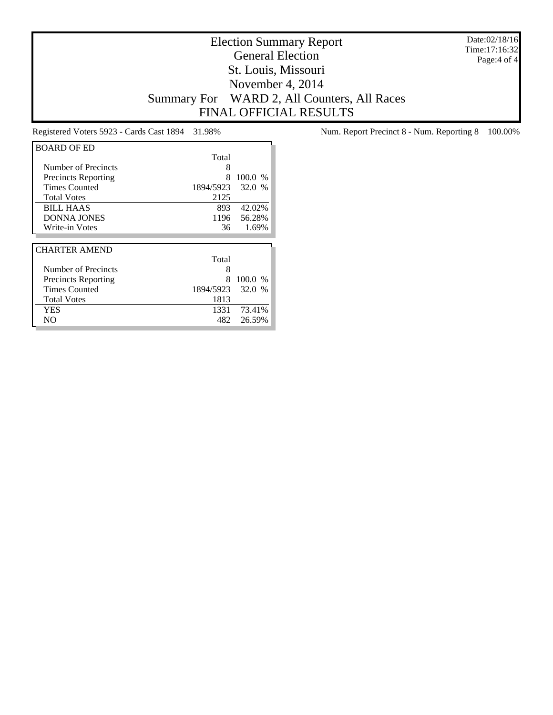Date:02/18/16 Time:17:16:32 Page:4 of 4

## Election Summary Report General Election St. Louis, Missouri November 4, 2014 Summary For WARD 2, All Counters, All Races FINAL OFFICIAL RESULTS

| <b>BOARD OF ED</b>         |           |           |
|----------------------------|-----------|-----------|
|                            | Total     |           |
| Number of Precincts        | 8         |           |
| <b>Precincts Reporting</b> | 8         | $100.0\%$ |
| <b>Times Counted</b>       | 1894/5923 | 32.0 %    |
| <b>Total Votes</b>         | 2125      |           |
| <b>BILL HAAS</b>           | 893       | 42.02%    |
| <b>DONNA JONES</b>         | 1196      | 56.28%    |
| Write-in Votes             | 36        | 1.69%     |
|                            |           |           |
|                            |           |           |
| <b>CHARTER AMEND</b>       |           |           |
|                            | Total     |           |
| Number of Precincts        | 8         |           |
| <b>Precincts Reporting</b> | 8         | 100.0%    |
| <b>Times Counted</b>       | 1894/5923 | 32.0 %    |
| <b>Total Votes</b>         | 1813      |           |
| YES                        | 1331      | 73.41%    |

Registered Voters 5923 - Cards Cast 1894 31.98% Num. Report Precinct 8 - Num. Reporting 8 100.00%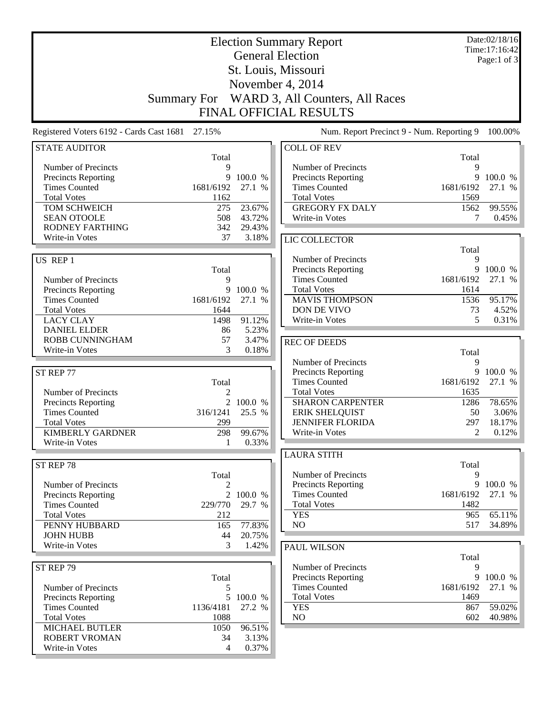|                                                   | <b>Election Summary Report</b> |           |                                             |            | Date:02/18/16<br>Time: 17:16:42 |  |
|---------------------------------------------------|--------------------------------|-----------|---------------------------------------------|------------|---------------------------------|--|
|                                                   |                                |           | <b>General Election</b>                     |            | Page:1 of 3                     |  |
|                                                   |                                |           | St. Louis, Missouri                         |            |                                 |  |
|                                                   |                                |           | November 4, 2014                            |            |                                 |  |
|                                                   | <b>Summary For</b>             |           | WARD 3, All Counters, All Races             |            |                                 |  |
|                                                   |                                |           | <b>FINAL OFFICIAL RESULTS</b>               |            |                                 |  |
| Registered Voters 6192 - Cards Cast 1681 27.15%   |                                |           | Num. Report Precinct 9 - Num. Reporting 9   |            | 100.00%                         |  |
| <b>STATE AUDITOR</b>                              |                                |           | <b>COLL OF REV</b>                          |            |                                 |  |
|                                                   | Total                          |           |                                             | Total      |                                 |  |
| Number of Precincts<br><b>Precincts Reporting</b> | 9<br>9                         | 100.0 %   | Number of Precincts<br>Precincts Reporting  | 9<br>9     | 100.0 %                         |  |
| <b>Times Counted</b>                              | 1681/6192                      | 27.1 %    | <b>Times Counted</b>                        | 1681/6192  | 27.1 %                          |  |
| <b>Total Votes</b>                                | 1162                           |           | <b>Total Votes</b>                          | 1569       |                                 |  |
| TOM SCHWEICH                                      | 275                            | 23.67%    | <b>GREGORY FX DALY</b>                      | 1562       | 99.55%                          |  |
| <b>SEAN OTOOLE</b>                                | 508                            | 43.72%    | Write-in Votes                              | 7          | 0.45%                           |  |
| RODNEY FARTHING                                   | 342                            | 29.43%    |                                             |            |                                 |  |
| Write-in Votes                                    | 37                             | 3.18%     | LIC COLLECTOR                               |            |                                 |  |
|                                                   |                                |           |                                             | Total      |                                 |  |
| US REP 1                                          | Total                          |           | Number of Precincts<br>Precincts Reporting  | 9          | 9 100.0 %                       |  |
| Number of Precincts                               | 9                              |           | <b>Times Counted</b>                        | 1681/6192  | 27.1 %                          |  |
| <b>Precincts Reporting</b>                        | 9                              | 100.0 %   | <b>Total Votes</b>                          | 1614       |                                 |  |
| <b>Times Counted</b>                              | 1681/6192                      | 27.1 %    | <b>MAVIS THOMPSON</b>                       | 1536       | 95.17%                          |  |
| <b>Total Votes</b>                                | 1644                           |           | DON DE VIVO                                 | 73         | 4.52%                           |  |
| <b>LACY CLAY</b>                                  | 1498                           | 91.12%    | Write-in Votes                              | 5          | 0.31%                           |  |
| <b>DANIEL ELDER</b>                               | 86                             | 5.23%     |                                             |            |                                 |  |
| ROBB CUNNINGHAM                                   | 57                             | 3.47%     | <b>REC OF DEEDS</b>                         |            |                                 |  |
| Write-in Votes                                    | 3                              | 0.18%     |                                             | Total      |                                 |  |
|                                                   |                                |           | Number of Precincts                         | 9<br>9     | 100.0 %                         |  |
| ST REP 77                                         | Total                          |           | Precincts Reporting<br><b>Times Counted</b> | 1681/6192  | 27.1 %                          |  |
| Number of Precincts                               | $\overline{2}$                 |           | <b>Total Votes</b>                          | 1635       |                                 |  |
| <b>Precincts Reporting</b>                        |                                | 2 100.0 % | <b>SHARON CARPENTER</b>                     | 1286       | 78.65%                          |  |
| <b>Times Counted</b>                              | 316/1241                       | 25.5 %    | <b>ERIK SHELQUIST</b>                       | 50         | 3.06%                           |  |
| <b>Total Votes</b>                                | 299                            |           | <b>JENNIFER FLORIDA</b>                     | 297        | 18.17%                          |  |
| <b>KIMBERLY GARDNER</b>                           | 298                            | 99.67%    | Write-in Votes                              | 2          | 0.12%                           |  |
| Write-in Votes                                    | $\mathbf{1}$                   | 0.33%     |                                             |            |                                 |  |
|                                                   |                                |           | <b>LAURA STITH</b>                          |            |                                 |  |
| ST REP 78                                         |                                |           | Number of Precincts                         | Total<br>9 |                                 |  |
| Number of Precincts                               | Total<br>2                     |           | Precincts Reporting                         | 9          | 100.0 %                         |  |
| <b>Precincts Reporting</b>                        | $\overline{2}$                 | 100.0 %   | <b>Times Counted</b>                        | 1681/6192  | 27.1 %                          |  |
| <b>Times Counted</b>                              | 229/770                        | 29.7 %    | <b>Total Votes</b>                          | 1482       |                                 |  |
| <b>Total Votes</b>                                | 212                            |           | <b>YES</b>                                  | 965        | 65.11%                          |  |
| PENNY HUBBARD                                     | 165                            | 77.83%    | NO                                          | 517        | 34.89%                          |  |
| <b>JOHN HUBB</b>                                  | 44                             | 20.75%    |                                             |            |                                 |  |
| Write-in Votes                                    | 3                              | 1.42%     | <b>PAUL WILSON</b>                          |            |                                 |  |
|                                                   |                                |           |                                             | Total      |                                 |  |
| ST REP 79                                         |                                |           | Number of Precincts<br>Precincts Reporting  | 9<br>9     | 100.0 %                         |  |
| Number of Precincts                               | Total<br>5                     |           | <b>Times Counted</b>                        | 1681/6192  | 27.1 %                          |  |
| Precincts Reporting                               | 5                              | 100.0 %   | <b>Total Votes</b>                          | 1469       |                                 |  |
| <b>Times Counted</b>                              | 1136/4181                      | 27.2 %    | <b>YES</b>                                  | 867        | 59.02%                          |  |
| <b>Total Votes</b>                                | 1088                           |           | NO                                          | 602        | 40.98%                          |  |
| <b>MICHAEL BUTLER</b>                             | 1050                           | 96.51%    |                                             |            |                                 |  |
| <b>ROBERT VROMAN</b>                              | 34                             | 3.13%     |                                             |            |                                 |  |
| Write-in Votes                                    | 4                              | 0.37%     |                                             |            |                                 |  |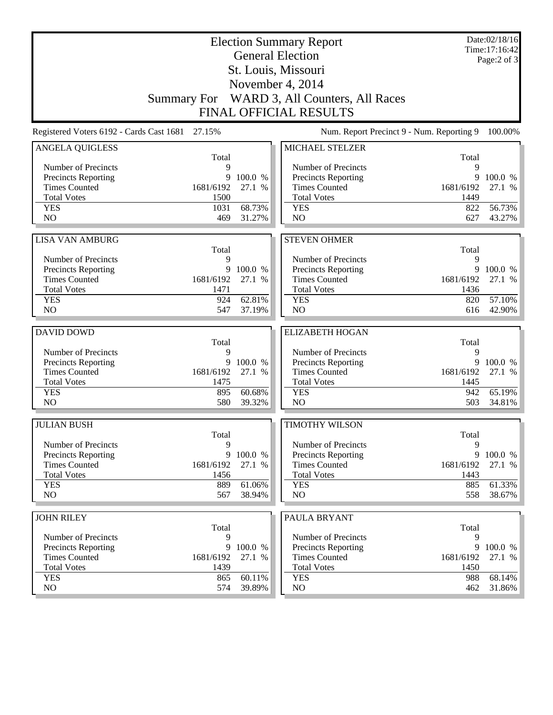| <b>Election Summary Report</b><br><b>General Election</b> |                    |                   |                                             |                | Date:02/18/16<br>Time: 17:16:42 |  |
|-----------------------------------------------------------|--------------------|-------------------|---------------------------------------------|----------------|---------------------------------|--|
|                                                           |                    |                   | St. Louis, Missouri                         |                | Page: $2$ of $3$                |  |
|                                                           |                    |                   | November 4, 2014                            |                |                                 |  |
|                                                           | <b>Summary For</b> |                   | WARD 3, All Counters, All Races             |                |                                 |  |
|                                                           |                    |                   | <b>FINAL OFFICIAL RESULTS</b>               |                |                                 |  |
| Registered Voters 6192 - Cards Cast 1681                  | 27.15%             |                   | Num. Report Precinct 9 - Num. Reporting 9   |                | 100.00%                         |  |
| <b>ANGELA QUIGLESS</b>                                    |                    |                   | <b>MICHAEL STELZER</b>                      |                |                                 |  |
|                                                           | Total              |                   |                                             | Total          |                                 |  |
| Number of Precincts                                       | 9                  |                   | Number of Precincts                         | 9              |                                 |  |
| <b>Precincts Reporting</b>                                | 9                  | 100.0 %           | <b>Precincts Reporting</b>                  | 9              | 100.0 %                         |  |
| <b>Times Counted</b><br><b>Total Votes</b>                | 1681/6192          | 27.1 %            | <b>Times Counted</b><br><b>Total Votes</b>  | 1681/6192      | 27.1 %                          |  |
| <b>YES</b>                                                | 1500<br>1031       | 68.73%            | <b>YES</b>                                  | 1449<br>822    | 56.73%                          |  |
| NO                                                        | 469                | 31.27%            | NO                                          | 627            | 43.27%                          |  |
|                                                           |                    |                   |                                             |                |                                 |  |
| <b>LISA VAN AMBURG</b>                                    |                    |                   | <b>STEVEN OHMER</b>                         |                |                                 |  |
|                                                           | Total              |                   |                                             | Total          |                                 |  |
| Number of Precincts                                       | 9                  |                   | Number of Precincts                         | 9              |                                 |  |
| Precincts Reporting<br><b>Times Counted</b>               | 9<br>1681/6192     | 100.0 %<br>27.1 % | Precincts Reporting<br><b>Times Counted</b> | 9<br>1681/6192 | 100.0 %<br>27.1 %               |  |
| <b>Total Votes</b>                                        | 1471               |                   | <b>Total Votes</b>                          | 1436           |                                 |  |
| <b>YES</b>                                                | 924                | 62.81%            | <b>YES</b>                                  | 820            | 57.10%                          |  |
| N <sub>O</sub>                                            | 547                | 37.19%            | NO                                          | 616            | 42.90%                          |  |
|                                                           |                    |                   |                                             |                |                                 |  |
| <b>DAVID DOWD</b>                                         |                    |                   | <b>ELIZABETH HOGAN</b>                      |                |                                 |  |
|                                                           | Total              |                   |                                             | Total          |                                 |  |
| Number of Precincts                                       | 9                  |                   | Number of Precincts                         | 9              |                                 |  |
| <b>Precincts Reporting</b>                                | 9                  | 100.0 %           | Precincts Reporting                         | 9              | 100.0 %                         |  |
| <b>Times Counted</b>                                      | 1681/6192          | 27.1 %            | <b>Times Counted</b>                        | 1681/6192      | 27.1 %                          |  |
| <b>Total Votes</b>                                        | 1475               |                   | <b>Total Votes</b>                          | 1445           |                                 |  |
| <b>YES</b><br>N <sub>O</sub>                              | 895<br>580         | 60.68%<br>39.32%  | <b>YES</b><br>NO                            | 942<br>503     | 65.19%<br>34.81%                |  |
|                                                           |                    |                   |                                             |                |                                 |  |
| <b>JULIAN BUSH</b>                                        |                    |                   | <b>TIMOTHY WILSON</b>                       |                |                                 |  |
|                                                           | Total              |                   |                                             | Total          |                                 |  |
| Number of Precincts                                       | 9                  |                   | Number of Precincts                         | 9              |                                 |  |
| <b>Precincts Reporting</b>                                |                    | 9 100.0 %         | Precincts Reporting                         | 9              | 100.0 %                         |  |
| <b>Times Counted</b>                                      | 1681/6192          | 27.1 %            | <b>Times Counted</b>                        | 1681/6192      | 27.1 %                          |  |
| <b>Total Votes</b><br><b>YES</b>                          | 1456<br>889        | 61.06%            | <b>Total Votes</b><br><b>YES</b>            | 1443<br>885    | 61.33%                          |  |
| NO                                                        | 567                | 38.94%            | NO                                          | 558            | 38.67%                          |  |
|                                                           |                    |                   |                                             |                |                                 |  |
| <b>JOHN RILEY</b>                                         |                    |                   | PAULA BRYANT                                |                |                                 |  |
|                                                           | Total<br>9         |                   |                                             | Total<br>9     |                                 |  |
| Number of Precincts                                       | 9                  | 100.0 %           | Number of Precincts                         | 9              | 100.0 %                         |  |
| <b>Precincts Reporting</b><br><b>Times Counted</b>        | 1681/6192          | 27.1 %            | Precincts Reporting<br><b>Times Counted</b> | 1681/6192      | 27.1 %                          |  |
| <b>Total Votes</b>                                        | 1439               |                   | <b>Total Votes</b>                          | 1450           |                                 |  |
| <b>YES</b><br>NO                                          | 865<br>574         | 60.11%<br>39.89%  | <b>YES</b><br>NO                            | 988<br>462     | 68.14%<br>31.86%                |  |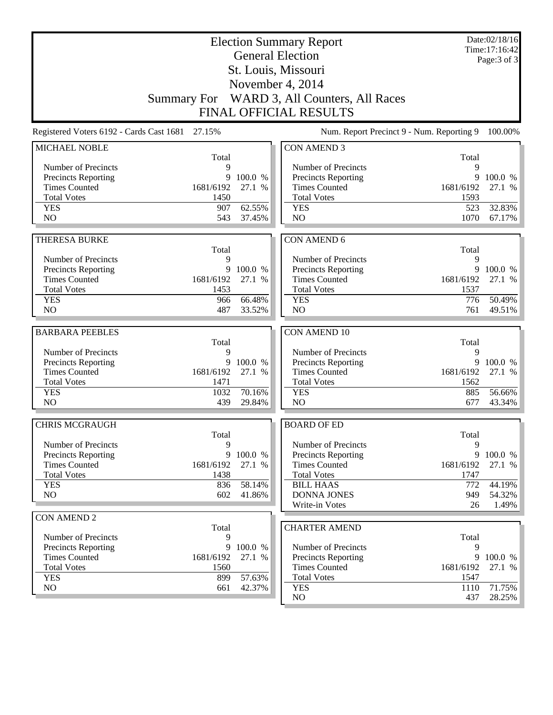| <b>Election Summary Report</b><br><b>General Election</b> |                                                 |                   |                                             | Date:02/18/16<br>Time:17:16:42<br>Page: $3$ of $3$ |                   |
|-----------------------------------------------------------|-------------------------------------------------|-------------------|---------------------------------------------|----------------------------------------------------|-------------------|
|                                                           |                                                 |                   | St. Louis, Missouri                         |                                                    |                   |
|                                                           |                                                 |                   | November 4, 2014                            |                                                    |                   |
|                                                           | <b>Summary For</b>                              |                   | WARD 3, All Counters, All Races             |                                                    |                   |
|                                                           |                                                 |                   | <b>FINAL OFFICIAL RESULTS</b>               |                                                    |                   |
|                                                           | Registered Voters 6192 - Cards Cast 1681 27.15% |                   | Num. Report Precinct 9 - Num. Reporting 9   |                                                    | 100.00%           |
| MICHAEL NOBLE                                             | Total                                           |                   | <b>CON AMEND 3</b>                          | Total                                              |                   |
| Number of Precincts                                       | 9                                               |                   | Number of Precincts                         | 9                                                  |                   |
| Precincts Reporting                                       | 9                                               | 100.0 %           | <b>Precincts Reporting</b>                  | 9                                                  | 100.0 %           |
| <b>Times Counted</b>                                      | 1681/6192                                       | 27.1 %            | <b>Times Counted</b>                        | 1681/6192                                          | 27.1 %            |
| <b>Total Votes</b>                                        | 1450                                            |                   | <b>Total Votes</b>                          | 1593                                               |                   |
| <b>YES</b>                                                | 907                                             | 62.55%            | <b>YES</b>                                  | 523                                                | 32.83%            |
| NO                                                        | 543                                             | 37.45%            | NO                                          | 1070                                               | 67.17%            |
| <b>THERESA BURKE</b>                                      |                                                 |                   | <b>CON AMEND 6</b>                          |                                                    |                   |
|                                                           | Total                                           |                   |                                             | Total                                              |                   |
| Number of Precincts                                       | 9                                               |                   | Number of Precincts                         | 9                                                  |                   |
| Precincts Reporting                                       | 9                                               | 100.0 %           | Precincts Reporting                         | 9                                                  | 100.0 %           |
| <b>Times Counted</b>                                      | 1681/6192                                       | 27.1 %            | <b>Times Counted</b>                        | 1681/6192                                          | 27.1 %            |
| <b>Total Votes</b>                                        | 1453                                            |                   | <b>Total Votes</b>                          | 1537                                               |                   |
| <b>YES</b><br>NO                                          | 966<br>487                                      | 66.48%<br>33.52%  | <b>YES</b><br>N <sub>O</sub>                | 776<br>761                                         | 50.49%<br>49.51%  |
|                                                           |                                                 |                   |                                             |                                                    |                   |
| <b>BARBARA PEEBLES</b>                                    |                                                 |                   | <b>CON AMEND 10</b>                         |                                                    |                   |
|                                                           | Total                                           |                   |                                             | Total                                              |                   |
| Number of Precincts                                       | 9                                               |                   | Number of Precincts                         | 9                                                  |                   |
| Precincts Reporting<br><b>Times Counted</b>               | 9<br>1681/6192                                  | 100.0 %<br>27.1 % | Precincts Reporting<br><b>Times Counted</b> | 9<br>1681/6192                                     | 100.0 %<br>27.1 % |
| <b>Total Votes</b>                                        | 1471                                            |                   | <b>Total Votes</b>                          | 1562                                               |                   |
| <b>YES</b>                                                | 1032                                            | 70.16%            | <b>YES</b>                                  | 885                                                | 56.66%            |
| N <sub>O</sub>                                            | 439                                             | 29.84%            | NO                                          | 677                                                | 43.34%            |
|                                                           |                                                 |                   |                                             |                                                    |                   |
| <b>CHRIS MCGRAUGH</b>                                     |                                                 |                   | <b>BOARD OF ED</b>                          |                                                    |                   |
|                                                           | Total                                           |                   |                                             | Total                                              |                   |
| Number of Precincts<br>Precincts Reporting                | 9                                               | 9 100.0 %         | Number of Precincts<br>Precincts Reporting  | 9                                                  | 9 100.0 %         |
| <b>Times Counted</b>                                      | 1681/6192                                       | 27.1 %            | <b>Times Counted</b>                        | 1681/6192                                          | 27.1 %            |
| <b>Total Votes</b>                                        | 1438                                            |                   | <b>Total Votes</b>                          | 1747                                               |                   |
| <b>YES</b>                                                | 836                                             | 58.14%            | <b>BILL HAAS</b>                            | 772                                                | 44.19%            |
| NO                                                        | 602                                             | 41.86%            | <b>DONNA JONES</b>                          | 949                                                | 54.32%            |
|                                                           |                                                 |                   | Write-in Votes                              | 26                                                 | 1.49%             |
| <b>CON AMEND 2</b>                                        |                                                 |                   |                                             |                                                    |                   |
|                                                           | Total                                           |                   | <b>CHARTER AMEND</b>                        |                                                    |                   |
| Number of Precincts<br><b>Precincts Reporting</b>         | 9<br>9                                          | 100.0 %           | Number of Precincts                         | Total<br>9                                         |                   |
| <b>Times Counted</b>                                      | 1681/6192                                       | 27.1 %            | Precincts Reporting                         | 9                                                  | 100.0 %           |
| <b>Total Votes</b>                                        | 1560                                            |                   | <b>Times Counted</b>                        | 1681/6192                                          | 27.1 %            |
| <b>YES</b>                                                | 899                                             | 57.63%            | <b>Total Votes</b>                          | 1547                                               |                   |
| NO                                                        | 661                                             | 42.37%            | <b>YES</b>                                  | 1110                                               | 71.75%            |
|                                                           |                                                 |                   | NO                                          | 437                                                | 28.25%            |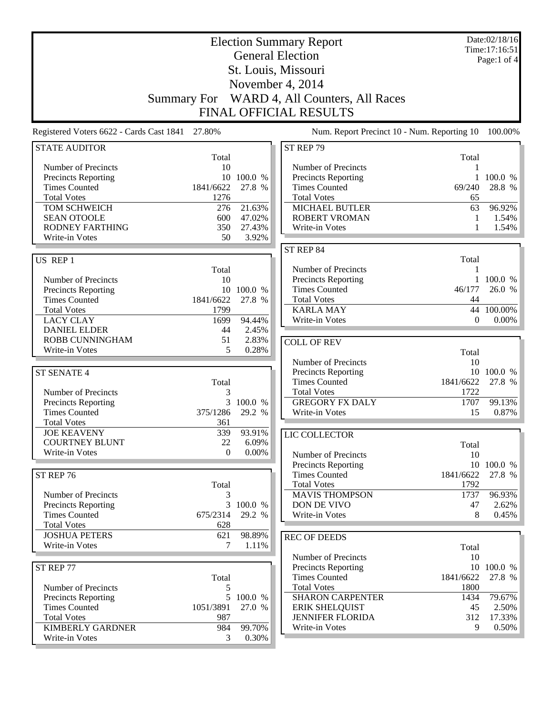|                                                 | <b>Election Summary Report</b> |                 |                                             |                | Date:02/18/16<br>Time:17:16:51 |  |
|-------------------------------------------------|--------------------------------|-----------------|---------------------------------------------|----------------|--------------------------------|--|
|                                                 |                                |                 | <b>General Election</b>                     |                | Page:1 of $4$                  |  |
|                                                 |                                |                 | St. Louis, Missouri                         |                |                                |  |
|                                                 |                                |                 | November 4, 2014                            |                |                                |  |
|                                                 | <b>Summary For</b>             |                 | WARD 4, All Counters, All Races             |                |                                |  |
|                                                 |                                |                 | <b>FINAL OFFICIAL RESULTS</b>               |                |                                |  |
| Registered Voters 6622 - Cards Cast 1841 27.80% |                                |                 | Num. Report Precinct 10 - Num. Reporting 10 |                | 100.00%                        |  |
| <b>STATE AUDITOR</b>                            | Total                          |                 | ST REP 79                                   | Total          |                                |  |
| Number of Precincts                             | 10                             |                 | Number of Precincts                         |                |                                |  |
| <b>Precincts Reporting</b>                      |                                | 10 100.0 %      | <b>Precincts Reporting</b>                  |                | 100.0 %                        |  |
| <b>Times Counted</b>                            | 1841/6622                      | 27.8 %          | <b>Times Counted</b>                        | 69/240         | 28.8 %                         |  |
| <b>Total Votes</b>                              | 1276                           |                 | <b>Total Votes</b>                          | 65             |                                |  |
| TOM SCHWEICH                                    | 276                            | 21.63%          | MICHAEL BUTLER                              | 63             | 96.92%                         |  |
| <b>SEAN OTOOLE</b>                              | 600                            | 47.02%          | <b>ROBERT VROMAN</b>                        | 1              | 1.54%                          |  |
| RODNEY FARTHING<br>Write-in Votes               | 350<br>50                      | 27.43%<br>3.92% | Write-in Votes                              |                | 1.54%                          |  |
|                                                 |                                |                 | ST REP 84                                   |                |                                |  |
| US REP 1                                        |                                |                 |                                             | Total          |                                |  |
|                                                 | Total                          |                 | Number of Precincts                         |                |                                |  |
| Number of Precincts                             | 10                             |                 | Precincts Reporting                         | $\mathbf{1}$   | 100.0 %                        |  |
| <b>Precincts Reporting</b>                      | 10                             | 100.0 %         | <b>Times Counted</b>                        | 46/177         | 26.0 %                         |  |
| <b>Times Counted</b>                            | 1841/6622                      | 27.8 %          | <b>Total Votes</b>                          | 44             |                                |  |
| <b>Total Votes</b>                              | 1799                           |                 | <b>KARLA MAY</b>                            | 44<br>$\theta$ | 100.00%                        |  |
| <b>LACY CLAY</b><br><b>DANIEL ELDER</b>         | 1699<br>44                     | 94.44%<br>2.45% | Write-in Votes                              |                | $0.00\%$                       |  |
| ROBB CUNNINGHAM                                 | 51                             | 2.83%           |                                             |                |                                |  |
| Write-in Votes                                  | 5                              | 0.28%           | <b>COLL OF REV</b>                          |                |                                |  |
|                                                 |                                |                 | Number of Precincts                         | Total<br>10    |                                |  |
| <b>ST SENATE 4</b>                              |                                |                 | <b>Precincts Reporting</b>                  |                | 10 100.0 %                     |  |
|                                                 | Total                          |                 | <b>Times Counted</b>                        | 1841/6622      | 27.8 %                         |  |
| Number of Precincts                             | 3                              |                 | <b>Total Votes</b>                          | 1722           |                                |  |
| <b>Precincts Reporting</b>                      | 3                              | 100.0 %         | <b>GREGORY FX DALY</b>                      | 1707           | 99.13%                         |  |
| <b>Times Counted</b>                            | 375/1286                       | 29.2 %          | Write-in Votes                              | 15             | 0.87%                          |  |
| <b>Total Votes</b>                              | 361                            |                 |                                             |                |                                |  |
| <b>JOE KEAVENY</b>                              | 339                            | 93.91%          | LIC COLLECTOR                               |                |                                |  |
| <b>COURTNEY BLUNT</b>                           | 22                             | 6.09%           |                                             | Total          |                                |  |
| Write-in Votes                                  | $\Omega$                       | $0.00\%$        | Number of Precincts                         | 10             |                                |  |
|                                                 |                                |                 | <b>Precincts Reporting</b>                  |                | 10 100.0 %                     |  |
| ST REP 76                                       |                                |                 | <b>Times Counted</b>                        | 1841/6622      | 27.8 %                         |  |
| Number of Precincts                             | Total                          |                 | <b>Total Votes</b><br><b>MAVIS THOMPSON</b> | 1792           |                                |  |
| Precincts Reporting                             | 3                              | 3 100.0 %       | DON DE VIVO                                 | 1737<br>47     | 96.93%<br>2.62%                |  |
| <b>Times Counted</b>                            | 675/2314                       | 29.2 %          | Write-in Votes                              | 8              | 0.45%                          |  |
| <b>Total Votes</b>                              | 628                            |                 |                                             |                |                                |  |
| <b>JOSHUA PETERS</b>                            | 621                            | 98.89%          | <b>REC OF DEEDS</b>                         |                |                                |  |
| Write-in Votes                                  | $\tau$                         | 1.11%           |                                             | Total          |                                |  |
|                                                 |                                |                 | Number of Precincts                         | 10             |                                |  |
| ST REP 77                                       |                                |                 | Precincts Reporting                         |                | 10 100.0 %                     |  |
|                                                 | Total                          |                 | <b>Times Counted</b>                        | 1841/6622      | 27.8 %                         |  |
| Number of Precincts                             | 5                              |                 | <b>Total Votes</b>                          | 1800           |                                |  |
| Precincts Reporting                             | 5 <sup>1</sup>                 | 100.0 %         | <b>SHARON CARPENTER</b>                     | 1434           | 79.67%                         |  |
| <b>Times Counted</b>                            | 1051/3891                      | 27.0 %          | <b>ERIK SHELQUIST</b>                       | 45             | 2.50%                          |  |
| <b>Total Votes</b>                              | 987                            |                 | <b>JENNIFER FLORIDA</b>                     | 312            | 17.33%                         |  |
| <b>KIMBERLY GARDNER</b>                         | 984                            | 99.70%          | Write-in Votes                              | 9              | 0.50%                          |  |
| Write-in Votes                                  | 3                              | 0.30%           |                                             |                |                                |  |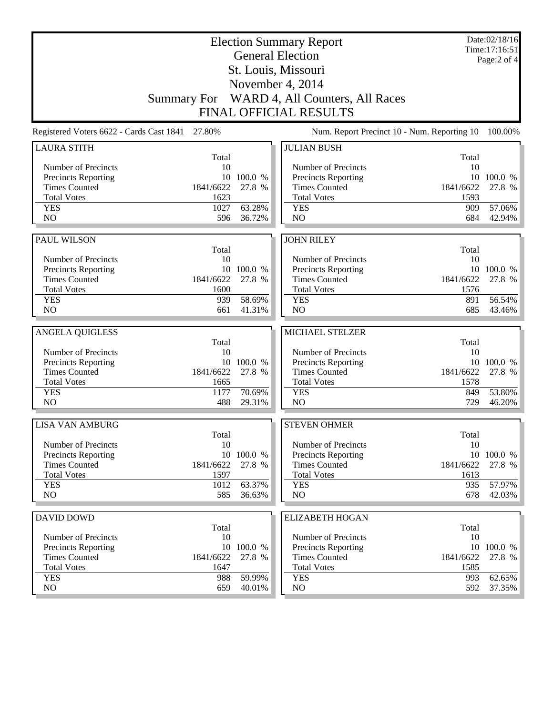| <b>Election Summary Report</b><br><b>General Election</b><br>St. Louis, Missouri |                    |            |                                             |                   | Date:02/18/16<br>Time:17:16:51<br>Page:2 of 4 |
|----------------------------------------------------------------------------------|--------------------|------------|---------------------------------------------|-------------------|-----------------------------------------------|
| November 4, 2014                                                                 |                    |            |                                             |                   |                                               |
|                                                                                  | <b>Summary For</b> |            | WARD 4, All Counters, All Races             |                   |                                               |
|                                                                                  |                    |            | <b>FINAL OFFICIAL RESULTS</b>               |                   |                                               |
| Registered Voters 6622 - Cards Cast 1841                                         | 27.80%             |            | Num. Report Precinct 10 - Num. Reporting 10 |                   | 100.00%                                       |
| <b>LAURA STITH</b>                                                               |                    |            | <b>JULIAN BUSH</b>                          |                   |                                               |
| Number of Precincts                                                              | Total<br>10        |            | Number of Precincts                         | Total<br>10       |                                               |
| <b>Precincts Reporting</b>                                                       |                    | 10 100.0 % | Precincts Reporting                         | 10                | 100.0 %                                       |
| <b>Times Counted</b>                                                             | 1841/6622          | 27.8 %     | <b>Times Counted</b>                        | 1841/6622         | 27.8 %                                        |
| <b>Total Votes</b>                                                               | 1623               |            | <b>Total Votes</b>                          | 1593              |                                               |
| <b>YES</b>                                                                       | 1027               | 63.28%     | <b>YES</b>                                  | 909               | 57.06%                                        |
| N <sub>O</sub>                                                                   | 596                | 36.72%     | N <sub>O</sub>                              | 684               | 42.94%                                        |
|                                                                                  |                    |            |                                             |                   |                                               |
| <b>PAUL WILSON</b>                                                               |                    |            | <b>JOHN RILEY</b>                           |                   |                                               |
|                                                                                  | Total              |            |                                             | Total             |                                               |
| Number of Precincts                                                              | 10                 |            | Number of Precincts                         | 10                |                                               |
| Precincts Reporting                                                              |                    | 10 100.0 % | Precincts Reporting                         |                   | 10 100.0 %                                    |
| <b>Times Counted</b>                                                             | 1841/6622<br>1600  | 27.8 %     | <b>Times Counted</b><br><b>Total Votes</b>  | 1841/6622<br>1576 | 27.8 %                                        |
| <b>Total Votes</b><br><b>YES</b>                                                 | 939                | 58.69%     | <b>YES</b>                                  | 891               | 56.54%                                        |
| N <sub>O</sub>                                                                   | 661                | 41.31%     | N <sub>O</sub>                              | 685               | 43.46%                                        |
|                                                                                  |                    |            |                                             |                   |                                               |
| <b>ANGELA QUIGLESS</b>                                                           |                    |            | MICHAEL STELZER                             |                   |                                               |
|                                                                                  | Total              |            |                                             | Total             |                                               |
| Number of Precincts                                                              | 10                 |            | Number of Precincts                         | 10                |                                               |
| Precincts Reporting                                                              |                    | 10 100.0 % | Precincts Reporting                         |                   | 10 100.0 %                                    |
| <b>Times Counted</b>                                                             | 1841/6622          | 27.8 %     | <b>Times Counted</b>                        | 1841/6622         | 27.8 %                                        |
| <b>Total Votes</b>                                                               | 1665               |            | <b>Total Votes</b>                          | 1578              |                                               |
| <b>YES</b><br>NO                                                                 | 1177               | 70.69%     | <b>YES</b><br>N <sub>O</sub>                | 849               | 53.80%                                        |
|                                                                                  | 488                | 29.31%     |                                             | 729               | 46.20%                                        |
| <b>LISA VAN AMBURG</b>                                                           |                    |            | <b>STEVEN OHMER</b>                         |                   |                                               |
|                                                                                  | Total              |            |                                             | Total             |                                               |
| Number of Precincts<br><b>Precincts Reporting</b>                                | 10                 | 10 100.0 % | Number of Precincts<br>Precincts Reporting  | 10                | 10 100.0 %                                    |
| <b>Times Counted</b>                                                             | 1841/6622          | 27.8 %     | <b>Times Counted</b>                        | 1841/6622         | 27.8 %                                        |
| <b>Total Votes</b>                                                               | 1597               |            | <b>Total Votes</b>                          | 1613              |                                               |
| <b>YES</b>                                                                       | 1012               | 63.37%     | <b>YES</b>                                  | 935               | 57.97%                                        |
| NO                                                                               | 585                | 36.63%     | NO                                          | 678               | $42.03\%$                                     |
|                                                                                  |                    |            |                                             |                   |                                               |
| <b>DAVID DOWD</b>                                                                | Total              |            | <b>ELIZABETH HOGAN</b>                      | Total             |                                               |
| Number of Precincts                                                              | 10                 |            | Number of Precincts                         | 10                |                                               |
| <b>Precincts Reporting</b>                                                       |                    | 10 100.0 % | <b>Precincts Reporting</b>                  |                   | 10 100.0 %                                    |
| <b>Times Counted</b>                                                             | 1841/6622          | 27.8 %     | <b>Times Counted</b>                        | 1841/6622         | 27.8 %                                        |
| <b>Total Votes</b>                                                               | 1647               |            | <b>Total Votes</b>                          | 1585              |                                               |
| <b>YES</b>                                                                       | 988                | 59.99%     | <b>YES</b>                                  | 993               | 62.65%                                        |
| NO                                                                               | 659                | 40.01%     | NO                                          | 592               | 37.35%                                        |
|                                                                                  |                    |            |                                             |                   |                                               |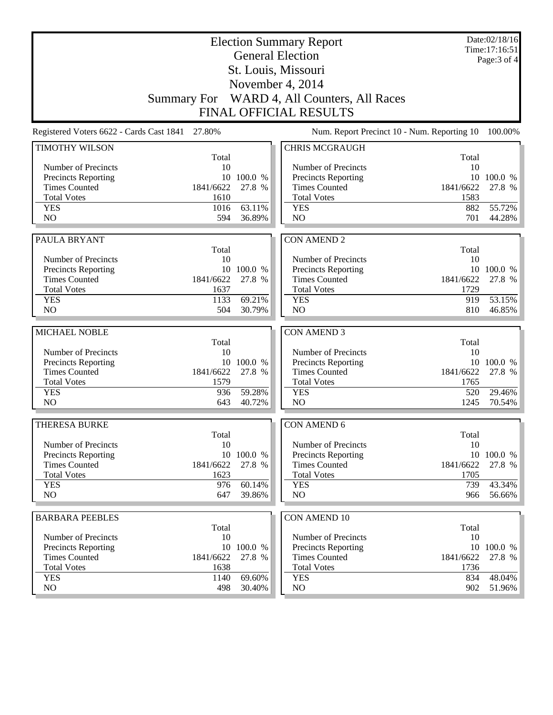| <b>Election Summary Report</b><br><b>General Election</b> |                    |                      |                                                   |           | Date:02/18/16<br>Time:17:16:51<br>Page: 3 of 4 |
|-----------------------------------------------------------|--------------------|----------------------|---------------------------------------------------|-----------|------------------------------------------------|
|                                                           |                    |                      | St. Louis, Missouri                               |           |                                                |
|                                                           |                    |                      | November 4, 2014                                  |           |                                                |
|                                                           | <b>Summary For</b> |                      | WARD 4, All Counters, All Races                   |           |                                                |
|                                                           |                    |                      | <b>FINAL OFFICIAL RESULTS</b>                     |           |                                                |
| Registered Voters 6622 - Cards Cast 1841                  | 27.80%             |                      | Num. Report Precinct 10 - Num. Reporting 10       |           | 100.00%                                        |
| <b>TIMOTHY WILSON</b>                                     |                    |                      | <b>CHRIS MCGRAUGH</b>                             |           |                                                |
|                                                           | Total              |                      |                                                   | Total     |                                                |
| Number of Precincts                                       | 10                 | 10 100.0 %           | Number of Precincts<br><b>Precincts Reporting</b> | 10<br>10  | 100.0 %                                        |
| <b>Precincts Reporting</b><br><b>Times Counted</b>        | 1841/6622          | 27.8 %               | <b>Times Counted</b>                              | 1841/6622 | 27.8 %                                         |
| <b>Total Votes</b>                                        | 1610               |                      | <b>Total Votes</b>                                | 1583      |                                                |
| <b>YES</b>                                                | 1016               | 63.11%               | <b>YES</b>                                        | 882       | 55.72%                                         |
| N <sub>O</sub>                                            | 594                | 36.89%               | NO                                                | 701       | 44.28%                                         |
|                                                           |                    |                      |                                                   |           |                                                |
| PAULA BRYANT                                              |                    |                      | <b>CON AMEND 2</b>                                |           |                                                |
|                                                           | Total              |                      |                                                   | Total     |                                                |
| Number of Precincts                                       | 10                 |                      | Number of Precincts                               | 10        |                                                |
| <b>Precincts Reporting</b><br><b>Times Counted</b>        | 1841/6622          | 10 100.0 %<br>27.8 % | Precincts Reporting<br><b>Times Counted</b>       | 1841/6622 | 10 100.0 %<br>27.8 %                           |
| <b>Total Votes</b>                                        | 1637               |                      | <b>Total Votes</b>                                | 1729      |                                                |
| <b>YES</b>                                                | 1133               | 69.21%               | <b>YES</b>                                        | 919       | 53.15%                                         |
| NO                                                        | 504                | 30.79%               | N <sub>O</sub>                                    | 810       | 46.85%                                         |
|                                                           |                    |                      |                                                   |           |                                                |
| MICHAEL NOBLE                                             |                    |                      | <b>CON AMEND 3</b>                                |           |                                                |
|                                                           | Total              |                      |                                                   | Total     |                                                |
| Number of Precincts<br><b>Precincts Reporting</b>         | 10                 | 10 100.0 %           | Number of Precincts<br>Precincts Reporting        | 10        | 10 100.0 %                                     |
| <b>Times Counted</b>                                      | 1841/6622          | 27.8 %               | <b>Times Counted</b>                              | 1841/6622 | 27.8 %                                         |
| <b>Total Votes</b>                                        | 1579               |                      | <b>Total Votes</b>                                | 1765      |                                                |
| <b>YES</b>                                                | 936                | 59.28%               | <b>YES</b>                                        | 520       | 29.46%                                         |
| N <sub>O</sub>                                            | 643                | 40.72%               | NO                                                | 1245      | 70.54%                                         |
|                                                           |                    |                      |                                                   |           |                                                |
| <b>THERESA BURKE</b>                                      | Total              |                      | CON AMEND 6                                       | Total     |                                                |
| Number of Precincts                                       | 10                 |                      | Number of Precincts                               | 10        |                                                |
| <b>Precincts Reporting</b>                                |                    | 10 100.0 %           | <b>Precincts Reporting</b>                        |           | 10 100.0 %                                     |
| <b>Times Counted</b>                                      | 1841/6622          | 27.8 %               | <b>Times Counted</b>                              | 1841/6622 | 27.8 %                                         |
| <b>Total Votes</b>                                        | 1623               |                      | <b>Total Votes</b>                                | 1705      |                                                |
| <b>YES</b>                                                | 976                | 60.14%               | <b>YES</b>                                        | 739       | 43.34%                                         |
| NO                                                        | 647                | 39.86%               | NO                                                | 966       | 56.66%                                         |
| <b>BARBARA PEEBLES</b>                                    |                    |                      | <b>CON AMEND 10</b>                               |           |                                                |
|                                                           | Total              |                      |                                                   | Total     |                                                |
| Number of Precincts                                       | 10                 |                      | Number of Precincts                               | 10        |                                                |
| <b>Precincts Reporting</b>                                |                    | 10 100.0 %           | <b>Precincts Reporting</b>                        |           | 10 100.0 %                                     |
| <b>Times Counted</b>                                      | 1841/6622          | 27.8 %               | <b>Times Counted</b>                              | 1841/6622 | 27.8 %                                         |
| <b>Total Votes</b>                                        | 1638               |                      | <b>Total Votes</b>                                | 1736      |                                                |
| <b>YES</b><br>NO                                          | 1140               | 69.60%               | <b>YES</b>                                        | 834       | 48.04%                                         |
|                                                           | 498                | 30.40%               | NO                                                | 902       | 51.96%                                         |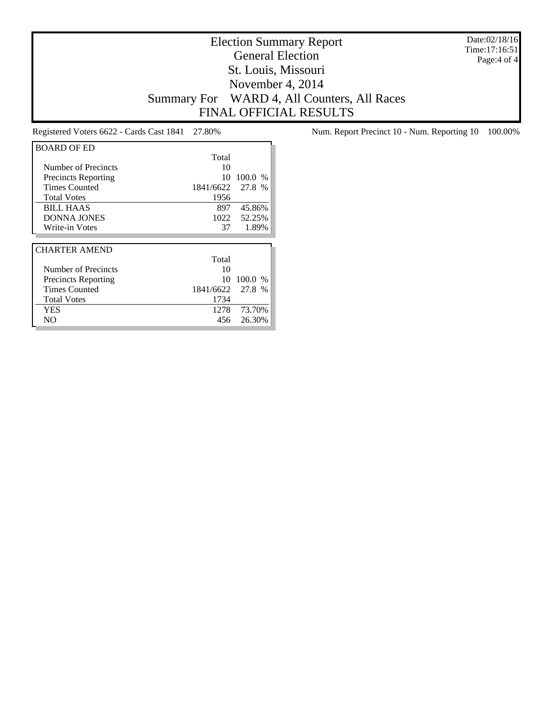Date:02/18/16 Time:17:16:51 Page:4 of 4

## Election Summary Report General Election St. Louis, Missouri November 4, 2014 Summary For WARD 4, All Counters, All Races FINAL OFFICIAL RESULTS

| <b>BOARD OF ED</b>         |           |           |
|----------------------------|-----------|-----------|
|                            | Total     |           |
| Number of Precincts        | 10        |           |
| <b>Precincts Reporting</b> | 10        | $100.0\%$ |
| <b>Times Counted</b>       | 1841/6622 | 27.8 %    |
| <b>Total Votes</b>         | 1956      |           |
| <b>BILL HAAS</b>           | 897       | 45.86%    |
| <b>DONNA JONES</b>         | 1022      | 52.25%    |
| Write-in Votes             | 37        | 1.89%     |
|                            |           |           |
|                            |           |           |
| <b>CHARTER AMEND</b>       |           |           |
|                            | Total     |           |
| Number of Precincts        | 10        |           |
| <b>Precincts Reporting</b> | 10        | 100.0 %   |
| <b>Times Counted</b>       | 1841/6622 | 27.8 %    |
| <b>Total Votes</b>         | 1734      |           |
| YES                        | 1278      | 73.70%    |

Registered Voters 6622 - Cards Cast 1841 27.80% Num. Report Precinct 10 - Num. Reporting 10 100.00%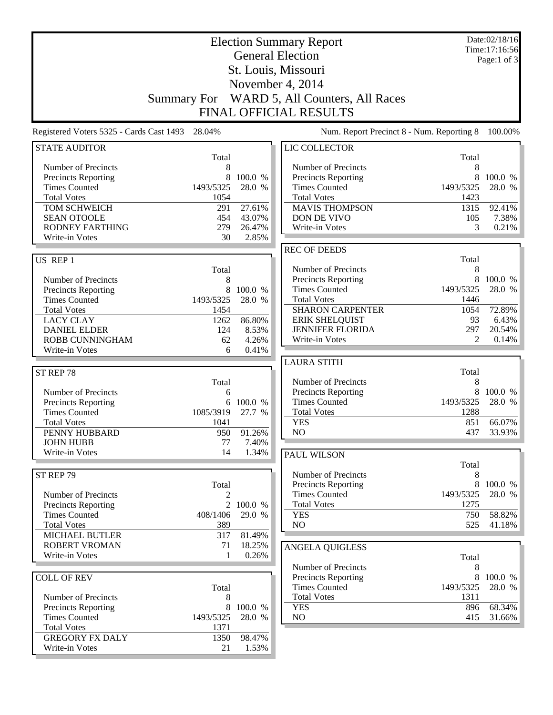|                                                    |                    | Date:02/18/16<br>Time:17:16:56 |                                                    |                       |                   |
|----------------------------------------------------|--------------------|--------------------------------|----------------------------------------------------|-----------------------|-------------------|
|                                                    |                    |                                | <b>General Election</b>                            |                       | Page:1 of $3$     |
|                                                    |                    |                                | St. Louis, Missouri                                |                       |                   |
|                                                    |                    |                                | November 4, 2014                                   |                       |                   |
|                                                    | <b>Summary For</b> |                                | WARD 5, All Counters, All Races                    |                       |                   |
|                                                    |                    |                                | <b>FINAL OFFICIAL RESULTS</b>                      |                       |                   |
| Registered Voters 5325 - Cards Cast 1493 28.04%    |                    |                                | Num. Report Precinct 8 - Num. Reporting 8          |                       | 100.00%           |
| <b>STATE AUDITOR</b>                               |                    |                                | LIC COLLECTOR                                      |                       |                   |
|                                                    | Total              |                                |                                                    | Total                 |                   |
| Number of Precincts                                | 8                  |                                | Number of Precincts                                | 8                     |                   |
| <b>Precincts Reporting</b><br><b>Times Counted</b> | 8<br>1493/5325     | 100.0 %<br>28.0 %              | <b>Precincts Reporting</b><br><b>Times Counted</b> | 8<br>1493/5325        | 100.0 %<br>28.0 % |
| <b>Total Votes</b>                                 | 1054               |                                | <b>Total Votes</b>                                 | 1423                  |                   |
| TOM SCHWEICH                                       | 291                | 27.61%                         | <b>MAVIS THOMPSON</b>                              | 1315                  | 92.41%            |
| <b>SEAN OTOOLE</b>                                 | 454                | 43.07%                         | DON DE VIVO                                        | 105                   | 7.38%             |
| <b>RODNEY FARTHING</b>                             | 279                | 26.47%                         | Write-in Votes                                     | 3                     | 0.21%             |
| Write-in Votes                                     | 30                 | 2.85%                          |                                                    |                       |                   |
|                                                    |                    |                                | <b>REC OF DEEDS</b>                                |                       |                   |
| US REP 1                                           |                    |                                |                                                    | Total                 |                   |
|                                                    | Total              |                                | Number of Precincts                                | 8                     |                   |
| Number of Precincts                                | 8                  |                                | Precincts Reporting                                | 8                     | 100.0 %           |
| <b>Precincts Reporting</b>                         | 8                  | 100.0 %                        | <b>Times Counted</b>                               | 1493/5325             | 28.0 %            |
| <b>Times Counted</b>                               | 1493/5325          | 28.0 %                         | <b>Total Votes</b>                                 | 1446                  |                   |
| <b>Total Votes</b>                                 | 1454               |                                | <b>SHARON CARPENTER</b>                            | 1054                  | 72.89%            |
| <b>LACY CLAY</b>                                   | 1262               | 86.80%                         | <b>ERIK SHELQUIST</b><br><b>JENNIFER FLORIDA</b>   | 93                    | 6.43%             |
| <b>DANIEL ELDER</b>                                | 124                | 8.53%                          | Write-in Votes                                     | 297<br>$\mathfrak{D}$ | 20.54%<br>0.14%   |
| ROBB CUNNINGHAM<br>Write-in Votes                  | 62<br>6            | 4.26%<br>0.41%                 |                                                    |                       |                   |
|                                                    |                    |                                | <b>LAURA STITH</b>                                 |                       |                   |
| ST REP 78                                          |                    |                                |                                                    | Total                 |                   |
|                                                    | Total              |                                | Number of Precincts                                | 8                     |                   |
| Number of Precincts                                | 6                  |                                | <b>Precincts Reporting</b>                         | 8                     | 100.0 %           |
| Precincts Reporting                                | 6                  | 100.0 %                        | <b>Times Counted</b>                               | 1493/5325             | 28.0 %            |
| <b>Times Counted</b>                               | 1085/3919          | 27.7 %                         | <b>Total Votes</b>                                 | 1288                  |                   |
| <b>Total Votes</b>                                 | 1041               |                                | <b>YES</b>                                         | 851                   | 66.07%            |
| PENNY HUBBARD                                      | 950                | 91.26%                         | NO                                                 | 437                   | 33.93%            |
| <b>JOHN HUBB</b>                                   | 77                 | 7.40%                          |                                                    |                       |                   |
| Write-in Votes                                     | 14                 | 1.34%                          | PAUL WILSON                                        |                       |                   |
|                                                    |                    |                                | Number of Precincts                                | Total                 |                   |
| ST REP 79                                          | Total              |                                | Precincts Reporting                                | 8<br>8                | 100.0 %           |
| Number of Precincts                                | 2                  |                                | <b>Times Counted</b>                               | 1493/5325             | 28.0 %            |
| <b>Precincts Reporting</b>                         | $2^{\circ}$        | 100.0 %                        | <b>Total Votes</b>                                 | 1275                  |                   |
| <b>Times Counted</b>                               | 408/1406           | 29.0 %                         | <b>YES</b>                                         | 750                   | 58.82%            |
| <b>Total Votes</b>                                 | 389                |                                | NO                                                 | 525                   | 41.18%            |
| <b>MICHAEL BUTLER</b>                              | 317                | 81.49%                         |                                                    |                       |                   |
| <b>ROBERT VROMAN</b>                               | 71                 | 18.25%                         | <b>ANGELA QUIGLESS</b>                             |                       |                   |
| Write-in Votes                                     | 1                  | 0.26%                          |                                                    | Total                 |                   |
|                                                    |                    |                                | Number of Precincts                                | 8                     |                   |
| <b>COLL OF REV</b>                                 |                    |                                | Precincts Reporting                                | 8                     | 100.0 %           |
|                                                    | Total              |                                | <b>Times Counted</b>                               | 1493/5325             | 28.0 %            |
| Number of Precincts                                | 8                  |                                | <b>Total Votes</b>                                 | 1311                  |                   |
| <b>Precincts Reporting</b>                         | 8                  | 100.0 %                        | <b>YES</b>                                         | 896                   | 68.34%            |
| <b>Times Counted</b><br><b>Total Votes</b>         | 1493/5325<br>1371  | 28.0 %                         | NO                                                 | 415                   | 31.66%            |
| <b>GREGORY FX DALY</b>                             | 1350               | 98.47%                         |                                                    |                       |                   |
| Write-in Votes                                     | 21                 | 1.53%                          |                                                    |                       |                   |
|                                                    |                    |                                |                                                    |                       |                   |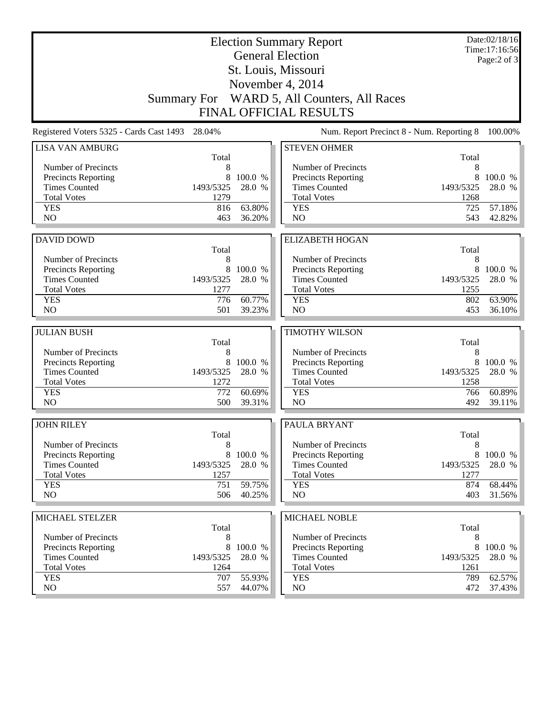| <b>Election Summary Report</b><br><b>General Election</b> |                    |                  |                                             |                                           | Date:02/18/16<br>Time:17:16:56 |
|-----------------------------------------------------------|--------------------|------------------|---------------------------------------------|-------------------------------------------|--------------------------------|
|                                                           |                    |                  | St. Louis, Missouri                         |                                           | Page: $2$ of $3$               |
|                                                           |                    |                  | November 4, 2014                            |                                           |                                |
|                                                           | <b>Summary For</b> |                  | WARD 5, All Counters, All Races             |                                           |                                |
|                                                           |                    |                  | <b>FINAL OFFICIAL RESULTS</b>               |                                           |                                |
| Registered Voters 5325 - Cards Cast 1493                  | 28.04%             |                  |                                             | Num. Report Precinct 8 - Num. Reporting 8 | 100.00%                        |
| <b>LISA VAN AMBURG</b>                                    |                    |                  | <b>STEVEN OHMER</b>                         |                                           |                                |
|                                                           | Total              |                  |                                             | Total                                     |                                |
| Number of Precincts                                       | 8                  |                  | Number of Precincts                         | 8                                         |                                |
| <b>Precincts Reporting</b>                                | 8                  | 100.0 %          | <b>Precincts Reporting</b>                  | 8                                         | 100.0 %                        |
| <b>Times Counted</b>                                      | 1493/5325          | 28.0 %           | <b>Times Counted</b>                        | 1493/5325                                 | 28.0 %                         |
| <b>Total Votes</b>                                        | 1279               |                  | <b>Total Votes</b>                          | 1268                                      |                                |
| <b>YES</b>                                                | 816                | 63.80%           | <b>YES</b>                                  | 725                                       | 57.18%                         |
| NO                                                        | 463                | 36.20%           | NO                                          | 543                                       | 42.82%                         |
|                                                           |                    |                  |                                             |                                           |                                |
| <b>DAVID DOWD</b>                                         |                    |                  | <b>ELIZABETH HOGAN</b>                      |                                           |                                |
|                                                           | Total              |                  |                                             | Total                                     |                                |
| Number of Precincts<br><b>Precincts Reporting</b>         | 8<br>8             | 100.0 %          | Number of Precincts                         | 8<br>8                                    |                                |
| <b>Times Counted</b>                                      | 1493/5325          | 28.0 %           | Precincts Reporting<br><b>Times Counted</b> | 1493/5325                                 | 100.0 %<br>28.0 %              |
| <b>Total Votes</b>                                        | 1277               |                  | <b>Total Votes</b>                          | 1255                                      |                                |
| <b>YES</b>                                                | 776                | 60.77%           | <b>YES</b>                                  | 802                                       | 63.90%                         |
| NO                                                        | 501                | 39.23%           | N <sub>O</sub>                              | 453                                       | 36.10%                         |
|                                                           |                    |                  |                                             |                                           |                                |
|                                                           |                    |                  |                                             |                                           |                                |
| <b>JULIAN BUSH</b>                                        |                    |                  | <b>TIMOTHY WILSON</b>                       |                                           |                                |
|                                                           | Total              |                  |                                             | Total                                     |                                |
| Number of Precincts                                       | 8                  |                  | Number of Precincts                         | 8                                         |                                |
| <b>Precincts Reporting</b>                                | 8                  | 100.0 %          | Precincts Reporting                         | 8                                         | 100.0 %                        |
| <b>Times Counted</b>                                      | 1493/5325          | 28.0 %           | <b>Times Counted</b>                        | 1493/5325                                 | 28.0 %                         |
| <b>Total Votes</b>                                        | 1272               |                  | <b>Total Votes</b>                          | 1258                                      |                                |
| <b>YES</b>                                                | 772                | 60.69%           | <b>YES</b>                                  | 766                                       | 60.89%                         |
| NO                                                        | 500                | 39.31%           | NO                                          | 492                                       | 39.11%                         |
| <b>JOHN RILEY</b>                                         |                    |                  | PAULA BRYANT                                |                                           |                                |
|                                                           | Total              |                  |                                             | Total                                     |                                |
| Number of Precincts                                       | 8                  |                  | Number of Precincts                         | 8                                         |                                |
| <b>Precincts Reporting</b>                                |                    | 8 100.0 %        | <b>Precincts Reporting</b>                  |                                           | 8 100.0 %                      |
| <b>Times Counted</b>                                      | 1493/5325          | 28.0 %           | <b>Times Counted</b>                        | 1493/5325                                 | 28.0 %                         |
| <b>Total Votes</b>                                        | 1257               |                  | <b>Total Votes</b>                          | 1277                                      |                                |
| <b>YES</b>                                                | 751                | 59.75%           | <b>YES</b>                                  | 874                                       | 68.44%                         |
| NO                                                        | 506                | 40.25%           | NO                                          | 403                                       | 31.56%                         |
|                                                           |                    |                  |                                             |                                           |                                |
| MICHAEL STELZER                                           |                    |                  | MICHAEL NOBLE                               |                                           |                                |
| Number of Precincts                                       | Total<br>8         |                  | Number of Precincts                         | Total<br>8                                |                                |
| <b>Precincts Reporting</b>                                | 8                  | 100.0 %          | <b>Precincts Reporting</b>                  |                                           | 8 100.0 %                      |
| <b>Times Counted</b>                                      | 1493/5325          | $28.0\,$ %       | <b>Times Counted</b>                        | 1493/5325                                 | 28.0 %                         |
| <b>Total Votes</b>                                        | 1264               |                  | <b>Total Votes</b>                          | 1261                                      |                                |
| <b>YES</b><br>NO                                          | 707<br>557         | 55.93%<br>44.07% | <b>YES</b><br>NO                            | 789<br>472                                | 62.57%<br>37.43%               |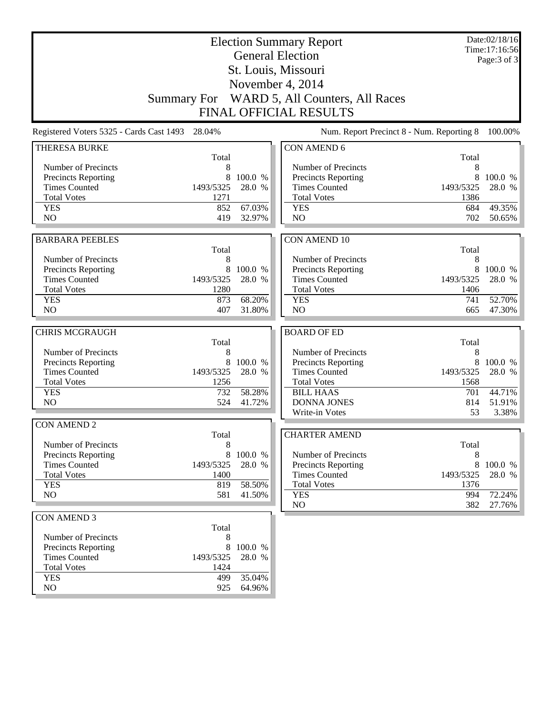| <b>Election Summary Report</b>                  |            |                  |                                             |           | Date:02/18/16<br>Time:17:16:56                 |
|-------------------------------------------------|------------|------------------|---------------------------------------------|-----------|------------------------------------------------|
|                                                 |            |                  | <b>General Election</b>                     |           | Page: 3 of 3                                   |
|                                                 |            |                  | St. Louis, Missouri                         |           |                                                |
|                                                 |            |                  | November 4, 2014                            |           |                                                |
|                                                 |            |                  |                                             |           |                                                |
| <b>Summary For</b>                              |            |                  | WARD 5, All Counters, All Races             |           |                                                |
|                                                 |            |                  | <b>FINAL OFFICIAL RESULTS</b>               |           |                                                |
| Registered Voters 5325 - Cards Cast 1493 28.04% |            |                  | Num. Report Precinct 8 - Num. Reporting 8   |           | 100.00%                                        |
| <b>THERESA BURKE</b>                            |            |                  | <b>CON AMEND 6</b>                          |           |                                                |
|                                                 | Total      |                  |                                             | Total     |                                                |
| Number of Precincts                             | 8<br>8     | 100.0 %          | Number of Precincts                         | 8<br>8    | 100.0 %                                        |
| Precincts Reporting<br><b>Times Counted</b>     | 1493/5325  | 28.0 %           | Precincts Reporting<br><b>Times Counted</b> | 1493/5325 | 28.0 %                                         |
| <b>Total Votes</b>                              | 1271       |                  | <b>Total Votes</b>                          | 1386      |                                                |
| <b>YES</b>                                      | 852        | 67.03%           | <b>YES</b>                                  | 684       | 49.35%                                         |
| N <sub>O</sub>                                  | 419        | 32.97%           | N <sub>O</sub>                              | 702       | 50.65%                                         |
|                                                 |            |                  |                                             |           |                                                |
| <b>BARBARA PEEBLES</b>                          |            |                  | <b>CON AMEND 10</b>                         |           |                                                |
|                                                 | Total      |                  |                                             | Total     |                                                |
| Number of Precincts                             | 8          |                  | Number of Precincts                         | 8         |                                                |
| Precincts Reporting                             | 8          | 100.0 %          | Precincts Reporting                         |           | 8 100.0 %                                      |
| <b>Times Counted</b>                            | 1493/5325  | 28.0 %           | <b>Times Counted</b>                        | 1493/5325 | 28.0 %                                         |
| <b>Total Votes</b>                              | 1280       |                  | <b>Total Votes</b>                          | 1406      |                                                |
| <b>YES</b>                                      | 873        | 68.20%           | <b>YES</b>                                  | 741       | 52.70%                                         |
| NO                                              | 407        | 31.80%           | N <sub>O</sub>                              | 665       | 47.30%                                         |
| <b>CHRIS MCGRAUGH</b>                           |            |                  | <b>BOARD OF ED</b>                          |           |                                                |
|                                                 | Total      |                  |                                             | Total     |                                                |
| Number of Precincts                             | 8          |                  | Number of Precincts                         | 8         |                                                |
| Precincts Reporting                             | 8          | 100.0 %          | Precincts Reporting                         | 8         | 100.0 %                                        |
| <b>Times Counted</b>                            | 1493/5325  | 28.0 %           | <b>Times Counted</b>                        | 1493/5325 | 28.0 %                                         |
| <b>Total Votes</b>                              | 1256       |                  |                                             |           |                                                |
|                                                 |            |                  | <b>Total Votes</b>                          | 1568      |                                                |
| <b>YES</b>                                      | 732        | 58.28%           | <b>BILL HAAS</b>                            | 701       | 44.71%                                         |
| N <sub>O</sub>                                  | 524        | 41.72%           | <b>DONNA JONES</b>                          | 814       |                                                |
|                                                 |            |                  | Write-in Votes                              | 53        |                                                |
| <b>CON AMEND 2</b>                              |            |                  |                                             |           |                                                |
|                                                 | Total      |                  | <b>CHARTER AMEND</b>                        |           |                                                |
| Number of Precincts                             | 8          |                  |                                             | Total     |                                                |
| Precincts Reporting                             | 8          | 100.0 %          | Number of Precincts                         | 8         |                                                |
| <b>Times Counted</b>                            | 1493/5325  | 28.0 %           | <b>Precincts Reporting</b>                  | 8         |                                                |
| <b>Total Votes</b>                              | 1400       |                  | <b>Times Counted</b>                        | 1493/5325 |                                                |
| <b>YES</b>                                      | 819        | 58.50%           | <b>Total Votes</b>                          | 1376      |                                                |
| NO                                              | 581        | 41.50%           | <b>YES</b>                                  | 994       | 72.24%                                         |
| <b>CON AMEND 3</b>                              |            |                  | NO                                          | 382       | 51.91%<br>3.38%<br>100.0 %<br>28.0 %<br>27.76% |
|                                                 | Total      |                  |                                             |           |                                                |
| Number of Precincts                             | 8          |                  |                                             |           |                                                |
| Precincts Reporting                             | 8          | 100.0 %          |                                             |           |                                                |
| <b>Times Counted</b>                            | 1493/5325  | 28.0 %           |                                             |           |                                                |
| <b>Total Votes</b>                              | 1424       |                  |                                             |           |                                                |
| <b>YES</b><br>NO                                | 499<br>925 | 35.04%<br>64.96% |                                             |           |                                                |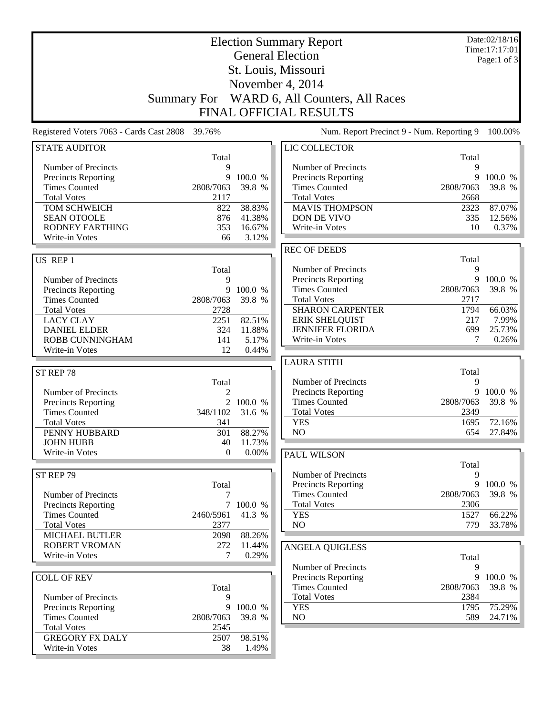| <b>Election Summary Report</b><br><b>General Election</b> |                    |                   |                                            |                   | Date:02/18/16<br>Time:17:17:01 |
|-----------------------------------------------------------|--------------------|-------------------|--------------------------------------------|-------------------|--------------------------------|
|                                                           |                    |                   |                                            |                   | Page:1 of 3                    |
|                                                           |                    |                   | St. Louis, Missouri                        |                   |                                |
|                                                           |                    |                   | November 4, 2014                           |                   |                                |
|                                                           | <b>Summary For</b> |                   | WARD 6, All Counters, All Races            |                   |                                |
|                                                           |                    |                   | <b>FINAL OFFICIAL RESULTS</b>              |                   |                                |
| Registered Voters 7063 - Cards Cast 2808                  | 39.76%             |                   | Num. Report Precinct 9 - Num. Reporting 9  |                   | 100.00%                        |
| <b>STATE AUDITOR</b>                                      | Total              |                   | LIC COLLECTOR                              | Total             |                                |
| Number of Precincts                                       | 9                  |                   | Number of Precincts                        | 9                 |                                |
| Precincts Reporting                                       | 9<br>2808/7063     | 100.0 %           | Precincts Reporting                        | 9                 | 100.0 %                        |
| <b>Times Counted</b><br><b>Total Votes</b>                | 2117               | 39.8 %            | <b>Times Counted</b><br><b>Total Votes</b> | 2808/7063<br>2668 | 39.8 %                         |
| TOM SCHWEICH                                              | 822                | 38.83%            | <b>MAVIS THOMPSON</b>                      | 2323              | 87.07%                         |
| <b>SEAN OTOOLE</b>                                        | 876                | 41.38%            | DON DE VIVO                                | 335               | 12.56%                         |
| <b>RODNEY FARTHING</b>                                    | 353                | 16.67%            | Write-in Votes                             | 10                | 0.37%                          |
| Write-in Votes                                            | 66                 | 3.12%             |                                            |                   |                                |
| US REP 1                                                  |                    |                   | <b>REC OF DEEDS</b>                        | Total             |                                |
|                                                           | Total              |                   | Number of Precincts                        | 9                 |                                |
| Number of Precincts                                       | 9                  |                   | <b>Precincts Reporting</b>                 | 9                 | 100.0 %                        |
| Precincts Reporting                                       | 9                  | 100.0 %           | <b>Times Counted</b>                       | 2808/7063         | 39.8 %                         |
| <b>Times Counted</b>                                      | 2808/7063          | 39.8 %            | <b>Total Votes</b>                         | 2717              |                                |
| <b>Total Votes</b>                                        | 2728               |                   | <b>SHARON CARPENTER</b>                    | 1794              | 66.03%                         |
| <b>LACY CLAY</b>                                          | 2251               | 82.51%            | ERIK SHELQUIST                             | 217               | 7.99%                          |
| <b>DANIEL ELDER</b>                                       | 324                | 11.88%            | <b>JENNIFER FLORIDA</b><br>Write-in Votes  | 699<br>7          | 25.73%<br>0.26%                |
| ROBB CUNNINGHAM<br>Write-in Votes                         | 141<br>12          | 5.17%<br>0.44%    |                                            |                   |                                |
|                                                           |                    |                   | <b>LAURA STITH</b>                         |                   |                                |
| ST REP 78                                                 |                    |                   |                                            | Total             |                                |
|                                                           | Total              |                   | Number of Precincts                        | 9                 |                                |
| Number of Precincts                                       | $\overline{2}$     |                   | <b>Precincts Reporting</b>                 | 9                 | 100.0 %                        |
| Precincts Reporting                                       | $\overline{2}$     | 100.0 %           | <b>Times Counted</b>                       | 2808/7063         | 39.8 %                         |
| <b>Times Counted</b>                                      | 348/1102           | 31.6 %            | <b>Total Votes</b>                         | 2349              |                                |
| <b>Total Votes</b><br>PENNY HUBBARD                       | 341<br>301         | 88.27%            | <b>YES</b><br>NO                           | 1695<br>654       | 72.16%<br>27.84%               |
| <b>JOHN HUBB</b>                                          | 40                 | 11.73%            |                                            |                   |                                |
| Write-in Votes                                            | $\Omega$           | $0.00\%$          | <b>PAUL WILSON</b>                         |                   |                                |
|                                                           |                    |                   |                                            | Total             |                                |
| ST REP 79                                                 |                    |                   | Number of Precincts                        | 9                 |                                |
|                                                           | Total              |                   | Precincts Reporting                        | 9                 | 100.0 %                        |
| Number of Precincts                                       | 7                  |                   | <b>Times Counted</b>                       | 2808/7063         | 39.8 %                         |
| Precincts Reporting<br><b>Times Counted</b>               |                    | 7 100.0 %         | <b>Total Votes</b>                         | 2306              |                                |
| <b>Total Votes</b>                                        | 2460/5961<br>2377  | 41.3 %            | <b>YES</b><br>NO                           | 1527<br>779       | 66.22%<br>33.78%               |
| <b>MICHAEL BUTLER</b>                                     | 2098               | 88.26%            |                                            |                   |                                |
| <b>ROBERT VROMAN</b>                                      | 272                | 11.44%            | <b>ANGELA QUIGLESS</b>                     |                   |                                |
| Write-in Votes                                            | 7                  | 0.29%             |                                            | Total             |                                |
|                                                           |                    |                   | Number of Precincts                        | 9                 |                                |
| <b>COLL OF REV</b>                                        |                    |                   | Precincts Reporting                        | 9                 | 100.0 %                        |
|                                                           | Total              |                   | <b>Times Counted</b>                       | 2808/7063         | 39.8 %                         |
| Number of Precincts                                       | 9                  |                   | <b>Total Votes</b>                         | 2384              |                                |
| <b>Precincts Reporting</b><br><b>Times Counted</b>        | 9<br>2808/7063     | 100.0 %<br>39.8 % | <b>YES</b><br>NO                           | 1795<br>589       | 75.29%                         |
| <b>Total Votes</b>                                        | 2545               |                   |                                            |                   | $24.71\%$                      |
| <b>GREGORY FX DALY</b>                                    | 2507               | 98.51%            |                                            |                   |                                |
| Write-in Votes                                            | 38                 | 1.49%             |                                            |                   |                                |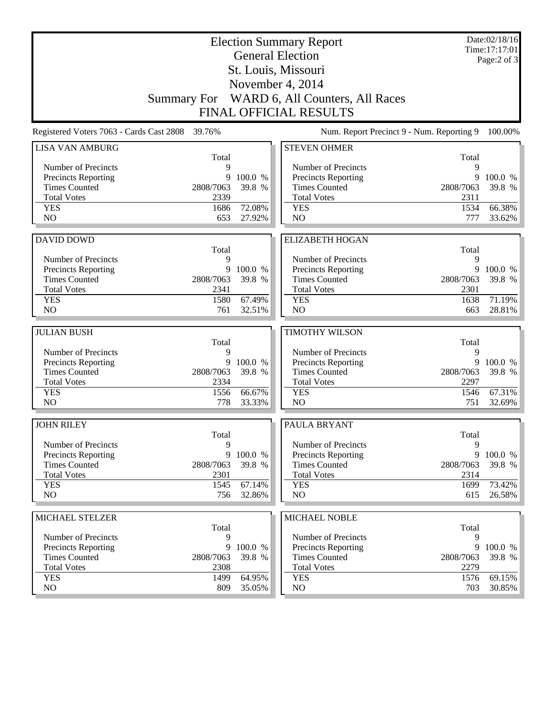| <b>Election Summary Report</b><br><b>General Election</b> |                    |                  |                                                    |              | Date:02/18/16<br>Time:17:17:01<br>Page: $2$ of $3$ |
|-----------------------------------------------------------|--------------------|------------------|----------------------------------------------------|--------------|----------------------------------------------------|
|                                                           |                    |                  | St. Louis, Missouri                                |              |                                                    |
|                                                           |                    |                  | November 4, 2014                                   |              |                                                    |
|                                                           | <b>Summary For</b> |                  | WARD 6, All Counters, All Races                    |              |                                                    |
|                                                           |                    |                  | <b>FINAL OFFICIAL RESULTS</b>                      |              |                                                    |
| Registered Voters 7063 - Cards Cast 2808                  | 39.76%             |                  | Num. Report Precinct 9 - Num. Reporting 9          |              | 100.00%                                            |
| <b>LISA VAN AMBURG</b>                                    |                    |                  | <b>STEVEN OHMER</b>                                |              |                                                    |
| Number of Precincts                                       | Total<br>9         |                  | Number of Precincts                                | Total<br>9   |                                                    |
| <b>Precincts Reporting</b>                                | 9                  | 100.0 %          | <b>Precincts Reporting</b>                         | 9            | 100.0 %                                            |
| <b>Times Counted</b>                                      | 2808/7063          | 39.8 %           | <b>Times Counted</b>                               | 2808/7063    | 39.8 %                                             |
| <b>Total Votes</b>                                        | 2339               |                  | <b>Total Votes</b>                                 | 2311         |                                                    |
| <b>YES</b>                                                | 1686               | 72.08%           | <b>YES</b>                                         | 1534         | 66.38%                                             |
| N <sub>O</sub>                                            | 653                | 27.92%           | N <sub>O</sub>                                     | 777          | 33.62%                                             |
|                                                           |                    |                  | <b>ELIZABETH HOGAN</b>                             |              |                                                    |
| <b>DAVID DOWD</b>                                         | Total              |                  |                                                    | Total        |                                                    |
| Number of Precincts                                       | 9                  |                  | Number of Precincts                                | 9            |                                                    |
| <b>Precincts Reporting</b>                                | 9                  | 100.0 %          | <b>Precincts Reporting</b>                         | 9            | 100.0 %                                            |
| <b>Times Counted</b>                                      | 2808/7063          | 39.8 %           | <b>Times Counted</b>                               | 2808/7063    | 39.8 %                                             |
| <b>Total Votes</b>                                        | 2341               |                  | <b>Total Votes</b>                                 | 2301         |                                                    |
| <b>YES</b>                                                | 1580               | 67.49%           | <b>YES</b>                                         | 1638         | 71.19%                                             |
| NO                                                        | 761                | 32.51%           | NO                                                 | 663          | 28.81%                                             |
|                                                           |                    |                  |                                                    |              |                                                    |
| <b>JULIAN BUSH</b>                                        | Total              |                  | <b>TIMOTHY WILSON</b>                              | Total        |                                                    |
| Number of Precincts                                       | 9                  |                  | Number of Precincts                                | 9            |                                                    |
| <b>Precincts Reporting</b>                                | 9                  | 100.0 %          | Precincts Reporting                                | 9            | 100.0 %                                            |
| <b>Times Counted</b>                                      | 2808/7063          | 39.8 %           | <b>Times Counted</b>                               | 2808/7063    | 39.8 %                                             |
| <b>Total Votes</b>                                        | 2334               |                  | <b>Total Votes</b>                                 | 2297         |                                                    |
| <b>YES</b>                                                | 1556               | 66.67%           | <b>YES</b>                                         | 1546         | 67.31%                                             |
| N <sub>O</sub>                                            | 778                | 33.33%           | NO                                                 |              | 32.69%                                             |
|                                                           |                    |                  |                                                    | 751          |                                                    |
| <b>JOHN RILEY</b>                                         |                    |                  | PAULA BRYANT                                       |              |                                                    |
|                                                           | Total              |                  |                                                    | Total        |                                                    |
| Number of Precincts                                       | 9                  |                  | Number of Precincts                                | 9            |                                                    |
| <b>Precincts Reporting</b>                                | 9                  | 100.0 %          | Precincts Reporting                                | 9            |                                                    |
| <b>Times Counted</b>                                      | 2808/7063          | 39.8 %           | <b>Times Counted</b>                               | 2808/7063    | 39.8 %                                             |
| <b>Total Votes</b><br><b>YES</b>                          | 2301<br>1545       | 67.14%           | <b>Total Votes</b><br><b>YES</b>                   | 2314<br>1699 | 100.0 %<br>73.42%                                  |
| NO                                                        | 756                | 32.86%           | NO                                                 | 615          |                                                    |
|                                                           |                    |                  |                                                    |              | 26.58%                                             |
| MICHAEL STELZER                                           |                    |                  | <b>MICHAEL NOBLE</b>                               |              |                                                    |
|                                                           | Total<br>9         |                  |                                                    | Total<br>9   |                                                    |
| Number of Precincts                                       | 9                  | 100.0 %          | Number of Precincts                                | 9            | 100.0 %                                            |
| <b>Precincts Reporting</b><br><b>Times Counted</b>        | 2808/7063          | 39.8 %           | <b>Precincts Reporting</b><br><b>Times Counted</b> | 2808/7063    | 39.8 %                                             |
| <b>Total Votes</b>                                        | 2308               |                  | <b>Total Votes</b>                                 | 2279         |                                                    |
| <b>YES</b><br>NO.                                         | 1499<br>809        | 64.95%<br>35.05% | <b>YES</b><br>NO                                   | 1576<br>703  | 69.15%<br>$30.85\%$                                |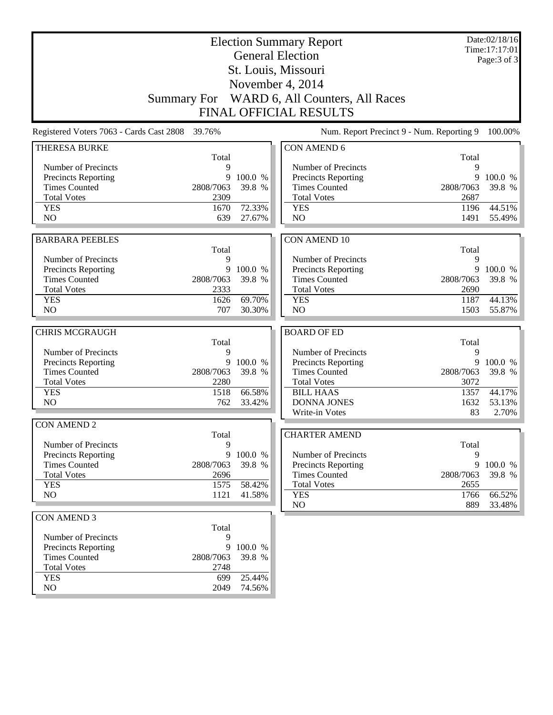| <b>Election Summary Report</b>                  |                   |           |                                                    |                | Date:02/18/16<br>Time: 17:17:01 |
|-------------------------------------------------|-------------------|-----------|----------------------------------------------------|----------------|---------------------------------|
|                                                 |                   |           | <b>General Election</b>                            |                | Page: 3 of 3                    |
|                                                 |                   |           | St. Louis, Missouri                                |                |                                 |
|                                                 |                   |           | November 4, 2014                                   |                |                                 |
|                                                 |                   |           |                                                    |                |                                 |
| <b>Summary For</b>                              |                   |           | WARD 6, All Counters, All Races                    |                |                                 |
|                                                 |                   |           | <b>FINAL OFFICIAL RESULTS</b>                      |                |                                 |
| Registered Voters 7063 - Cards Cast 2808 39.76% |                   |           | Num. Report Precinct 9 - Num. Reporting 9          |                | 100.00%                         |
| <b>THERESA BURKE</b>                            |                   |           | <b>CON AMEND 6</b>                                 |                |                                 |
|                                                 | Total             |           |                                                    | Total          |                                 |
| Number of Precincts<br>Precincts Reporting      | 9<br>9            | 100.0 %   | Number of Precincts                                | 9<br>9         | 100.0 %                         |
| <b>Times Counted</b>                            | 2808/7063         | 39.8 %    | Precincts Reporting<br><b>Times Counted</b>        | 2808/7063      | 39.8 %                          |
| <b>Total Votes</b>                              | 2309              |           | <b>Total Votes</b>                                 | 2687           |                                 |
| <b>YES</b>                                      | 1670              | 72.33%    | <b>YES</b>                                         | 1196           | 44.51%                          |
| N <sub>O</sub>                                  | 639               | 27.67%    | N <sub>O</sub>                                     | 1491           | 55.49%                          |
|                                                 |                   |           |                                                    |                |                                 |
| <b>BARBARA PEEBLES</b>                          |                   |           | <b>CON AMEND 10</b>                                |                |                                 |
|                                                 | Total             |           |                                                    | Total          |                                 |
| Number of Precincts                             | 9                 |           | Number of Precincts                                | 9              |                                 |
| Precincts Reporting                             |                   | 9 100.0 % | Precincts Reporting                                | 9              | 100.0 %                         |
| <b>Times Counted</b>                            | 2808/7063         | 39.8 %    | <b>Times Counted</b>                               | 2808/7063      | 39.8 %                          |
| <b>Total Votes</b>                              | 2333              |           | <b>Total Votes</b>                                 | 2690           |                                 |
| <b>YES</b>                                      | 1626              | 69.70%    | <b>YES</b>                                         | 1187           | 44.13%                          |
| NO                                              | 707               | 30.30%    | N <sub>O</sub>                                     | 1503           | 55.87%                          |
| <b>CHRIS MCGRAUGH</b>                           |                   |           | <b>BOARD OF ED</b>                                 |                |                                 |
|                                                 | Total             |           |                                                    | Total          |                                 |
| Number of Precincts                             | 9                 |           | Number of Precincts                                | 9              |                                 |
| Precincts Reporting                             | 9                 | 100.0 %   | Precincts Reporting                                | 9              | 100.0 %                         |
| <b>Times Counted</b>                            | 2808/7063         | 39.8 %    | <b>Times Counted</b>                               | 2808/7063      | 39.8 %                          |
| <b>Total Votes</b>                              | 2280              |           | <b>Total Votes</b>                                 | 3072           |                                 |
| <b>YES</b>                                      | 1518              | 66.58%    | <b>BILL HAAS</b>                                   | 1357           | 44.17%                          |
| N <sub>O</sub>                                  | 762               | 33.42%    | <b>DONNA JONES</b>                                 | 1632           | 53.13%                          |
|                                                 |                   |           | Write-in Votes                                     | 83             | 2.70%                           |
| <b>CON AMEND 2</b>                              |                   |           |                                                    |                |                                 |
|                                                 | Total             |           | <b>CHARTER AMEND</b>                               |                |                                 |
| Number of Precincts                             | 9                 |           |                                                    | Total          |                                 |
| Precincts Reporting                             |                   | 9 100.0 % | Number of Precincts                                | 9              |                                 |
| <b>Times Counted</b><br><b>Total Votes</b>      | 2808/7063<br>2696 | 39.8 %    | <b>Precincts Reporting</b><br><b>Times Counted</b> | 9<br>2808/7063 | 100.0 %<br>39.8 %               |
| <b>YES</b>                                      | 1575              | 58.42%    | <b>Total Votes</b>                                 | 2655           |                                 |
| NO                                              | 1121              | 41.58%    | <b>YES</b>                                         | 1766           | 66.52%                          |
|                                                 |                   |           | NO                                                 | 889            | 33.48%                          |
| <b>CON AMEND 3</b>                              |                   |           |                                                    |                |                                 |
|                                                 | Total             |           |                                                    |                |                                 |
| Number of Precincts                             | 9                 |           |                                                    |                |                                 |
| <b>Precincts Reporting</b>                      | 9                 | 100.0 %   |                                                    |                |                                 |
| <b>Times Counted</b>                            | 2808/7063         | 39.8 %    |                                                    |                |                                 |
| <b>Total Votes</b>                              | 2748              |           |                                                    |                |                                 |
| <b>YES</b>                                      | 699               | 25.44%    |                                                    |                |                                 |
| NO                                              | 2049              | 74.56%    |                                                    |                |                                 |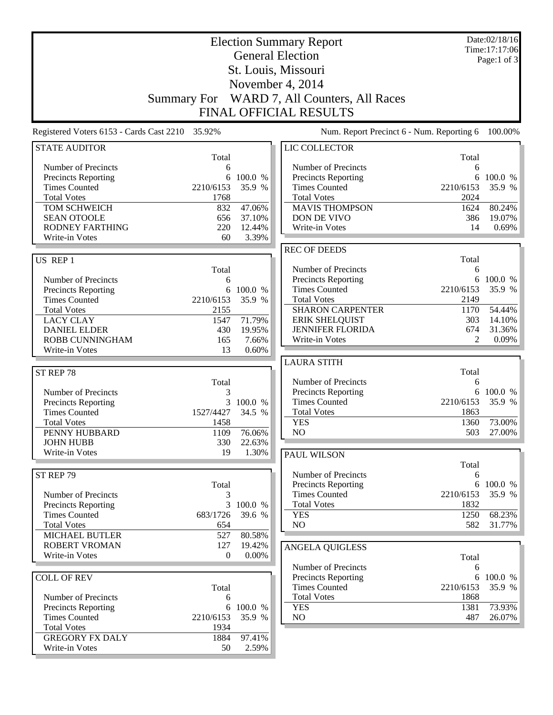|                                                 |                    | Date:02/18/16<br>Time:17:17:06 |                                             |                |               |
|-------------------------------------------------|--------------------|--------------------------------|---------------------------------------------|----------------|---------------|
|                                                 |                    |                                | <b>General Election</b>                     |                | Page:1 of $3$ |
|                                                 |                    |                                | St. Louis, Missouri                         |                |               |
|                                                 |                    |                                | November 4, 2014                            |                |               |
|                                                 | <b>Summary For</b> |                                | WARD 7, All Counters, All Races             |                |               |
|                                                 |                    |                                | <b>FINAL OFFICIAL RESULTS</b>               |                |               |
| Registered Voters 6153 - Cards Cast 2210 35.92% |                    |                                | Num. Report Precinct 6 - Num. Reporting 6   |                | 100.00%       |
| <b>STATE AUDITOR</b>                            |                    |                                | LIC COLLECTOR                               |                |               |
|                                                 | Total              |                                |                                             | Total          |               |
| Number of Precincts                             | 6                  |                                | Number of Precincts                         | 6              |               |
| Precincts Reporting                             | 6                  | 100.0 %                        | <b>Precincts Reporting</b>                  | 6              | 100.0 %       |
| <b>Times Counted</b>                            | 2210/6153          | 35.9 %                         | <b>Times Counted</b>                        | 2210/6153      | 35.9 %        |
| <b>Total Votes</b>                              | 1768               |                                | <b>Total Votes</b>                          | 2024           |               |
| TOM SCHWEICH                                    | 832                | 47.06%                         | <b>MAVIS THOMPSON</b>                       | 1624           | 80.24%        |
| <b>SEAN OTOOLE</b>                              | 656                | 37.10%                         | <b>DON DE VIVO</b>                          | 386            | 19.07%        |
| <b>RODNEY FARTHING</b>                          | 220                | 12.44%                         | Write-in Votes                              | 14             | 0.69%         |
| Write-in Votes                                  | 60                 | 3.39%                          |                                             |                |               |
| US REP 1                                        |                    |                                | <b>REC OF DEEDS</b>                         | Total          |               |
|                                                 | Total              |                                | Number of Precincts                         | 6              |               |
| Number of Precincts                             | 6                  |                                | Precincts Reporting                         | 6              | 100.0 %       |
| Precincts Reporting                             | 6                  | 100.0 %                        | <b>Times Counted</b>                        | 2210/6153      | 35.9 %        |
| <b>Times Counted</b>                            | 2210/6153          | 35.9 %                         | <b>Total Votes</b>                          | 2149           |               |
| <b>Total Votes</b>                              | 2155               |                                | <b>SHARON CARPENTER</b>                     | 1170           | 54.44%        |
| <b>LACY CLAY</b>                                | 1547               | 71.79%                         | <b>ERIK SHELQUIST</b>                       | 303            | 14.10%        |
| <b>DANIEL ELDER</b>                             | 430                | 19.95%                         | <b>JENNIFER FLORIDA</b>                     | 674            | 31.36%        |
| ROBB CUNNINGHAM                                 | 165                | 7.66%                          | Write-in Votes                              | $\mathfrak{D}$ | 0.09%         |
| Write-in Votes                                  | 13                 | 0.60%                          |                                             |                |               |
|                                                 |                    |                                | <b>LAURA STITH</b>                          |                |               |
| ST REP 78                                       |                    |                                |                                             | Total          |               |
|                                                 | Total              |                                | Number of Precincts                         | 6              |               |
| Number of Precincts                             | 3                  |                                | <b>Precincts Reporting</b>                  | 6              | 100.0 %       |
| Precincts Reporting                             | 3                  | 100.0 %                        | <b>Times Counted</b>                        | 2210/6153      | 35.9 %        |
| <b>Times Counted</b><br><b>Total Votes</b>      | 1527/4427<br>1458  | 34.5 %                         | <b>Total Votes</b><br><b>YES</b>            | 1863<br>1360   | 73.00%        |
| PENNY HUBBARD                                   | 1109               | 76.06%                         | NO                                          | 503            | 27.00%        |
| <b>JOHN HUBB</b>                                | 330                | 22.63%                         |                                             |                |               |
| Write-in Votes                                  | 19                 | 1.30%                          | PAUL WILSON                                 |                |               |
|                                                 |                    |                                |                                             | Total          |               |
| ST REP 79                                       |                    |                                | Number of Precincts                         | 6              |               |
|                                                 | Total              |                                | Precincts Reporting                         | 6              | 100.0 %       |
| Number of Precincts                             | 3                  |                                | <b>Times Counted</b>                        | 2210/6153      | 35.9 %        |
| Precincts Reporting                             | 3                  | 100.0 %                        | <b>Total Votes</b>                          | 1832           |               |
| <b>Times Counted</b>                            | 683/1726           | 39.6 %                         | <b>YES</b>                                  | 1250           | 68.23%        |
| <b>Total Votes</b>                              | 654                |                                | NO.                                         | 582            | 31.77%        |
| <b>MICHAEL BUTLER</b>                           | 527                | 80.58%                         |                                             |                |               |
| <b>ROBERT VROMAN</b>                            | 127                | 19.42%                         | <b>ANGELA QUIGLESS</b>                      |                |               |
| Write-in Votes                                  | $\mathbf{0}$       | $0.00\%$                       |                                             | Total          |               |
|                                                 |                    |                                | Number of Precincts                         | 6              |               |
| <b>COLL OF REV</b>                              |                    |                                | Precincts Reporting<br><b>Times Counted</b> | 6<br>2210/6153 | 100.0 %       |
| Number of Precincts                             | Total              |                                | <b>Total Votes</b>                          | 1868           | 35.9 %        |
| <b>Precincts Reporting</b>                      | 6                  | 6 100.0 %                      | <b>YES</b>                                  | 1381           | 73.93%        |
| <b>Times Counted</b>                            | 2210/6153          | 35.9 %                         | NO                                          | 487            | $26.07\%$     |
| <b>Total Votes</b>                              | 1934               |                                |                                             |                |               |
| <b>GREGORY FX DALY</b>                          | 1884               | 97.41%                         |                                             |                |               |
| Write-in Votes                                  | 50                 | 2.59%                          |                                             |                |               |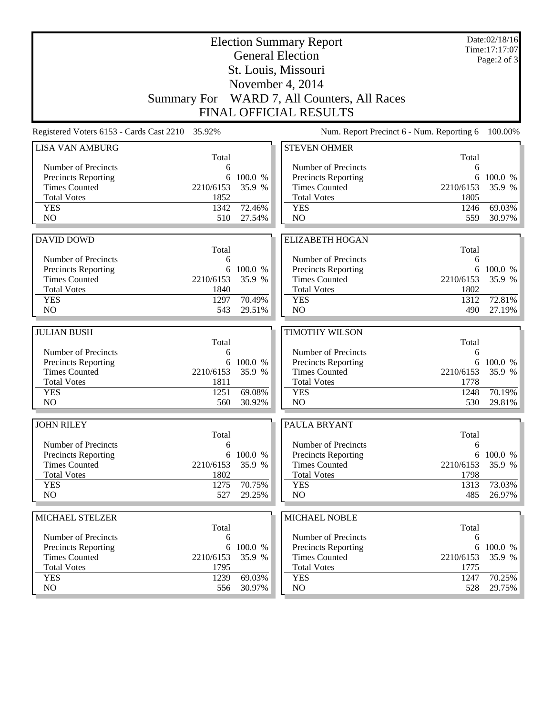|                                                   |                    | Date:02/18/16<br>Time: 17:17:07<br>Page:2 of 3 |                                            |           |         |  |  |  |
|---------------------------------------------------|--------------------|------------------------------------------------|--------------------------------------------|-----------|---------|--|--|--|
|                                                   |                    |                                                | November 4, 2014                           |           |         |  |  |  |
|                                                   | <b>Summary For</b> |                                                | WARD 7, All Counters, All Races            |           |         |  |  |  |
| <b>FINAL OFFICIAL RESULTS</b>                     |                    |                                                |                                            |           |         |  |  |  |
| Registered Voters 6153 - Cards Cast 2210          | 35.92%             |                                                | Num. Report Precinct 6 - Num. Reporting 6  |           | 100.00% |  |  |  |
| <b>LISA VAN AMBURG</b>                            | Total              |                                                | <b>STEVEN OHMER</b>                        | Total     |         |  |  |  |
| Number of Precincts                               | 6                  |                                                | Number of Precincts                        | 6         |         |  |  |  |
| <b>Precincts Reporting</b>                        | 6                  | 100.0 %                                        | Precincts Reporting                        | 6         | 100.0 % |  |  |  |
| <b>Times Counted</b>                              | 2210/6153          | 35.9 %                                         | <b>Times Counted</b>                       | 2210/6153 | 35.9 %  |  |  |  |
| <b>Total Votes</b>                                | 1852               |                                                | <b>Total Votes</b>                         | 1805      |         |  |  |  |
| <b>YES</b>                                        | 1342               | 72.46%                                         | <b>YES</b>                                 | 1246      | 69.03%  |  |  |  |
| NO                                                | 510                | 27.54%                                         | NO                                         | 559       | 30.97%  |  |  |  |
|                                                   |                    |                                                |                                            |           |         |  |  |  |
| <b>DAVID DOWD</b>                                 |                    |                                                | <b>ELIZABETH HOGAN</b>                     |           |         |  |  |  |
|                                                   | Total              |                                                |                                            | Total     |         |  |  |  |
| Number of Precincts                               | 6                  |                                                | Number of Precincts                        | 6         |         |  |  |  |
| <b>Precincts Reporting</b>                        | 6                  | 100.0 %                                        | Precincts Reporting                        | 6         | 100.0 % |  |  |  |
| <b>Times Counted</b>                              | 2210/6153          | 35.9 %                                         | <b>Times Counted</b>                       | 2210/6153 | 35.9 %  |  |  |  |
| <b>Total Votes</b>                                | 1840               |                                                | <b>Total Votes</b>                         | 1802      |         |  |  |  |
| <b>YES</b>                                        | 1297               | 70.49%                                         | <b>YES</b>                                 | 1312      | 72.81%  |  |  |  |
| NO                                                | 543                | 29.51%                                         | NO                                         | 490       | 27.19%  |  |  |  |
| <b>JULIAN BUSH</b>                                |                    |                                                | <b>TIMOTHY WILSON</b>                      |           |         |  |  |  |
|                                                   | Total              |                                                |                                            | Total     |         |  |  |  |
| Number of Precincts                               | 6                  |                                                | Number of Precincts                        | 6         |         |  |  |  |
| Precincts Reporting                               | 6                  | 100.0 %                                        | Precincts Reporting                        | 6         | 100.0 % |  |  |  |
| <b>Times Counted</b>                              | 2210/6153          | 35.9 %                                         | <b>Times Counted</b>                       | 2210/6153 | 35.9 %  |  |  |  |
| <b>Total Votes</b>                                | 1811               |                                                | <b>Total Votes</b>                         | 1778      |         |  |  |  |
| <b>YES</b>                                        | 1251               | 69.08%                                         | <b>YES</b>                                 | 1248      | 70.19%  |  |  |  |
| NO                                                | 560                | 30.92%                                         | NO                                         | 530       | 29.81%  |  |  |  |
|                                                   |                    |                                                |                                            |           |         |  |  |  |
| <b>JOHN RILEY</b>                                 |                    |                                                | PAULA BRYANT                               |           |         |  |  |  |
|                                                   | Total              |                                                |                                            | Total     |         |  |  |  |
| Number of Precincts<br><b>Precincts Reporting</b> | 6                  | 6 100.0 %                                      | Number of Precincts<br>Precincts Reporting | 6<br>6    | 100.0 % |  |  |  |
| <b>Times Counted</b>                              | 2210/6153          | 35.9 %                                         | <b>Times Counted</b>                       | 2210/6153 | 35.9 %  |  |  |  |
| <b>Total Votes</b>                                | 1802               |                                                | <b>Total Votes</b>                         | 1798      |         |  |  |  |
| <b>YES</b>                                        | 1275               | 70.75%                                         | <b>YES</b>                                 | 1313      | 73.03%  |  |  |  |
| NO                                                | 527                | 29.25%                                         | NO                                         | 485       | 26.97%  |  |  |  |
|                                                   |                    |                                                |                                            |           |         |  |  |  |
| MICHAEL STELZER                                   |                    |                                                | <b>MICHAEL NOBLE</b>                       |           |         |  |  |  |
|                                                   | Total              |                                                |                                            | Total     |         |  |  |  |
| Number of Precincts                               | 6                  |                                                | Number of Precincts                        | 6         |         |  |  |  |
| <b>Precincts Reporting</b>                        | 6                  | 100.0 %                                        | <b>Precincts Reporting</b>                 | 6         | 100.0 % |  |  |  |
| <b>Times Counted</b>                              | 2210/6153          | 35.9 %                                         | <b>Times Counted</b>                       | 2210/6153 | 35.9 %  |  |  |  |
| <b>Total Votes</b>                                | 1795               |                                                | <b>Total Votes</b>                         | 1775      |         |  |  |  |
| <b>YES</b>                                        | 1239               | 69.03%                                         | <b>YES</b>                                 | 1247      | 70.25%  |  |  |  |
| NO                                                | 556                | 30.97%                                         | NO                                         | 528       | 29.75%  |  |  |  |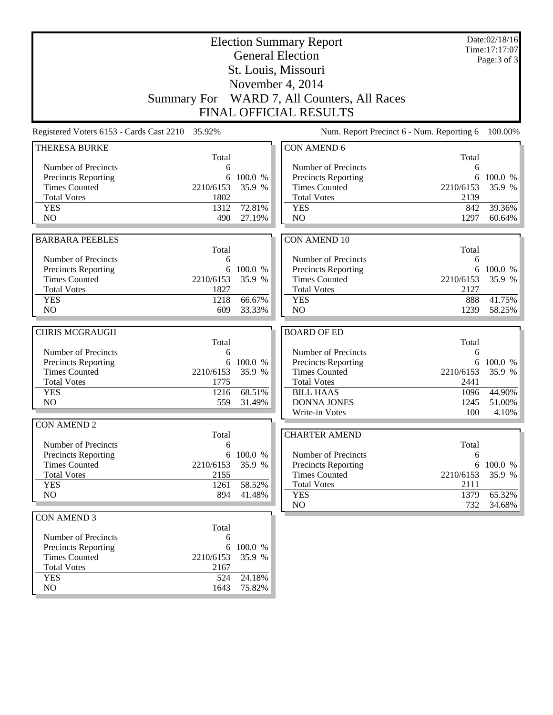| <b>Election Summary Report</b>                     |                    |                   |                                                    |           | Date:02/18/16<br>Time: 17:17:07 |
|----------------------------------------------------|--------------------|-------------------|----------------------------------------------------|-----------|---------------------------------|
|                                                    |                    |                   | <b>General Election</b>                            |           | Page: 3 of 3                    |
|                                                    |                    |                   | St. Louis, Missouri                                |           |                                 |
|                                                    |                    |                   | November 4, 2014                                   |           |                                 |
|                                                    |                    |                   |                                                    |           |                                 |
|                                                    | <b>Summary For</b> |                   | WARD 7, All Counters, All Races                    |           |                                 |
|                                                    |                    |                   | <b>FINAL OFFICIAL RESULTS</b>                      |           |                                 |
| Registered Voters 6153 - Cards Cast 2210 35.92%    |                    |                   | Num. Report Precinct 6 - Num. Reporting 6          |           | 100.00%                         |
| <b>THERESA BURKE</b>                               |                    |                   | <b>CON AMEND 6</b>                                 |           |                                 |
|                                                    | Total              |                   |                                                    | Total     |                                 |
| Number of Precincts                                | 6<br>6             | 100.0 %           | Number of Precincts                                | 6<br>6    | 100.0 %                         |
| Precincts Reporting<br><b>Times Counted</b>        | 2210/6153          | 35.9 %            | <b>Precincts Reporting</b><br><b>Times Counted</b> | 2210/6153 | 35.9 %                          |
| <b>Total Votes</b>                                 | 1802               |                   | <b>Total Votes</b>                                 | 2139      |                                 |
| <b>YES</b>                                         | 1312               | 72.81%            | <b>YES</b>                                         | 842       | 39.36%                          |
| N <sub>O</sub>                                     | 490                | 27.19%            | NO                                                 | 1297      | 60.64%                          |
|                                                    |                    |                   |                                                    |           |                                 |
| <b>BARBARA PEEBLES</b>                             |                    |                   | <b>CON AMEND 10</b>                                |           |                                 |
|                                                    | Total              |                   |                                                    | Total     |                                 |
| Number of Precincts                                | 6                  |                   | Number of Precincts                                | 6         |                                 |
| Precincts Reporting                                |                    | 6 100.0 %         | <b>Precincts Reporting</b>                         |           | 6 100.0 %                       |
| <b>Times Counted</b>                               | 2210/6153          | 35.9 %            | <b>Times Counted</b>                               | 2210/6153 | 35.9 %                          |
| <b>Total Votes</b>                                 | 1827               |                   | <b>Total Votes</b>                                 | 2127      |                                 |
| <b>YES</b><br>N <sub>O</sub>                       | 1218<br>609        | 66.67%            | <b>YES</b><br>N <sub>O</sub>                       | 888       | 41.75%                          |
|                                                    |                    | 33.33%            |                                                    | 1239      | 58.25%                          |
| <b>CHRIS MCGRAUGH</b>                              |                    |                   | <b>BOARD OF ED</b>                                 |           |                                 |
|                                                    | Total              |                   |                                                    | Total     |                                 |
| Number of Precincts                                | 6                  |                   | Number of Precincts                                | 6         |                                 |
| Precincts Reporting                                | 6                  | 100.0 %           | Precincts Reporting                                | 6         | 100.0 %                         |
| <b>Times Counted</b>                               | 2210/6153          | 35.9 %            | <b>Times Counted</b>                               | 2210/6153 | 35.9 %                          |
| <b>Total Votes</b>                                 | 1775               |                   | <b>Total Votes</b>                                 | 2441      |                                 |
| <b>YES</b>                                         | 1216               | 68.51%            | <b>BILL HAAS</b>                                   | 1096      | 44.90%                          |
| N <sub>O</sub>                                     | 559                | 31.49%            | <b>DONNA JONES</b>                                 | 1245      | 51.00%                          |
|                                                    |                    |                   | Write-in Votes                                     | 100       | 4.10%                           |
| <b>CON AMEND 2</b>                                 |                    |                   |                                                    |           |                                 |
|                                                    | Total              |                   | <b>CHARTER AMEND</b>                               |           |                                 |
| Number of Precincts                                | 6                  |                   |                                                    | Total     |                                 |
| <b>Precincts Reporting</b><br><b>Times Counted</b> | 6<br>2210/6153     | 100.0 %<br>35.9 % | Number of Precincts<br><b>Precincts Reporting</b>  | 6         | 6 100.0 %                       |
| <b>Total Votes</b>                                 | 2155               |                   | <b>Times Counted</b>                               | 2210/6153 | 35.9 %                          |
| <b>YES</b>                                         | 1261               | 58.52%            | <b>Total Votes</b>                                 | 2111      |                                 |
| NO                                                 | 894                | 41.48%            | <b>YES</b>                                         | 1379      | 65.32%                          |
|                                                    |                    |                   | NO                                                 | 732       | 34.68%                          |
| <b>CON AMEND 3</b>                                 |                    |                   |                                                    |           |                                 |
| Number of Precincts                                | Total<br>6         |                   |                                                    |           |                                 |
| Precincts Reporting                                | 6                  | 100.0 %           |                                                    |           |                                 |
| <b>Times Counted</b>                               | 2210/6153          | 35.9 %            |                                                    |           |                                 |
| <b>Total Votes</b>                                 | 2167               |                   |                                                    |           |                                 |
| <b>YES</b>                                         | 524                | 24.18%            |                                                    |           |                                 |
| NO                                                 | 1643               | 75.82%            |                                                    |           |                                 |
|                                                    |                    |                   |                                                    |           |                                 |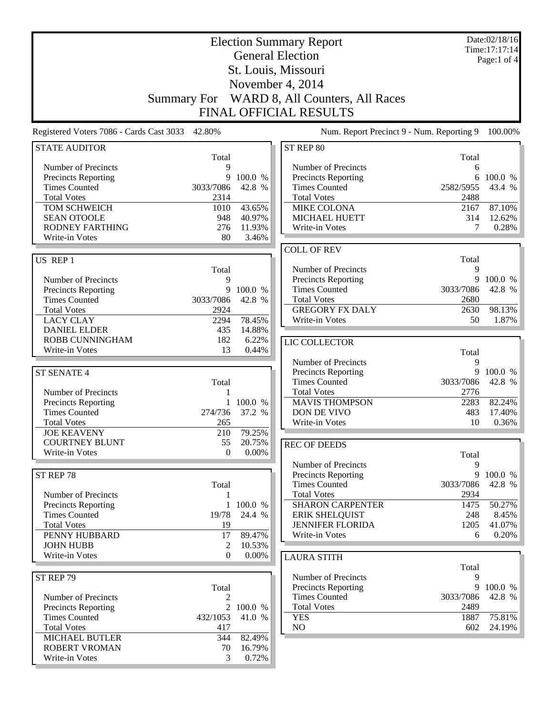| <b>Election Summary Report</b>                    |                    |                  |                                                    |              | Date:02/18/16<br>Time: 17:17:14 |
|---------------------------------------------------|--------------------|------------------|----------------------------------------------------|--------------|---------------------------------|
|                                                   |                    |                  | <b>General Election</b>                            |              | Page:1 of $4$                   |
|                                                   |                    |                  | St. Louis, Missouri                                |              |                                 |
|                                                   |                    |                  | November 4, 2014                                   |              |                                 |
|                                                   | <b>Summary For</b> |                  | WARD 8, All Counters, All Races                    |              |                                 |
|                                                   |                    |                  | <b>FINAL OFFICIAL RESULTS</b>                      |              |                                 |
| Registered Voters 7086 - Cards Cast 3033 42.80%   |                    |                  | Num. Report Precinct 9 - Num. Reporting 9          |              | 100.00%                         |
| <b>STATE AUDITOR</b>                              |                    |                  | ST REP 80                                          |              |                                 |
|                                                   | Total              |                  |                                                    | Total        |                                 |
| Number of Precincts<br>Precincts Reporting        | 9<br>9             | 100.0 %          | Number of Precincts<br>Precincts Reporting         | 6<br>6       | 100.0 %                         |
| <b>Times Counted</b>                              | 3033/7086          | 42.8 %           | <b>Times Counted</b>                               | 2582/5955    | 43.4 %                          |
| <b>Total Votes</b>                                | 2314               |                  | <b>Total Votes</b>                                 | 2488         |                                 |
| <b>TOM SCHWEICH</b>                               | 1010               | 43.65%           | <b>MIKE COLONA</b>                                 | 2167         | 87.10%                          |
| <b>SEAN OTOOLE</b>                                | 948                | 40.97%           | <b>MICHAEL HUETT</b>                               | 314          | 12.62%                          |
| <b>RODNEY FARTHING</b>                            | 276                | 11.93%           | Write-in Votes                                     | 7            | 0.28%                           |
| Write-in Votes                                    | 80                 | 3.46%            | <b>COLL OF REV</b>                                 |              |                                 |
| US REP 1                                          |                    |                  |                                                    | Total        |                                 |
|                                                   | Total              |                  | Number of Precincts                                | 9            |                                 |
| Number of Precincts                               | 9                  |                  | <b>Precincts Reporting</b>                         | 9            | 100.0 %                         |
| Precincts Reporting                               | 9                  | 100.0 %          | <b>Times Counted</b>                               | 3033/7086    | 42.8 %                          |
| <b>Times Counted</b>                              | 3033/7086          | 42.8 %           | <b>Total Votes</b>                                 | 2680         |                                 |
| <b>Total Votes</b>                                | 2924               |                  | <b>GREGORY FX DALY</b>                             | 2630         | 98.13%                          |
| <b>LACY CLAY</b><br><b>DANIEL ELDER</b>           | 2294<br>435        | 78.45%<br>14.88% | Write-in Votes                                     | 50           | 1.87%                           |
| ROBB CUNNINGHAM                                   | 182                | 6.22%            | LIC COLLECTOR                                      |              |                                 |
| Write-in Votes                                    | 13                 | 0.44%            |                                                    | Total        |                                 |
|                                                   |                    |                  | Number of Precincts                                | 9            |                                 |
| <b>ST SENATE 4</b>                                |                    |                  | Precincts Reporting                                | 9            | 100.0 %                         |
|                                                   | Total              |                  | <b>Times Counted</b>                               | 3033/7086    | 42.8 %                          |
| Number of Precincts                               | 1                  |                  | <b>Total Votes</b>                                 | 2776         |                                 |
| Precincts Reporting                               |                    | 100.0 %          | <b>MAVIS THOMPSON</b>                              | 2283         | 82.24%                          |
| <b>Times Counted</b><br><b>Total Votes</b>        | 274/736<br>265     | 37.2 %           | DON DE VIVO<br>Write-in Votes                      | 483<br>10    | 17.40%<br>0.36%                 |
| <b>JOE KEAVENY</b>                                | 210                | 79.25%           |                                                    |              |                                 |
| <b>COURTNEY BLUNT</b>                             | 55                 | 20.75%           | <b>REC OF DEEDS</b>                                |              |                                 |
| Write-in Votes                                    | $\theta$           | $0.00\%$         |                                                    | Total        |                                 |
|                                                   |                    |                  | Number of Precincts                                | 9            |                                 |
| ST REP 78                                         |                    |                  | Precincts Reporting                                | 9            | 100.0 %                         |
|                                                   | Total              |                  | <b>Times Counted</b>                               | 3033/7086    | 42.8 %                          |
| Number of Precincts<br><b>Precincts Reporting</b> | $\mathbf{1}$       | 100.0 %          | <b>Total Votes</b><br><b>SHARON CARPENTER</b>      | 2934<br>1475 | 50.27%                          |
| <b>Times Counted</b>                              | 19/78              | 24.4 %           | <b>ERIK SHELQUIST</b>                              | 248          | 8.45%                           |
| <b>Total Votes</b>                                | 19                 |                  | <b>JENNIFER FLORIDA</b>                            | 1205         | 41.07%                          |
| PENNY HUBBARD                                     | 17                 | 89.47%           | Write-in Votes                                     | 6            | 0.20%                           |
| <b>JOHN HUBB</b>                                  | $\overline{2}$     | 10.53%           |                                                    |              |                                 |
| Write-in Votes                                    | $\theta$           | $0.00\%$         | <b>LAURA STITH</b>                                 |              |                                 |
|                                                   |                    |                  |                                                    | Total        |                                 |
| ST REP 79                                         |                    |                  | Number of Precincts                                | 9<br>9       | 100.0 %                         |
| Number of Precincts                               | Total<br>2         |                  | <b>Precincts Reporting</b><br><b>Times Counted</b> | 3033/7086    | 42.8 %                          |
| <b>Precincts Reporting</b>                        |                    | 2 100.0 %        | <b>Total Votes</b>                                 | 2489         |                                 |
| <b>Times Counted</b>                              | 432/1053           | 41.0 %           | <b>YES</b>                                         | 1887         | 75.81%                          |
| <b>Total Votes</b>                                | 417                |                  | NO                                                 | 602          | 24.19%                          |
| <b>MICHAEL BUTLER</b>                             | 344                | 82.49%           |                                                    |              |                                 |
| <b>ROBERT VROMAN</b>                              | 70                 | 16.79%           |                                                    |              |                                 |
| Write-in Votes                                    | 3                  | 0.72%            |                                                    |              |                                 |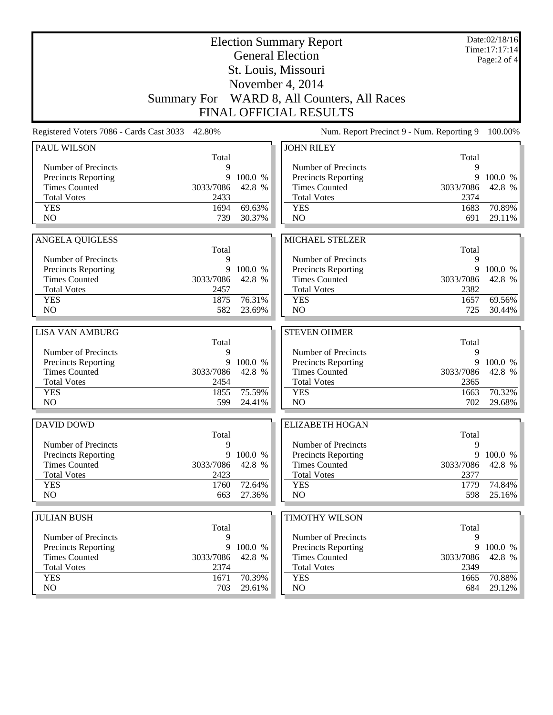|                                            |                    | <b>Election Summary Report</b><br><b>General Election</b> |                                                   |                   |                   |
|--------------------------------------------|--------------------|-----------------------------------------------------------|---------------------------------------------------|-------------------|-------------------|
|                                            |                    |                                                           | St. Louis, Missouri                               |                   | Page:2 of 4       |
|                                            |                    |                                                           | November 4, 2014                                  |                   |                   |
|                                            | <b>Summary For</b> |                                                           | WARD 8, All Counters, All Races                   |                   |                   |
|                                            |                    |                                                           | <b>FINAL OFFICIAL RESULTS</b>                     |                   |                   |
| Registered Voters 7086 - Cards Cast 3033   | 42.80%             |                                                           | Num. Report Precinct 9 - Num. Reporting 9         |                   | 100.00%           |
| PAUL WILSON                                |                    |                                                           | <b>JOHN RILEY</b>                                 |                   |                   |
|                                            | Total              |                                                           |                                                   | Total             |                   |
| Number of Precincts<br>Precincts Reporting | 9<br>9             | 100.0 %                                                   | Number of Precincts<br><b>Precincts Reporting</b> | 9<br>9            | 100.0 %           |
| <b>Times Counted</b>                       | 3033/7086          | 42.8 %                                                    | <b>Times Counted</b>                              | 3033/7086         | 42.8 %            |
| <b>Total Votes</b>                         | 2433               |                                                           | <b>Total Votes</b>                                | 2374              |                   |
| <b>YES</b>                                 | 1694               | 69.63%                                                    | <b>YES</b>                                        | 1683              | 70.89%            |
| N <sub>O</sub>                             | 739                | 30.37%                                                    | NO                                                | 691               | 29.11%            |
|                                            |                    |                                                           |                                                   |                   |                   |
| <b>ANGELA QUIGLESS</b>                     | Total              |                                                           | <b>MICHAEL STELZER</b>                            | Total             |                   |
| Number of Precincts                        | 9                  |                                                           | Number of Precincts                               | 9                 |                   |
| Precincts Reporting                        | 9                  | 100.0 %                                                   | Precincts Reporting                               | 9                 | 100.0 %           |
| <b>Times Counted</b>                       | 3033/7086          | 42.8 %                                                    | <b>Times Counted</b>                              | 3033/7086         | 42.8 %            |
| <b>Total Votes</b>                         | 2457               |                                                           | <b>Total Votes</b>                                | 2382              |                   |
| <b>YES</b>                                 | 1875               | 76.31%                                                    | <b>YES</b>                                        | 1657              | 69.56%            |
| NO                                         | 582                | 23.69%                                                    | N <sub>O</sub>                                    | 725               | 30.44%            |
| <b>LISA VAN AMBURG</b>                     |                    |                                                           | <b>STEVEN OHMER</b>                               |                   |                   |
|                                            | Total              |                                                           |                                                   | Total             |                   |
| Number of Precincts                        | 9                  |                                                           | Number of Precincts                               | 9                 |                   |
| Precincts Reporting                        | 9                  | 100.0 %                                                   | <b>Precincts Reporting</b>                        | 9                 | 100.0 %           |
| <b>Times Counted</b>                       | 3033/7086          | 42.8 %                                                    | <b>Times Counted</b>                              | 3033/7086         | 42.8 %            |
| <b>Total Votes</b>                         | 2454               |                                                           | <b>Total Votes</b>                                | 2365              |                   |
| <b>YES</b>                                 | 1855               | 75.59%                                                    | <b>YES</b>                                        | 1663              | 70.32%            |
| NO                                         | 599                | 24.41%                                                    | NO                                                | 702               | 29.68%            |
|                                            |                    |                                                           |                                                   |                   |                   |
| <b>DAVID DOWD</b>                          |                    |                                                           | <b>ELIZABETH HOGAN</b>                            |                   |                   |
|                                            | Total              |                                                           |                                                   | Total             |                   |
| Number of Precincts                        | 9                  |                                                           | Number of Precincts                               | 9                 |                   |
| <b>Precincts Reporting</b>                 | 9                  | 100.0 %                                                   | Precincts Reporting                               | 9                 |                   |
| <b>Times Counted</b><br><b>Total Votes</b> | 3033/7086<br>2423  | 42.8 %                                                    | <b>Times Counted</b>                              | 3033/7086<br>2377 | 42.8 %            |
| <b>YES</b>                                 | 1760               | 72.64%                                                    | <b>Total Votes</b><br><b>YES</b>                  | 1779              | 100.0 %<br>74.84% |
| NO                                         | 663                | 27.36%                                                    | NO                                                | 598               | $25.16\%$         |
|                                            |                    |                                                           |                                                   |                   |                   |
| <b>JULIAN BUSH</b>                         | Total              |                                                           | <b>TIMOTHY WILSON</b>                             | Total             |                   |
| Number of Precincts                        | 9                  |                                                           | Number of Precincts                               | 9                 |                   |
| <b>Precincts Reporting</b>                 | 9                  | 100.0 %                                                   | <b>Precincts Reporting</b>                        | 9                 | 100.0 %           |
| <b>Times Counted</b>                       | 3033/7086          | 42.8 %                                                    | <b>Times Counted</b>                              | 3033/7086         | 42.8 %            |
| <b>Total Votes</b>                         | 2374               |                                                           | <b>Total Votes</b>                                | 2349              |                   |
| <b>YES</b><br>NO                           | 1671<br>703        | 70.39%<br>29.61%                                          | <b>YES</b><br>NO.                                 | 1665<br>684       | 70.88%<br>29.12%  |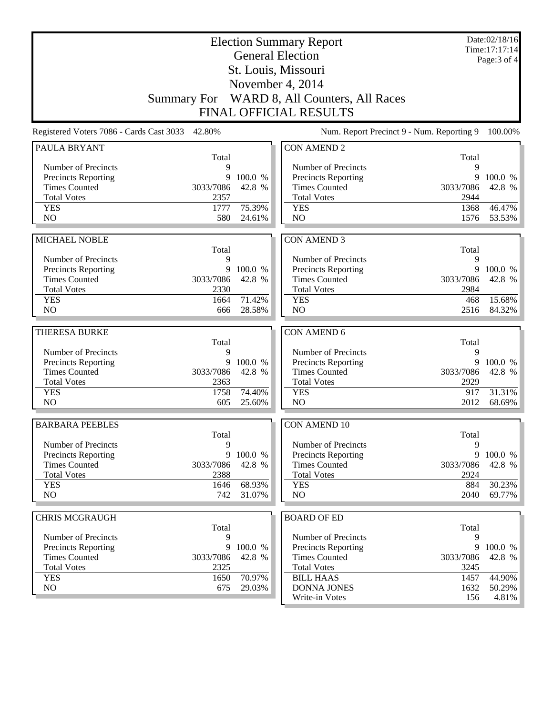|                                                   | <b>Election Summary Report</b><br><b>General Election</b> |                   |                                                   |            |                   |
|---------------------------------------------------|-----------------------------------------------------------|-------------------|---------------------------------------------------|------------|-------------------|
|                                                   |                                                           |                   | St. Louis, Missouri                               |            |                   |
|                                                   |                                                           |                   | November 4, 2014                                  |            |                   |
|                                                   | <b>Summary For</b>                                        |                   | WARD 8, All Counters, All Races                   |            |                   |
|                                                   |                                                           |                   | <b>FINAL OFFICIAL RESULTS</b>                     |            |                   |
| Registered Voters 7086 - Cards Cast 3033          | 42.80%                                                    |                   | Num. Report Precinct 9 - Num. Reporting 9         |            | 100.00%           |
| PAULA BRYANT                                      | Total                                                     |                   | <b>CON AMEND 2</b>                                | Total      |                   |
| Number of Precincts                               | 9                                                         |                   | Number of Precincts                               | 9          |                   |
| Precincts Reporting                               | 9                                                         | 100.0 %           | Precincts Reporting                               | 9          | 100.0 %           |
| <b>Times Counted</b>                              | 3033/7086                                                 | 42.8 %            | <b>Times Counted</b>                              | 3033/7086  | 42.8 %            |
| <b>Total Votes</b>                                | 2357                                                      |                   | <b>Total Votes</b>                                | 2944       |                   |
| <b>YES</b>                                        | 1777                                                      | 75.39%            | <b>YES</b>                                        | 1368       | 46.47%            |
| N <sub>O</sub>                                    | 580                                                       | 24.61%            | N <sub>O</sub>                                    | 1576       | 53.53%            |
| MICHAEL NOBLE                                     |                                                           |                   | <b>CON AMEND 3</b>                                |            |                   |
|                                                   | Total                                                     |                   |                                                   | Total      |                   |
| Number of Precincts                               | 9                                                         |                   | Number of Precincts                               | 9          |                   |
| Precincts Reporting                               | 9                                                         | 100.0 %           | Precincts Reporting                               | 9          | 100.0 %           |
| <b>Times Counted</b>                              | 3033/7086                                                 | 42.8 %            | <b>Times Counted</b>                              | 3033/7086  | 42.8 %            |
| <b>Total Votes</b>                                | 2330                                                      |                   | <b>Total Votes</b>                                | 2984       |                   |
| <b>YES</b><br>NO                                  | 1664                                                      | 71.42%            | <b>YES</b><br>NO                                  | 468        | 15.68%            |
|                                                   | 666                                                       | 28.58%            |                                                   | 2516       | 84.32%            |
| <b>THERESA BURKE</b>                              |                                                           |                   | <b>CON AMEND 6</b>                                |            |                   |
|                                                   | Total                                                     |                   |                                                   | Total      |                   |
| Number of Precincts                               | 9                                                         |                   | Number of Precincts                               | 9<br>9     |                   |
| Precincts Reporting<br><b>Times Counted</b>       | 9<br>3033/7086                                            | 100.0 %<br>42.8 % | Precincts Reporting<br><b>Times Counted</b>       | 3033/7086  | 100.0 %<br>42.8 % |
| <b>Total Votes</b>                                | 2363                                                      |                   | <b>Total Votes</b>                                | 2929       |                   |
| <b>YES</b>                                        | 1758                                                      | 74.40%            | <b>YES</b>                                        | 917        | 31.31%            |
| NO                                                | 605                                                       | 25.60%            | NO                                                | 2012       | 68.69%            |
|                                                   |                                                           |                   |                                                   |            |                   |
| <b>BARBARA PEEBLES</b>                            |                                                           |                   | <b>CON AMEND 10</b>                               |            |                   |
|                                                   | Total                                                     |                   |                                                   | Total      |                   |
| Number of Precincts<br><b>Precincts Reporting</b> | 9<br>9                                                    | 100.0 %           | Number of Precincts<br><b>Precincts Reporting</b> | 9<br>9     | 100.0 %           |
| <b>Times Counted</b>                              | 3033/7086                                                 | 42.8 %            | <b>Times Counted</b>                              | 3033/7086  | 42.8 %            |
| <b>Total Votes</b>                                | 2388                                                      |                   | <b>Total Votes</b>                                | 2924       |                   |
| <b>YES</b>                                        | 1646                                                      | 68.93%            | <b>YES</b>                                        | 884        | 30.23%            |
| NO                                                | 742                                                       | 31.07%            | NO                                                | 2040       | 69.77%            |
|                                                   |                                                           |                   |                                                   |            |                   |
| <b>CHRIS MCGRAUGH</b>                             |                                                           |                   | <b>BOARD OF ED</b>                                |            |                   |
| Number of Precincts                               | Total<br>9                                                |                   | Number of Precincts                               | Total<br>9 |                   |
| <b>Precincts Reporting</b>                        | 9                                                         | 100.0 %           | <b>Precincts Reporting</b>                        | 9          | 100.0 %           |
| <b>Times Counted</b>                              | 3033/7086                                                 | 42.8 %            | <b>Times Counted</b>                              | 3033/7086  | 42.8 %            |
| <b>Total Votes</b>                                | 2325                                                      |                   | <b>Total Votes</b>                                | 3245       |                   |
| <b>YES</b>                                        | 1650                                                      | 70.97%            | <b>BILL HAAS</b>                                  | 1457       | 44.90%            |
| NO                                                | 675                                                       | 29.03%            | <b>DONNA JONES</b>                                | 1632       | 50.29%            |
|                                                   |                                                           |                   | Write-in Votes                                    | 156        | 4.81%             |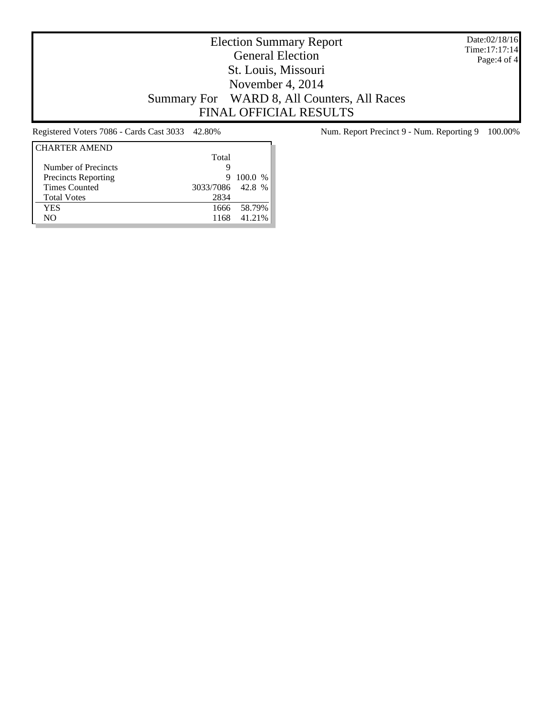Date:02/18/16 Time:17:17:14 Page:4 of 4

## Election Summary Report General Election St. Louis, Missouri November 4, 2014 Summary For WARD 8, All Counters, All Races FINAL OFFICIAL RESULTS

| <b>CHARTER AMEND</b>       |                  |          |
|----------------------------|------------------|----------|
|                            | Total            |          |
| Number of Precincts        |                  |          |
| <b>Precincts Reporting</b> | 9                | 100.0 %  |
| <b>Times Counted</b>       | 3033/7086 42.8 % |          |
| <b>Total Votes</b>         | 2834             |          |
| YES                        | 1666             | - 58.79% |
| NΩ                         | 1168             | 41.21%   |

Registered Voters 7086 - Cards Cast 3033 42.80% Num. Report Precinct 9 - Num. Reporting 9 100.00%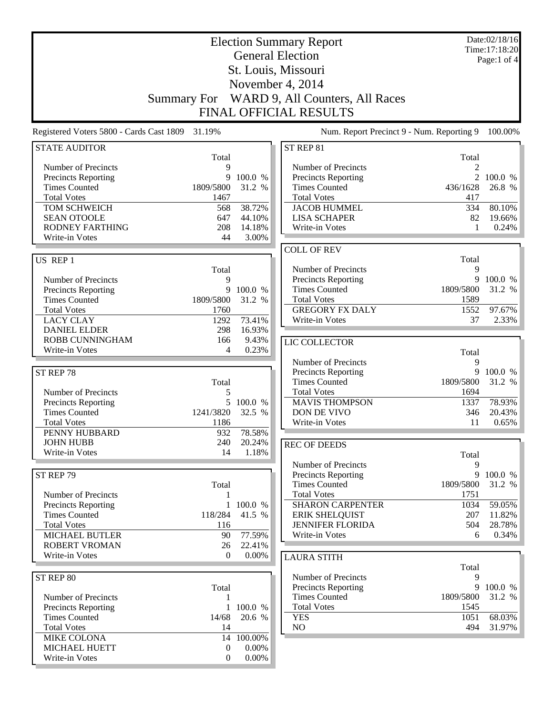|                                                 | <b>Election Summary Report</b> |                   |                                                    |           | Date:02/18/16<br>Time: 17:18:20 |
|-------------------------------------------------|--------------------------------|-------------------|----------------------------------------------------|-----------|---------------------------------|
|                                                 |                                |                   | <b>General Election</b>                            |           | Page:1 of 4                     |
|                                                 |                                |                   | St. Louis, Missouri                                |           |                                 |
|                                                 |                                |                   | November 4, 2014                                   |           |                                 |
|                                                 | <b>Summary For</b>             |                   | WARD 9, All Counters, All Races                    |           |                                 |
|                                                 |                                |                   | <b>FINAL OFFICIAL RESULTS</b>                      |           |                                 |
| Registered Voters 5800 - Cards Cast 1809 31.19% |                                |                   | Num. Report Precinct 9 - Num. Reporting 9          |           | 100.00%                         |
| <b>STATE AUDITOR</b>                            |                                |                   | ST REP 81                                          |           |                                 |
|                                                 | Total                          |                   |                                                    | Total     |                                 |
| Number of Precincts                             | 9                              |                   | Number of Precincts                                |           |                                 |
| Precincts Reporting<br><b>Times Counted</b>     | 9<br>1809/5800                 | 100.0 %<br>31.2 % | <b>Precincts Reporting</b><br><b>Times Counted</b> | 436/1628  | 2 100.0 %<br>26.8 %             |
| <b>Total Votes</b>                              | 1467                           |                   | <b>Total Votes</b>                                 | 417       |                                 |
| TOM SCHWEICH                                    | 568                            | 38.72%            | <b>JACOB HUMMEL</b>                                | 334       | 80.10%                          |
| <b>SEAN OTOOLE</b>                              | 647                            | 44.10%            | <b>LISA SCHAPER</b>                                | 82        | 19.66%                          |
| <b>RODNEY FARTHING</b>                          | 208                            | 14.18%            | Write-in Votes                                     | 1         | 0.24%                           |
| Write-in Votes                                  | 44                             | 3.00%             |                                                    |           |                                 |
|                                                 |                                |                   | <b>COLL OF REV</b>                                 |           |                                 |
| US REP 1                                        |                                |                   |                                                    | Total     |                                 |
|                                                 | Total                          |                   | Number of Precincts                                | 9         |                                 |
| Number of Precincts                             | 9                              |                   | Precincts Reporting                                | 9         | 100.0 %                         |
| Precincts Reporting                             | 9                              | 100.0 %           | <b>Times Counted</b>                               | 1809/5800 | 31.2 %                          |
| <b>Times Counted</b>                            | 1809/5800                      | 31.2 %            | <b>Total Votes</b>                                 | 1589      |                                 |
| <b>Total Votes</b>                              | 1760                           |                   | <b>GREGORY FX DALY</b>                             | 1552      | 97.67%                          |
| <b>LACY CLAY</b>                                | 1292                           | 73.41%            | Write-in Votes                                     | 37        | $2.33\%$                        |
| <b>DANIEL ELDER</b>                             | 298                            | 16.93%            |                                                    |           |                                 |
| ROBB CUNNINGHAM<br>Write-in Votes               | 166<br>$\overline{4}$          | 9.43%<br>0.23%    | LIC COLLECTOR                                      |           |                                 |
|                                                 |                                |                   |                                                    | Total     |                                 |
| ST REP 78                                       |                                |                   | Number of Precincts<br><b>Precincts Reporting</b>  | 9<br>9    | 100.0 %                         |
|                                                 | Total                          |                   | <b>Times Counted</b>                               | 1809/5800 | 31.2 %                          |
| Number of Precincts                             | 5                              |                   | <b>Total Votes</b>                                 | 1694      |                                 |
| Precincts Reporting                             |                                | 5 100.0 %         | <b>MAVIS THOMPSON</b>                              | 1337      | 78.93%                          |
| <b>Times Counted</b>                            | 1241/3820                      | 32.5 %            | DON DE VIVO                                        | 346       | 20.43%                          |
| <b>Total Votes</b>                              | 1186                           |                   | Write-in Votes                                     | 11        | 0.65%                           |
| PENNY HUBBARD                                   | 932                            | 78.58%            |                                                    |           |                                 |
| <b>JOHN HUBB</b>                                | 240                            | 20.24%            | <b>REC OF DEEDS</b>                                |           |                                 |
| Write-in Votes                                  | 14                             | 1.18%             |                                                    | Total     |                                 |
|                                                 |                                |                   | Number of Precincts                                | 9         |                                 |
| ST REP 79                                       |                                |                   | Precincts Reporting                                | 9         | 100.0 %                         |
|                                                 | Total                          |                   | <b>Times Counted</b>                               | 1809/5800 | 31.2 %                          |
| Number of Precincts                             |                                |                   | <b>Total Votes</b>                                 | 1751      |                                 |
| Precincts Reporting                             |                                | 1 100.0 %         | <b>SHARON CARPENTER</b>                            | 1034      | 59.05%                          |
| <b>Times Counted</b>                            | 118/284                        | 41.5 %            | <b>ERIK SHELQUIST</b>                              | 207       | 11.82%                          |
| <b>Total Votes</b>                              | 116                            |                   | <b>JENNIFER FLORIDA</b><br>Write-in Votes          | 504<br>6  | 28.78%                          |
| <b>MICHAEL BUTLER</b><br><b>ROBERT VROMAN</b>   | 90<br>26                       | 77.59%<br>22.41%  |                                                    |           | 0.34%                           |
| Write-in Votes                                  | $\mathbf{0}$                   | $0.00\%$          |                                                    |           |                                 |
|                                                 |                                |                   | <b>LAURA STITH</b>                                 | Total     |                                 |
| ST REP 80                                       |                                |                   | Number of Precincts                                | 9         |                                 |
|                                                 | Total                          |                   | <b>Precincts Reporting</b>                         | 9         | 100.0 %                         |
| Number of Precincts                             | 1                              |                   | <b>Times Counted</b>                               | 1809/5800 | 31.2 %                          |
| <b>Precincts Reporting</b>                      | $\mathbf{1}$                   | 100.0 %           | <b>Total Votes</b>                                 | 1545      |                                 |
| <b>Times Counted</b>                            | 14/68                          | 20.6 %            | <b>YES</b>                                         | 1051      | 68.03%                          |
| <b>Total Votes</b>                              | 14                             |                   | NO                                                 | 494       | 31.97%                          |
| MIKE COLONA                                     | 14                             | 100.00%           |                                                    |           |                                 |
| MICHAEL HUETT                                   | $\overline{0}$                 | 0.00%             |                                                    |           |                                 |
| Write-in Votes                                  | $\mathbf{0}$                   | $0.00\%$          |                                                    |           |                                 |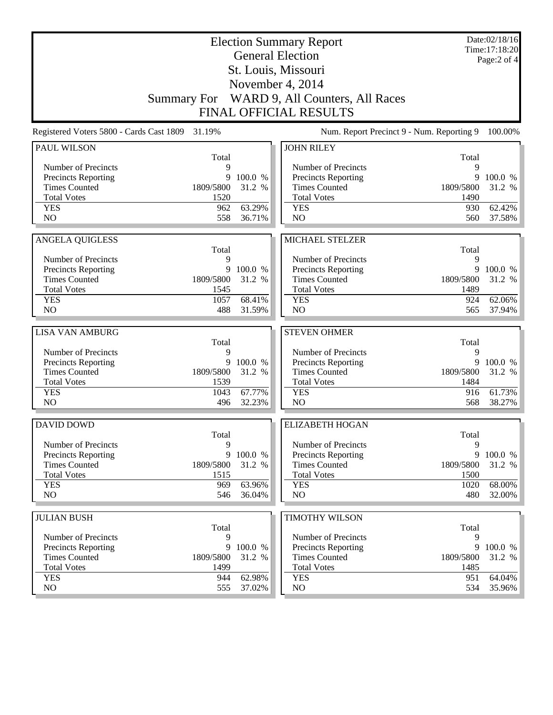|                                                   | <b>Election Summary Report</b><br><b>General Election</b> |                  |                                                   |                   |                  |
|---------------------------------------------------|-----------------------------------------------------------|------------------|---------------------------------------------------|-------------------|------------------|
|                                                   |                                                           |                  | St. Louis, Missouri                               |                   | Page:2 of 4      |
|                                                   |                                                           |                  | November 4, 2014                                  |                   |                  |
|                                                   | <b>Summary For</b>                                        |                  | WARD 9, All Counters, All Races                   |                   |                  |
|                                                   |                                                           |                  | <b>FINAL OFFICIAL RESULTS</b>                     |                   |                  |
| Registered Voters 5800 - Cards Cast 1809          | 31.19%                                                    |                  | Num. Report Precinct 9 - Num. Reporting 9         |                   | 100.00%          |
| PAUL WILSON                                       |                                                           |                  | <b>JOHN RILEY</b>                                 |                   |                  |
| Number of Precincts                               | Total<br>9                                                |                  | Number of Precincts                               | Total<br>9        |                  |
| Precincts Reporting                               | 9                                                         | 100.0 %          | <b>Precincts Reporting</b>                        | 9                 | 100.0 %          |
| <b>Times Counted</b>                              | 1809/5800                                                 | 31.2 %           | <b>Times Counted</b>                              | 1809/5800         | 31.2 %           |
| <b>Total Votes</b>                                | 1520                                                      |                  | <b>Total Votes</b>                                | 1490              |                  |
| <b>YES</b>                                        | 962                                                       | 63.29%           | <b>YES</b>                                        | 930               | 62.42%           |
| NO                                                | 558                                                       | 36.71%           | N <sub>O</sub>                                    | 560               | 37.58%           |
| <b>ANGELA QUIGLESS</b>                            |                                                           |                  | <b>MICHAEL STELZER</b>                            |                   |                  |
|                                                   | Total                                                     |                  |                                                   | Total             |                  |
| Number of Precincts                               | 9                                                         |                  | Number of Precincts                               | 9                 |                  |
| Precincts Reporting                               | 9                                                         | 100.0 %          | Precincts Reporting                               | 9                 | 100.0 %          |
| <b>Times Counted</b>                              | 1809/5800                                                 | 31.2 %           | <b>Times Counted</b>                              | 1809/5800         | 31.2 %           |
| <b>Total Votes</b>                                | 1545                                                      |                  | <b>Total Votes</b>                                | 1489              |                  |
| <b>YES</b>                                        | 1057                                                      | 68.41%           | <b>YES</b>                                        | 924               | 62.06%           |
| NO                                                | 488                                                       | 31.59%           | N <sub>O</sub>                                    | 565               | 37.94%           |
| <b>LISA VAN AMBURG</b>                            |                                                           |                  | <b>STEVEN OHMER</b>                               |                   |                  |
|                                                   | Total                                                     |                  |                                                   | Total             |                  |
| Number of Precincts                               | 9                                                         |                  | Number of Precincts                               | 9                 |                  |
| Precincts Reporting                               | 9                                                         | 100.0 %          | <b>Precincts Reporting</b>                        | 9                 | 100.0 %          |
| <b>Times Counted</b><br><b>Total Votes</b>        | 1809/5800<br>1539                                         | 31.2 %           | <b>Times Counted</b><br><b>Total Votes</b>        | 1809/5800<br>1484 | 31.2 %           |
| <b>YES</b>                                        | 1043                                                      | 67.77%           | <b>YES</b>                                        | 916               | 61.73%           |
| NO                                                | 496                                                       | 32.23%           | NO                                                | 568               | 38.27%           |
|                                                   |                                                           |                  |                                                   |                   |                  |
| <b>DAVID DOWD</b>                                 |                                                           |                  | <b>ELIZABETH HOGAN</b>                            |                   |                  |
|                                                   | Total                                                     |                  |                                                   | Total             |                  |
| Number of Precincts<br><b>Precincts Reporting</b> | 9<br>9                                                    | 100.0 %          | Number of Precincts<br><b>Precincts Reporting</b> | 9<br>9            | 100.0 %          |
| <b>Times Counted</b>                              | 1809/5800                                                 | 31.2 %           | <b>Times Counted</b>                              | 1809/5800         | 31.2 $%$         |
| <b>Total Votes</b>                                | 1515                                                      |                  | <b>Total Votes</b>                                | 1500              |                  |
| <b>YES</b>                                        | 969                                                       | 63.96%           | <b>YES</b>                                        | 1020              | 68.00%           |
| NO                                                | 546                                                       | 36.04%           | NO                                                | 480               | $32.00\%$        |
| <b>JULIAN BUSH</b>                                |                                                           |                  | <b>TIMOTHY WILSON</b>                             |                   |                  |
|                                                   | Total                                                     |                  |                                                   | Total             |                  |
| Number of Precincts                               | 9                                                         |                  | Number of Precincts                               | 9                 |                  |
| <b>Precincts Reporting</b>                        | 9                                                         | 100.0 %          | <b>Precincts Reporting</b>                        | 9                 | 100.0 %          |
| <b>Times Counted</b>                              | 1809/5800                                                 | 31.2 %           | <b>Times Counted</b>                              | 1809/5800         | 31.2 %           |
|                                                   |                                                           |                  |                                                   |                   |                  |
| <b>Total Votes</b>                                | 1499                                                      |                  | <b>Total Votes</b>                                | 1485              |                  |
| <b>YES</b><br>NO                                  | 944<br>555                                                | 62.98%<br>37.02% | <b>YES</b><br>NO.                                 | 951<br>534        | 64.04%<br>35.96% |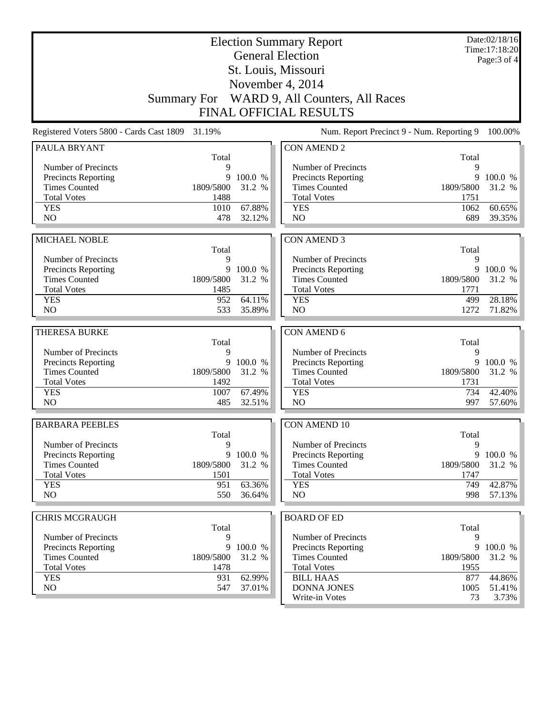|                                          |                    |           | <b>Election Summary Report</b><br><b>General Election</b> | Date:02/18/16<br>Time: 17:18:20<br>Page: $3$ of $4$ |         |
|------------------------------------------|--------------------|-----------|-----------------------------------------------------------|-----------------------------------------------------|---------|
|                                          |                    |           | St. Louis, Missouri                                       |                                                     |         |
|                                          |                    |           | November 4, 2014                                          |                                                     |         |
|                                          | <b>Summary For</b> |           | WARD 9, All Counters, All Races                           |                                                     |         |
|                                          |                    |           | <b>FINAL OFFICIAL RESULTS</b>                             |                                                     |         |
| Registered Voters 5800 - Cards Cast 1809 | 31.19%             |           | Num. Report Precinct 9 - Num. Reporting 9                 |                                                     | 100.00% |
| PAULA BRYANT                             | Total              |           | <b>CON AMEND 2</b>                                        | Total                                               |         |
| Number of Precincts                      | 9                  |           | Number of Precincts                                       | 9                                                   |         |
| Precincts Reporting                      | 9                  | 100.0 %   | <b>Precincts Reporting</b>                                | 9                                                   | 100.0 % |
| <b>Times Counted</b>                     | 1809/5800          | 31.2 %    | <b>Times Counted</b>                                      | 1809/5800                                           | 31.2 %  |
| <b>Total Votes</b>                       | 1488               |           | <b>Total Votes</b>                                        | 1751                                                |         |
| <b>YES</b>                               | 1010               | 67.88%    | <b>YES</b>                                                | 1062                                                | 60.65%  |
| NO                                       | 478                | 32.12%    | NO                                                        | 689                                                 | 39.35%  |
| <b>MICHAEL NOBLE</b>                     |                    |           | <b>CON AMEND 3</b>                                        |                                                     |         |
|                                          | Total              |           |                                                           | Total                                               |         |
| Number of Precincts                      | 9                  |           | Number of Precincts                                       | 9                                                   |         |
| Precincts Reporting                      | 9                  | 100.0 %   | Precincts Reporting                                       | 9                                                   | 100.0 % |
| <b>Times Counted</b>                     | 1809/5800          | 31.2 %    | <b>Times Counted</b>                                      | 1809/5800                                           | 31.2 %  |
| <b>Total Votes</b>                       | 1485               |           | <b>Total Votes</b>                                        | 1771                                                |         |
| <b>YES</b>                               | 952                | 64.11%    | <b>YES</b>                                                | 499                                                 | 28.18%  |
| NO                                       | 533                | 35.89%    | N <sub>O</sub>                                            | 1272                                                | 71.82%  |
| <b>THERESA BURKE</b>                     |                    |           | <b>CON AMEND 6</b>                                        |                                                     |         |
|                                          | Total              |           |                                                           | Total                                               |         |
| Number of Precincts                      | 9                  |           | Number of Precincts                                       | 9                                                   |         |
| Precincts Reporting                      | 9                  | 100.0 %   | Precincts Reporting                                       | 9                                                   | 100.0 % |
| <b>Times Counted</b>                     | 1809/5800          | 31.2 %    | <b>Times Counted</b>                                      | 1809/5800                                           | 31.2 %  |
| <b>Total Votes</b>                       | 1492               |           | <b>Total Votes</b>                                        | 1731                                                |         |
| <b>YES</b>                               | 1007               | 67.49%    | <b>YES</b>                                                | 734                                                 | 42.40%  |
| N <sub>O</sub>                           | 485                | 32.51%    | NO                                                        | 997                                                 | 57.60%  |
| <b>BARBARA PEEBLES</b>                   |                    |           | <b>CON AMEND 10</b>                                       |                                                     |         |
|                                          | Total              |           |                                                           | Total                                               |         |
| Number of Precincts                      | 9                  |           | Number of Precincts                                       | 9                                                   |         |
| Precincts Reporting                      |                    | 9 100.0 % | Precincts Reporting                                       | 9                                                   | 100.0 % |
| <b>Times Counted</b>                     | 1809/5800          | 31.2 %    | <b>Times Counted</b>                                      | 1809/5800                                           | 31.2 %  |
| <b>Total Votes</b>                       | 1501               |           | <b>Total Votes</b>                                        | 1747                                                |         |
| <b>YES</b>                               | 951                | 63.36%    | <b>YES</b>                                                | 749                                                 | 42.87%  |
| NO                                       | 550                | 36.64%    | NO                                                        | 998                                                 | 57.13%  |
| <b>CHRIS MCGRAUGH</b>                    |                    |           | <b>BOARD OF ED</b>                                        |                                                     |         |
|                                          | Total              |           |                                                           | Total                                               |         |
| Number of Precincts                      | 9                  |           | Number of Precincts                                       | 9                                                   |         |
| <b>Precincts Reporting</b>               | 9                  | 100.0 %   | <b>Precincts Reporting</b>                                | 9                                                   | 100.0 % |
| <b>Times Counted</b>                     | 1809/5800          | 31.2 %    | <b>Times Counted</b>                                      | 1809/5800                                           | 31.2 %  |
| <b>Total Votes</b>                       | 1478               |           | <b>Total Votes</b>                                        | 1955                                                |         |
| <b>YES</b>                               | 931                | 62.99%    | <b>BILL HAAS</b>                                          | 877                                                 | 44.86%  |
| NO                                       | 547                | 37.01%    | <b>DONNA JONES</b>                                        | 1005                                                | 51.41%  |
|                                          |                    |           | Write-in Votes                                            | 73                                                  | 3.73%   |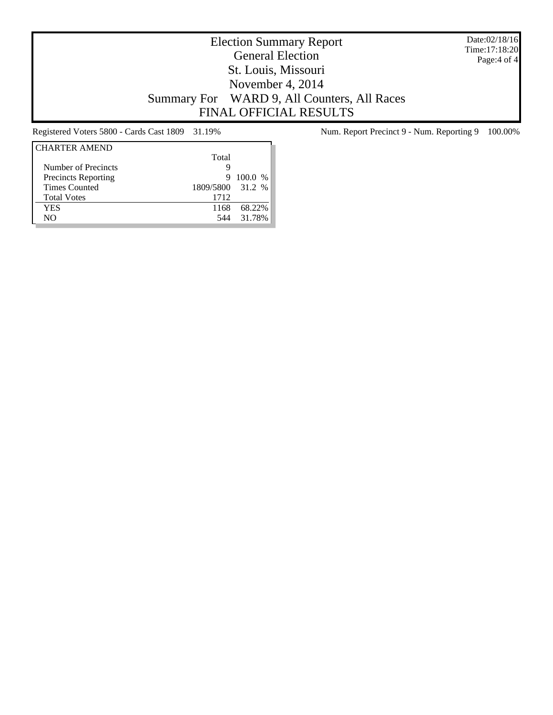Date:02/18/16 Time:17:18:20 Page:4 of 4

## Election Summary Report General Election St. Louis, Missouri November 4, 2014 Summary For WARD 9, All Counters, All Races FINAL OFFICIAL RESULTS

| <b>CHARTER AMEND</b>       |                  |         |
|----------------------------|------------------|---------|
|                            | Total            |         |
| Number of Precincts        | g                |         |
| <b>Precincts Reporting</b> | 9                | 100.0 % |
| <b>Times Counted</b>       | 1809/5800 31.2 % |         |
| <b>Total Votes</b>         | 1712             |         |
| YES                        | 1168             | 68.22%  |
| NO.                        | 544              | 31.78%  |
|                            |                  |         |

Registered Voters 5800 - Cards Cast 1809 31.19% Num. Report Precinct 9 - Num. Reporting 9 100.00%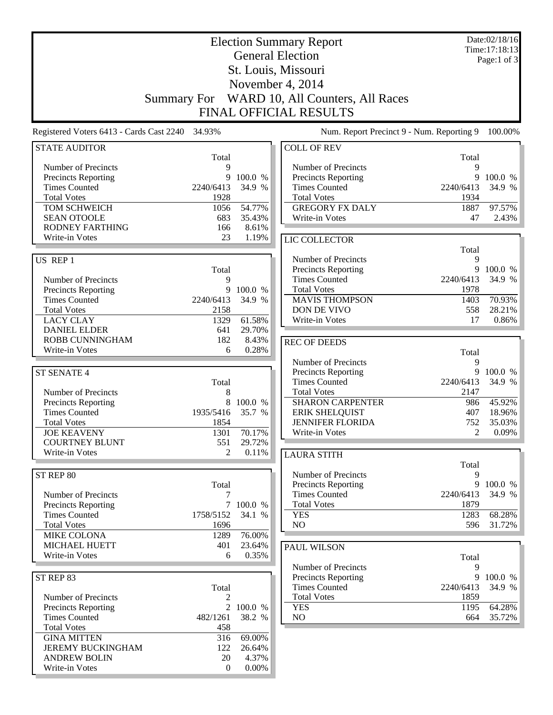|                                                 | Date:02/18/16<br><b>Election Summary Report</b> |                 |                                            |                   |                                 |
|-------------------------------------------------|-------------------------------------------------|-----------------|--------------------------------------------|-------------------|---------------------------------|
|                                                 |                                                 |                 | <b>General Election</b>                    |                   | Time: 17:18:13<br>Page:1 of $3$ |
|                                                 |                                                 |                 | St. Louis, Missouri                        |                   |                                 |
|                                                 |                                                 |                 | November 4, 2014                           |                   |                                 |
|                                                 |                                                 |                 |                                            |                   |                                 |
|                                                 | <b>Summary For</b>                              |                 | WARD 10, All Counters, All Races           |                   |                                 |
|                                                 |                                                 |                 | <b>FINAL OFFICIAL RESULTS</b>              |                   |                                 |
| Registered Voters 6413 - Cards Cast 2240 34.93% |                                                 |                 | Num. Report Precinct 9 - Num. Reporting 9  |                   | 100.00%                         |
| <b>STATE AUDITOR</b>                            | Total                                           |                 | <b>COLL OF REV</b>                         | Total             |                                 |
| Number of Precincts                             | 9                                               |                 | Number of Precincts                        | 9                 |                                 |
| <b>Precincts Reporting</b>                      | 9                                               | 100.0 %         | Precincts Reporting                        | 9                 | 100.0 %                         |
| <b>Times Counted</b>                            | 2240/6413                                       | 34.9 %          | <b>Times Counted</b>                       | 2240/6413         | 34.9 %                          |
| <b>Total Votes</b>                              | 1928                                            |                 | <b>Total Votes</b>                         | 1934              |                                 |
| TOM SCHWEICH                                    | 1056                                            | 54.77%          | <b>GREGORY FX DALY</b>                     | 1887              | 97.57%                          |
| <b>SEAN OTOOLE</b>                              | 683                                             | 35.43%          | Write-in Votes                             | 47                | 2.43%                           |
| RODNEY FARTHING                                 | 166                                             | 8.61%           |                                            |                   |                                 |
| Write-in Votes                                  | 23                                              | 1.19%           | LIC COLLECTOR                              |                   |                                 |
|                                                 |                                                 |                 |                                            | Total             |                                 |
| US REP 1                                        |                                                 |                 | Number of Precincts                        | 9                 |                                 |
|                                                 | Total                                           |                 | Precincts Reporting                        | 9                 | 100.0 %                         |
| Number of Precincts                             | 9<br>9                                          | 100.0 %         | <b>Times Counted</b><br><b>Total Votes</b> | 2240/6413<br>1978 | 34.9 %                          |
| Precincts Reporting<br><b>Times Counted</b>     | 2240/6413                                       | 34.9 %          | <b>MAVIS THOMPSON</b>                      | 1403              | 70.93%                          |
| <b>Total Votes</b>                              | 2158                                            |                 | DON DE VIVO                                | 558               | 28.21%                          |
| <b>LACY CLAY</b>                                | 1329                                            | 61.58%          | Write-in Votes                             | 17                | 0.86%                           |
| <b>DANIEL ELDER</b>                             | 641                                             | 29.70%          |                                            |                   |                                 |
| ROBB CUNNINGHAM                                 | 182                                             | 8.43%           | <b>REC OF DEEDS</b>                        |                   |                                 |
| Write-in Votes                                  | 6                                               | 0.28%           |                                            | Total             |                                 |
|                                                 |                                                 |                 | Number of Precincts                        | 9                 |                                 |
| <b>ST SENATE 4</b>                              |                                                 |                 | Precincts Reporting                        | 9                 | 100.0 %                         |
|                                                 | Total                                           |                 | <b>Times Counted</b>                       | 2240/6413         | 34.9 %                          |
| Number of Precincts                             | 8                                               |                 | <b>Total Votes</b>                         | 2147              |                                 |
| <b>Precincts Reporting</b>                      | 8                                               | 100.0 %         | <b>SHARON CARPENTER</b>                    | 986               | 45.92%                          |
| <b>Times Counted</b>                            | 1935/5416                                       | 35.7 %          | <b>ERIK SHELQUIST</b>                      | 407               | 18.96%                          |
| <b>Total Votes</b>                              | 1854                                            |                 | <b>JENNIFER FLORIDA</b>                    | 752               | 35.03%                          |
| <b>JOE KEAVENY</b><br><b>COURTNEY BLUNT</b>     | 1301                                            | 70.17%          | Write-in Votes                             | $\overline{2}$    | 0.09%                           |
| Write-in Votes                                  | 551<br>2                                        | 29.72%<br>0.11% |                                            |                   |                                 |
|                                                 |                                                 |                 | <b>LAURA STITH</b>                         |                   |                                 |
| ST REP 80                                       |                                                 |                 | Number of Precincts                        | Total<br>9        |                                 |
|                                                 | Total                                           |                 | <b>Precincts Reporting</b>                 | 9                 | 100.0 %                         |
| Number of Precincts                             | 7                                               |                 | <b>Times Counted</b>                       | 2240/6413         | 34.9 %                          |
| Precincts Reporting                             |                                                 | 7 100.0 %       | <b>Total Votes</b>                         | 1879              |                                 |
| <b>Times Counted</b>                            | 1758/5152                                       | 34.1 %          | <b>YES</b>                                 | 1283              | 68.28%                          |
| <b>Total Votes</b>                              | 1696                                            |                 | NO                                         | 596               | 31.72%                          |
| MIKE COLONA                                     | 1289                                            | 76.00%          |                                            |                   |                                 |
| <b>MICHAEL HUETT</b>                            | 401                                             | 23.64%          | <b>PAUL WILSON</b>                         |                   |                                 |
| Write-in Votes                                  | 6                                               | 0.35%           |                                            | Total             |                                 |
|                                                 |                                                 |                 | Number of Precincts                        | 9                 |                                 |
| ST REP 83                                       |                                                 |                 | Precincts Reporting                        | 9                 | 100.0 %                         |
|                                                 | Total                                           |                 | <b>Times Counted</b>                       | 2240/6413         | 34.9 %                          |
| Number of Precincts                             | 2                                               |                 | <b>Total Votes</b>                         | 1859              |                                 |
| <b>Precincts Reporting</b>                      |                                                 | 2 100.0 %       | <b>YES</b>                                 | 1195              | 64.28%                          |
| <b>Times Counted</b>                            | 482/1261                                        | 38.2 %          | NO                                         | 664               | $35.72\%$                       |
| <b>Total Votes</b>                              | 458                                             |                 |                                            |                   |                                 |
| <b>GINA MITTEN</b>                              | 316                                             | 69.00%          |                                            |                   |                                 |
| <b>JEREMY BUCKINGHAM</b>                        | 122                                             | 26.64%          |                                            |                   |                                 |
| <b>ANDREW BOLIN</b>                             | 20<br>$\Omega$                                  | 4.37%           |                                            |                   |                                 |
| Write-in Votes                                  |                                                 | $0.00\%$        |                                            |                   |                                 |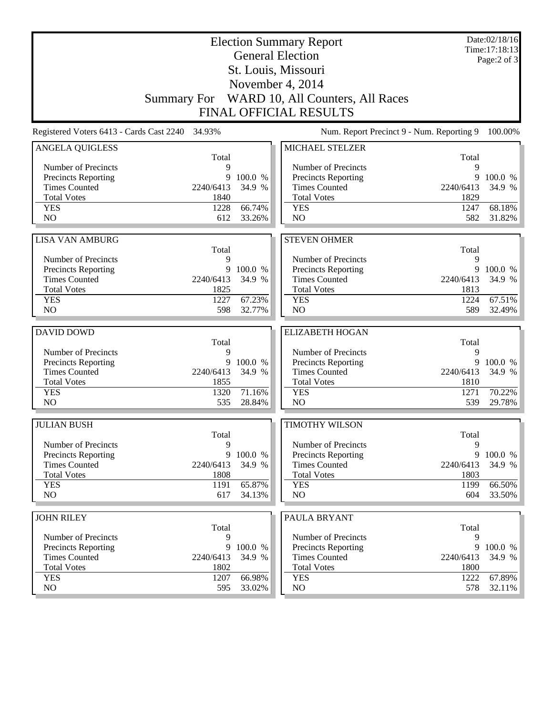|                                                   | <b>Election Summary Report</b><br><b>General Election</b> |                  | Date:02/18/16<br>Time: 17:18:13<br>Page: $2$ of $3$ |             |                               |
|---------------------------------------------------|-----------------------------------------------------------|------------------|-----------------------------------------------------|-------------|-------------------------------|
|                                                   |                                                           |                  | St. Louis, Missouri<br>November 4, 2014             |             |                               |
|                                                   |                                                           |                  | Summary For WARD 10, All Counters, All Races        |             |                               |
|                                                   |                                                           |                  | <b>FINAL OFFICIAL RESULTS</b>                       |             |                               |
|                                                   |                                                           |                  |                                                     |             |                               |
| Registered Voters 6413 - Cards Cast 2240          | 34.93%                                                    |                  | Num. Report Precinct 9 - Num. Reporting 9           |             | 100.00%                       |
| <b>ANGELA QUIGLESS</b>                            | Total                                                     |                  | MICHAEL STELZER                                     | Total       |                               |
| Number of Precincts                               | 9                                                         |                  | Number of Precincts                                 | 9           |                               |
| <b>Precincts Reporting</b>                        | 9                                                         | 100.0 %          | <b>Precincts Reporting</b>                          | 9           | 100.0 %                       |
| <b>Times Counted</b>                              | 2240/6413                                                 | 34.9 %           | <b>Times Counted</b>                                | 2240/6413   | 34.9 %                        |
| <b>Total Votes</b>                                | 1840                                                      |                  | <b>Total Votes</b>                                  | 1829        |                               |
| <b>YES</b>                                        | 1228                                                      | 66.74%           | <b>YES</b>                                          | 1247        | 68.18%                        |
| N <sub>O</sub>                                    | 612                                                       | 33.26%           | N <sub>O</sub>                                      | 582         | 31.82%                        |
|                                                   |                                                           |                  |                                                     |             |                               |
| <b>LISA VAN AMBURG</b>                            |                                                           |                  | <b>STEVEN OHMER</b>                                 |             |                               |
| Number of Precincts                               | Total<br>9                                                |                  | Number of Precincts                                 | Total<br>9  |                               |
| <b>Precincts Reporting</b>                        | 9                                                         | 100.0 %          | <b>Precincts Reporting</b>                          | 9           | 100.0 %                       |
| <b>Times Counted</b>                              | 2240/6413                                                 | 34.9 %           | <b>Times Counted</b>                                | 2240/6413   | 34.9 %                        |
| <b>Total Votes</b>                                | 1825                                                      |                  | <b>Total Votes</b>                                  | 1813        |                               |
| <b>YES</b>                                        | 1227                                                      | 67.23%           | <b>YES</b>                                          | 1224        | 67.51%                        |
| NO                                                | 598                                                       | 32.77%           | NO                                                  | 589         | 32.49%                        |
|                                                   |                                                           |                  |                                                     |             |                               |
| <b>DAVID DOWD</b>                                 | Total                                                     |                  | <b>ELIZABETH HOGAN</b>                              | Total       |                               |
| Number of Precincts                               | 9                                                         |                  | Number of Precincts                                 | 9           |                               |
| <b>Precincts Reporting</b>                        | 9                                                         | 100.0 %          |                                                     |             |                               |
|                                                   |                                                           |                  |                                                     | 9           |                               |
| <b>Times Counted</b>                              | 2240/6413                                                 | 34.9 %           | Precincts Reporting<br><b>Times Counted</b>         | 2240/6413   | 100.0 %<br>34.9 %             |
| <b>Total Votes</b>                                | 1855                                                      |                  | <b>Total Votes</b>                                  | 1810        |                               |
| <b>YES</b>                                        | 1320                                                      | 71.16%           | <b>YES</b>                                          | 1271        | 70.22%                        |
| N <sub>O</sub>                                    | 535                                                       | 28.84%           | NO                                                  | 539         | 29.78%                        |
|                                                   |                                                           |                  |                                                     |             |                               |
| <b>JULIAN BUSH</b>                                |                                                           |                  | <b>TIMOTHY WILSON</b>                               |             |                               |
|                                                   | Total<br>9                                                |                  |                                                     | Total<br>9  |                               |
| Number of Precincts<br><b>Precincts Reporting</b> | 9                                                         | 100.0 %          | Number of Precincts<br>Precincts Reporting          | 9           |                               |
| <b>Times Counted</b>                              | 2240/6413                                                 | 34.9 %           | <b>Times Counted</b>                                | 2240/6413   |                               |
| <b>Total Votes</b>                                | 1808                                                      |                  | <b>Total Votes</b>                                  | 1803        |                               |
| <b>YES</b>                                        | 1191                                                      | 65.87%           | <b>YES</b>                                          | 1199        | 100.0 %<br>34.9 %<br>66.50%   |
| NO                                                | 617                                                       | 34.13%           | NO                                                  | 604         |                               |
|                                                   |                                                           |                  |                                                     |             |                               |
| <b>JOHN RILEY</b>                                 |                                                           |                  | PAULA BRYANT                                        |             |                               |
| Number of Precincts                               | Total<br>9                                                |                  | Number of Precincts                                 | Total<br>9  |                               |
| <b>Precincts Reporting</b>                        | 9                                                         | 100.0 %          | <b>Precincts Reporting</b>                          | 9           | 100.0 %                       |
| <b>Times Counted</b>                              | 2240/6413                                                 | 34.9 %           | <b>Times Counted</b>                                | 2240/6413   | 34.9 %                        |
| <b>Total Votes</b>                                | 1802                                                      |                  | <b>Total Votes</b>                                  | 1800        |                               |
| <b>YES</b><br>NO.                                 | 1207<br>595                                               | 66.98%<br>33.02% | <b>YES</b><br>NO                                    | 1222<br>578 | 33.50%<br>67.89%<br>$32.11\%$ |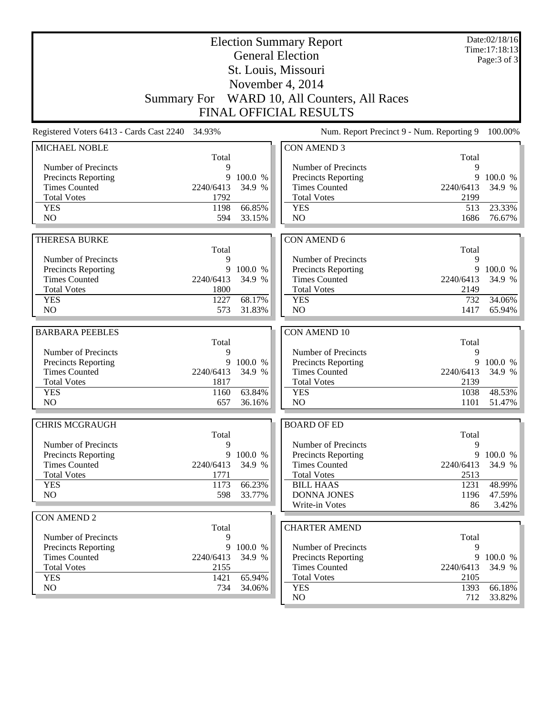|                                             |                    |                   | <b>Election Summary Report</b><br><b>General Election</b> |                   | Date:02/18/16<br>Time: 17:18:13<br>Page: $3$ of $3$ |
|---------------------------------------------|--------------------|-------------------|-----------------------------------------------------------|-------------------|-----------------------------------------------------|
|                                             |                    |                   | St. Louis, Missouri                                       |                   |                                                     |
|                                             |                    |                   | November 4, 2014                                          |                   |                                                     |
|                                             | <b>Summary For</b> |                   | WARD 10, All Counters, All Races                          |                   |                                                     |
|                                             |                    |                   | <b>FINAL OFFICIAL RESULTS</b>                             |                   |                                                     |
| Registered Voters 6413 - Cards Cast 2240    | 34.93%             |                   | Num. Report Precinct 9 - Num. Reporting 9                 |                   | 100.00%                                             |
| MICHAEL NOBLE                               |                    |                   | <b>CON AMEND 3</b>                                        |                   |                                                     |
|                                             | Total              |                   |                                                           | Total             |                                                     |
| Number of Precincts                         | 9                  |                   | Number of Precincts                                       | 9                 |                                                     |
| Precincts Reporting<br><b>Times Counted</b> | 9<br>2240/6413     | 100.0 %           | Precincts Reporting<br><b>Times Counted</b>               | 9<br>2240/6413    | 100.0 %                                             |
| <b>Total Votes</b>                          | 1792               | 34.9 %            | <b>Total Votes</b>                                        | 2199              | 34.9 %                                              |
| <b>YES</b>                                  | 1198               | 66.85%            | <b>YES</b>                                                | 513               | 23.33%                                              |
| N <sub>O</sub>                              | 594                | 33.15%            | N <sub>O</sub>                                            | 1686              | 76.67%                                              |
|                                             |                    |                   |                                                           |                   |                                                     |
| <b>THERESA BURKE</b>                        |                    |                   | <b>CON AMEND 6</b>                                        |                   |                                                     |
|                                             | Total              |                   |                                                           | Total             |                                                     |
| Number of Precincts                         | 9                  |                   | Number of Precincts                                       | 9                 |                                                     |
| Precincts Reporting                         | 9                  | 100.0 %           | Precincts Reporting                                       | 9                 | 100.0 %                                             |
| <b>Times Counted</b>                        | 2240/6413          | 34.9 %            | <b>Times Counted</b>                                      | 2240/6413         | 34.9 %                                              |
| <b>Total Votes</b>                          | 1800               |                   | <b>Total Votes</b>                                        | 2149              |                                                     |
| <b>YES</b>                                  | 1227               | 68.17%            | <b>YES</b>                                                | 732               | 34.06%                                              |
| N <sub>O</sub>                              | 573                | 31.83%            | N <sub>O</sub>                                            | 1417              | 65.94%                                              |
| <b>BARBARA PEEBLES</b>                      |                    |                   | <b>CON AMEND 10</b>                                       |                   |                                                     |
|                                             | Total              |                   |                                                           | Total             |                                                     |
| Number of Precincts                         | 9                  |                   | Number of Precincts                                       | 9                 |                                                     |
| Precincts Reporting                         | 9                  | 100.0 %           | Precincts Reporting                                       | 9                 | 100.0 %                                             |
| <b>Times Counted</b>                        | 2240/6413          | 34.9 %            | <b>Times Counted</b>                                      | 2240/6413         | 34.9 %                                              |
| <b>Total Votes</b>                          | 1817               |                   | <b>Total Votes</b>                                        | 2139              |                                                     |
| <b>YES</b>                                  | 1160               | 63.84%            | <b>YES</b>                                                | 1038              | 48.53%                                              |
| NO                                          | 657                | 36.16%            | NO                                                        | 1101              | 51.47%                                              |
|                                             |                    |                   |                                                           |                   |                                                     |
| <b>CHRIS MCGRAUGH</b>                       |                    |                   | <b>BOARD OF ED</b>                                        |                   |                                                     |
|                                             | Total              |                   |                                                           | Total             |                                                     |
| Number of Precincts                         | 9                  |                   | Number of Precincts                                       | 9                 |                                                     |
| Precincts Reporting<br><b>Times Counted</b> | 9                  | 100.0 %<br>34.9 % | Precincts Reporting<br><b>Times Counted</b>               | 9                 | 100.0 %<br>34.9 %                                   |
| <b>Total Votes</b>                          | 2240/6413<br>1771  |                   | <b>Total Votes</b>                                        | 2240/6413<br>2513 |                                                     |
| <b>YES</b>                                  | 1173               | 66.23%            | <b>BILL HAAS</b>                                          | 1231              | 48.99%                                              |
| NO                                          | 598                | 33.77%            | <b>DONNA JONES</b>                                        | 1196              | 47.59%                                              |
|                                             |                    |                   | Write-in Votes                                            | 86                | 3.42%                                               |
| <b>CON AMEND 2</b>                          |                    |                   |                                                           |                   |                                                     |
|                                             | Total              |                   | <b>CHARTER AMEND</b>                                      |                   |                                                     |
| Number of Precincts                         | 9                  |                   |                                                           | Total             |                                                     |
| <b>Precincts Reporting</b>                  | 9                  | 100.0 %           | Number of Precincts                                       | 9                 |                                                     |
| <b>Times Counted</b>                        | 2240/6413          | 34.9 %            | Precincts Reporting                                       | 9                 | 100.0 %                                             |
| <b>Total Votes</b>                          | 2155               |                   | <b>Times Counted</b>                                      | 2240/6413         | 34.9 %                                              |
| <b>YES</b>                                  | 1421               | 65.94%            | <b>Total Votes</b>                                        | 2105              |                                                     |
| NO                                          | 734                | 34.06%            | <b>YES</b>                                                | 1393              | 66.18%                                              |
|                                             |                    |                   | NO                                                        | 712               | 33.82%                                              |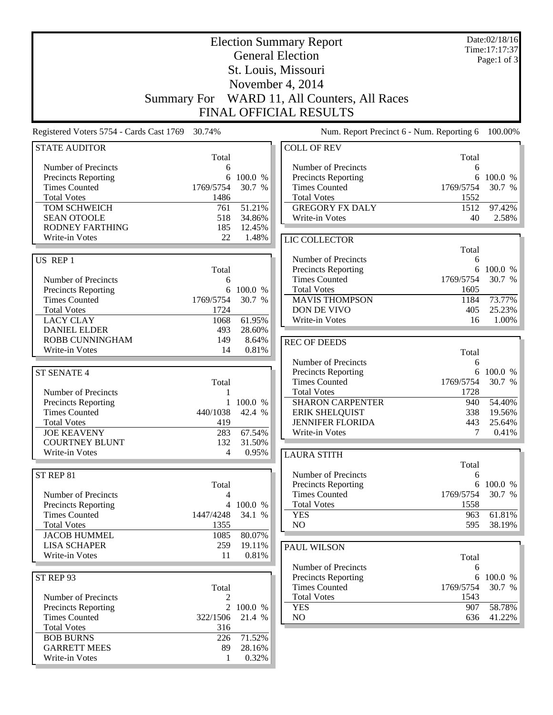|                                                    | <b>Election Summary Report</b> |                   |                                             |                   | Date:02/18/16<br>Time: 17:17:37 |
|----------------------------------------------------|--------------------------------|-------------------|---------------------------------------------|-------------------|---------------------------------|
|                                                    |                                |                   | <b>General Election</b>                     |                   | Page:1 of 3                     |
|                                                    |                                |                   | St. Louis, Missouri                         |                   |                                 |
|                                                    |                                |                   | November 4, 2014                            |                   |                                 |
|                                                    | <b>Summary For</b>             |                   | WARD 11, All Counters, All Races            |                   |                                 |
|                                                    |                                |                   | <b>FINAL OFFICIAL RESULTS</b>               |                   |                                 |
| Registered Voters 5754 - Cards Cast 1769 30.74%    |                                |                   | Num. Report Precinct 6 - Num. Reporting 6   |                   | 100.00%                         |
| <b>STATE AUDITOR</b>                               |                                |                   | <b>COLL OF REV</b>                          |                   |                                 |
|                                                    | Total                          |                   |                                             | Total             |                                 |
| Number of Precincts                                | 6                              |                   | Number of Precincts                         | 6                 |                                 |
| <b>Precincts Reporting</b><br><b>Times Counted</b> | 6<br>1769/5754                 | 100.0 %<br>30.7 % | Precincts Reporting<br><b>Times Counted</b> | 6<br>1769/5754    | 100.0 %<br>30.7 %               |
| <b>Total Votes</b>                                 | 1486                           |                   | <b>Total Votes</b>                          | 1552              |                                 |
| TOM SCHWEICH                                       | 761                            | 51.21%            | <b>GREGORY FX DALY</b>                      | 1512              | 97.42%                          |
| <b>SEAN OTOOLE</b>                                 | 518                            | 34.86%            | Write-in Votes                              | 40                | 2.58%                           |
| <b>RODNEY FARTHING</b>                             | 185                            | 12.45%            |                                             |                   |                                 |
| Write-in Votes                                     | 22                             | 1.48%             | LIC COLLECTOR                               |                   |                                 |
|                                                    |                                |                   |                                             | Total             |                                 |
| US REP 1                                           |                                |                   | Number of Precincts                         | 6                 |                                 |
|                                                    | Total                          |                   | Precincts Reporting                         | 6                 | 100.0 %                         |
| Number of Precincts                                | 6                              |                   | <b>Times Counted</b>                        | 1769/5754         | 30.7 %                          |
| Precincts Reporting                                | 6                              | 100.0 %           | <b>Total Votes</b>                          | 1605              |                                 |
| <b>Times Counted</b>                               | 1769/5754                      | 30.7 %            | <b>MAVIS THOMPSON</b>                       | 1184              | 73.77%                          |
| <b>Total Votes</b>                                 | 1724                           |                   | DON DE VIVO                                 | 405               | 25.23%                          |
| <b>LACY CLAY</b><br><b>DANIEL ELDER</b>            | 1068<br>493                    | 61.95%<br>28.60%  | Write-in Votes                              | 16                | $1.00\%$                        |
| ROBB CUNNINGHAM                                    | 149                            | 8.64%             |                                             |                   |                                 |
| Write-in Votes                                     | 14                             | 0.81%             | <b>REC OF DEEDS</b>                         |                   |                                 |
|                                                    |                                |                   | Number of Precincts                         | Total<br>6        |                                 |
| <b>ST SENATE 4</b>                                 |                                |                   | Precincts Reporting                         | 6                 | 100.0 %                         |
|                                                    | Total                          |                   | <b>Times Counted</b>                        | 1769/5754         | 30.7 %                          |
| Number of Precincts                                | 1                              |                   | <b>Total Votes</b>                          | 1728              |                                 |
| Precincts Reporting                                |                                | 100.0 %           | <b>SHARON CARPENTER</b>                     | 940               | 54.40%                          |
| <b>Times Counted</b>                               | 440/1038                       | 42.4 %            | <b>ERIK SHELQUIST</b>                       | 338               | 19.56%                          |
| <b>Total Votes</b>                                 | 419                            |                   | <b>JENNIFER FLORIDA</b>                     | 443               | 25.64%                          |
| <b>JOE KEAVENY</b>                                 | 283                            | 67.54%            | Write-in Votes                              | 7                 | 0.41%                           |
| <b>COURTNEY BLUNT</b>                              | 132                            | 31.50%            |                                             |                   |                                 |
| Write-in Votes                                     | 4                              | 0.95%             | <b>LAURA STITH</b>                          |                   |                                 |
|                                                    |                                |                   |                                             | Total             |                                 |
| ST REP 81                                          |                                |                   | Number of Precincts                         | 6                 |                                 |
|                                                    | Total                          |                   | Precincts Reporting                         | 6                 | 100.0 %                         |
| Number of Precincts<br><b>Precincts Reporting</b>  | 4                              | 4 100.0 %         | <b>Times Counted</b><br><b>Total Votes</b>  | 1769/5754<br>1558 | 30.7 %                          |
| <b>Times Counted</b>                               | 1447/4248                      | 34.1 %            | <b>YES</b>                                  | 963               | 61.81%                          |
| <b>Total Votes</b>                                 | 1355                           |                   | N <sub>O</sub>                              | 595               | 38.19%                          |
| <b>JACOB HUMMEL</b>                                | 1085                           | 80.07%            |                                             |                   |                                 |
| <b>LISA SCHAPER</b>                                | 259                            | 19.11%            | <b>PAUL WILSON</b>                          |                   |                                 |
| Write-in Votes                                     | 11                             | 0.81%             |                                             | Total             |                                 |
|                                                    |                                |                   | Number of Precincts                         | 6                 |                                 |
| ST REP 93                                          |                                |                   | Precincts Reporting                         | 6                 | 100.0 %                         |
|                                                    | Total                          |                   | <b>Times Counted</b>                        | 1769/5754         | 30.7 %                          |
| Number of Precincts                                | 2                              |                   | <b>Total Votes</b>                          | 1543              |                                 |
| <b>Precincts Reporting</b>                         |                                | 2 100.0 %         | <b>YES</b>                                  | 907               | 58.78%                          |
| <b>Times Counted</b>                               | 322/1506                       | 21.4 %            | NO                                          | 636               | $41.22\%$                       |
| <b>Total Votes</b>                                 | 316                            |                   |                                             |                   |                                 |
| <b>BOB BURNS</b>                                   | 226                            | 71.52%            |                                             |                   |                                 |
| <b>GARRETT MEES</b>                                | 89                             | 28.16%            |                                             |                   |                                 |
| Write-in Votes                                     | 1                              | 0.32%             |                                             |                   |                                 |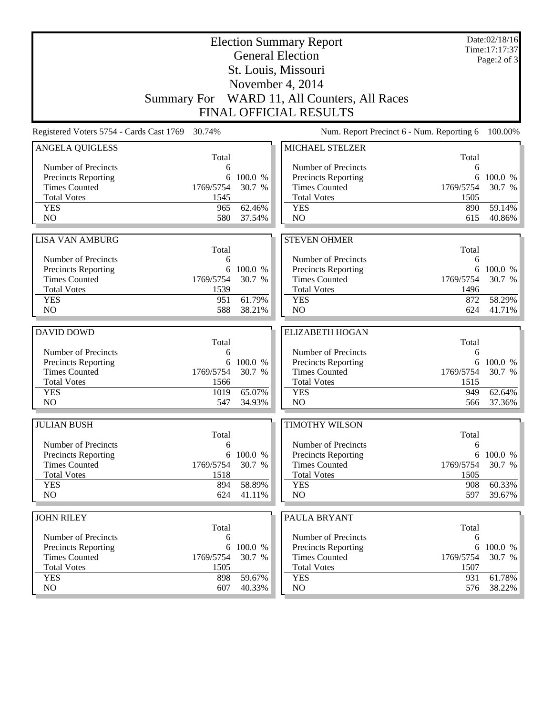|                                                    | <b>Election Summary Report</b><br><b>General Election</b> |                   |                                                    |            | Date:02/18/16<br>Time: 17:17:37<br>Page: $2$ of $3$ |
|----------------------------------------------------|-----------------------------------------------------------|-------------------|----------------------------------------------------|------------|-----------------------------------------------------|
|                                                    |                                                           |                   | St. Louis, Missouri                                |            |                                                     |
|                                                    |                                                           |                   | November 4, 2014                                   |            |                                                     |
|                                                    | <b>Summary For</b>                                        |                   | WARD 11, All Counters, All Races                   |            |                                                     |
|                                                    |                                                           |                   | <b>FINAL OFFICIAL RESULTS</b>                      |            |                                                     |
| Registered Voters 5754 - Cards Cast 1769           | 30.74%                                                    |                   | Num. Report Precinct 6 - Num. Reporting 6          |            | 100.00%                                             |
| <b>ANGELA QUIGLESS</b>                             |                                                           |                   | MICHAEL STELZER                                    |            |                                                     |
| Number of Precincts                                | Total<br>6                                                |                   | Number of Precincts                                | Total<br>6 |                                                     |
| <b>Precincts Reporting</b>                         | 6                                                         | 100.0 %           | <b>Precincts Reporting</b>                         | 6          | 100.0 %                                             |
| <b>Times Counted</b>                               | 1769/5754                                                 | 30.7 %            | <b>Times Counted</b>                               | 1769/5754  | 30.7 %                                              |
| <b>Total Votes</b>                                 | 1545                                                      |                   | <b>Total Votes</b>                                 | 1505       |                                                     |
| <b>YES</b>                                         | 965                                                       | 62.46%            | <b>YES</b>                                         | 890        | 59.14%                                              |
| NO                                                 | 580                                                       | 37.54%            | NO                                                 | 615        | 40.86%                                              |
| <b>LISA VAN AMBURG</b>                             |                                                           |                   | <b>STEVEN OHMER</b>                                |            |                                                     |
|                                                    | Total                                                     |                   |                                                    | Total      |                                                     |
| Number of Precincts                                | 6                                                         |                   | Number of Precincts                                | 6          |                                                     |
| <b>Precincts Reporting</b>                         | 6                                                         | 100.0 %           | Precincts Reporting                                | 6          | 100.0 %                                             |
| <b>Times Counted</b>                               | 1769/5754                                                 | 30.7 %            | <b>Times Counted</b>                               | 1769/5754  | 30.7 %                                              |
| <b>Total Votes</b>                                 | 1539                                                      |                   | <b>Total Votes</b>                                 | 1496       |                                                     |
| <b>YES</b>                                         | 951                                                       | 61.79%            | <b>YES</b>                                         | 872        | 58.29%                                              |
| NO                                                 | 588                                                       | 38.21%            | N <sub>O</sub>                                     | 624        | 41.71%                                              |
| <b>DAVID DOWD</b>                                  |                                                           |                   | <b>ELIZABETH HOGAN</b>                             |            |                                                     |
|                                                    | Total                                                     |                   |                                                    | Total      |                                                     |
| Number of Precincts                                | 6                                                         |                   | Number of Precincts                                | 6          |                                                     |
| <b>Precincts Reporting</b>                         | 6                                                         | 100.0 %           | Precincts Reporting                                | 6          | 100.0 %                                             |
| <b>Times Counted</b>                               | 1769/5754                                                 | 30.7 %            | <b>Times Counted</b>                               | 1769/5754  | 30.7 %                                              |
| <b>Total Votes</b>                                 | 1566                                                      |                   | <b>Total Votes</b>                                 | 1515       |                                                     |
| <b>YES</b>                                         | 1019<br>547                                               | 65.07%            | <b>YES</b>                                         | 949        | 62.64%                                              |
| N <sub>O</sub>                                     |                                                           |                   |                                                    |            |                                                     |
|                                                    |                                                           | 34.93%            | NO                                                 | 566        | 37.36%                                              |
| <b>JULIAN BUSH</b>                                 |                                                           |                   | <b>TIMOTHY WILSON</b>                              |            |                                                     |
|                                                    | Total                                                     |                   |                                                    | Total      |                                                     |
| Number of Precincts                                | 6                                                         |                   | Number of Precincts                                | 6          |                                                     |
| <b>Precincts Reporting</b>                         |                                                           | 6 100.0 %         | Precincts Reporting                                | 6          | 100.0 %                                             |
| <b>Times Counted</b>                               | 1769/5754                                                 | 30.7 %            | <b>Times Counted</b>                               | 1769/5754  | 30.7 %                                              |
| <b>Total Votes</b>                                 | 1518                                                      |                   | <b>Total Votes</b>                                 | 1505       |                                                     |
| <b>YES</b><br>NO                                   | 894<br>624                                                | 58.89%<br>41.11%  | <b>YES</b><br>NO                                   | 908<br>597 | 60.33%<br>39.67%                                    |
|                                                    |                                                           |                   |                                                    |            |                                                     |
| <b>JOHN RILEY</b>                                  |                                                           |                   | PAULA BRYANT                                       |            |                                                     |
|                                                    | Total                                                     |                   |                                                    | Total      |                                                     |
| Number of Precincts                                | 6<br>6                                                    |                   | Number of Precincts                                | 6<br>6     |                                                     |
| <b>Precincts Reporting</b><br><b>Times Counted</b> | 1769/5754                                                 | 100.0 %<br>30.7 % | <b>Precincts Reporting</b><br><b>Times Counted</b> | 1769/5754  | 100.0 %<br>30.7 %                                   |
| <b>Total Votes</b>                                 | 1505                                                      |                   | <b>Total Votes</b>                                 | 1507       |                                                     |
| <b>YES</b><br>NO                                   | 898<br>607                                                | 59.67%<br>40.33%  | <b>YES</b><br>NO                                   | 931<br>576 | 61.78%<br>38.22%                                    |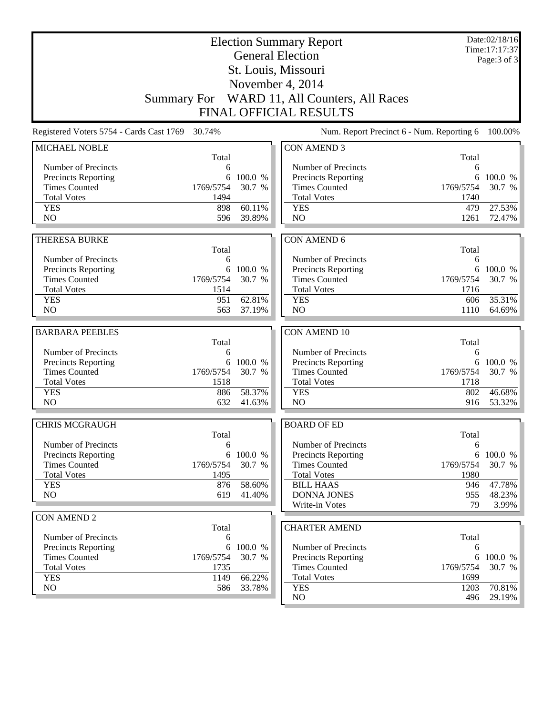| <b>Election Summary Report</b><br><b>General Election</b> |                    |           |                                           |            | Date:02/18/16<br>Time: 17:17:37<br>Page:3 of 3 |  |  |
|-----------------------------------------------------------|--------------------|-----------|-------------------------------------------|------------|------------------------------------------------|--|--|
|                                                           |                    |           | St. Louis, Missouri                       |            |                                                |  |  |
|                                                           |                    |           | November 4, 2014                          |            |                                                |  |  |
|                                                           | <b>Summary For</b> |           | WARD 11, All Counters, All Races          |            |                                                |  |  |
|                                                           |                    |           |                                           |            |                                                |  |  |
| <b>FINAL OFFICIAL RESULTS</b>                             |                    |           |                                           |            |                                                |  |  |
| Registered Voters 5754 - Cards Cast 1769                  | 30.74%             |           | Num. Report Precinct 6 - Num. Reporting 6 |            | 100.00%                                        |  |  |
| MICHAEL NOBLE                                             |                    |           | <b>CON AMEND 3</b>                        |            |                                                |  |  |
| Number of Precincts                                       | Total<br>6         |           | Number of Precincts                       | Total<br>6 |                                                |  |  |
| <b>Precincts Reporting</b>                                | 6                  | 100.0 %   | Precincts Reporting                       | 6          | 100.0 %                                        |  |  |
| <b>Times Counted</b>                                      | 1769/5754          | 30.7 %    | <b>Times Counted</b>                      | 1769/5754  | 30.7 %                                         |  |  |
| <b>Total Votes</b>                                        | 1494               |           | <b>Total Votes</b>                        | 1740       |                                                |  |  |
| <b>YES</b>                                                | 898                | 60.11%    | <b>YES</b>                                | 479        | 27.53%                                         |  |  |
| N <sub>O</sub>                                            | 596                | 39.89%    | N <sub>O</sub>                            | 1261       | 72.47%                                         |  |  |
|                                                           |                    |           |                                           |            |                                                |  |  |
| <b>THERESA BURKE</b>                                      | Total              |           | <b>CON AMEND 6</b>                        | Total      |                                                |  |  |
| Number of Precincts                                       | 6                  |           | Number of Precincts                       | 6          |                                                |  |  |
| <b>Precincts Reporting</b>                                | 6                  | 100.0 %   | Precincts Reporting                       | 6          | 100.0 %                                        |  |  |
| <b>Times Counted</b>                                      | 1769/5754          | 30.7 %    | <b>Times Counted</b>                      | 1769/5754  | 30.7 %                                         |  |  |
| <b>Total Votes</b>                                        | 1514               |           | <b>Total Votes</b>                        | 1716       |                                                |  |  |
| <b>YES</b>                                                | 951                | 62.81%    | <b>YES</b>                                | 606        | 35.31%                                         |  |  |
| N <sub>O</sub>                                            | 563                | 37.19%    | N <sub>O</sub>                            | 1110       | 64.69%                                         |  |  |
|                                                           |                    |           |                                           |            |                                                |  |  |
| <b>BARBARA PEEBLES</b>                                    | Total              |           | <b>CON AMEND 10</b>                       | Total      |                                                |  |  |
| Number of Precincts                                       | 6                  |           | Number of Precincts                       | 6          |                                                |  |  |
| Precincts Reporting                                       | 6                  | 100.0 %   | Precincts Reporting                       | 6          | 100.0 %                                        |  |  |
| <b>Times Counted</b>                                      | 1769/5754          | 30.7 %    | <b>Times Counted</b>                      | 1769/5754  | 30.7 %                                         |  |  |
| <b>Total Votes</b>                                        | 1518               |           | <b>Total Votes</b>                        | 1718       |                                                |  |  |
| <b>YES</b>                                                | 886                | 58.37%    | <b>YES</b>                                | 802        | 46.68%                                         |  |  |
| NO                                                        | 632                | 41.63%    | NO                                        | 916        | 53.32%                                         |  |  |
| <b>CHRIS MCGRAUGH</b>                                     |                    |           | <b>BOARD OF ED</b>                        |            |                                                |  |  |
|                                                           | Total              |           |                                           | Total      |                                                |  |  |
| Number of Precincts                                       | 6                  |           | Number of Precincts                       | 6          |                                                |  |  |
| Precincts Reporting                                       |                    | 6 100.0 % | Precincts Reporting                       | 6          | 100.0 %                                        |  |  |
| <b>Times Counted</b>                                      | 1769/5754          | 30.7 %    | <b>Times Counted</b>                      | 1769/5754  | 30.7 %                                         |  |  |
| <b>Total Votes</b>                                        | 1495               |           | <b>Total Votes</b>                        | 1980       |                                                |  |  |
| <b>YES</b>                                                | 876                | 58.60%    | <b>BILL HAAS</b>                          | 946        | 47.78%                                         |  |  |
| NO                                                        | 619                | 41.40%    | <b>DONNA JONES</b>                        | 955        | 48.23%                                         |  |  |
|                                                           |                    |           | Write-in Votes                            | 79         | 3.99%                                          |  |  |
| <b>CON AMEND 2</b>                                        |                    |           | <b>CHARTER AMEND</b>                      |            |                                                |  |  |
| Number of Precincts                                       | Total<br>6         |           |                                           | Total      |                                                |  |  |
| <b>Precincts Reporting</b>                                | 6                  | 100.0 %   | Number of Precincts                       | 6          |                                                |  |  |
| <b>Times Counted</b>                                      | 1769/5754          | 30.7 %    | Precincts Reporting                       | 6          | 100.0 %                                        |  |  |
| <b>Total Votes</b>                                        | 1735               |           | <b>Times Counted</b>                      | 1769/5754  | 30.7 %                                         |  |  |
| <b>YES</b>                                                | 1149               | 66.22%    | <b>Total Votes</b>                        | 1699       |                                                |  |  |
| NO                                                        | 586                | 33.78%    | <b>YES</b>                                | 1203       | 70.81%                                         |  |  |
|                                                           |                    |           | NO                                        | 496        | 29.19%                                         |  |  |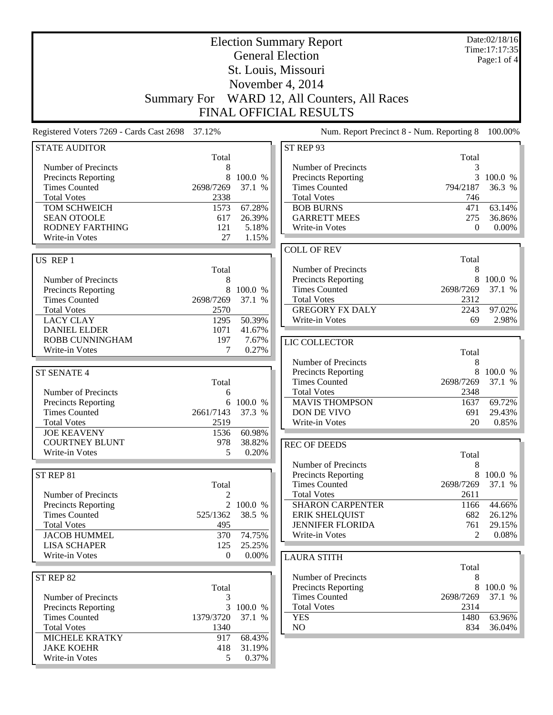|                                                 | <b>Election Summary Report</b> |           |                                            |                   | Date:02/18/16<br>Time: 17:17:35 |  |
|-------------------------------------------------|--------------------------------|-----------|--------------------------------------------|-------------------|---------------------------------|--|
|                                                 |                                |           | <b>General Election</b>                    |                   | Page:1 of 4                     |  |
|                                                 |                                |           | St. Louis, Missouri                        |                   |                                 |  |
|                                                 | November 4, 2014               |           |                                            |                   |                                 |  |
|                                                 | <b>Summary For</b>             |           | WARD 12, All Counters, All Races           |                   |                                 |  |
|                                                 |                                |           | <b>FINAL OFFICIAL RESULTS</b>              |                   |                                 |  |
| Registered Voters 7269 - Cards Cast 2698 37.12% |                                |           | Num. Report Precinct 8 - Num. Reporting 8  |                   | 100.00%                         |  |
| <b>STATE AUDITOR</b>                            |                                |           | ST REP 93                                  |                   |                                 |  |
|                                                 | Total                          |           |                                            | Total             |                                 |  |
| Number of Precincts<br>Precincts Reporting      | 8<br>8                         | 100.0 %   | Number of Precincts<br>Precincts Reporting | 3<br>3            | 100.0 %                         |  |
| <b>Times Counted</b>                            | 2698/7269                      | 37.1 %    | <b>Times Counted</b>                       | 794/2187          | 36.3 %                          |  |
| <b>Total Votes</b>                              | 2338                           |           | <b>Total Votes</b>                         | 746               |                                 |  |
| TOM SCHWEICH                                    | 1573                           | 67.28%    | <b>BOB BURNS</b>                           | 471               | 63.14%                          |  |
| <b>SEAN OTOOLE</b>                              | 617                            | 26.39%    | <b>GARRETT MEES</b>                        | 275               | 36.86%                          |  |
| RODNEY FARTHING                                 | 121                            | 5.18%     | Write-in Votes                             | $\Omega$          | $0.00\%$                        |  |
| Write-in Votes                                  | 27                             | 1.15%     |                                            |                   |                                 |  |
|                                                 |                                |           | <b>COLL OF REV</b>                         |                   |                                 |  |
| US REP 1                                        |                                |           |                                            | Total             |                                 |  |
|                                                 | Total                          |           | Number of Precincts                        | 8                 |                                 |  |
| Number of Precincts                             | 8                              |           | <b>Precincts Reporting</b>                 | 8<br>2698/7269    | 100.0 %                         |  |
| <b>Precincts Reporting</b>                      | 8                              | 100.0 %   | <b>Times Counted</b><br><b>Total Votes</b> | 2312              | 37.1 %                          |  |
| <b>Times Counted</b><br><b>Total Votes</b>      | 2698/7269<br>2570              | 37.1 %    | <b>GREGORY FX DALY</b>                     | 2243              | 97.02%                          |  |
| <b>LACY CLAY</b>                                | 1295                           | 50.39%    | Write-in Votes                             | 69                | $2.98\%$                        |  |
| <b>DANIEL ELDER</b>                             | 1071                           | 41.67%    |                                            |                   |                                 |  |
| ROBB CUNNINGHAM                                 | 197                            | 7.67%     | LIC COLLECTOR                              |                   |                                 |  |
| Write-in Votes                                  | 7                              | 0.27%     |                                            | Total             |                                 |  |
|                                                 |                                |           | Number of Precincts                        | 8                 |                                 |  |
| <b>ST SENATE 4</b>                              |                                |           | <b>Precincts Reporting</b>                 | 8                 | 100.0 %                         |  |
|                                                 | Total                          |           | <b>Times Counted</b>                       | 2698/7269         | 37.1 %                          |  |
| Number of Precincts                             | 6                              |           | <b>Total Votes</b>                         | 2348              |                                 |  |
| Precincts Reporting                             | 6                              | 100.0 %   | <b>MAVIS THOMPSON</b>                      | 1637              | 69.72%                          |  |
| <b>Times Counted</b>                            | 2661/7143                      | 37.3 %    | DON DE VIVO                                | 691               | 29.43%                          |  |
| <b>Total Votes</b>                              | 2519                           |           | Write-in Votes                             | 20                | 0.85%                           |  |
| <b>JOE KEAVENY</b>                              | 1536                           | 60.98%    |                                            |                   |                                 |  |
| <b>COURTNEY BLUNT</b>                           | 978                            | 38.82%    | <b>REC OF DEEDS</b>                        |                   |                                 |  |
| Write-in Votes                                  | 5                              | 0.20%     |                                            | Total             |                                 |  |
|                                                 |                                |           | Number of Precincts                        | 8                 |                                 |  |
| ST REP 81                                       |                                |           | <b>Precincts Reporting</b>                 | $\,8\,$           | 100.0 %                         |  |
| Number of Precincts                             | Total                          |           | <b>Times Counted</b><br><b>Total Votes</b> | 2698/7269<br>2611 | 37.1 %                          |  |
| Precincts Reporting                             | $\overline{2}$                 | 2 100.0 % | <b>SHARON CARPENTER</b>                    | 1166              | 44.66%                          |  |
| <b>Times Counted</b>                            | 525/1362                       | 38.5 %    | <b>ERIK SHELQUIST</b>                      | 682               | 26.12%                          |  |
| <b>Total Votes</b>                              | 495                            |           | <b>JENNIFER FLORIDA</b>                    | 761               | 29.15%                          |  |
| <b>JACOB HUMMEL</b>                             | 370                            | 74.75%    | Write-in Votes                             | 2                 | 0.08%                           |  |
| <b>LISA SCHAPER</b>                             | 125                            | 25.25%    |                                            |                   |                                 |  |
| Write-in Votes                                  | $\boldsymbol{0}$               | $0.00\%$  | <b>LAURA STITH</b>                         |                   |                                 |  |
|                                                 |                                |           |                                            | Total             |                                 |  |
| ST REP 82                                       |                                |           | Number of Precincts                        | 8                 |                                 |  |
|                                                 | Total                          |           | <b>Precincts Reporting</b>                 | 8                 | 100.0 %                         |  |
| Number of Precincts                             | 3                              |           | <b>Times Counted</b>                       | 2698/7269         | 37.1 %                          |  |
| <b>Precincts Reporting</b>                      | 3                              | 100.0 %   | <b>Total Votes</b>                         | 2314              |                                 |  |
| <b>Times Counted</b>                            | 1379/3720                      | 37.1 %    | <b>YES</b>                                 | 1480              | 63.96%                          |  |
| <b>Total Votes</b>                              | 1340                           |           | NO                                         | 834               | 36.04%                          |  |
| <b>MICHELE KRATKY</b>                           | 917                            | 68.43%    |                                            |                   |                                 |  |
| <b>JAKE KOEHR</b>                               | 418                            | 31.19%    |                                            |                   |                                 |  |
| Write-in Votes                                  | 5                              | 0.37%     |                                            |                   |                                 |  |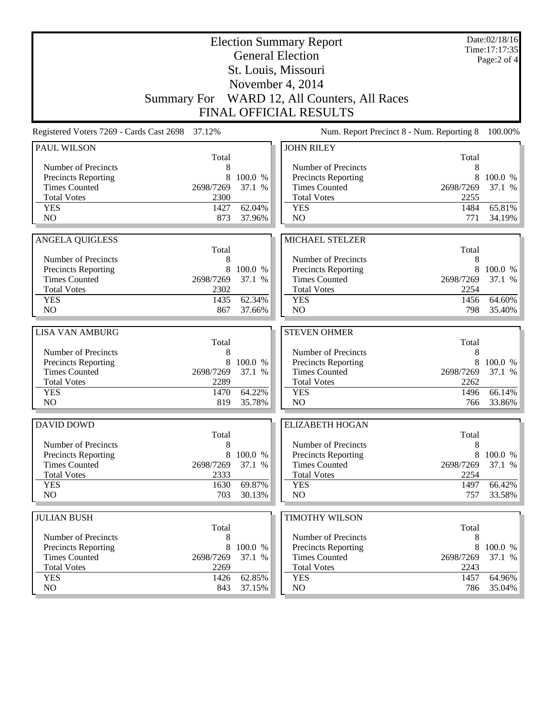| <b>Election Summary Report</b><br><b>General Election</b><br>St. Louis, Missouri |             |                  |                                              |             | Date:02/18/16<br>Time: 17:17:35<br>Page:2 of 4 |  |
|----------------------------------------------------------------------------------|-------------|------------------|----------------------------------------------|-------------|------------------------------------------------|--|
|                                                                                  |             |                  |                                              |             |                                                |  |
|                                                                                  |             |                  | November 4, 2014                             |             |                                                |  |
|                                                                                  |             |                  | Summary For WARD 12, All Counters, All Races |             |                                                |  |
| <b>FINAL OFFICIAL RESULTS</b>                                                    |             |                  |                                              |             |                                                |  |
| Registered Voters 7269 - Cards Cast 2698 37.12%                                  |             |                  | Num. Report Precinct 8 - Num. Reporting 8    |             | 100.00%                                        |  |
| PAUL WILSON                                                                      | Total       |                  | <b>JOHN RILEY</b>                            | Total       |                                                |  |
| Number of Precincts                                                              | 8           |                  | Number of Precincts                          | 8           |                                                |  |
| <b>Precincts Reporting</b>                                                       | 8           | 100.0 %          | <b>Precincts Reporting</b>                   | 8           | 100.0 %                                        |  |
| <b>Times Counted</b>                                                             | 2698/7269   | 37.1 %           | <b>Times Counted</b>                         | 2698/7269   | 37.1 %                                         |  |
| <b>Total Votes</b>                                                               | 2300        |                  | <b>Total Votes</b>                           | 2255        |                                                |  |
| <b>YES</b>                                                                       | 1427        | 62.04%           | <b>YES</b>                                   | 1484        | 65.81%                                         |  |
| NO                                                                               | 873         | 37.96%           | NO                                           | 771         | 34.19%                                         |  |
| <b>ANGELA QUIGLESS</b>                                                           |             |                  | MICHAEL STELZER                              |             |                                                |  |
|                                                                                  | Total       |                  |                                              | Total       |                                                |  |
| Number of Precincts                                                              | 8           |                  | Number of Precincts                          | 8           |                                                |  |
| Precincts Reporting                                                              | 8           | 100.0 %          | Precincts Reporting                          | 8           | 100.0 %                                        |  |
| <b>Times Counted</b>                                                             | 2698/7269   | 37.1 %           | <b>Times Counted</b>                         | 2698/7269   | 37.1 %                                         |  |
| <b>Total Votes</b>                                                               | 2302        |                  | <b>Total Votes</b>                           | 2254        |                                                |  |
| <b>YES</b>                                                                       | 1435        | 62.34%           | <b>YES</b>                                   | 1456        | 64.60%                                         |  |
| NO                                                                               | 867         | 37.66%           | N <sub>O</sub>                               | 798         | 35.40%                                         |  |
| <b>LISA VAN AMBURG</b>                                                           |             |                  |                                              |             |                                                |  |
|                                                                                  | Total       |                  | <b>STEVEN OHMER</b>                          | Total       |                                                |  |
| Number of Precincts                                                              | 8           |                  | Number of Precincts                          |             |                                                |  |
| Precincts Reporting                                                              |             |                  |                                              | 8           |                                                |  |
|                                                                                  | 8           | 100.0 %          |                                              | 8           | 100.0 %                                        |  |
| <b>Times Counted</b>                                                             | 2698/7269   | 37.1 %           | Precincts Reporting<br><b>Times Counted</b>  | 2698/7269   |                                                |  |
| <b>Total Votes</b>                                                               | 2289        |                  | <b>Total Votes</b>                           | 2262        | 37.1 %                                         |  |
| <b>YES</b>                                                                       | 1470        | 64.22%           | <b>YES</b>                                   | 1496        | 66.14%                                         |  |
| N <sub>O</sub>                                                                   | 819         | 35.78%           | NO                                           | 766         | 33.86%                                         |  |
|                                                                                  |             |                  |                                              |             |                                                |  |
| <b>DAVID DOWD</b>                                                                |             |                  | <b>ELIZABETH HOGAN</b>                       |             |                                                |  |
| Number of Precincts                                                              | Total<br>8  |                  | Number of Precincts                          | Total<br>8  |                                                |  |
| <b>Precincts Reporting</b>                                                       | 8           | 100.0 %          | <b>Precincts Reporting</b>                   | 8           |                                                |  |
| <b>Times Counted</b>                                                             | 2698/7269   | 37.1 %           | <b>Times Counted</b>                         | 2698/7269   |                                                |  |
| <b>Total Votes</b>                                                               | 2333        |                  | <b>Total Votes</b>                           | 2254        |                                                |  |
| <b>YES</b>                                                                       | 1630        | 69.87%           | <b>YES</b>                                   | 1497        | 100.0 %<br>37.1 %<br>66.42%                    |  |
| NO                                                                               | 703         | 30.13%           | NO                                           | 757         | 33.58%                                         |  |
|                                                                                  |             |                  |                                              |             |                                                |  |
| <b>JULIAN BUSH</b>                                                               |             |                  | TIMOTHY WILSON                               |             |                                                |  |
| Number of Precincts                                                              | Total<br>8  |                  | Number of Precincts                          | Total<br>8  |                                                |  |
| <b>Precincts Reporting</b>                                                       | 8           | 100.0 %          | <b>Precincts Reporting</b>                   | 8           | 100.0 %                                        |  |
| <b>Times Counted</b>                                                             | 2698/7269   | 37.1 %           | <b>Times Counted</b>                         | 2698/7269   | 37.1 %                                         |  |
| <b>Total Votes</b>                                                               | 2269        |                  | <b>Total Votes</b>                           | 2243        |                                                |  |
| <b>YES</b><br>NO                                                                 | 1426<br>843 | 62.85%<br>37.15% | <b>YES</b><br>NO                             | 1457<br>786 | 64.96%<br>$35.04\%$                            |  |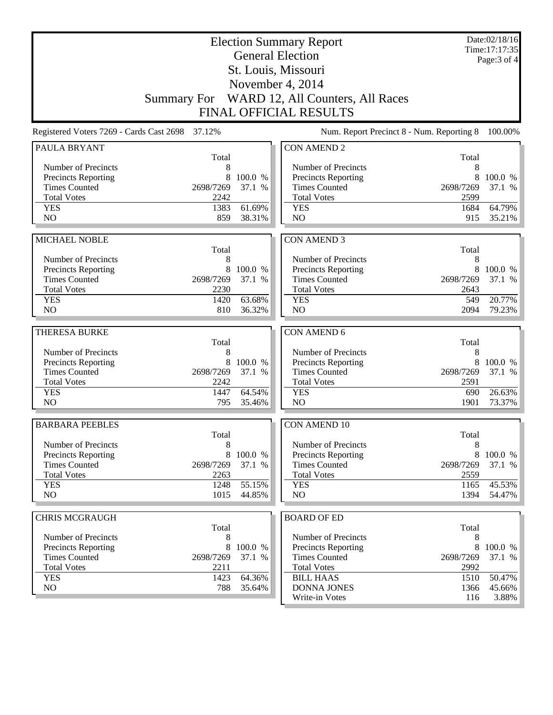| <b>Election Summary Report</b><br><b>General Election</b> |                   |         |                                              |                   | Date:02/18/16<br>Time: 17:17:35<br>Page: 3 of 4 |
|-----------------------------------------------------------|-------------------|---------|----------------------------------------------|-------------------|-------------------------------------------------|
|                                                           |                   |         | St. Louis, Missouri                          |                   |                                                 |
|                                                           |                   |         | November 4, 2014                             |                   |                                                 |
|                                                           |                   |         | Summary For WARD 12, All Counters, All Races |                   |                                                 |
|                                                           |                   |         | <b>FINAL OFFICIAL RESULTS</b>                |                   |                                                 |
| Registered Voters 7269 - Cards Cast 2698                  | 37.12%            |         | Num. Report Precinct 8 - Num. Reporting 8    |                   | 100.00%                                         |
| PAULA BRYANT                                              | Total             |         | <b>CON AMEND 2</b>                           | Total             |                                                 |
| Number of Precincts                                       | 8                 |         | Number of Precincts                          | 8                 |                                                 |
| <b>Precincts Reporting</b>                                | 8                 | 100.0 % | <b>Precincts Reporting</b>                   | 8                 | 100.0 %                                         |
| <b>Times Counted</b>                                      | 2698/7269         | 37.1 %  | <b>Times Counted</b>                         | 2698/7269         | 37.1 %                                          |
| <b>Total Votes</b>                                        | 2242              |         | <b>Total Votes</b>                           | 2599              |                                                 |
| <b>YES</b>                                                | 1383              | 61.69%  | <b>YES</b>                                   | 1684              | 64.79%                                          |
| NO                                                        | 859               | 38.31%  | NO                                           | 915               | 35.21%                                          |
| <b>MICHAEL NOBLE</b>                                      |                   |         | <b>CON AMEND 3</b>                           |                   |                                                 |
|                                                           | Total             |         |                                              | Total             |                                                 |
| Number of Precincts                                       | 8                 |         | Number of Precincts                          | 8                 |                                                 |
| Precincts Reporting                                       | 8                 | 100.0 % | Precincts Reporting                          | 8                 | 100.0 %                                         |
| <b>Times Counted</b>                                      | 2698/7269         | 37.1 %  | <b>Times Counted</b>                         | 2698/7269         | 37.1 %                                          |
| <b>Total Votes</b>                                        | 2230              |         | <b>Total Votes</b>                           | 2643              |                                                 |
| <b>YES</b>                                                | 1420              | 63.68%  | <b>YES</b>                                   | 549               | 20.77%                                          |
| NO                                                        | 810               | 36.32%  | N <sub>O</sub>                               | 2094              | 79.23%                                          |
| <b>THERESA BURKE</b>                                      |                   |         | CON AMEND 6                                  |                   |                                                 |
|                                                           | Total             |         |                                              | Total             |                                                 |
| Number of Precincts                                       | 8                 |         | Number of Precincts                          | 8                 |                                                 |
| <b>Precincts Reporting</b>                                | 8                 | 100.0 % | Precincts Reporting                          | 8                 | 100.0 %                                         |
| <b>Times Counted</b>                                      | 2698/7269         | 37.1 %  | <b>Times Counted</b>                         | 2698/7269         | 37.1 %                                          |
| <b>Total Votes</b><br><b>YES</b>                          | 2242<br>1447      | 64.54%  | <b>Total Votes</b><br><b>YES</b>             | 2591<br>690       | 26.63%                                          |
| N <sub>O</sub>                                            | 795               | 35.46%  | NO                                           | 1901              | 73.37%                                          |
|                                                           |                   |         |                                              |                   |                                                 |
| <b>BARBARA PEEBLES</b>                                    |                   |         | <b>CON AMEND 10</b>                          |                   |                                                 |
|                                                           | Total             |         |                                              | Total             |                                                 |
| Number of Precincts                                       | 8                 |         | Number of Precincts                          | 8                 |                                                 |
| <b>Precincts Reporting</b>                                | 8                 | 100.0 % | <b>Precincts Reporting</b>                   | 8                 | 100.0 %                                         |
| <b>Times Counted</b><br><b>Total Votes</b>                | 2698/7269         | 37.1 %  | <b>Times Counted</b>                         | 2698/7269         | 37.1 %                                          |
| <b>YES</b>                                                | 2263<br>1248      | 55.15%  | <b>Total Votes</b><br><b>YES</b>             | 2559<br>1165      | 45.53%                                          |
| NO                                                        | 1015              | 44.85%  | NO                                           | 1394              | 54.47%                                          |
|                                                           |                   |         |                                              |                   |                                                 |
| <b>CHRIS MCGRAUGH</b>                                     |                   |         | <b>BOARD OF ED</b>                           |                   |                                                 |
|                                                           | Total             |         |                                              | Total             |                                                 |
| Number of Precincts                                       | 8                 |         | Number of Precincts                          | 8                 |                                                 |
| <b>Precincts Reporting</b>                                | 8                 | 100.0 % | <b>Precincts Reporting</b>                   | 8                 | 100.0 %                                         |
| <b>Times Counted</b><br><b>Total Votes</b>                | 2698/7269<br>2211 | 37.1 %  | <b>Times Counted</b><br><b>Total Votes</b>   | 2698/7269<br>2992 | 37.1 %                                          |
| <b>YES</b>                                                | 1423              | 64.36%  | <b>BILL HAAS</b>                             | 1510              | 50.47%                                          |
| NO                                                        | 788               | 35.64%  | <b>DONNA JONES</b>                           | 1366              | 45.66%                                          |
|                                                           |                   |         | Write-in Votes                               | 116               | $3.88\%$                                        |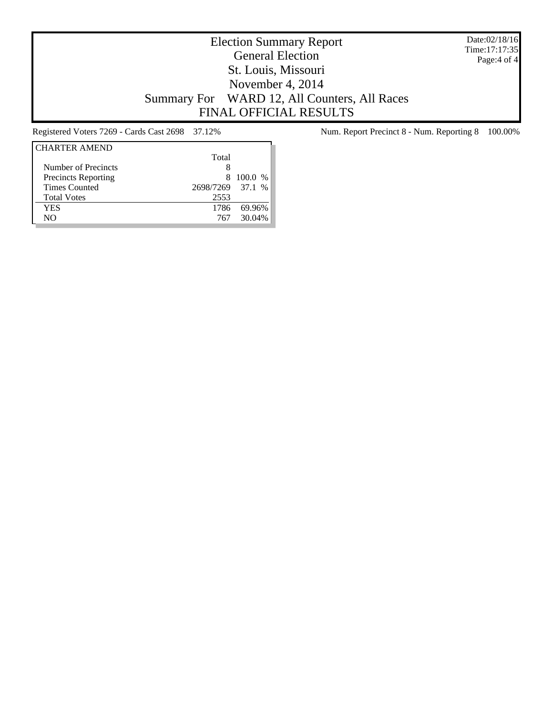Date:02/18/16 Time:17:17:35 Page:4 of 4

## Election Summary Report General Election St. Louis, Missouri November 4, 2014 Summary For WARD 12, All Counters, All Races FINAL OFFICIAL RESULTS

| <b>CHARTER AMEND</b>       |                  |            |
|----------------------------|------------------|------------|
|                            | Total            |            |
| Number of Precincts        | 8                |            |
| <b>Precincts Reporting</b> | 8                | 100.0 %    |
| Times Counted              | 2698/7269 37.1 % |            |
| <b>Total Votes</b>         | 2553             |            |
| YES                        | 1786             | 69.96%     |
| NO.                        |                  | 767 30.04% |
|                            |                  |            |

Registered Voters 7269 - Cards Cast 2698 37.12% Num. Report Precinct 8 - Num. Reporting 8 100.00%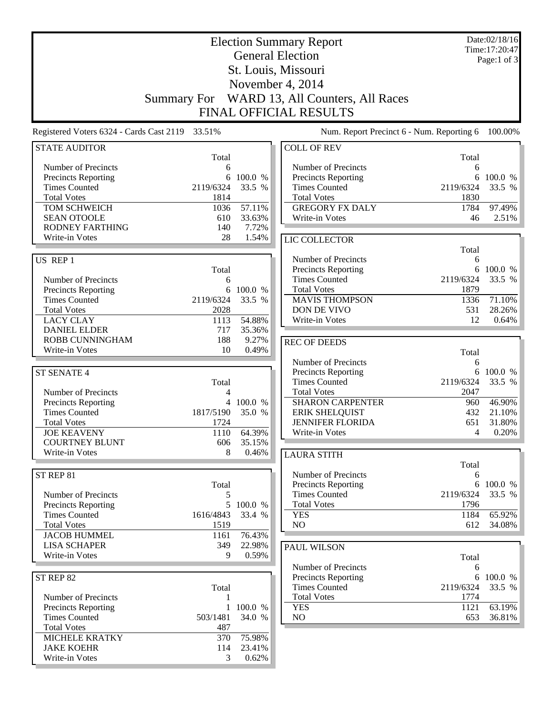|                                                 |                         | <b>Election Summary Report</b> |                                             |                |                   |
|-------------------------------------------------|-------------------------|--------------------------------|---------------------------------------------|----------------|-------------------|
|                                                 | <b>General Election</b> |                                |                                             |                |                   |
|                                                 |                         |                                | St. Louis, Missouri                         |                | Page:1 of $3$     |
|                                                 |                         |                                | November 4, 2014                            |                |                   |
|                                                 |                         |                                |                                             |                |                   |
|                                                 | <b>Summary For</b>      |                                | WARD 13, All Counters, All Races            |                |                   |
|                                                 |                         |                                | <b>FINAL OFFICIAL RESULTS</b>               |                |                   |
| Registered Voters 6324 - Cards Cast 2119 33.51% |                         |                                | Num. Report Precinct 6 - Num. Reporting 6   |                | 100.00%           |
| <b>STATE AUDITOR</b>                            |                         |                                | <b>COLL OF REV</b>                          |                |                   |
|                                                 | Total                   |                                |                                             | Total          |                   |
| Number of Precincts                             | 6                       |                                | Number of Precincts                         | 6              |                   |
| <b>Precincts Reporting</b>                      | 6                       | 100.0 %                        | Precincts Reporting                         | 6              | 100.0 %           |
| <b>Times Counted</b><br><b>Total Votes</b>      | 2119/6324<br>1814       | 33.5 %                         | <b>Times Counted</b><br><b>Total Votes</b>  | 2119/6324      | 33.5 %            |
| TOM SCHWEICH                                    | 1036                    | 57.11%                         | <b>GREGORY FX DALY</b>                      | 1830<br>1784   | 97.49%            |
| <b>SEAN OTOOLE</b>                              | 610                     | 33.63%                         | Write-in Votes                              | 46             | 2.51%             |
| <b>RODNEY FARTHING</b>                          | 140                     | 7.72%                          |                                             |                |                   |
| Write-in Votes                                  | 28                      | 1.54%                          | LIC COLLECTOR                               |                |                   |
|                                                 |                         |                                |                                             | Total          |                   |
| US REP 1                                        |                         |                                | Number of Precincts                         | 6              |                   |
|                                                 | Total                   |                                | Precincts Reporting                         |                | 6 100.0 %         |
| Number of Precincts                             | 6                       |                                | <b>Times Counted</b>                        | 2119/6324      | 33.5 %            |
| <b>Precincts Reporting</b>                      | 6                       | 100.0 %                        | <b>Total Votes</b>                          | 1879           |                   |
| <b>Times Counted</b>                            | 2119/6324               | 33.5 %                         | <b>MAVIS THOMPSON</b>                       | 1336           | 71.10%            |
| <b>Total Votes</b>                              | 2028                    |                                | DON DE VIVO                                 | 531            | 28.26%            |
| <b>LACY CLAY</b>                                | 1113                    | 54.88%                         | Write-in Votes                              | 12             | $0.64\%$          |
| <b>DANIEL ELDER</b>                             | 717                     | 35.36%                         |                                             |                |                   |
| ROBB CUNNINGHAM                                 | 188                     | 9.27%                          | <b>REC OF DEEDS</b>                         |                |                   |
| Write-in Votes                                  | 10                      | 0.49%                          |                                             | Total          |                   |
|                                                 |                         |                                | Number of Precincts                         | 6              |                   |
| <b>ST SENATE 4</b>                              |                         |                                | Precincts Reporting                         | 6              | 100.0 %           |
|                                                 | Total                   |                                | <b>Times Counted</b>                        | 2119/6324      | 33.5 %            |
| Number of Precincts                             | 4                       |                                | <b>Total Votes</b>                          | 2047           |                   |
| <b>Precincts Reporting</b>                      |                         | 4 100.0 %                      | <b>SHARON CARPENTER</b>                     | 960            | 46.90%            |
| <b>Times Counted</b>                            | 1817/5190               | 35.0 %                         | <b>ERIK SHELQUIST</b>                       | 432            | 21.10%            |
| <b>Total Votes</b>                              | 1724                    |                                | <b>JENNIFER FLORIDA</b>                     | 651            | 31.80%            |
| <b>JOE KEAVENY</b>                              | 1110                    | 64.39%                         | Write-in Votes                              | 4              | 0.20%             |
| <b>COURTNEY BLUNT</b>                           | 606                     | 35.15%                         |                                             |                |                   |
| Write-in Votes                                  | 8                       | 0.46%                          | <b>LAURA STITH</b>                          |                |                   |
|                                                 |                         |                                |                                             | Total          |                   |
| ST REP 81                                       |                         |                                | Number of Precincts                         | 6              |                   |
| Number of Precincts                             | Total                   |                                | Precincts Reporting<br><b>Times Counted</b> | 6<br>2119/6324 | 100.0 %<br>33.5 % |
| <b>Precincts Reporting</b>                      | 5<br>5                  | 100.0 %                        | <b>Total Votes</b>                          | 1796           |                   |
| <b>Times Counted</b>                            | 1616/4843               | 33.4 %                         | <b>YES</b>                                  | 1184           | 65.92%            |
| <b>Total Votes</b>                              | 1519                    |                                | NO                                          | 612            | 34.08%            |
| <b>JACOB HUMMEL</b>                             | 1161                    | 76.43%                         |                                             |                |                   |
| <b>LISA SCHAPER</b>                             | 349                     | 22.98%                         | PAUL WILSON                                 |                |                   |
| Write-in Votes                                  | 9                       | 0.59%                          |                                             | Total          |                   |
|                                                 |                         |                                | Number of Precincts                         | 6              |                   |
| ST REP 82                                       |                         |                                | <b>Precincts Reporting</b>                  | 6              | 100.0 %           |
|                                                 | Total                   |                                | <b>Times Counted</b>                        | 2119/6324      | 33.5 %            |
| Number of Precincts                             |                         |                                | <b>Total Votes</b>                          | 1774           |                   |
| <b>Precincts Reporting</b>                      |                         | 1 100.0 %                      | <b>YES</b>                                  | 1121           | 63.19%            |
| <b>Times Counted</b>                            | 503/1481                | 34.0 %                         | NO                                          | 653            | 36.81%            |
| <b>Total Votes</b>                              | 487                     |                                |                                             |                |                   |
| MICHELE KRATKY                                  | 370                     | 75.98%                         |                                             |                |                   |
| <b>JAKE KOEHR</b>                               | 114                     | 23.41%                         |                                             |                |                   |
| Write-in Votes                                  | 3                       | 0.62%                          |                                             |                |                   |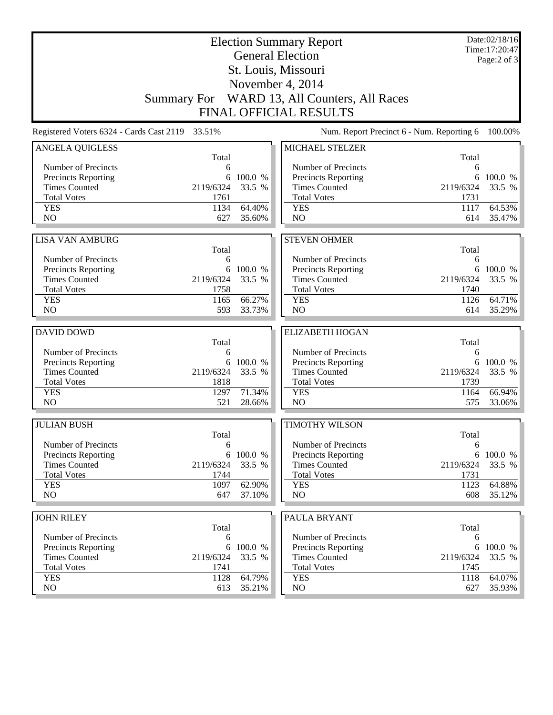| <b>Election Summary Report</b><br><b>General Election</b><br>St. Louis, Missouri |                   |           |                                              |                   | Date:02/18/16<br>Time: 17:20:47<br>Page: $2$ of $3$ |
|----------------------------------------------------------------------------------|-------------------|-----------|----------------------------------------------|-------------------|-----------------------------------------------------|
|                                                                                  |                   |           | November 4, 2014                             |                   |                                                     |
|                                                                                  |                   |           | Summary For WARD 13, All Counters, All Races |                   |                                                     |
|                                                                                  |                   |           | <b>FINAL OFFICIAL RESULTS</b>                |                   |                                                     |
| Registered Voters 6324 - Cards Cast 2119                                         | 33.51%            |           | Num. Report Precinct 6 - Num. Reporting 6    |                   | 100.00%                                             |
| <b>ANGELA QUIGLESS</b>                                                           |                   |           | <b>MICHAEL STELZER</b>                       |                   |                                                     |
| Number of Precincts                                                              | Total<br>6        |           | Number of Precincts                          | Total<br>6        |                                                     |
| <b>Precincts Reporting</b>                                                       | 6                 | 100.0 %   | <b>Precincts Reporting</b>                   | 6                 | 100.0 %                                             |
| <b>Times Counted</b>                                                             | 2119/6324         | 33.5 %    | <b>Times Counted</b>                         | 2119/6324         | 33.5 %                                              |
| <b>Total Votes</b>                                                               | 1761              |           | <b>Total Votes</b>                           | 1731              |                                                     |
| <b>YES</b>                                                                       | 1134              | 64.40%    | <b>YES</b>                                   | 1117              | 64.53%                                              |
| N <sub>O</sub>                                                                   | 627               | 35.60%    | N <sub>O</sub>                               | 614               | 35.47%                                              |
| <b>LISA VAN AMBURG</b>                                                           |                   |           | <b>STEVEN OHMER</b>                          |                   |                                                     |
|                                                                                  | Total             |           |                                              | Total             |                                                     |
| Number of Precincts                                                              | 6                 |           | Number of Precincts                          | 6                 |                                                     |
| <b>Precincts Reporting</b>                                                       | 6                 | 100.0 %   | Precincts Reporting                          | 6                 | 100.0 %                                             |
| <b>Times Counted</b>                                                             | 2119/6324         | 33.5 %    | <b>Times Counted</b>                         | 2119/6324         | 33.5 %                                              |
| <b>Total Votes</b>                                                               | 1758              |           | <b>Total Votes</b>                           | 1740              |                                                     |
| <b>YES</b>                                                                       | 1165              | 66.27%    | <b>YES</b>                                   | 1126              | 64.71%                                              |
| NO                                                                               | 593               | 33.73%    | NO                                           | 614               | 35.29%                                              |
| <b>DAVID DOWD</b>                                                                |                   |           | <b>ELIZABETH HOGAN</b>                       |                   |                                                     |
|                                                                                  | Total             |           |                                              | Total             |                                                     |
| Number of Precincts                                                              | 6                 |           | Number of Precincts                          | 6                 |                                                     |
| <b>Precincts Reporting</b>                                                       | 6                 | 100.0 %   | Precincts Reporting                          | 6                 | 100.0 %                                             |
| <b>Times Counted</b>                                                             | 2119/6324         | 33.5 %    | <b>Times Counted</b>                         | 2119/6324         | 33.5 %                                              |
| <b>Total Votes</b>                                                               | 1818              |           | <b>Total Votes</b>                           | 1739              |                                                     |
| <b>YES</b>                                                                       | 1297              | 71.34%    | <b>YES</b>                                   | 1164              | 66.94%                                              |
| N <sub>O</sub>                                                                   | 521               | 28.66%    | NO                                           | 575               | 33.06%                                              |
| <b>JULIAN BUSH</b>                                                               |                   |           | <b>TIMOTHY WILSON</b>                        |                   |                                                     |
|                                                                                  | Total             |           |                                              | Total             |                                                     |
| Number of Precincts                                                              | 6                 |           | Number of Precincts                          | 6                 |                                                     |
| <b>Precincts Reporting</b>                                                       |                   | 6 100.0 % | Precincts Reporting                          |                   | 6 100.0 %                                           |
| <b>Times Counted</b><br><b>Total Votes</b>                                       | 2119/6324         | 33.5 %    | <b>Times Counted</b><br><b>Total Votes</b>   | 2119/6324         | 33.5 %                                              |
| <b>YES</b>                                                                       | 1744<br>1097      | 62.90%    | <b>YES</b>                                   | 1731<br>1123      | 64.88%                                              |
| NO                                                                               | 647               | 37.10%    | NO                                           | 608               | $35.12\%$                                           |
|                                                                                  |                   |           |                                              |                   |                                                     |
| <b>JOHN RILEY</b>                                                                |                   |           | PAULA BRYANT                                 |                   |                                                     |
|                                                                                  | Total             |           |                                              | Total             |                                                     |
| Number of Precincts                                                              | 6                 |           | Number of Precincts                          | 6                 |                                                     |
| <b>Precincts Reporting</b>                                                       | 6                 | 100.0 %   | <b>Precincts Reporting</b>                   | 6                 | 100.0 %                                             |
| <b>Times Counted</b><br><b>Total Votes</b>                                       | 2119/6324<br>1741 | 33.5 %    | <b>Times Counted</b><br><b>Total Votes</b>   | 2119/6324<br>1745 | 33.5 %                                              |
| <b>YES</b>                                                                       | 1128              | 64.79%    | <b>YES</b>                                   | 1118              | 64.07%                                              |
|                                                                                  |                   |           |                                              |                   |                                                     |
| NO.                                                                              | 613               | 35.21%    | NO                                           | 627               | 35.93%                                              |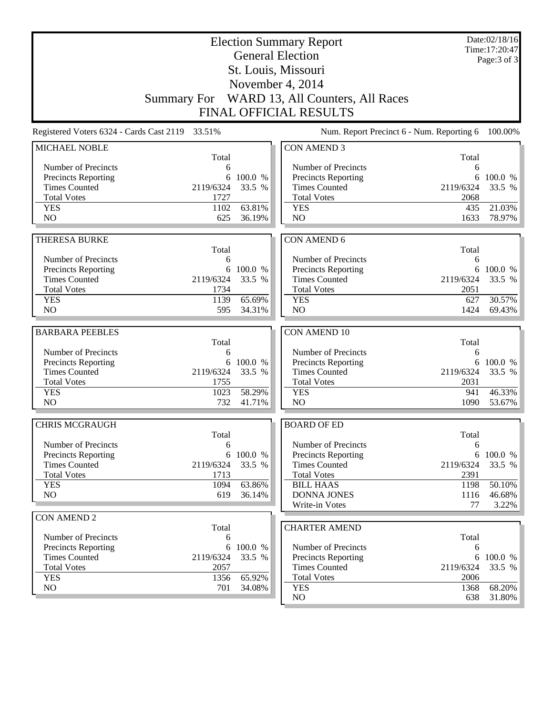| <b>Election Summary Report</b><br><b>General Election</b> |                                                                                              |                   |                                              |                | Date:02/18/16<br>Time: 17:20:47<br>Page: 3 of 3 |  |
|-----------------------------------------------------------|----------------------------------------------------------------------------------------------|-------------------|----------------------------------------------|----------------|-------------------------------------------------|--|
|                                                           |                                                                                              |                   | St. Louis, Missouri                          |                |                                                 |  |
|                                                           |                                                                                              |                   | November 4, 2014                             |                |                                                 |  |
|                                                           |                                                                                              |                   | Summary For WARD 13, All Counters, All Races |                |                                                 |  |
|                                                           |                                                                                              |                   | <b>FINAL OFFICIAL RESULTS</b>                |                |                                                 |  |
|                                                           | Registered Voters 6324 - Cards Cast 2119 33.51%<br>Num. Report Precinct 6 - Num. Reporting 6 |                   |                                              |                |                                                 |  |
| MICHAEL NOBLE                                             |                                                                                              |                   | <b>CON AMEND 3</b>                           |                |                                                 |  |
| Number of Precincts                                       | Total<br>6                                                                                   |                   | Number of Precincts                          | Total<br>6     |                                                 |  |
| <b>Precincts Reporting</b>                                | 6                                                                                            | 100.0 %           | <b>Precincts Reporting</b>                   | 6              | 100.0 %                                         |  |
| <b>Times Counted</b>                                      | 2119/6324                                                                                    | 33.5 %            | <b>Times Counted</b>                         | 2119/6324      | 33.5 %                                          |  |
| <b>Total Votes</b>                                        | 1727                                                                                         |                   | <b>Total Votes</b>                           | 2068           |                                                 |  |
| <b>YES</b>                                                | 1102                                                                                         | 63.81%            | <b>YES</b>                                   | 435            | 21.03%                                          |  |
| N <sub>O</sub>                                            | 625                                                                                          | 36.19%            | NO                                           | 1633           | 78.97%                                          |  |
| <b>THERESA BURKE</b>                                      |                                                                                              |                   | <b>CON AMEND 6</b>                           |                |                                                 |  |
|                                                           | Total                                                                                        |                   |                                              | Total          |                                                 |  |
| Number of Precincts                                       | 6                                                                                            |                   | Number of Precincts                          | 6              |                                                 |  |
| Precincts Reporting                                       | 6                                                                                            | 100.0 %           | Precincts Reporting                          | 6              | 100.0 %                                         |  |
| <b>Times Counted</b>                                      | 2119/6324                                                                                    | 33.5 %            | <b>Times Counted</b>                         | 2119/6324      | 33.5 %                                          |  |
| <b>Total Votes</b>                                        | 1734                                                                                         |                   | <b>Total Votes</b>                           | 2051           |                                                 |  |
| <b>YES</b>                                                | 1139                                                                                         | 65.69%            | <b>YES</b>                                   | 627            | 30.57%                                          |  |
| NO                                                        | 595                                                                                          | 34.31%            | N <sub>O</sub>                               | 1424           | 69.43%                                          |  |
| <b>BARBARA PEEBLES</b>                                    |                                                                                              |                   | <b>CON AMEND 10</b>                          |                |                                                 |  |
|                                                           | Total                                                                                        |                   |                                              | Total          |                                                 |  |
| Number of Precincts                                       | 6                                                                                            |                   | Number of Precincts                          | 6              |                                                 |  |
| <b>Precincts Reporting</b><br><b>Times Counted</b>        | 6<br>2119/6324                                                                               | 100.0 %<br>33.5 % | Precincts Reporting<br><b>Times Counted</b>  | 6<br>2119/6324 | 100.0 %                                         |  |
| <b>Total Votes</b>                                        | 1755                                                                                         |                   | <b>Total Votes</b>                           | 2031           | 33.5 %                                          |  |
| <b>YES</b>                                                | 1023                                                                                         | 58.29%            | <b>YES</b>                                   | 941            | 46.33%                                          |  |
| N <sub>O</sub>                                            | 732                                                                                          | 41.71%            | NO                                           | 1090           | 53.67%                                          |  |
|                                                           |                                                                                              |                   |                                              |                |                                                 |  |
| <b>CHRIS MCGRAUGH</b>                                     |                                                                                              |                   | <b>BOARD OF ED</b>                           |                |                                                 |  |
| Number of Precincts                                       | Total<br>6                                                                                   |                   | Number of Precincts                          | Total<br>6     |                                                 |  |
| <b>Precincts Reporting</b>                                |                                                                                              | 6 100.0 %         | Precincts Reporting                          | 6              | 100.0 %                                         |  |
| <b>Times Counted</b>                                      | 2119/6324                                                                                    | 33.5 %            | <b>Times Counted</b>                         | 2119/6324      | 33.5 %                                          |  |
| <b>Total Votes</b>                                        | 1713                                                                                         |                   | <b>Total Votes</b>                           | 2391           |                                                 |  |
| <b>YES</b>                                                | 1094                                                                                         | 63.86%            | <b>BILL HAAS</b>                             | 1198           | 50.10%                                          |  |
| NO                                                        | 619                                                                                          | 36.14%            | <b>DONNA JONES</b>                           | 1116           | 46.68%                                          |  |
|                                                           |                                                                                              |                   | Write-in Votes                               | 77             | 3.22%                                           |  |
| <b>CON AMEND 2</b>                                        | Total                                                                                        |                   | <b>CHARTER AMEND</b>                         |                |                                                 |  |
| Number of Precincts                                       | 6                                                                                            |                   |                                              | Total          |                                                 |  |
| <b>Precincts Reporting</b>                                |                                                                                              | 6 100.0 %         | Number of Precincts                          | 6              |                                                 |  |
| <b>Times Counted</b>                                      | 2119/6324                                                                                    | 33.5 %            | Precincts Reporting                          | 6              | 100.0 %                                         |  |
| <b>Total Votes</b>                                        | 2057                                                                                         |                   | <b>Times Counted</b>                         | 2119/6324      | 33.5 %                                          |  |
| <b>YES</b>                                                | 1356                                                                                         | 65.92%            | <b>Total Votes</b>                           | 2006           |                                                 |  |
| NO                                                        | 701                                                                                          | 34.08%            | <b>YES</b>                                   | 1368           | 68.20%                                          |  |
|                                                           |                                                                                              |                   | NO                                           | 638            | $31.80\%$                                       |  |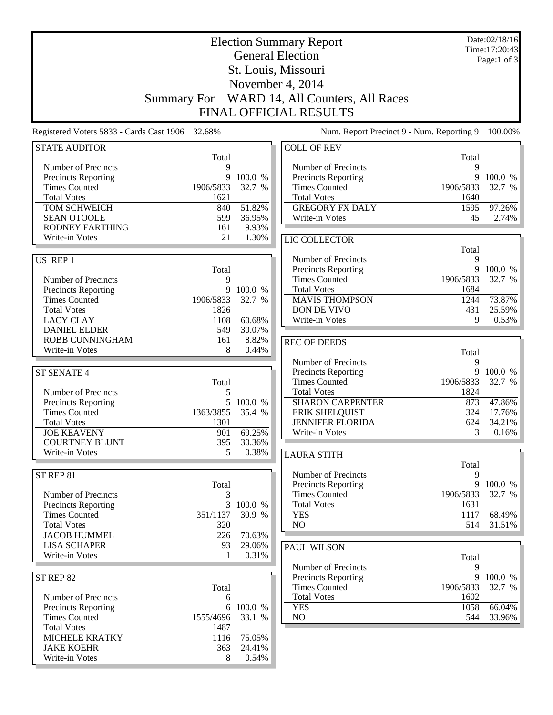|                                                    |                    |                   | <b>Election Summary Report</b>              |                   | Date:02/18/16<br>Time: 17:20:43 |
|----------------------------------------------------|--------------------|-------------------|---------------------------------------------|-------------------|---------------------------------|
| <b>General Election</b>                            |                    |                   |                                             |                   | Page:1 of $3$                   |
|                                                    |                    |                   | St. Louis, Missouri                         |                   |                                 |
|                                                    |                    |                   | November 4, 2014                            |                   |                                 |
|                                                    |                    |                   | WARD 14, All Counters, All Races            |                   |                                 |
|                                                    | <b>Summary For</b> |                   |                                             |                   |                                 |
|                                                    |                    |                   | <b>FINAL OFFICIAL RESULTS</b>               |                   |                                 |
| Registered Voters 5833 - Cards Cast 1906 32.68%    |                    |                   | Num. Report Precinct 9 - Num. Reporting 9   |                   | 100.00%                         |
| <b>STATE AUDITOR</b>                               |                    |                   | <b>COLL OF REV</b>                          |                   |                                 |
|                                                    | Total              |                   |                                             | Total             |                                 |
| Number of Precincts                                | 9                  |                   | Number of Precincts                         | 9                 |                                 |
| <b>Precincts Reporting</b><br><b>Times Counted</b> | 9<br>1906/5833     | 100.0 %<br>32.7 % | Precincts Reporting<br><b>Times Counted</b> | 9<br>1906/5833    | 100.0 %<br>32.7 %               |
| <b>Total Votes</b>                                 | 1621               |                   | <b>Total Votes</b>                          | 1640              |                                 |
| TOM SCHWEICH                                       | 840                | 51.82%            | <b>GREGORY FX DALY</b>                      | 1595              | 97.26%                          |
| <b>SEAN OTOOLE</b>                                 | 599                | 36.95%            | Write-in Votes                              | 45                | 2.74%                           |
| <b>RODNEY FARTHING</b>                             | 161                | 9.93%             |                                             |                   |                                 |
| Write-in Votes                                     | 21                 | 1.30%             | LIC COLLECTOR                               |                   |                                 |
|                                                    |                    |                   |                                             | Total             |                                 |
| US REP 1                                           |                    |                   | Number of Precincts                         | 9                 |                                 |
|                                                    | Total              |                   | <b>Precincts Reporting</b>                  | 9                 | 100.0 %                         |
| Number of Precincts                                | 9                  |                   | <b>Times Counted</b>                        | 1906/5833         | 32.7 %                          |
| Precincts Reporting                                | 9                  | 100.0 %           | <b>Total Votes</b>                          | 1684              |                                 |
| <b>Times Counted</b>                               | 1906/5833          | 32.7 %            | <b>MAVIS THOMPSON</b>                       | 1244              | 73.87%                          |
| <b>Total Votes</b>                                 | 1826               |                   | DON DE VIVO                                 | 431               | 25.59%                          |
| <b>LACY CLAY</b>                                   | 1108               | 60.68%            | Write-in Votes                              | 9                 | 0.53%                           |
| <b>DANIEL ELDER</b>                                | 549                | 30.07%            |                                             |                   |                                 |
| ROBB CUNNINGHAM<br>Write-in Votes                  | 161<br>8           | 8.82%<br>0.44%    | <b>REC OF DEEDS</b>                         |                   |                                 |
|                                                    |                    |                   | Number of Precincts                         | Total<br>9        |                                 |
| ST SENATE 4                                        |                    |                   | Precincts Reporting                         | 9                 | 100.0 %                         |
|                                                    | Total              |                   | <b>Times Counted</b>                        | 1906/5833         | 32.7 %                          |
| Number of Precincts                                | 5                  |                   | <b>Total Votes</b>                          | 1824              |                                 |
| <b>Precincts Reporting</b>                         |                    | 5 100.0 %         | <b>SHARON CARPENTER</b>                     | 873               | 47.86%                          |
| <b>Times Counted</b>                               | 1363/3855          | 35.4 %            | <b>ERIK SHELQUIST</b>                       | 324               | 17.76%                          |
| <b>Total Votes</b>                                 | 1301               |                   | <b>JENNIFER FLORIDA</b>                     | 624               | 34.21%                          |
| <b>JOE KEAVENY</b>                                 | 901                | 69.25%            | Write-in Votes                              | 3                 | 0.16%                           |
| <b>COURTNEY BLUNT</b>                              | 395                | 30.36%            |                                             |                   |                                 |
| Write-in Votes                                     | 5                  | 0.38%             | <b>LAURA STITH</b>                          |                   |                                 |
|                                                    |                    |                   |                                             | Total             |                                 |
| ST REP 81                                          |                    |                   | Number of Precincts                         | 9                 |                                 |
|                                                    | Total              |                   | Precincts Reporting<br><b>Times Counted</b> | 9                 | 100.0 %                         |
| Number of Precincts                                | 3                  | 3 100.0 %         | <b>Total Votes</b>                          | 1906/5833<br>1631 | 32.7 %                          |
| <b>Precincts Reporting</b><br><b>Times Counted</b> | 351/1137           | 30.9 %            | <b>YES</b>                                  | 1117              | 68.49%                          |
| <b>Total Votes</b>                                 | 320                |                   | NO                                          | 514               | 31.51%                          |
| <b>JACOB HUMMEL</b>                                | 226                | 70.63%            |                                             |                   |                                 |
| <b>LISA SCHAPER</b>                                | 93                 | 29.06%            | PAUL WILSON                                 |                   |                                 |
| Write-in Votes                                     | 1                  | 0.31%             |                                             | Total             |                                 |
|                                                    |                    |                   | Number of Precincts                         | 9                 |                                 |
| ST REP 82                                          |                    |                   | <b>Precincts Reporting</b>                  | 9                 | 100.0 %                         |
|                                                    | Total              |                   | <b>Times Counted</b>                        | 1906/5833         | 32.7 %                          |
| Number of Precincts                                | 6                  |                   | <b>Total Votes</b>                          | 1602              |                                 |
| <b>Precincts Reporting</b>                         | 6                  | 100.0 %           | <b>YES</b>                                  | 1058              | 66.04%                          |
| <b>Times Counted</b>                               | 1555/4696          | 33.1 %            | NO                                          | 544               | 33.96%                          |
| <b>Total Votes</b>                                 | 1487               |                   |                                             |                   |                                 |
| <b>MICHELE KRATKY</b>                              | 1116               | 75.05%            |                                             |                   |                                 |
| <b>JAKE KOEHR</b>                                  | 363<br>8           | 24.41%            |                                             |                   |                                 |
| Write-in Votes                                     |                    | 0.54%             |                                             |                   |                                 |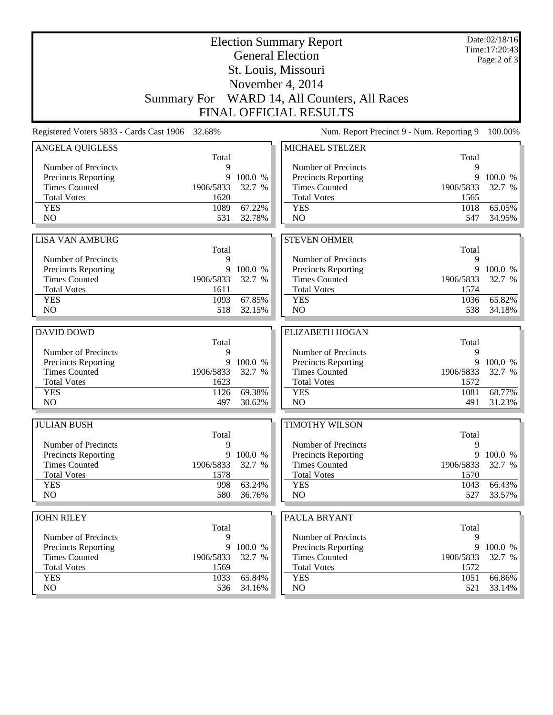| <b>Election Summary Report</b><br><b>General Election</b> |                   |                  |                                                   |                   | Date:02/18/16<br>Time:17:20:43<br>Page: $2$ of $3$ |
|-----------------------------------------------------------|-------------------|------------------|---------------------------------------------------|-------------------|----------------------------------------------------|
|                                                           |                   |                  | St. Louis, Missouri                               |                   |                                                    |
|                                                           |                   |                  | November 4, 2014                                  |                   |                                                    |
|                                                           |                   |                  | Summary For WARD 14, All Counters, All Races      |                   |                                                    |
|                                                           |                   |                  | <b>FINAL OFFICIAL RESULTS</b>                     |                   |                                                    |
| Registered Voters 5833 - Cards Cast 1906                  | 32.68%            |                  | Num. Report Precinct 9 - Num. Reporting 9         |                   | 100.00%                                            |
| <b>ANGELA QUIGLESS</b>                                    | Total             |                  | MICHAEL STELZER                                   | Total             |                                                    |
| Number of Precincts                                       | 9                 |                  | Number of Precincts                               | 9                 |                                                    |
| <b>Precincts Reporting</b>                                | 9                 | 100.0 %          | <b>Precincts Reporting</b>                        | 9                 | 100.0 %                                            |
| <b>Times Counted</b>                                      | 1906/5833         | 32.7 %           | <b>Times Counted</b>                              | 1906/5833         | 32.7 %                                             |
| <b>Total Votes</b>                                        | 1620              |                  | <b>Total Votes</b>                                | 1565              |                                                    |
| <b>YES</b>                                                | 1089              | 67.22%           | <b>YES</b>                                        | 1018              | 65.05%                                             |
| NO                                                        | 531               | 32.78%           | NO                                                | 547               | 34.95%                                             |
| <b>LISA VAN AMBURG</b>                                    |                   |                  | <b>STEVEN OHMER</b>                               |                   |                                                    |
|                                                           | Total             |                  |                                                   | Total             |                                                    |
| Number of Precincts                                       | 9                 |                  | Number of Precincts                               | 9                 |                                                    |
| <b>Precincts Reporting</b>                                |                   | 9 100.0 %        | <b>Precincts Reporting</b>                        | 9                 | 100.0 %                                            |
| <b>Times Counted</b>                                      | 1906/5833         | 32.7 %           | <b>Times Counted</b>                              | 1906/5833         | 32.7 %                                             |
| <b>Total Votes</b>                                        | 1611              |                  | <b>Total Votes</b>                                | 1574              |                                                    |
| <b>YES</b><br>NO                                          | 1093<br>518       | 67.85%<br>32.15% | <b>YES</b><br>N <sub>O</sub>                      | 1036<br>538       | 65.82%<br>34.18%                                   |
|                                                           |                   |                  |                                                   |                   |                                                    |
| <b>DAVID DOWD</b>                                         |                   |                  | <b>ELIZABETH HOGAN</b>                            |                   |                                                    |
|                                                           | Total             |                  |                                                   | Total             |                                                    |
| Number of Precincts                                       | 9                 |                  | Number of Precincts                               | 9                 |                                                    |
| <b>Precincts Reporting</b><br><b>Times Counted</b>        | 9                 | 100.0 %          | Precincts Reporting                               |                   |                                                    |
|                                                           |                   |                  |                                                   | 9                 | 100.0 %                                            |
|                                                           | 1906/5833         | 32.7 %           | <b>Times Counted</b>                              | 1906/5833         | 32.7 %                                             |
| <b>Total Votes</b>                                        | 1623              |                  | <b>Total Votes</b>                                | 1572              |                                                    |
| <b>YES</b><br>N <sub>O</sub>                              | 1126<br>497       | 69.38%<br>30.62% | <b>YES</b><br>NO                                  | 1081<br>491       | 68.77%<br>31.23%                                   |
|                                                           |                   |                  |                                                   |                   |                                                    |
| <b>JULIAN BUSH</b>                                        |                   |                  | <b>TIMOTHY WILSON</b>                             |                   |                                                    |
|                                                           | Total             |                  |                                                   | Total             |                                                    |
| Number of Precincts                                       | 9                 |                  | Number of Precincts                               | 9                 |                                                    |
| <b>Precincts Reporting</b>                                |                   | 9 100.0 %        | <b>Precincts Reporting</b>                        | 9                 | 100.0 %                                            |
| <b>Times Counted</b><br><b>Total Votes</b>                | 1906/5833<br>1578 | 32.7 %           | <b>Times Counted</b><br><b>Total Votes</b>        | 1906/5833<br>1570 | 32.7 %                                             |
| <b>YES</b>                                                | 998               | 63.24%           | <b>YES</b>                                        | 1043              | 66.43%                                             |
| NO                                                        | 580               | 36.76%           | NO                                                | 527               |                                                    |
|                                                           |                   |                  |                                                   |                   |                                                    |
| <b>JOHN RILEY</b>                                         |                   |                  | PAULA BRYANT                                      |                   |                                                    |
|                                                           | Total<br>9        |                  |                                                   | Total<br>9        |                                                    |
| Number of Precincts<br><b>Precincts Reporting</b>         | 9                 | 100.0 %          | Number of Precincts<br><b>Precincts Reporting</b> | 9                 | 100.0 %                                            |
| <b>Times Counted</b>                                      | 1906/5833         | 32.7 %           | <b>Times Counted</b>                              | 1906/5833         | 33.57%<br>32.7 %                                   |
| <b>Total Votes</b>                                        | 1569              |                  | <b>Total Votes</b>                                | 1572              |                                                    |
| <b>YES</b><br>NO                                          | 1033<br>536       | 65.84%<br>34.16% | <b>YES</b><br>NO                                  | 1051<br>521       | 66.86%<br>33.14%                                   |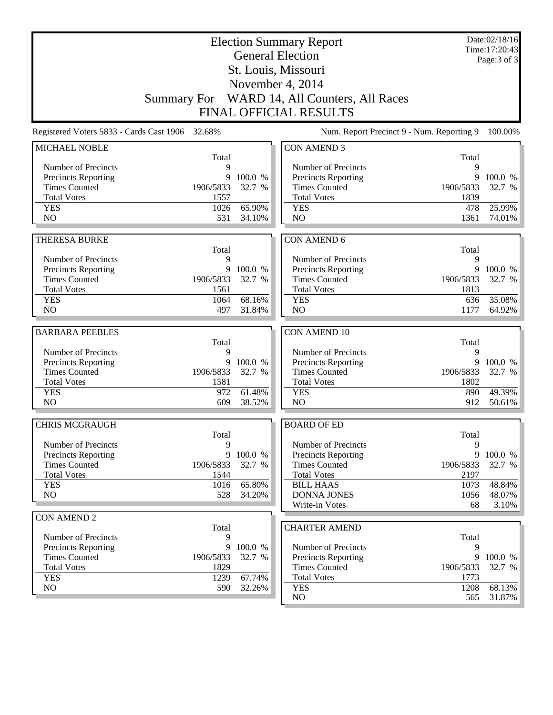|                                          | <b>Election Summary Report</b><br><b>General Election</b> |           |                                              |           | Date:02/18/16<br>Time:17:20:43<br>Page: 3 of 3 |  |
|------------------------------------------|-----------------------------------------------------------|-----------|----------------------------------------------|-----------|------------------------------------------------|--|
|                                          |                                                           |           | St. Louis, Missouri                          |           |                                                |  |
|                                          |                                                           |           | November 4, 2014                             |           |                                                |  |
|                                          |                                                           |           | Summary For WARD 14, All Counters, All Races |           |                                                |  |
|                                          |                                                           |           | <b>FINAL OFFICIAL RESULTS</b>                |           |                                                |  |
|                                          |                                                           |           |                                              |           |                                                |  |
| Registered Voters 5833 - Cards Cast 1906 | 32.68%                                                    |           | Num. Report Precinct 9 - Num. Reporting 9    |           | 100.00%                                        |  |
| MICHAEL NOBLE                            | Total                                                     |           | <b>CON AMEND 3</b>                           | Total     |                                                |  |
| Number of Precincts                      | 9                                                         |           | Number of Precincts                          | 9         |                                                |  |
| <b>Precincts Reporting</b>               | 9                                                         | 100.0 %   | Precincts Reporting                          | 9         | 100.0 %                                        |  |
| <b>Times Counted</b>                     | 1906/5833                                                 | 32.7 %    | <b>Times Counted</b>                         | 1906/5833 | 32.7 %                                         |  |
| <b>Total Votes</b>                       | 1557                                                      |           | <b>Total Votes</b>                           | 1839      |                                                |  |
| <b>YES</b>                               | 1026                                                      | 65.90%    | <b>YES</b>                                   | 478       | 25.99%                                         |  |
| N <sub>O</sub>                           | 531                                                       | 34.10%    | NO                                           | 1361      | 74.01%                                         |  |
| <b>THERESA BURKE</b>                     |                                                           |           | <b>CON AMEND 6</b>                           |           |                                                |  |
|                                          | Total                                                     |           |                                              | Total     |                                                |  |
| Number of Precincts                      | 9                                                         |           | Number of Precincts                          | 9         |                                                |  |
| <b>Precincts Reporting</b>               | 9                                                         | 100.0 %   | Precincts Reporting                          | 9         | 100.0 %                                        |  |
| <b>Times Counted</b>                     | 1906/5833                                                 | 32.7 %    | <b>Times Counted</b>                         | 1906/5833 | 32.7 %                                         |  |
| <b>Total Votes</b>                       | 1561                                                      |           | <b>Total Votes</b>                           | 1813      |                                                |  |
| <b>YES</b>                               | 1064                                                      | 68.16%    | <b>YES</b>                                   | 636       | 35.08%                                         |  |
| NO                                       | 497                                                       | 31.84%    | NO                                           | 1177      | 64.92%                                         |  |
| <b>BARBARA PEEBLES</b>                   |                                                           |           | <b>CON AMEND 10</b>                          |           |                                                |  |
|                                          | Total                                                     |           |                                              | Total     |                                                |  |
| Number of Precincts                      | 9                                                         |           | Number of Precincts                          | 9         |                                                |  |
| Precincts Reporting                      |                                                           | 9 100.0 % | Precincts Reporting                          | 9         | 100.0 %                                        |  |
| <b>Times Counted</b>                     | 1906/5833                                                 | 32.7 %    | <b>Times Counted</b>                         | 1906/5833 | 32.7 %                                         |  |
| <b>Total Votes</b>                       | 1581                                                      |           | <b>Total Votes</b>                           | 1802      |                                                |  |
| <b>YES</b>                               | 972                                                       | 61.48%    | <b>YES</b>                                   | 890       | 49.39%                                         |  |
| NO                                       | 609                                                       | 38.52%    | NO                                           | 912       | 50.61%                                         |  |
| <b>CHRIS MCGRAUGH</b>                    |                                                           |           | <b>BOARD OF ED</b>                           |           |                                                |  |
|                                          | Total                                                     |           |                                              | Total     |                                                |  |
| Number of Precincts                      | 9                                                         |           | Number of Precincts                          | 9         |                                                |  |
| <b>Precincts Reporting</b>               |                                                           | 9 100.0 % | Precincts Reporting                          | 9         | 100.0 %                                        |  |
| <b>Times Counted</b>                     | 1906/5833                                                 | 32.7 %    | <b>Times Counted</b>                         | 1906/5833 | 32.7 %                                         |  |
| <b>Total Votes</b>                       | 1544                                                      |           | <b>Total Votes</b>                           | 2197      |                                                |  |
| <b>YES</b>                               | 1016                                                      | 65.80%    | <b>BILL HAAS</b>                             | 1073      | 48.84%                                         |  |
| NO                                       | 528                                                       | 34.20%    | <b>DONNA JONES</b>                           | 1056      | 48.07%                                         |  |
|                                          |                                                           |           | Write-in Votes                               | 68        | 3.10%                                          |  |
| <b>CON AMEND 2</b>                       | Total                                                     |           | <b>CHARTER AMEND</b>                         |           |                                                |  |
| Number of Precincts                      | 9                                                         |           |                                              | Total     |                                                |  |
| Precincts Reporting                      | 9                                                         | 100.0 %   | Number of Precincts                          | 9         |                                                |  |
| <b>Times Counted</b>                     | 1906/5833                                                 | 32.7 %    | Precincts Reporting                          | 9         | 100.0 %                                        |  |
| <b>Total Votes</b>                       | 1829                                                      |           | <b>Times Counted</b>                         | 1906/5833 | 32.7 %                                         |  |
| <b>YES</b>                               | 1239                                                      | 67.74%    | <b>Total Votes</b>                           | 1773      |                                                |  |
| NO                                       | 590                                                       | 32.26%    | <b>YES</b>                                   | 1208      | 68.13%                                         |  |
|                                          |                                                           |           | NO                                           | 565       | 31.87%                                         |  |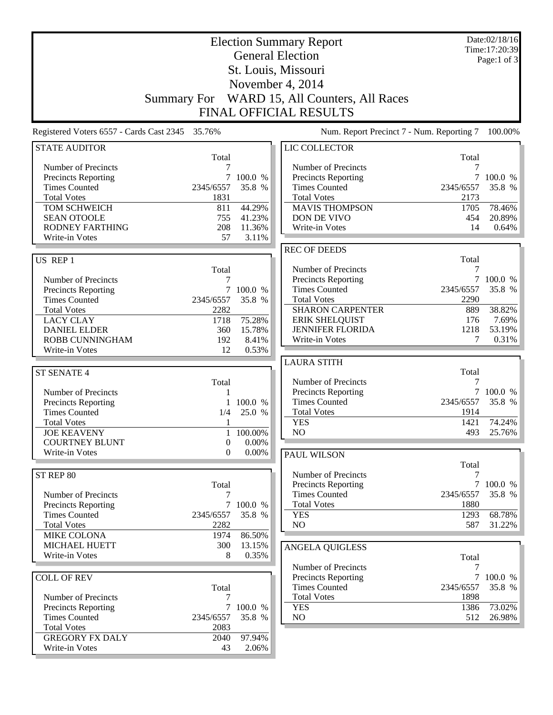|                                                 | <b>Election Summary Report</b> |                   |                                             |             | Date:02/18/16<br>Time: 17:20:39 |
|-------------------------------------------------|--------------------------------|-------------------|---------------------------------------------|-------------|---------------------------------|
|                                                 |                                |                   | <b>General Election</b>                     |             | Page:1 of $3$                   |
|                                                 |                                |                   | St. Louis, Missouri                         |             |                                 |
|                                                 |                                |                   | November 4, 2014                            |             |                                 |
|                                                 |                                |                   |                                             |             |                                 |
|                                                 | <b>Summary For</b>             |                   | WARD 15, All Counters, All Races            |             |                                 |
|                                                 |                                |                   | <b>FINAL OFFICIAL RESULTS</b>               |             |                                 |
| Registered Voters 6557 - Cards Cast 2345 35.76% |                                |                   | Num. Report Precinct 7 - Num. Reporting 7   |             | 100.00%                         |
| <b>STATE AUDITOR</b>                            |                                |                   | LIC COLLECTOR                               |             |                                 |
|                                                 | Total                          |                   |                                             | Total       |                                 |
| Number of Precincts                             |                                |                   | Number of Precincts                         | 7           |                                 |
| Precincts Reporting                             | $\overline{7}$<br>2345/6557    | 100.0 %<br>35.8 % | <b>Precincts Reporting</b>                  |             | 7 100.0 %                       |
| <b>Times Counted</b>                            |                                |                   | <b>Times Counted</b>                        | 2345/6557   | 35.8 %                          |
| <b>Total Votes</b><br>TOM SCHWEICH              | 1831<br>811                    | 44.29%            | <b>Total Votes</b><br><b>MAVIS THOMPSON</b> | 2173        | 78.46%                          |
| <b>SEAN OTOOLE</b>                              | 755                            | 41.23%            | DON DE VIVO                                 | 1705<br>454 | 20.89%                          |
| <b>RODNEY FARTHING</b>                          | 208                            | 11.36%            | Write-in Votes                              | 14          | 0.64%                           |
| Write-in Votes                                  | 57                             | 3.11%             |                                             |             |                                 |
|                                                 |                                |                   | <b>REC OF DEEDS</b>                         |             |                                 |
| US REP 1                                        |                                |                   |                                             | Total       |                                 |
|                                                 | Total                          |                   | Number of Precincts                         | 7           |                                 |
| Number of Precincts                             | 7                              |                   | Precincts Reporting                         |             | 7 100.0 %                       |
| Precincts Reporting                             | $\overline{7}$                 | 100.0 %           | <b>Times Counted</b>                        | 2345/6557   | 35.8 %                          |
| <b>Times Counted</b>                            | 2345/6557                      | 35.8 %            | <b>Total Votes</b>                          | 2290        |                                 |
| <b>Total Votes</b>                              | 2282                           |                   | <b>SHARON CARPENTER</b>                     | 889         | 38.82%                          |
| <b>LACY CLAY</b>                                | 1718                           | 75.28%            | <b>ERIK SHELQUIST</b>                       | 176         | 7.69%                           |
| <b>DANIEL ELDER</b>                             | 360                            | 15.78%            | <b>JENNIFER FLORIDA</b>                     | 1218        | 53.19%                          |
| ROBB CUNNINGHAM                                 | 192                            | 8.41%             | Write-in Votes                              | 7           | 0.31%                           |
| Write-in Votes                                  | 12                             | 0.53%             |                                             |             |                                 |
|                                                 |                                |                   | <b>LAURA STITH</b>                          |             |                                 |
| <b>ST SENATE 4</b>                              |                                |                   |                                             | Total       |                                 |
|                                                 | Total                          |                   | Number of Precincts                         | 7           |                                 |
| Number of Precincts                             | 1                              |                   | <b>Precincts Reporting</b>                  |             | 7 100.0 %                       |
| Precincts Reporting                             |                                | 100.0 %           | <b>Times Counted</b>                        | 2345/6557   | 35.8 %                          |
| <b>Times Counted</b>                            | 1/4                            | 25.0 %            | <b>Total Votes</b>                          | 1914        |                                 |
| <b>Total Votes</b>                              |                                |                   | <b>YES</b>                                  | 1421        | 74.24%                          |
| <b>JOE KEAVENY</b>                              | $\mathbf{1}$                   | 100.00%           | NO                                          | 493         | 25.76%                          |
| <b>COURTNEY BLUNT</b>                           | $\boldsymbol{0}$               | $0.00\%$          |                                             |             |                                 |
| Write-in Votes                                  | $\boldsymbol{0}$               | $0.00\%$          | PAUL WILSON                                 |             |                                 |
|                                                 |                                |                   |                                             | Total       |                                 |
| ST REP 80                                       |                                |                   | Number of Precincts                         | 7           |                                 |
|                                                 | Total                          |                   | Precincts Reporting                         |             | 7 100.0 %                       |
| Number of Precincts                             | 7                              |                   | <b>Times Counted</b>                        | 2345/6557   | 35.8 %                          |
| Precincts Reporting                             |                                | 7 100.0 %         | <b>Total Votes</b>                          | 1880        |                                 |
| <b>Times Counted</b>                            | 2345/6557                      | 35.8 %            | <b>YES</b>                                  | 1293        | 68.78%                          |
| <b>Total Votes</b>                              | 2282                           |                   | N <sub>O</sub>                              | 587         | 31.22%                          |
| MIKE COLONA                                     | 1974                           | 86.50%            |                                             |             |                                 |
| <b>MICHAEL HUETT</b>                            | 300                            | 13.15%            | <b>ANGELA QUIGLESS</b>                      |             |                                 |
| Write-in Votes                                  | 8                              | 0.35%             |                                             | Total       |                                 |
|                                                 |                                |                   | Number of Precincts                         | 7           |                                 |
| <b>COLL OF REV</b>                              |                                |                   | Precincts Reporting                         |             | 7 100.0 %                       |
|                                                 | Total                          |                   | <b>Times Counted</b>                        | 2345/6557   | 35.8 %                          |
| Number of Precincts                             | 7                              |                   | <b>Total Votes</b>                          | 1898        |                                 |
| <b>Precincts Reporting</b>                      |                                | 7 100.0 %         | <b>YES</b>                                  | 1386        | 73.02%                          |
| <b>Times Counted</b>                            | 2345/6557                      | 35.8 %            | NO                                          | 512         | 26.98%                          |
| <b>Total Votes</b>                              | 2083                           |                   |                                             |             |                                 |
| <b>GREGORY FX DALY</b>                          | 2040                           | 97.94%            |                                             |             |                                 |
| Write-in Votes                                  | 43                             | 2.06%             |                                             |             |                                 |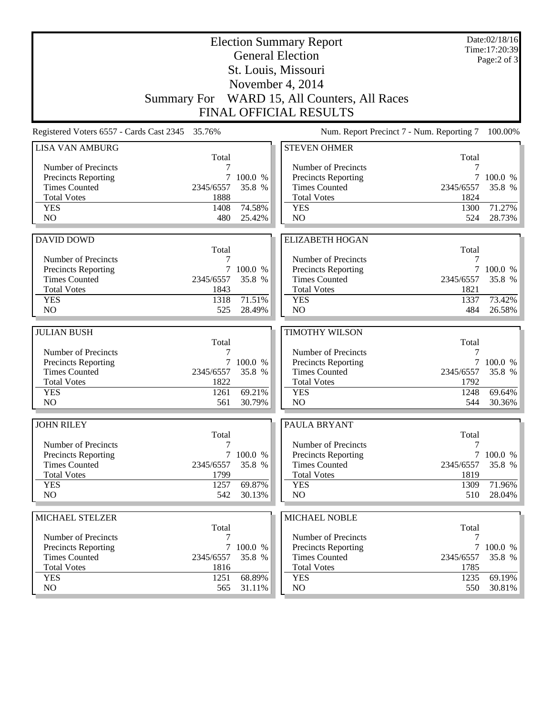|                                                   |                   |                     | <b>Election Summary Report</b><br><b>General Election</b><br>St. Louis, Missouri |                   | Date:02/18/16<br>Time: 17:20:39<br>Page: $2$ of $3$ |  |  |
|---------------------------------------------------|-------------------|---------------------|----------------------------------------------------------------------------------|-------------------|-----------------------------------------------------|--|--|
|                                                   | November 4, 2014  |                     |                                                                                  |                   |                                                     |  |  |
|                                                   |                   |                     | Summary For WARD 15, All Counters, All Races                                     |                   |                                                     |  |  |
|                                                   |                   |                     | <b>FINAL OFFICIAL RESULTS</b>                                                    |                   |                                                     |  |  |
| Registered Voters 6557 - Cards Cast 2345          | 35.76%            |                     | Num. Report Precinct 7 - Num. Reporting 7                                        |                   | 100.00%                                             |  |  |
| <b>LISA VAN AMBURG</b>                            |                   |                     | <b>STEVEN OHMER</b>                                                              |                   |                                                     |  |  |
|                                                   | Total             |                     |                                                                                  | Total             |                                                     |  |  |
| Number of Precincts<br><b>Precincts Reporting</b> | 7<br>7            | 100.0 %             | Number of Precincts<br><b>Precincts Reporting</b>                                | 7                 | 100.0 %                                             |  |  |
| <b>Times Counted</b>                              | 2345/6557         | 35.8 %              | <b>Times Counted</b>                                                             | 2345/6557         | 35.8 %                                              |  |  |
| <b>Total Votes</b>                                | 1888              |                     | <b>Total Votes</b>                                                               | 1824              |                                                     |  |  |
| <b>YES</b>                                        | 1408              | 74.58%              | <b>YES</b>                                                                       | 1300              | 71.27%                                              |  |  |
| N <sub>O</sub>                                    | 480               | 25.42%              | NO                                                                               | 524               | 28.73%                                              |  |  |
|                                                   |                   |                     |                                                                                  |                   |                                                     |  |  |
| <b>DAVID DOWD</b>                                 |                   |                     | <b>ELIZABETH HOGAN</b>                                                           |                   |                                                     |  |  |
|                                                   | Total             |                     |                                                                                  | Total             |                                                     |  |  |
| Number of Precincts                               | 7                 |                     | Number of Precincts                                                              | 7                 |                                                     |  |  |
| <b>Precincts Reporting</b>                        | $\tau$            | 100.0 %             | Precincts Reporting                                                              |                   | 7 100.0 %                                           |  |  |
| <b>Times Counted</b>                              | 2345/6557         | 35.8 %              | <b>Times Counted</b>                                                             | 2345/6557         | 35.8 %                                              |  |  |
| <b>Total Votes</b>                                | 1843              | 71.51%              | <b>Total Votes</b>                                                               | 1821              |                                                     |  |  |
| <b>YES</b><br>NO                                  | 1318<br>525       | 28.49%              | <b>YES</b><br>NO                                                                 | 1337<br>484       | 73.42%<br>26.58%                                    |  |  |
|                                                   |                   |                     |                                                                                  |                   |                                                     |  |  |
| <b>JULIAN BUSH</b>                                |                   |                     | <b>TIMOTHY WILSON</b>                                                            |                   |                                                     |  |  |
|                                                   | Total             |                     |                                                                                  | Total             |                                                     |  |  |
| Number of Precincts                               | 7                 |                     | Number of Precincts                                                              | 7                 |                                                     |  |  |
| <b>Precincts Reporting</b>                        | 7                 | 100.0 %             | Precincts Reporting                                                              | 7                 | 100.0 %                                             |  |  |
| <b>Times Counted</b>                              | 2345/6557         | 35.8 %              | <b>Times Counted</b>                                                             | 2345/6557         | 35.8 %                                              |  |  |
| <b>Total Votes</b>                                | 1822              |                     | <b>Total Votes</b>                                                               | 1792              |                                                     |  |  |
| <b>YES</b>                                        | 1261              | 69.21%              | <b>YES</b>                                                                       | 1248              | 69.64%                                              |  |  |
| NO                                                | 561               | 30.79%              | NO                                                                               | 544               | 30.36%                                              |  |  |
| <b>JOHN RILEY</b>                                 |                   |                     | PAULA BRYANT                                                                     |                   |                                                     |  |  |
|                                                   | Total             |                     |                                                                                  | Total             |                                                     |  |  |
| Number of Precincts                               | 7                 |                     | Number of Precincts                                                              | 7                 |                                                     |  |  |
| <b>Precincts Reporting</b>                        |                   | 7 100.0 %           | <b>Precincts Reporting</b>                                                       |                   | 7 100.0 %                                           |  |  |
| <b>Times Counted</b><br><b>Total Votes</b>        | 2345/6557<br>1799 | 35.8 %              | <b>Times Counted</b><br><b>Total Votes</b>                                       | 2345/6557<br>1819 | 35.8 %                                              |  |  |
| <b>YES</b>                                        | 1257              | 69.87%              | <b>YES</b>                                                                       | 1309              | 71.96%                                              |  |  |
| NO                                                | 542               | 30.13%              | NO                                                                               | 510               | $28.04\%$                                           |  |  |
|                                                   |                   |                     |                                                                                  |                   |                                                     |  |  |
| MICHAEL STELZER                                   |                   |                     | MICHAEL NOBLE                                                                    |                   |                                                     |  |  |
|                                                   | Total             |                     |                                                                                  | Total             |                                                     |  |  |
| Number of Precincts                               | 7                 |                     | Number of Precincts                                                              | 7                 |                                                     |  |  |
| Precincts Reporting<br><b>Times Counted</b>       | 2345/6557         | 7 100.0 %<br>35.8 % | <b>Precincts Reporting</b><br><b>Times Counted</b>                               | 2345/6557         | 7 100.0 %<br>35.8 %                                 |  |  |
|                                                   |                   |                     |                                                                                  |                   |                                                     |  |  |
|                                                   |                   |                     |                                                                                  |                   |                                                     |  |  |
| <b>Total Votes</b>                                | 1816              |                     | <b>Total Votes</b>                                                               | 1785              |                                                     |  |  |
| <b>YES</b><br>NO                                  | 1251<br>565       | 68.89%<br>31.11%    | <b>YES</b><br>NO                                                                 | 1235<br>550       | 69.19%<br>$30.81\%$                                 |  |  |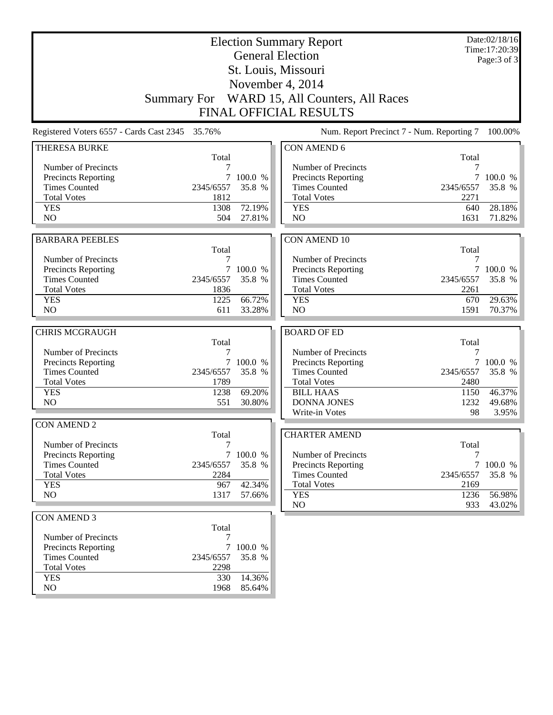|                                            | Date:02/18/16<br><b>Election Summary Report</b><br><b>General Election</b> |                                |                                                   |             |                  |  |
|--------------------------------------------|----------------------------------------------------------------------------|--------------------------------|---------------------------------------------------|-------------|------------------|--|
|                                            |                                                                            | Time: 17:20:39<br>Page: 3 of 3 |                                                   |             |                  |  |
|                                            |                                                                            |                                | St. Louis, Missouri                               |             |                  |  |
|                                            |                                                                            |                                | November 4, 2014                                  |             |                  |  |
|                                            |                                                                            |                                |                                                   |             |                  |  |
|                                            |                                                                            |                                | Summary For WARD 15, All Counters, All Races      |             |                  |  |
|                                            |                                                                            |                                | <b>FINAL OFFICIAL RESULTS</b>                     |             |                  |  |
|                                            | Registered Voters 6557 - Cards Cast 2345 35.76%                            |                                | Num. Report Precinct 7 - Num. Reporting 7         |             | 100.00%          |  |
| <b>THERESA BURKE</b>                       |                                                                            |                                | <b>CON AMEND 6</b>                                |             |                  |  |
|                                            | Total                                                                      |                                |                                                   | Total       |                  |  |
| Number of Precincts<br>Precincts Reporting | 7<br>$\tau$                                                                | 100.0 %                        | Number of Precincts<br><b>Precincts Reporting</b> |             | 7 100.0 %        |  |
| <b>Times Counted</b>                       | 2345/6557                                                                  | 35.8 %                         | <b>Times Counted</b>                              | 2345/6557   | 35.8 %           |  |
| <b>Total Votes</b>                         | 1812                                                                       |                                | <b>Total Votes</b>                                | 2271        |                  |  |
| <b>YES</b>                                 | 1308                                                                       | 72.19%                         | <b>YES</b>                                        | 640         | 28.18%           |  |
| N <sub>O</sub>                             | 504                                                                        | 27.81%                         | NO                                                | 1631        | 71.82%           |  |
|                                            |                                                                            |                                |                                                   |             |                  |  |
| <b>BARBARA PEEBLES</b>                     |                                                                            |                                | <b>CON AMEND 10</b>                               |             |                  |  |
|                                            | Total                                                                      |                                |                                                   | Total       |                  |  |
| Number of Precincts                        | 7                                                                          |                                | Number of Precincts                               | 7           |                  |  |
| Precincts Reporting                        |                                                                            | 7 100.0 %                      | <b>Precincts Reporting</b>                        |             | 7 100.0 %        |  |
| <b>Times Counted</b>                       | 2345/6557                                                                  | 35.8 %                         | <b>Times Counted</b>                              | 2345/6557   | 35.8 %           |  |
| <b>Total Votes</b>                         | 1836                                                                       |                                | <b>Total Votes</b>                                | 2261        |                  |  |
| <b>YES</b>                                 | 1225                                                                       | 66.72%                         | <b>YES</b>                                        | 670         | 29.63%           |  |
| N <sub>O</sub>                             | 611                                                                        | 33.28%                         | N <sub>O</sub>                                    | 1591        | 70.37%           |  |
|                                            |                                                                            |                                |                                                   |             |                  |  |
| <b>CHRIS MCGRAUGH</b>                      | Total                                                                      |                                | <b>BOARD OF ED</b>                                | Total       |                  |  |
| Number of Precincts                        | 7                                                                          |                                | Number of Precincts                               | 7           |                  |  |
| Precincts Reporting                        | $\tau$                                                                     | 100.0 %                        | <b>Precincts Reporting</b>                        | 7           | 100.0 %          |  |
| <b>Times Counted</b>                       | 2345/6557                                                                  | 35.8 %                         | <b>Times Counted</b>                              | 2345/6557   | 35.8 %           |  |
| <b>Total Votes</b>                         | 1789                                                                       |                                | <b>Total Votes</b>                                | 2480        |                  |  |
| <b>YES</b>                                 | 1238                                                                       | 69.20%                         | <b>BILL HAAS</b>                                  | 1150        | 46.37%           |  |
| N <sub>O</sub>                             | 551                                                                        | 30.80%                         | <b>DONNA JONES</b>                                | 1232        | 49.68%           |  |
|                                            |                                                                            |                                | Write-in Votes                                    | 98          | 3.95%            |  |
| <b>CON AMEND 2</b>                         |                                                                            |                                |                                                   |             |                  |  |
|                                            | Total                                                                      |                                | <b>CHARTER AMEND</b>                              |             |                  |  |
| Number of Precincts                        | 7                                                                          |                                |                                                   | Total       |                  |  |
| <b>Precincts Reporting</b>                 |                                                                            | 7 100.0 %                      | Number of Precincts                               | 7           |                  |  |
| <b>Times Counted</b>                       | 2345/6557                                                                  | 35.8 %                         | <b>Precincts Reporting</b>                        |             | 7 100.0 %        |  |
| <b>Total Votes</b>                         | 2284                                                                       |                                | <b>Times Counted</b>                              | 2345/6557   | 35.8 %           |  |
| <b>YES</b><br>NO                           | 967                                                                        | 42.34%                         | <b>Total Votes</b>                                | 2169        |                  |  |
|                                            | 1317                                                                       | 57.66%                         | <b>YES</b><br>NO                                  | 1236<br>933 | 56.98%<br>43.02% |  |
|                                            |                                                                            |                                |                                                   |             |                  |  |
| <b>CON AMEND 3</b>                         | Total                                                                      |                                |                                                   |             |                  |  |
| Number of Precincts                        | 7                                                                          |                                |                                                   |             |                  |  |
| Precincts Reporting                        | 7                                                                          | 100.0 %                        |                                                   |             |                  |  |
| <b>Times Counted</b>                       | 2345/6557                                                                  | 35.8 %                         |                                                   |             |                  |  |
| <b>Total Votes</b>                         | 2298                                                                       |                                |                                                   |             |                  |  |
| <b>YES</b>                                 | 330                                                                        | 14.36%                         |                                                   |             |                  |  |
| NO                                         | 1968                                                                       | 85.64%                         |                                                   |             |                  |  |
|                                            |                                                                            |                                |                                                   |             |                  |  |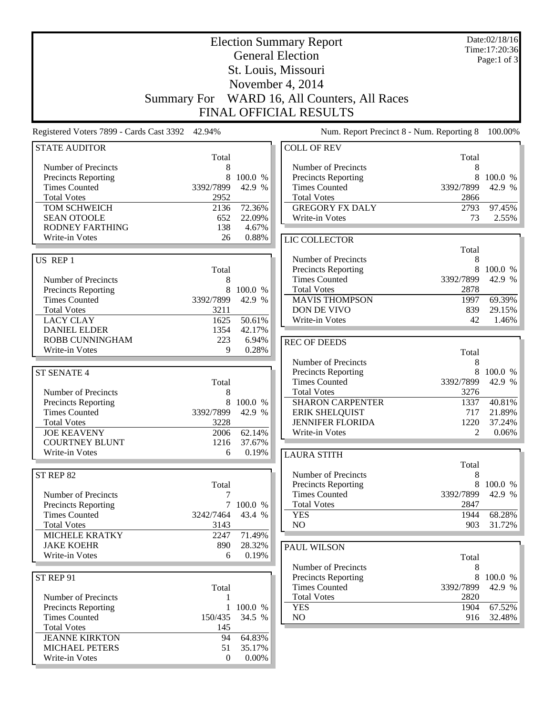|                                                 |                    | Date:02/18/16<br>Time:17:20:36 |                                              |              |               |
|-------------------------------------------------|--------------------|--------------------------------|----------------------------------------------|--------------|---------------|
|                                                 |                    |                                | <b>General Election</b>                      |              | Page:1 of $3$ |
|                                                 |                    |                                | St. Louis, Missouri                          |              |               |
|                                                 |                    |                                | November 4, 2014                             |              |               |
|                                                 | <b>Summary For</b> |                                | WARD 16, All Counters, All Races             |              |               |
|                                                 |                    |                                | <b>FINAL OFFICIAL RESULTS</b>                |              |               |
| Registered Voters 7899 - Cards Cast 3392 42.94% |                    |                                | Num. Report Precinct 8 - Num. Reporting 8    |              | 100.00%       |
| <b>STATE AUDITOR</b>                            |                    |                                | <b>COLL OF REV</b>                           |              |               |
|                                                 | Total              |                                |                                              | Total        |               |
| Number of Precincts                             | 8                  |                                | Number of Precincts                          | 8            |               |
| Precincts Reporting                             | 8                  | 100.0 %                        | Precincts Reporting                          | 8            | 100.0 %       |
| <b>Times Counted</b>                            | 3392/7899          | 42.9 %                         | <b>Times Counted</b>                         | 3392/7899    | 42.9 %        |
| <b>Total Votes</b><br>TOM SCHWEICH              | 2952<br>2136       | 72.36%                         | <b>Total Votes</b><br><b>GREGORY FX DALY</b> | 2866<br>2793 | 97.45%        |
| <b>SEAN OTOOLE</b>                              | 652                | 22.09%                         | Write-in Votes                               | 73           | 2.55%         |
| <b>RODNEY FARTHING</b>                          | 138                | 4.67%                          |                                              |              |               |
| Write-in Votes                                  | 26                 | 0.88%                          | LIC COLLECTOR                                |              |               |
|                                                 |                    |                                |                                              | Total        |               |
| US REP 1                                        |                    |                                | Number of Precincts                          | 8            |               |
|                                                 | Total              |                                | Precincts Reporting                          | 8            | 100.0 %       |
| Number of Precincts                             | 8                  |                                | <b>Times Counted</b>                         | 3392/7899    | 42.9 %        |
| Precincts Reporting                             | 8                  | 100.0 %                        | <b>Total Votes</b>                           | 2878         |               |
| <b>Times Counted</b>                            | 3392/7899          | 42.9 %                         | <b>MAVIS THOMPSON</b>                        | 1997         | 69.39%        |
| <b>Total Votes</b>                              | 3211               |                                | DON DE VIVO                                  | 839          | 29.15%        |
| <b>LACY CLAY</b>                                | 1625               | 50.61%                         | Write-in Votes                               | 42           | 1.46%         |
| <b>DANIEL ELDER</b>                             | 1354               | 42.17%                         |                                              |              |               |
| ROBB CUNNINGHAM                                 | 223                | 6.94%                          | <b>REC OF DEEDS</b>                          |              |               |
| Write-in Votes                                  | 9                  | 0.28%                          |                                              | Total        |               |
|                                                 |                    |                                | Number of Precincts                          | 8            |               |
| <b>ST SENATE 4</b>                              |                    |                                | Precincts Reporting                          | 8            | 100.0 %       |
|                                                 | Total              |                                | <b>Times Counted</b>                         | 3392/7899    | 42.9 %        |
| Number of Precincts                             | 8                  |                                | <b>Total Votes</b>                           | 3276         |               |
| <b>Precincts Reporting</b>                      | 8                  | 100.0 %                        | <b>SHARON CARPENTER</b>                      | 1337         | 40.81%        |
| <b>Times Counted</b>                            | 3392/7899          | 42.9 %                         | <b>ERIK SHELQUIST</b>                        | 717          | 21.89%        |
| <b>Total Votes</b><br><b>JOE KEAVENY</b>        | 3228               | 62.14%                         | <b>JENNIFER FLORIDA</b><br>Write-in Votes    | 1220<br>2    | 37.24%        |
| <b>COURTNEY BLUNT</b>                           | 2006<br>1216       | 37.67%                         |                                              |              | 0.06%         |
| Write-in Votes                                  | 6                  | 0.19%                          |                                              |              |               |
|                                                 |                    |                                | <b>LAURA STITH</b>                           | Total        |               |
| ST REP 82                                       |                    |                                | Number of Precincts                          | 8            |               |
|                                                 | Total              |                                | Precincts Reporting                          | 8            | 100.0 %       |
| Number of Precincts                             | 7                  |                                | <b>Times Counted</b>                         | 3392/7899    | 42.9 %        |
| <b>Precincts Reporting</b>                      |                    | 7 100.0 %                      | <b>Total Votes</b>                           | 2847         |               |
| <b>Times Counted</b>                            | 3242/7464          | 43.4 %                         | <b>YES</b>                                   | 1944         | 68.28%        |
| <b>Total Votes</b>                              | 3143               |                                | NO.                                          | 903          | 31.72%        |
| <b>MICHELE KRATKY</b>                           | 2247               | 71.49%                         |                                              |              |               |
| <b>JAKE KOEHR</b>                               | 890                | 28.32%                         | <b>PAUL WILSON</b>                           |              |               |
| Write-in Votes                                  | 6                  | 0.19%                          |                                              | Total        |               |
|                                                 |                    |                                | Number of Precincts                          | 8            |               |
| ST REP 91                                       |                    |                                | Precincts Reporting                          | 8            | 100.0 %       |
|                                                 | Total              |                                | <b>Times Counted</b>                         | 3392/7899    | 42.9 %        |
| Number of Precincts                             |                    |                                | <b>Total Votes</b>                           | 2820         |               |
| <b>Precincts Reporting</b>                      |                    | 1 100.0 %                      | <b>YES</b>                                   | 1904         | 67.52%        |
| <b>Times Counted</b>                            | 150/435            | 34.5 %                         | NO                                           | 916          | 32.48%        |
| <b>Total Votes</b>                              | 145                |                                |                                              |              |               |
| <b>JEANNE KIRKTON</b>                           | 94                 | 64.83%                         |                                              |              |               |
| <b>MICHAEL PETERS</b>                           | 51                 | 35.17%                         |                                              |              |               |
| Write-in Votes                                  | $\mathbf{0}$       | $0.00\%$                       |                                              |              |               |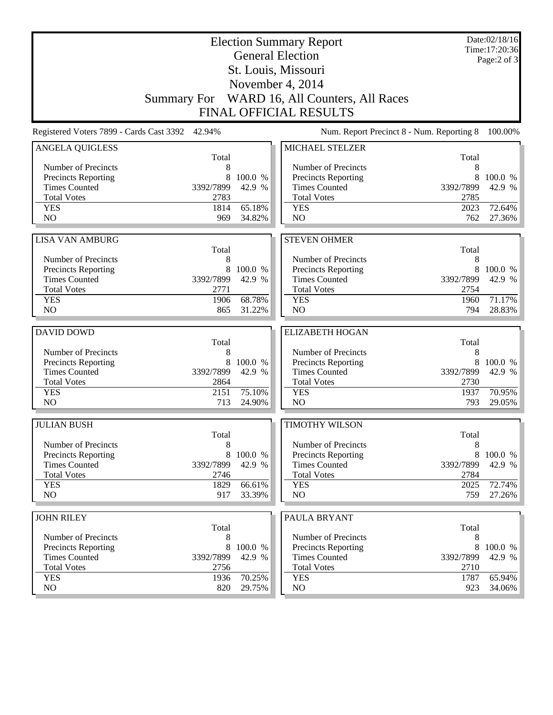| St. Louis, Missouri<br>November 4, 2014<br>Summary For WARD 16, All Counters, All Races<br><b>FINAL OFFICIAL RESULTS</b><br>Registered Voters 7899 - Cards Cast 3392 42.94%<br>Num. Report Precinct 8 - Num. Reporting 8<br>MICHAEL STELZER<br><b>ANGELA QUIGLESS</b><br>Total<br>Total<br>Number of Precincts<br>Number of Precincts<br>8<br>8<br>8<br><b>Precincts Reporting</b><br>8<br>100.0 %<br><b>Precincts Reporting</b><br>3392/7899<br>3392/7899<br><b>Times Counted</b><br>42.9 %<br><b>Times Counted</b><br>2783<br><b>Total Votes</b><br><b>Total Votes</b><br>2785<br>65.18%<br><b>YES</b><br>1814<br><b>YES</b><br>2023<br>NO<br>NO<br>969<br>34.82%<br>762<br><b>LISA VAN AMBURG</b><br><b>STEVEN OHMER</b> | 100.0 %<br>42.9 %<br>72.64%<br>27.36% |  |  |  |
|-----------------------------------------------------------------------------------------------------------------------------------------------------------------------------------------------------------------------------------------------------------------------------------------------------------------------------------------------------------------------------------------------------------------------------------------------------------------------------------------------------------------------------------------------------------------------------------------------------------------------------------------------------------------------------------------------------------------------------|---------------------------------------|--|--|--|
|                                                                                                                                                                                                                                                                                                                                                                                                                                                                                                                                                                                                                                                                                                                             |                                       |  |  |  |
|                                                                                                                                                                                                                                                                                                                                                                                                                                                                                                                                                                                                                                                                                                                             | 100.00%                               |  |  |  |
|                                                                                                                                                                                                                                                                                                                                                                                                                                                                                                                                                                                                                                                                                                                             |                                       |  |  |  |
|                                                                                                                                                                                                                                                                                                                                                                                                                                                                                                                                                                                                                                                                                                                             |                                       |  |  |  |
|                                                                                                                                                                                                                                                                                                                                                                                                                                                                                                                                                                                                                                                                                                                             |                                       |  |  |  |
|                                                                                                                                                                                                                                                                                                                                                                                                                                                                                                                                                                                                                                                                                                                             |                                       |  |  |  |
|                                                                                                                                                                                                                                                                                                                                                                                                                                                                                                                                                                                                                                                                                                                             |                                       |  |  |  |
|                                                                                                                                                                                                                                                                                                                                                                                                                                                                                                                                                                                                                                                                                                                             |                                       |  |  |  |
|                                                                                                                                                                                                                                                                                                                                                                                                                                                                                                                                                                                                                                                                                                                             |                                       |  |  |  |
|                                                                                                                                                                                                                                                                                                                                                                                                                                                                                                                                                                                                                                                                                                                             |                                       |  |  |  |
|                                                                                                                                                                                                                                                                                                                                                                                                                                                                                                                                                                                                                                                                                                                             |                                       |  |  |  |
|                                                                                                                                                                                                                                                                                                                                                                                                                                                                                                                                                                                                                                                                                                                             |                                       |  |  |  |
|                                                                                                                                                                                                                                                                                                                                                                                                                                                                                                                                                                                                                                                                                                                             |                                       |  |  |  |
| Total<br>Total                                                                                                                                                                                                                                                                                                                                                                                                                                                                                                                                                                                                                                                                                                              |                                       |  |  |  |
| Number of Precincts<br>Number of Precincts<br>8<br>8                                                                                                                                                                                                                                                                                                                                                                                                                                                                                                                                                                                                                                                                        |                                       |  |  |  |
| Precincts Reporting<br>8<br>Precincts Reporting<br>8<br>100.0 %                                                                                                                                                                                                                                                                                                                                                                                                                                                                                                                                                                                                                                                             | 100.0 %                               |  |  |  |
| <b>Times Counted</b><br>3392/7899<br>42.9 %<br><b>Times Counted</b><br>3392/7899                                                                                                                                                                                                                                                                                                                                                                                                                                                                                                                                                                                                                                            | 42.9 %                                |  |  |  |
| <b>Total Votes</b><br><b>Total Votes</b><br>2771<br>2754                                                                                                                                                                                                                                                                                                                                                                                                                                                                                                                                                                                                                                                                    |                                       |  |  |  |
| 68.78%<br><b>YES</b><br>1906<br><b>YES</b><br>1960                                                                                                                                                                                                                                                                                                                                                                                                                                                                                                                                                                                                                                                                          | 71.17%                                |  |  |  |
| NO<br>865<br>31.22%<br>N <sub>O</sub><br>794                                                                                                                                                                                                                                                                                                                                                                                                                                                                                                                                                                                                                                                                                | 28.83%                                |  |  |  |
| <b>ELIZABETH HOGAN</b><br>DAVID DOWD                                                                                                                                                                                                                                                                                                                                                                                                                                                                                                                                                                                                                                                                                        |                                       |  |  |  |
| Total<br>Total                                                                                                                                                                                                                                                                                                                                                                                                                                                                                                                                                                                                                                                                                                              |                                       |  |  |  |
| Number of Precincts<br>Number of Precincts<br>8<br>8                                                                                                                                                                                                                                                                                                                                                                                                                                                                                                                                                                                                                                                                        |                                       |  |  |  |
| <b>Precincts Reporting</b><br>8<br>100.0 %<br>Precincts Reporting<br>8                                                                                                                                                                                                                                                                                                                                                                                                                                                                                                                                                                                                                                                      | 100.0 %                               |  |  |  |
| <b>Times Counted</b><br>3392/7899<br>42.9 %<br><b>Times Counted</b><br>3392/7899                                                                                                                                                                                                                                                                                                                                                                                                                                                                                                                                                                                                                                            | 42.9 %                                |  |  |  |
| <b>Total Votes</b><br>2864<br><b>Total Votes</b><br>2730                                                                                                                                                                                                                                                                                                                                                                                                                                                                                                                                                                                                                                                                    |                                       |  |  |  |
| <b>YES</b><br>75.10%<br>2151<br><b>YES</b><br>1937<br>NO<br>NO<br>713<br>24.90%<br>793                                                                                                                                                                                                                                                                                                                                                                                                                                                                                                                                                                                                                                      | 70.95%<br>29.05%                      |  |  |  |
|                                                                                                                                                                                                                                                                                                                                                                                                                                                                                                                                                                                                                                                                                                                             |                                       |  |  |  |
| <b>JULIAN BUSH</b><br><b>TIMOTHY WILSON</b>                                                                                                                                                                                                                                                                                                                                                                                                                                                                                                                                                                                                                                                                                 |                                       |  |  |  |
| Total<br>Total                                                                                                                                                                                                                                                                                                                                                                                                                                                                                                                                                                                                                                                                                                              |                                       |  |  |  |
| Number of Precincts<br>Number of Precincts<br>8<br>8<br>8<br>100.0 %<br>8                                                                                                                                                                                                                                                                                                                                                                                                                                                                                                                                                                                                                                                   |                                       |  |  |  |
| <b>Precincts Reporting</b><br><b>Precincts Reporting</b><br><b>Times Counted</b><br>3392/7899<br>42.9 %<br><b>Times Counted</b><br>3392/7899                                                                                                                                                                                                                                                                                                                                                                                                                                                                                                                                                                                | 100.0 %<br>42.9 %                     |  |  |  |
| <b>Total Votes</b><br><b>Total Votes</b><br>2784<br>2746                                                                                                                                                                                                                                                                                                                                                                                                                                                                                                                                                                                                                                                                    |                                       |  |  |  |
| <b>YES</b><br>1829<br>66.61%<br><b>YES</b><br>2025                                                                                                                                                                                                                                                                                                                                                                                                                                                                                                                                                                                                                                                                          | 72.74%                                |  |  |  |
| NO<br>NO<br>917<br>33.39%<br>759                                                                                                                                                                                                                                                                                                                                                                                                                                                                                                                                                                                                                                                                                            | 27.26%                                |  |  |  |
|                                                                                                                                                                                                                                                                                                                                                                                                                                                                                                                                                                                                                                                                                                                             |                                       |  |  |  |
| <b>JOHN RILEY</b><br>PAULA BRYANT                                                                                                                                                                                                                                                                                                                                                                                                                                                                                                                                                                                                                                                                                           |                                       |  |  |  |
| Total<br>Total<br>Number of Precincts<br>8<br>Number of Precincts<br>8                                                                                                                                                                                                                                                                                                                                                                                                                                                                                                                                                                                                                                                      |                                       |  |  |  |
| <b>Precincts Reporting</b><br><b>Precincts Reporting</b><br>8<br>100.0 %<br>8                                                                                                                                                                                                                                                                                                                                                                                                                                                                                                                                                                                                                                               | 100.0 %                               |  |  |  |
| <b>Times Counted</b><br>3392/7899<br>42.9 %<br><b>Times Counted</b><br>3392/7899                                                                                                                                                                                                                                                                                                                                                                                                                                                                                                                                                                                                                                            | 42.9 %                                |  |  |  |
| <b>Total Votes</b><br><b>Total Votes</b><br>2756<br>2710                                                                                                                                                                                                                                                                                                                                                                                                                                                                                                                                                                                                                                                                    |                                       |  |  |  |
| 70.25%<br><b>YES</b><br>1936<br><b>YES</b><br>1787                                                                                                                                                                                                                                                                                                                                                                                                                                                                                                                                                                                                                                                                          | 65.94%                                |  |  |  |
| NO<br>820<br>NO<br>29.75%<br>923                                                                                                                                                                                                                                                                                                                                                                                                                                                                                                                                                                                                                                                                                            | 34.06%                                |  |  |  |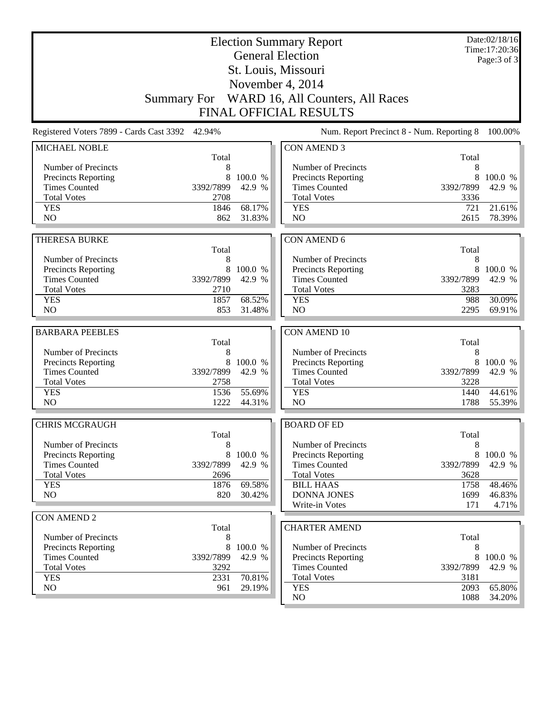| <b>Election Summary Report</b><br><b>General Election</b> |                                                 |         |                                           |            | Date:02/18/16<br>Time:17:20:36 |  |  |  |
|-----------------------------------------------------------|-------------------------------------------------|---------|-------------------------------------------|------------|--------------------------------|--|--|--|
|                                                           |                                                 |         | St. Louis, Missouri                       |            | Page: 3 of 3                   |  |  |  |
|                                                           |                                                 |         | November 4, 2014                          |            |                                |  |  |  |
|                                                           |                                                 |         |                                           |            |                                |  |  |  |
|                                                           | Summary For                                     |         | WARD 16, All Counters, All Races          |            |                                |  |  |  |
| <b>FINAL OFFICIAL RESULTS</b>                             |                                                 |         |                                           |            |                                |  |  |  |
|                                                           | Registered Voters 7899 - Cards Cast 3392 42.94% |         | Num. Report Precinct 8 - Num. Reporting 8 |            | 100.00%                        |  |  |  |
| MICHAEL NOBLE                                             |                                                 |         | <b>CON AMEND 3</b>                        |            |                                |  |  |  |
| Number of Precincts                                       | Total<br>8                                      |         | Number of Precincts                       | Total<br>8 |                                |  |  |  |
| Precincts Reporting                                       | 8                                               | 100.0 % | Precincts Reporting                       | 8          | 100.0 %                        |  |  |  |
| <b>Times Counted</b>                                      | 3392/7899                                       | 42.9 %  | <b>Times Counted</b>                      | 3392/7899  | 42.9 %                         |  |  |  |
| <b>Total Votes</b>                                        | 2708                                            |         | <b>Total Votes</b>                        | 3336       |                                |  |  |  |
| <b>YES</b>                                                | 1846                                            | 68.17%  | <b>YES</b>                                | 721        | 21.61%                         |  |  |  |
| N <sub>O</sub>                                            | 862                                             | 31.83%  | N <sub>O</sub>                            | 2615       | 78.39%                         |  |  |  |
|                                                           |                                                 |         |                                           |            |                                |  |  |  |
| <b>THERESA BURKE</b>                                      | Total                                           |         | <b>CON AMEND 6</b>                        | Total      |                                |  |  |  |
| Number of Precincts                                       | 8                                               |         | Number of Precincts                       | 8          |                                |  |  |  |
| Precincts Reporting                                       | 8                                               | 100.0 % | Precincts Reporting                       | 8          | 100.0 %                        |  |  |  |
| <b>Times Counted</b>                                      | 3392/7899                                       | 42.9 %  | <b>Times Counted</b>                      | 3392/7899  | 42.9 %                         |  |  |  |
| <b>Total Votes</b>                                        | 2710                                            |         | <b>Total Votes</b>                        | 3283       |                                |  |  |  |
| <b>YES</b>                                                | 1857                                            | 68.52%  | <b>YES</b>                                | 988        | 30.09%                         |  |  |  |
| N <sub>O</sub>                                            | 853                                             | 31.48%  | N <sub>O</sub>                            | 2295       | 69.91%                         |  |  |  |
| <b>BARBARA PEEBLES</b>                                    |                                                 |         | <b>CON AMEND 10</b>                       |            |                                |  |  |  |
|                                                           | Total                                           |         |                                           | Total      |                                |  |  |  |
| Number of Precincts                                       | 8                                               |         | Number of Precincts                       | 8          |                                |  |  |  |
| Precincts Reporting                                       | 8                                               | 100.0 % | Precincts Reporting                       | 8          | 100.0 %                        |  |  |  |
| <b>Times Counted</b>                                      | 3392/7899                                       | 42.9 %  | <b>Times Counted</b>                      | 3392/7899  | 42.9 %                         |  |  |  |
| <b>Total Votes</b>                                        | 2758                                            |         | <b>Total Votes</b>                        | 3228       |                                |  |  |  |
| <b>YES</b>                                                | 1536                                            | 55.69%  | <b>YES</b>                                | 1440       | 44.61%                         |  |  |  |
| NO                                                        | 1222                                            | 44.31%  | NO                                        | 1788       | 55.39%                         |  |  |  |
| <b>CHRIS MCGRAUGH</b>                                     |                                                 |         | <b>BOARD OF ED</b>                        |            |                                |  |  |  |
|                                                           | Total                                           |         |                                           | Total      |                                |  |  |  |
| Number of Precincts                                       | 8                                               |         | Number of Precincts                       | 8          |                                |  |  |  |
| <b>Precincts Reporting</b>                                | 8                                               | 100.0 % | Precincts Reporting                       | 8          | 100.0 %                        |  |  |  |
| <b>Times Counted</b>                                      | 3392/7899                                       | 42.9 %  | <b>Times Counted</b>                      | 3392/7899  | 42.9 %                         |  |  |  |
| <b>Total Votes</b>                                        | 2696                                            |         | <b>Total Votes</b>                        | 3628       |                                |  |  |  |
| <b>YES</b>                                                | 1876                                            | 69.58%  | <b>BILL HAAS</b>                          | 1758       | 48.46%                         |  |  |  |
| NO                                                        | 820                                             | 30.42%  | <b>DONNA JONES</b>                        | 1699       | 46.83%                         |  |  |  |
|                                                           |                                                 |         | Write-in Votes                            | 171        | 4.71%                          |  |  |  |
| <b>CON AMEND 2</b>                                        | Total                                           |         | <b>CHARTER AMEND</b>                      |            |                                |  |  |  |
| Number of Precincts                                       | 8                                               |         |                                           | Total      |                                |  |  |  |
| <b>Precincts Reporting</b>                                | 8                                               | 100.0 % | Number of Precincts                       | 8          |                                |  |  |  |
| <b>Times Counted</b>                                      | 3392/7899                                       | 42.9 %  | Precincts Reporting                       | 8          | 100.0 %                        |  |  |  |
| <b>Total Votes</b>                                        | 3292                                            |         | <b>Times Counted</b>                      | 3392/7899  | 42.9 %                         |  |  |  |
| <b>YES</b>                                                | 2331                                            | 70.81%  | <b>Total Votes</b>                        | 3181       |                                |  |  |  |
| NO                                                        | 961                                             | 29.19%  | <b>YES</b>                                | 2093       | 65.80%                         |  |  |  |
|                                                           |                                                 |         | NO                                        | 1088       | $34.20\%$                      |  |  |  |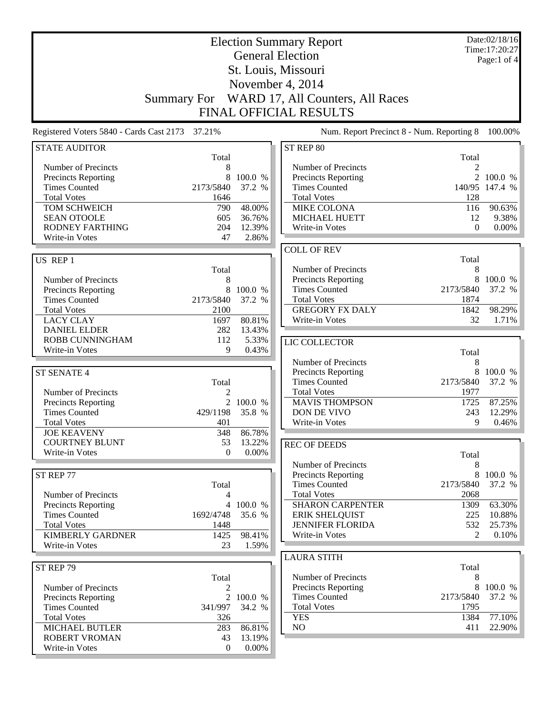| <b>General Election</b><br>Page:1 of $4$<br>St. Louis, Missouri<br>November 4, 2014<br>WARD 17, All Counters, All Races<br><b>Summary For</b><br><b>FINAL OFFICIAL RESULTS</b><br>Registered Voters 5840 - Cards Cast 2173 37.21%<br>Num. Report Precinct 8 - Num. Reporting 8<br>100.00%<br>ST REP 80<br><b>STATE AUDITOR</b><br>Total<br>Total<br>Number of Precincts<br>Number of Precincts<br>2<br>8<br>8<br>100.0 %<br>2 100.0 %<br><b>Precincts Reporting</b><br><b>Precincts Reporting</b><br>140/95 147.4 %<br><b>Times Counted</b><br>2173/5840<br>37.2 %<br><b>Times Counted</b><br><b>Total Votes</b><br><b>Total Votes</b><br>128<br>1646<br>48.00%<br>TOM SCHWEICH<br>790<br><b>MIKE COLONA</b><br>116<br>90.63%<br><b>SEAN OTOOLE</b><br>605<br>MICHAEL HUETT<br>12<br>9.38%<br>36.76%<br><b>RODNEY FARTHING</b><br>204<br>12.39%<br>Write-in Votes<br>$\Omega$<br>$0.00\%$<br>Write-in Votes<br>2.86%<br>47<br><b>COLL OF REV</b><br>US REP 1<br>Total<br>Number of Precincts<br>8<br>Total<br>8<br><b>Precincts Reporting</b><br>100.0 %<br>Number of Precincts<br>8<br>8<br>100.0 %<br><b>Times Counted</b><br>2173/5840<br>37.2 %<br><b>Precincts Reporting</b><br>2173/5840<br>37.2 %<br><b>Total Votes</b><br>1874<br><b>Times Counted</b><br><b>GREGORY FX DALY</b><br>98.29%<br>1842<br><b>Total Votes</b><br>2100<br>Write-in Votes<br>32<br>1.71%<br><b>LACY CLAY</b><br>1697<br>80.81%<br><b>DANIEL ELDER</b><br>282<br>13.43%<br>ROBB CUNNINGHAM<br>112<br>5.33%<br>LIC COLLECTOR<br>Write-in Votes<br>9<br>0.43%<br>Total<br>Number of Precincts<br>8<br>8<br>100.0 %<br><b>ST SENATE 4</b><br><b>Precincts Reporting</b><br><b>Times Counted</b><br>2173/5840<br>37.2 %<br>Total<br><b>Total Votes</b><br>Number of Precincts<br>$\overline{2}$<br>1977<br>2 100.0 %<br><b>MAVIS THOMPSON</b><br>1725<br>87.25%<br><b>Precincts Reporting</b><br><b>Times Counted</b><br>429/1198<br>35.8 %<br>DON DE VIVO<br>243<br>12.29%<br>Write-in Votes<br>9<br><b>Total Votes</b><br>401<br>0.46%<br><b>JOE KEAVENY</b><br>348<br>86.78%<br><b>COURTNEY BLUNT</b><br>13.22%<br>53<br><b>REC OF DEEDS</b><br>$\theta$<br>$0.00\%$<br>Write-in Votes<br>Total<br>Number of Precincts<br>8<br>ST REP 77<br>8<br>100.0 %<br><b>Precincts Reporting</b><br><b>Times Counted</b><br>2173/5840<br>37.2 %<br>Total<br><b>Total Votes</b><br>Number of Precincts<br>2068<br>4<br><b>SHARON CARPENTER</b><br>63.30%<br>Precincts Reporting<br>$\overline{4}$<br>100.0 %<br>1309<br><b>Times Counted</b><br>10.88%<br>1692/4748<br>35.6 %<br><b>ERIK SHELQUIST</b><br>225<br><b>Total Votes</b><br><b>JENNIFER FLORIDA</b><br>25.73%<br>1448<br>532<br>Write-in Votes<br>2<br>0.10%<br><b>KIMBERLY GARDNER</b><br>1425<br>98.41%<br>Write-in Votes<br>23<br>1.59%<br><b>LAURA STITH</b><br>Total<br>ST REP 79<br>Number of Precincts<br>8<br>Total<br>8<br><b>Precincts Reporting</b><br>100.0 %<br>Number of Precincts<br>$\overline{2}$<br><b>Times Counted</b><br>2173/5840<br>37.2 %<br><b>Precincts Reporting</b><br>2 100.0 %<br><b>Total Votes</b><br>1795<br><b>Times Counted</b><br>341/997<br>34.2 %<br>77.10%<br><b>Total Votes</b><br><b>YES</b><br>1384<br>326<br>NO<br><b>MICHAEL BUTLER</b><br>283<br>86.81%<br>411<br><b>ROBERT VROMAN</b><br>13.19%<br>43<br>Write-in Votes<br>$\mathbf{0}$ |  |  |          | <b>Election Summary Report</b> |  | Date:02/18/16<br>Time: 17:20:27 |  |
|----------------------------------------------------------------------------------------------------------------------------------------------------------------------------------------------------------------------------------------------------------------------------------------------------------------------------------------------------------------------------------------------------------------------------------------------------------------------------------------------------------------------------------------------------------------------------------------------------------------------------------------------------------------------------------------------------------------------------------------------------------------------------------------------------------------------------------------------------------------------------------------------------------------------------------------------------------------------------------------------------------------------------------------------------------------------------------------------------------------------------------------------------------------------------------------------------------------------------------------------------------------------------------------------------------------------------------------------------------------------------------------------------------------------------------------------------------------------------------------------------------------------------------------------------------------------------------------------------------------------------------------------------------------------------------------------------------------------------------------------------------------------------------------------------------------------------------------------------------------------------------------------------------------------------------------------------------------------------------------------------------------------------------------------------------------------------------------------------------------------------------------------------------------------------------------------------------------------------------------------------------------------------------------------------------------------------------------------------------------------------------------------------------------------------------------------------------------------------------------------------------------------------------------------------------------------------------------------------------------------------------------------------------------------------------------------------------------------------------------------------------------------------------------------------------------------------------------------------------------------------------------------------------------------------------------------------------------------------------------------------------------------------------------------------------------------------------------------------------------------------------------------------------------------------------------------------------------------------------------------------------------------------------------------------------------------|--|--|----------|--------------------------------|--|---------------------------------|--|
|                                                                                                                                                                                                                                                                                                                                                                                                                                                                                                                                                                                                                                                                                                                                                                                                                                                                                                                                                                                                                                                                                                                                                                                                                                                                                                                                                                                                                                                                                                                                                                                                                                                                                                                                                                                                                                                                                                                                                                                                                                                                                                                                                                                                                                                                                                                                                                                                                                                                                                                                                                                                                                                                                                                                                                                                                                                                                                                                                                                                                                                                                                                                                                                                                                                                                                                      |  |  |          |                                |  |                                 |  |
|                                                                                                                                                                                                                                                                                                                                                                                                                                                                                                                                                                                                                                                                                                                                                                                                                                                                                                                                                                                                                                                                                                                                                                                                                                                                                                                                                                                                                                                                                                                                                                                                                                                                                                                                                                                                                                                                                                                                                                                                                                                                                                                                                                                                                                                                                                                                                                                                                                                                                                                                                                                                                                                                                                                                                                                                                                                                                                                                                                                                                                                                                                                                                                                                                                                                                                                      |  |  |          |                                |  |                                 |  |
|                                                                                                                                                                                                                                                                                                                                                                                                                                                                                                                                                                                                                                                                                                                                                                                                                                                                                                                                                                                                                                                                                                                                                                                                                                                                                                                                                                                                                                                                                                                                                                                                                                                                                                                                                                                                                                                                                                                                                                                                                                                                                                                                                                                                                                                                                                                                                                                                                                                                                                                                                                                                                                                                                                                                                                                                                                                                                                                                                                                                                                                                                                                                                                                                                                                                                                                      |  |  |          |                                |  |                                 |  |
|                                                                                                                                                                                                                                                                                                                                                                                                                                                                                                                                                                                                                                                                                                                                                                                                                                                                                                                                                                                                                                                                                                                                                                                                                                                                                                                                                                                                                                                                                                                                                                                                                                                                                                                                                                                                                                                                                                                                                                                                                                                                                                                                                                                                                                                                                                                                                                                                                                                                                                                                                                                                                                                                                                                                                                                                                                                                                                                                                                                                                                                                                                                                                                                                                                                                                                                      |  |  |          |                                |  |                                 |  |
|                                                                                                                                                                                                                                                                                                                                                                                                                                                                                                                                                                                                                                                                                                                                                                                                                                                                                                                                                                                                                                                                                                                                                                                                                                                                                                                                                                                                                                                                                                                                                                                                                                                                                                                                                                                                                                                                                                                                                                                                                                                                                                                                                                                                                                                                                                                                                                                                                                                                                                                                                                                                                                                                                                                                                                                                                                                                                                                                                                                                                                                                                                                                                                                                                                                                                                                      |  |  |          |                                |  |                                 |  |
|                                                                                                                                                                                                                                                                                                                                                                                                                                                                                                                                                                                                                                                                                                                                                                                                                                                                                                                                                                                                                                                                                                                                                                                                                                                                                                                                                                                                                                                                                                                                                                                                                                                                                                                                                                                                                                                                                                                                                                                                                                                                                                                                                                                                                                                                                                                                                                                                                                                                                                                                                                                                                                                                                                                                                                                                                                                                                                                                                                                                                                                                                                                                                                                                                                                                                                                      |  |  |          |                                |  |                                 |  |
|                                                                                                                                                                                                                                                                                                                                                                                                                                                                                                                                                                                                                                                                                                                                                                                                                                                                                                                                                                                                                                                                                                                                                                                                                                                                                                                                                                                                                                                                                                                                                                                                                                                                                                                                                                                                                                                                                                                                                                                                                                                                                                                                                                                                                                                                                                                                                                                                                                                                                                                                                                                                                                                                                                                                                                                                                                                                                                                                                                                                                                                                                                                                                                                                                                                                                                                      |  |  |          |                                |  |                                 |  |
|                                                                                                                                                                                                                                                                                                                                                                                                                                                                                                                                                                                                                                                                                                                                                                                                                                                                                                                                                                                                                                                                                                                                                                                                                                                                                                                                                                                                                                                                                                                                                                                                                                                                                                                                                                                                                                                                                                                                                                                                                                                                                                                                                                                                                                                                                                                                                                                                                                                                                                                                                                                                                                                                                                                                                                                                                                                                                                                                                                                                                                                                                                                                                                                                                                                                                                                      |  |  |          |                                |  |                                 |  |
|                                                                                                                                                                                                                                                                                                                                                                                                                                                                                                                                                                                                                                                                                                                                                                                                                                                                                                                                                                                                                                                                                                                                                                                                                                                                                                                                                                                                                                                                                                                                                                                                                                                                                                                                                                                                                                                                                                                                                                                                                                                                                                                                                                                                                                                                                                                                                                                                                                                                                                                                                                                                                                                                                                                                                                                                                                                                                                                                                                                                                                                                                                                                                                                                                                                                                                                      |  |  |          |                                |  |                                 |  |
|                                                                                                                                                                                                                                                                                                                                                                                                                                                                                                                                                                                                                                                                                                                                                                                                                                                                                                                                                                                                                                                                                                                                                                                                                                                                                                                                                                                                                                                                                                                                                                                                                                                                                                                                                                                                                                                                                                                                                                                                                                                                                                                                                                                                                                                                                                                                                                                                                                                                                                                                                                                                                                                                                                                                                                                                                                                                                                                                                                                                                                                                                                                                                                                                                                                                                                                      |  |  |          |                                |  |                                 |  |
|                                                                                                                                                                                                                                                                                                                                                                                                                                                                                                                                                                                                                                                                                                                                                                                                                                                                                                                                                                                                                                                                                                                                                                                                                                                                                                                                                                                                                                                                                                                                                                                                                                                                                                                                                                                                                                                                                                                                                                                                                                                                                                                                                                                                                                                                                                                                                                                                                                                                                                                                                                                                                                                                                                                                                                                                                                                                                                                                                                                                                                                                                                                                                                                                                                                                                                                      |  |  |          |                                |  |                                 |  |
|                                                                                                                                                                                                                                                                                                                                                                                                                                                                                                                                                                                                                                                                                                                                                                                                                                                                                                                                                                                                                                                                                                                                                                                                                                                                                                                                                                                                                                                                                                                                                                                                                                                                                                                                                                                                                                                                                                                                                                                                                                                                                                                                                                                                                                                                                                                                                                                                                                                                                                                                                                                                                                                                                                                                                                                                                                                                                                                                                                                                                                                                                                                                                                                                                                                                                                                      |  |  |          |                                |  |                                 |  |
|                                                                                                                                                                                                                                                                                                                                                                                                                                                                                                                                                                                                                                                                                                                                                                                                                                                                                                                                                                                                                                                                                                                                                                                                                                                                                                                                                                                                                                                                                                                                                                                                                                                                                                                                                                                                                                                                                                                                                                                                                                                                                                                                                                                                                                                                                                                                                                                                                                                                                                                                                                                                                                                                                                                                                                                                                                                                                                                                                                                                                                                                                                                                                                                                                                                                                                                      |  |  |          |                                |  |                                 |  |
|                                                                                                                                                                                                                                                                                                                                                                                                                                                                                                                                                                                                                                                                                                                                                                                                                                                                                                                                                                                                                                                                                                                                                                                                                                                                                                                                                                                                                                                                                                                                                                                                                                                                                                                                                                                                                                                                                                                                                                                                                                                                                                                                                                                                                                                                                                                                                                                                                                                                                                                                                                                                                                                                                                                                                                                                                                                                                                                                                                                                                                                                                                                                                                                                                                                                                                                      |  |  |          |                                |  |                                 |  |
|                                                                                                                                                                                                                                                                                                                                                                                                                                                                                                                                                                                                                                                                                                                                                                                                                                                                                                                                                                                                                                                                                                                                                                                                                                                                                                                                                                                                                                                                                                                                                                                                                                                                                                                                                                                                                                                                                                                                                                                                                                                                                                                                                                                                                                                                                                                                                                                                                                                                                                                                                                                                                                                                                                                                                                                                                                                                                                                                                                                                                                                                                                                                                                                                                                                                                                                      |  |  |          |                                |  |                                 |  |
|                                                                                                                                                                                                                                                                                                                                                                                                                                                                                                                                                                                                                                                                                                                                                                                                                                                                                                                                                                                                                                                                                                                                                                                                                                                                                                                                                                                                                                                                                                                                                                                                                                                                                                                                                                                                                                                                                                                                                                                                                                                                                                                                                                                                                                                                                                                                                                                                                                                                                                                                                                                                                                                                                                                                                                                                                                                                                                                                                                                                                                                                                                                                                                                                                                                                                                                      |  |  |          |                                |  |                                 |  |
|                                                                                                                                                                                                                                                                                                                                                                                                                                                                                                                                                                                                                                                                                                                                                                                                                                                                                                                                                                                                                                                                                                                                                                                                                                                                                                                                                                                                                                                                                                                                                                                                                                                                                                                                                                                                                                                                                                                                                                                                                                                                                                                                                                                                                                                                                                                                                                                                                                                                                                                                                                                                                                                                                                                                                                                                                                                                                                                                                                                                                                                                                                                                                                                                                                                                                                                      |  |  |          |                                |  |                                 |  |
|                                                                                                                                                                                                                                                                                                                                                                                                                                                                                                                                                                                                                                                                                                                                                                                                                                                                                                                                                                                                                                                                                                                                                                                                                                                                                                                                                                                                                                                                                                                                                                                                                                                                                                                                                                                                                                                                                                                                                                                                                                                                                                                                                                                                                                                                                                                                                                                                                                                                                                                                                                                                                                                                                                                                                                                                                                                                                                                                                                                                                                                                                                                                                                                                                                                                                                                      |  |  |          |                                |  |                                 |  |
|                                                                                                                                                                                                                                                                                                                                                                                                                                                                                                                                                                                                                                                                                                                                                                                                                                                                                                                                                                                                                                                                                                                                                                                                                                                                                                                                                                                                                                                                                                                                                                                                                                                                                                                                                                                                                                                                                                                                                                                                                                                                                                                                                                                                                                                                                                                                                                                                                                                                                                                                                                                                                                                                                                                                                                                                                                                                                                                                                                                                                                                                                                                                                                                                                                                                                                                      |  |  |          |                                |  |                                 |  |
|                                                                                                                                                                                                                                                                                                                                                                                                                                                                                                                                                                                                                                                                                                                                                                                                                                                                                                                                                                                                                                                                                                                                                                                                                                                                                                                                                                                                                                                                                                                                                                                                                                                                                                                                                                                                                                                                                                                                                                                                                                                                                                                                                                                                                                                                                                                                                                                                                                                                                                                                                                                                                                                                                                                                                                                                                                                                                                                                                                                                                                                                                                                                                                                                                                                                                                                      |  |  |          |                                |  |                                 |  |
|                                                                                                                                                                                                                                                                                                                                                                                                                                                                                                                                                                                                                                                                                                                                                                                                                                                                                                                                                                                                                                                                                                                                                                                                                                                                                                                                                                                                                                                                                                                                                                                                                                                                                                                                                                                                                                                                                                                                                                                                                                                                                                                                                                                                                                                                                                                                                                                                                                                                                                                                                                                                                                                                                                                                                                                                                                                                                                                                                                                                                                                                                                                                                                                                                                                                                                                      |  |  |          |                                |  |                                 |  |
|                                                                                                                                                                                                                                                                                                                                                                                                                                                                                                                                                                                                                                                                                                                                                                                                                                                                                                                                                                                                                                                                                                                                                                                                                                                                                                                                                                                                                                                                                                                                                                                                                                                                                                                                                                                                                                                                                                                                                                                                                                                                                                                                                                                                                                                                                                                                                                                                                                                                                                                                                                                                                                                                                                                                                                                                                                                                                                                                                                                                                                                                                                                                                                                                                                                                                                                      |  |  |          |                                |  |                                 |  |
|                                                                                                                                                                                                                                                                                                                                                                                                                                                                                                                                                                                                                                                                                                                                                                                                                                                                                                                                                                                                                                                                                                                                                                                                                                                                                                                                                                                                                                                                                                                                                                                                                                                                                                                                                                                                                                                                                                                                                                                                                                                                                                                                                                                                                                                                                                                                                                                                                                                                                                                                                                                                                                                                                                                                                                                                                                                                                                                                                                                                                                                                                                                                                                                                                                                                                                                      |  |  |          |                                |  |                                 |  |
|                                                                                                                                                                                                                                                                                                                                                                                                                                                                                                                                                                                                                                                                                                                                                                                                                                                                                                                                                                                                                                                                                                                                                                                                                                                                                                                                                                                                                                                                                                                                                                                                                                                                                                                                                                                                                                                                                                                                                                                                                                                                                                                                                                                                                                                                                                                                                                                                                                                                                                                                                                                                                                                                                                                                                                                                                                                                                                                                                                                                                                                                                                                                                                                                                                                                                                                      |  |  |          |                                |  |                                 |  |
|                                                                                                                                                                                                                                                                                                                                                                                                                                                                                                                                                                                                                                                                                                                                                                                                                                                                                                                                                                                                                                                                                                                                                                                                                                                                                                                                                                                                                                                                                                                                                                                                                                                                                                                                                                                                                                                                                                                                                                                                                                                                                                                                                                                                                                                                                                                                                                                                                                                                                                                                                                                                                                                                                                                                                                                                                                                                                                                                                                                                                                                                                                                                                                                                                                                                                                                      |  |  |          |                                |  |                                 |  |
|                                                                                                                                                                                                                                                                                                                                                                                                                                                                                                                                                                                                                                                                                                                                                                                                                                                                                                                                                                                                                                                                                                                                                                                                                                                                                                                                                                                                                                                                                                                                                                                                                                                                                                                                                                                                                                                                                                                                                                                                                                                                                                                                                                                                                                                                                                                                                                                                                                                                                                                                                                                                                                                                                                                                                                                                                                                                                                                                                                                                                                                                                                                                                                                                                                                                                                                      |  |  |          |                                |  |                                 |  |
|                                                                                                                                                                                                                                                                                                                                                                                                                                                                                                                                                                                                                                                                                                                                                                                                                                                                                                                                                                                                                                                                                                                                                                                                                                                                                                                                                                                                                                                                                                                                                                                                                                                                                                                                                                                                                                                                                                                                                                                                                                                                                                                                                                                                                                                                                                                                                                                                                                                                                                                                                                                                                                                                                                                                                                                                                                                                                                                                                                                                                                                                                                                                                                                                                                                                                                                      |  |  |          |                                |  |                                 |  |
|                                                                                                                                                                                                                                                                                                                                                                                                                                                                                                                                                                                                                                                                                                                                                                                                                                                                                                                                                                                                                                                                                                                                                                                                                                                                                                                                                                                                                                                                                                                                                                                                                                                                                                                                                                                                                                                                                                                                                                                                                                                                                                                                                                                                                                                                                                                                                                                                                                                                                                                                                                                                                                                                                                                                                                                                                                                                                                                                                                                                                                                                                                                                                                                                                                                                                                                      |  |  |          |                                |  |                                 |  |
|                                                                                                                                                                                                                                                                                                                                                                                                                                                                                                                                                                                                                                                                                                                                                                                                                                                                                                                                                                                                                                                                                                                                                                                                                                                                                                                                                                                                                                                                                                                                                                                                                                                                                                                                                                                                                                                                                                                                                                                                                                                                                                                                                                                                                                                                                                                                                                                                                                                                                                                                                                                                                                                                                                                                                                                                                                                                                                                                                                                                                                                                                                                                                                                                                                                                                                                      |  |  |          |                                |  |                                 |  |
|                                                                                                                                                                                                                                                                                                                                                                                                                                                                                                                                                                                                                                                                                                                                                                                                                                                                                                                                                                                                                                                                                                                                                                                                                                                                                                                                                                                                                                                                                                                                                                                                                                                                                                                                                                                                                                                                                                                                                                                                                                                                                                                                                                                                                                                                                                                                                                                                                                                                                                                                                                                                                                                                                                                                                                                                                                                                                                                                                                                                                                                                                                                                                                                                                                                                                                                      |  |  |          |                                |  |                                 |  |
|                                                                                                                                                                                                                                                                                                                                                                                                                                                                                                                                                                                                                                                                                                                                                                                                                                                                                                                                                                                                                                                                                                                                                                                                                                                                                                                                                                                                                                                                                                                                                                                                                                                                                                                                                                                                                                                                                                                                                                                                                                                                                                                                                                                                                                                                                                                                                                                                                                                                                                                                                                                                                                                                                                                                                                                                                                                                                                                                                                                                                                                                                                                                                                                                                                                                                                                      |  |  |          |                                |  |                                 |  |
|                                                                                                                                                                                                                                                                                                                                                                                                                                                                                                                                                                                                                                                                                                                                                                                                                                                                                                                                                                                                                                                                                                                                                                                                                                                                                                                                                                                                                                                                                                                                                                                                                                                                                                                                                                                                                                                                                                                                                                                                                                                                                                                                                                                                                                                                                                                                                                                                                                                                                                                                                                                                                                                                                                                                                                                                                                                                                                                                                                                                                                                                                                                                                                                                                                                                                                                      |  |  |          |                                |  |                                 |  |
|                                                                                                                                                                                                                                                                                                                                                                                                                                                                                                                                                                                                                                                                                                                                                                                                                                                                                                                                                                                                                                                                                                                                                                                                                                                                                                                                                                                                                                                                                                                                                                                                                                                                                                                                                                                                                                                                                                                                                                                                                                                                                                                                                                                                                                                                                                                                                                                                                                                                                                                                                                                                                                                                                                                                                                                                                                                                                                                                                                                                                                                                                                                                                                                                                                                                                                                      |  |  |          |                                |  |                                 |  |
|                                                                                                                                                                                                                                                                                                                                                                                                                                                                                                                                                                                                                                                                                                                                                                                                                                                                                                                                                                                                                                                                                                                                                                                                                                                                                                                                                                                                                                                                                                                                                                                                                                                                                                                                                                                                                                                                                                                                                                                                                                                                                                                                                                                                                                                                                                                                                                                                                                                                                                                                                                                                                                                                                                                                                                                                                                                                                                                                                                                                                                                                                                                                                                                                                                                                                                                      |  |  |          |                                |  |                                 |  |
|                                                                                                                                                                                                                                                                                                                                                                                                                                                                                                                                                                                                                                                                                                                                                                                                                                                                                                                                                                                                                                                                                                                                                                                                                                                                                                                                                                                                                                                                                                                                                                                                                                                                                                                                                                                                                                                                                                                                                                                                                                                                                                                                                                                                                                                                                                                                                                                                                                                                                                                                                                                                                                                                                                                                                                                                                                                                                                                                                                                                                                                                                                                                                                                                                                                                                                                      |  |  |          |                                |  |                                 |  |
|                                                                                                                                                                                                                                                                                                                                                                                                                                                                                                                                                                                                                                                                                                                                                                                                                                                                                                                                                                                                                                                                                                                                                                                                                                                                                                                                                                                                                                                                                                                                                                                                                                                                                                                                                                                                                                                                                                                                                                                                                                                                                                                                                                                                                                                                                                                                                                                                                                                                                                                                                                                                                                                                                                                                                                                                                                                                                                                                                                                                                                                                                                                                                                                                                                                                                                                      |  |  |          |                                |  |                                 |  |
|                                                                                                                                                                                                                                                                                                                                                                                                                                                                                                                                                                                                                                                                                                                                                                                                                                                                                                                                                                                                                                                                                                                                                                                                                                                                                                                                                                                                                                                                                                                                                                                                                                                                                                                                                                                                                                                                                                                                                                                                                                                                                                                                                                                                                                                                                                                                                                                                                                                                                                                                                                                                                                                                                                                                                                                                                                                                                                                                                                                                                                                                                                                                                                                                                                                                                                                      |  |  |          |                                |  |                                 |  |
|                                                                                                                                                                                                                                                                                                                                                                                                                                                                                                                                                                                                                                                                                                                                                                                                                                                                                                                                                                                                                                                                                                                                                                                                                                                                                                                                                                                                                                                                                                                                                                                                                                                                                                                                                                                                                                                                                                                                                                                                                                                                                                                                                                                                                                                                                                                                                                                                                                                                                                                                                                                                                                                                                                                                                                                                                                                                                                                                                                                                                                                                                                                                                                                                                                                                                                                      |  |  |          |                                |  |                                 |  |
|                                                                                                                                                                                                                                                                                                                                                                                                                                                                                                                                                                                                                                                                                                                                                                                                                                                                                                                                                                                                                                                                                                                                                                                                                                                                                                                                                                                                                                                                                                                                                                                                                                                                                                                                                                                                                                                                                                                                                                                                                                                                                                                                                                                                                                                                                                                                                                                                                                                                                                                                                                                                                                                                                                                                                                                                                                                                                                                                                                                                                                                                                                                                                                                                                                                                                                                      |  |  |          |                                |  |                                 |  |
| 22.90%                                                                                                                                                                                                                                                                                                                                                                                                                                                                                                                                                                                                                                                                                                                                                                                                                                                                                                                                                                                                                                                                                                                                                                                                                                                                                                                                                                                                                                                                                                                                                                                                                                                                                                                                                                                                                                                                                                                                                                                                                                                                                                                                                                                                                                                                                                                                                                                                                                                                                                                                                                                                                                                                                                                                                                                                                                                                                                                                                                                                                                                                                                                                                                                                                                                                                                               |  |  |          |                                |  |                                 |  |
|                                                                                                                                                                                                                                                                                                                                                                                                                                                                                                                                                                                                                                                                                                                                                                                                                                                                                                                                                                                                                                                                                                                                                                                                                                                                                                                                                                                                                                                                                                                                                                                                                                                                                                                                                                                                                                                                                                                                                                                                                                                                                                                                                                                                                                                                                                                                                                                                                                                                                                                                                                                                                                                                                                                                                                                                                                                                                                                                                                                                                                                                                                                                                                                                                                                                                                                      |  |  |          |                                |  |                                 |  |
|                                                                                                                                                                                                                                                                                                                                                                                                                                                                                                                                                                                                                                                                                                                                                                                                                                                                                                                                                                                                                                                                                                                                                                                                                                                                                                                                                                                                                                                                                                                                                                                                                                                                                                                                                                                                                                                                                                                                                                                                                                                                                                                                                                                                                                                                                                                                                                                                                                                                                                                                                                                                                                                                                                                                                                                                                                                                                                                                                                                                                                                                                                                                                                                                                                                                                                                      |  |  |          |                                |  |                                 |  |
|                                                                                                                                                                                                                                                                                                                                                                                                                                                                                                                                                                                                                                                                                                                                                                                                                                                                                                                                                                                                                                                                                                                                                                                                                                                                                                                                                                                                                                                                                                                                                                                                                                                                                                                                                                                                                                                                                                                                                                                                                                                                                                                                                                                                                                                                                                                                                                                                                                                                                                                                                                                                                                                                                                                                                                                                                                                                                                                                                                                                                                                                                                                                                                                                                                                                                                                      |  |  |          |                                |  |                                 |  |
|                                                                                                                                                                                                                                                                                                                                                                                                                                                                                                                                                                                                                                                                                                                                                                                                                                                                                                                                                                                                                                                                                                                                                                                                                                                                                                                                                                                                                                                                                                                                                                                                                                                                                                                                                                                                                                                                                                                                                                                                                                                                                                                                                                                                                                                                                                                                                                                                                                                                                                                                                                                                                                                                                                                                                                                                                                                                                                                                                                                                                                                                                                                                                                                                                                                                                                                      |  |  |          |                                |  |                                 |  |
|                                                                                                                                                                                                                                                                                                                                                                                                                                                                                                                                                                                                                                                                                                                                                                                                                                                                                                                                                                                                                                                                                                                                                                                                                                                                                                                                                                                                                                                                                                                                                                                                                                                                                                                                                                                                                                                                                                                                                                                                                                                                                                                                                                                                                                                                                                                                                                                                                                                                                                                                                                                                                                                                                                                                                                                                                                                                                                                                                                                                                                                                                                                                                                                                                                                                                                                      |  |  |          |                                |  |                                 |  |
|                                                                                                                                                                                                                                                                                                                                                                                                                                                                                                                                                                                                                                                                                                                                                                                                                                                                                                                                                                                                                                                                                                                                                                                                                                                                                                                                                                                                                                                                                                                                                                                                                                                                                                                                                                                                                                                                                                                                                                                                                                                                                                                                                                                                                                                                                                                                                                                                                                                                                                                                                                                                                                                                                                                                                                                                                                                                                                                                                                                                                                                                                                                                                                                                                                                                                                                      |  |  |          |                                |  |                                 |  |
|                                                                                                                                                                                                                                                                                                                                                                                                                                                                                                                                                                                                                                                                                                                                                                                                                                                                                                                                                                                                                                                                                                                                                                                                                                                                                                                                                                                                                                                                                                                                                                                                                                                                                                                                                                                                                                                                                                                                                                                                                                                                                                                                                                                                                                                                                                                                                                                                                                                                                                                                                                                                                                                                                                                                                                                                                                                                                                                                                                                                                                                                                                                                                                                                                                                                                                                      |  |  |          |                                |  |                                 |  |
|                                                                                                                                                                                                                                                                                                                                                                                                                                                                                                                                                                                                                                                                                                                                                                                                                                                                                                                                                                                                                                                                                                                                                                                                                                                                                                                                                                                                                                                                                                                                                                                                                                                                                                                                                                                                                                                                                                                                                                                                                                                                                                                                                                                                                                                                                                                                                                                                                                                                                                                                                                                                                                                                                                                                                                                                                                                                                                                                                                                                                                                                                                                                                                                                                                                                                                                      |  |  |          |                                |  |                                 |  |
|                                                                                                                                                                                                                                                                                                                                                                                                                                                                                                                                                                                                                                                                                                                                                                                                                                                                                                                                                                                                                                                                                                                                                                                                                                                                                                                                                                                                                                                                                                                                                                                                                                                                                                                                                                                                                                                                                                                                                                                                                                                                                                                                                                                                                                                                                                                                                                                                                                                                                                                                                                                                                                                                                                                                                                                                                                                                                                                                                                                                                                                                                                                                                                                                                                                                                                                      |  |  |          |                                |  |                                 |  |
|                                                                                                                                                                                                                                                                                                                                                                                                                                                                                                                                                                                                                                                                                                                                                                                                                                                                                                                                                                                                                                                                                                                                                                                                                                                                                                                                                                                                                                                                                                                                                                                                                                                                                                                                                                                                                                                                                                                                                                                                                                                                                                                                                                                                                                                                                                                                                                                                                                                                                                                                                                                                                                                                                                                                                                                                                                                                                                                                                                                                                                                                                                                                                                                                                                                                                                                      |  |  |          |                                |  |                                 |  |
|                                                                                                                                                                                                                                                                                                                                                                                                                                                                                                                                                                                                                                                                                                                                                                                                                                                                                                                                                                                                                                                                                                                                                                                                                                                                                                                                                                                                                                                                                                                                                                                                                                                                                                                                                                                                                                                                                                                                                                                                                                                                                                                                                                                                                                                                                                                                                                                                                                                                                                                                                                                                                                                                                                                                                                                                                                                                                                                                                                                                                                                                                                                                                                                                                                                                                                                      |  |  |          |                                |  |                                 |  |
|                                                                                                                                                                                                                                                                                                                                                                                                                                                                                                                                                                                                                                                                                                                                                                                                                                                                                                                                                                                                                                                                                                                                                                                                                                                                                                                                                                                                                                                                                                                                                                                                                                                                                                                                                                                                                                                                                                                                                                                                                                                                                                                                                                                                                                                                                                                                                                                                                                                                                                                                                                                                                                                                                                                                                                                                                                                                                                                                                                                                                                                                                                                                                                                                                                                                                                                      |  |  | $0.00\%$ |                                |  |                                 |  |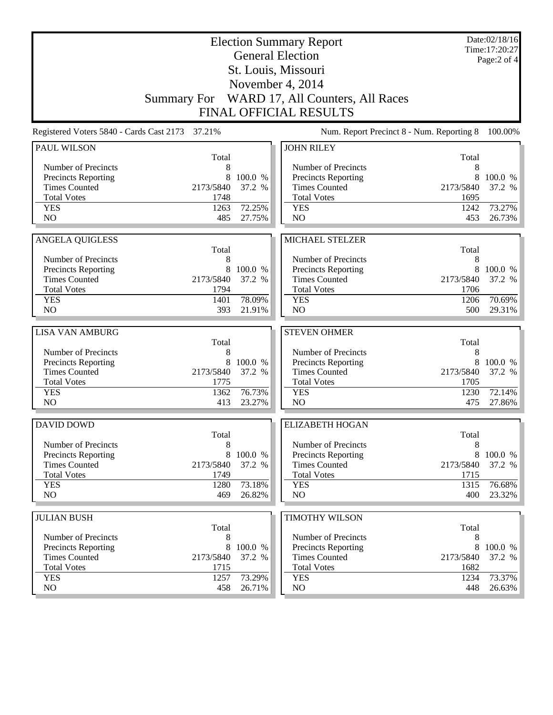| <b>Election Summary Report</b><br><b>General Election</b> |                                                 |                  |                                                   |              | Date:02/18/16<br>Time:17:20:27 |
|-----------------------------------------------------------|-------------------------------------------------|------------------|---------------------------------------------------|--------------|--------------------------------|
|                                                           |                                                 |                  | St. Louis, Missouri                               |              | Page:2 of 4                    |
|                                                           |                                                 |                  |                                                   |              |                                |
|                                                           |                                                 |                  | November 4, 2014                                  |              |                                |
|                                                           | Summary For                                     |                  | WARD 17, All Counters, All Races                  |              |                                |
|                                                           |                                                 |                  | <b>FINAL OFFICIAL RESULTS</b>                     |              |                                |
|                                                           | Registered Voters 5840 - Cards Cast 2173 37.21% |                  | Num. Report Precinct 8 - Num. Reporting 8         |              | 100.00%                        |
| <b>PAUL WILSON</b>                                        |                                                 |                  | <b>JOHN RILEY</b>                                 |              |                                |
| Number of Precincts                                       | Total<br>8                                      |                  | Number of Precincts                               | Total<br>8   |                                |
| Precincts Reporting                                       | 8                                               | 100.0 %          | <b>Precincts Reporting</b>                        | 8            | 100.0 %                        |
| <b>Times Counted</b>                                      | 2173/5840                                       | 37.2 %           | <b>Times Counted</b>                              | 2173/5840    | 37.2 %                         |
| <b>Total Votes</b>                                        | 1748                                            |                  | <b>Total Votes</b>                                | 1695         |                                |
| <b>YES</b>                                                | 1263                                            | 72.25%           | <b>YES</b>                                        | 1242         | 73.27%                         |
| N <sub>O</sub>                                            | 485                                             | 27.75%           | N <sub>O</sub>                                    | 453          | 26.73%                         |
| <b>ANGELA QUIGLESS</b>                                    |                                                 |                  | <b>MICHAEL STELZER</b>                            |              |                                |
|                                                           | Total                                           |                  |                                                   | Total        |                                |
| Number of Precincts                                       | 8                                               |                  | Number of Precincts                               | 8            |                                |
| Precincts Reporting                                       |                                                 | 8 100.0 %        | <b>Precincts Reporting</b>                        | 8            | 100.0 %                        |
| <b>Times Counted</b>                                      | 2173/5840                                       | 37.2 %           | <b>Times Counted</b>                              | 2173/5840    | 37.2 %                         |
| <b>Total Votes</b><br><b>YES</b>                          | 1794<br>1401                                    | 78.09%           | <b>Total Votes</b><br><b>YES</b>                  | 1706<br>1206 | 70.69%                         |
| N <sub>O</sub>                                            | 393                                             | 21.91%           | N <sub>O</sub>                                    | 500          | 29.31%                         |
|                                                           |                                                 |                  |                                                   |              |                                |
| <b>LISA VAN AMBURG</b>                                    |                                                 |                  | <b>STEVEN OHMER</b>                               |              |                                |
| Number of Precincts                                       | Total<br>8                                      |                  | Number of Precincts                               | Total<br>8   |                                |
| Precincts Reporting                                       | 8                                               | 100.0 %          | <b>Precincts Reporting</b>                        | 8            | 100.0 %                        |
| <b>Times Counted</b>                                      | 2173/5840                                       | 37.2 %           | <b>Times Counted</b>                              | 2173/5840    | 37.2 %                         |
| <b>Total Votes</b>                                        | 1775                                            |                  | <b>Total Votes</b>                                | 1705         |                                |
| <b>YES</b>                                                | 1362                                            | 76.73%           | <b>YES</b>                                        | 1230         | 72.14%                         |
| N <sub>O</sub>                                            | 413                                             | 23.27%           | N <sub>O</sub>                                    | 475          | 27.86%                         |
| <b>DAVID DOWD</b>                                         |                                                 |                  | <b>ELIZABETH HOGAN</b>                            |              |                                |
|                                                           | Total                                           |                  |                                                   | Total        |                                |
| Number of Precincts<br>Precincts Reporting                | 8<br>8                                          | 100.0 %          | Number of Precincts<br><b>Precincts Reporting</b> | 8<br>8       | 100.0 %                        |
| <b>Times Counted</b>                                      | 2173/5840                                       | 37.2 %           | <b>Times Counted</b>                              | 2173/5840    | 37.2 %                         |
| <b>Total Votes</b>                                        | 1749                                            |                  | <b>Total Votes</b>                                | 1715         |                                |
| <b>YES</b>                                                | 1280                                            | 73.18%           | <b>YES</b>                                        | 1315         | 76.68%                         |
| NO                                                        | 469                                             | 26.82%           | NO                                                | 400          | 23.32%                         |
| <b>JULIAN BUSH</b>                                        |                                                 |                  | <b>TIMOTHY WILSON</b>                             |              |                                |
|                                                           | Total                                           |                  |                                                   | Total        |                                |
|                                                           |                                                 |                  | Number of Precincts                               | 8            |                                |
| Number of Precincts                                       | 8                                               |                  |                                                   |              |                                |
| <b>Precincts Reporting</b>                                | 8                                               | 100.0 %          | <b>Precincts Reporting</b>                        | 8            | 100.0 %                        |
| <b>Times Counted</b>                                      | 2173/5840                                       | 37.2 %           | <b>Times Counted</b>                              | 2173/5840    | 37.2 %                         |
| <b>Total Votes</b>                                        | 1715                                            |                  | <b>Total Votes</b>                                | 1682         |                                |
| <b>YES</b><br>NO                                          | 1257<br>458                                     | 73.29%<br>26.71% | <b>YES</b><br>NO                                  | 1234<br>448  | 73.37%<br>$26.63\%$            |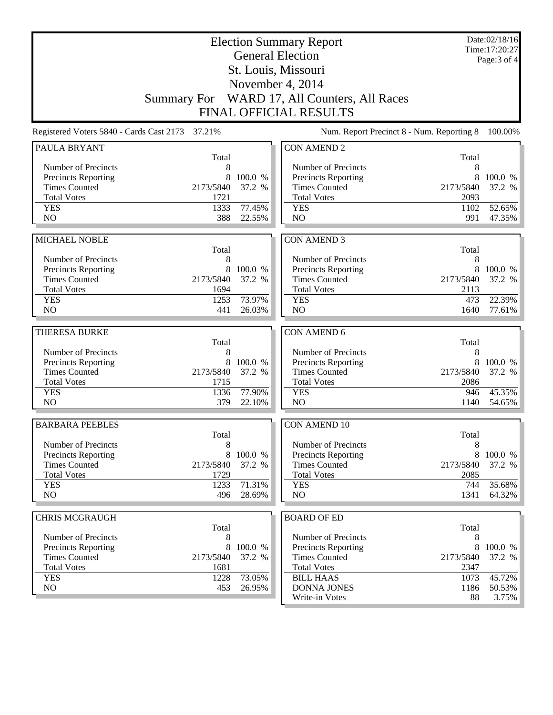| <b>Election Summary Report</b><br><b>General Election</b> |                    |                   |                                                    |                   | Date:02/18/16<br>Time: 17:20:27<br>Page: 3 of 4 |  |  |
|-----------------------------------------------------------|--------------------|-------------------|----------------------------------------------------|-------------------|-------------------------------------------------|--|--|
|                                                           |                    |                   |                                                    |                   |                                                 |  |  |
|                                                           |                    |                   | November 4, 2014                                   |                   |                                                 |  |  |
|                                                           | <b>Summary For</b> |                   | WARD 17, All Counters, All Races                   |                   |                                                 |  |  |
| <b>FINAL OFFICIAL RESULTS</b>                             |                    |                   |                                                    |                   |                                                 |  |  |
| Registered Voters 5840 - Cards Cast 2173                  | 37.21%             |                   | Num. Report Precinct 8 - Num. Reporting 8          |                   | 100.00%                                         |  |  |
| PAULA BRYANT                                              | Total              |                   | <b>CON AMEND 2</b>                                 | Total             |                                                 |  |  |
| Number of Precincts                                       | 8                  |                   | Number of Precincts                                | 8                 |                                                 |  |  |
| Precincts Reporting                                       | 8                  | 100.0 %           | <b>Precincts Reporting</b>                         | 8                 | 100.0 %                                         |  |  |
| <b>Times Counted</b>                                      | 2173/5840          | 37.2 %            | <b>Times Counted</b>                               | 2173/5840         | 37.2 %                                          |  |  |
| <b>Total Votes</b>                                        | 1721               |                   | <b>Total Votes</b>                                 | 2093              |                                                 |  |  |
| <b>YES</b>                                                | 1333               | 77.45%            | <b>YES</b>                                         | 1102              | 52.65%                                          |  |  |
| N <sub>O</sub>                                            | 388                | 22.55%            | N <sub>O</sub>                                     | 991               | 47.35%                                          |  |  |
| MICHAEL NOBLE                                             |                    |                   | <b>CON AMEND 3</b>                                 |                   |                                                 |  |  |
|                                                           | Total              |                   |                                                    | Total             |                                                 |  |  |
| Number of Precincts                                       | 8                  |                   | Number of Precincts                                | 8                 |                                                 |  |  |
| Precincts Reporting                                       | 8                  | 100.0 %           | Precincts Reporting                                | 8                 | 100.0 %                                         |  |  |
| <b>Times Counted</b>                                      | 2173/5840          | 37.2 %            | <b>Times Counted</b>                               | 2173/5840         | 37.2 %                                          |  |  |
| <b>Total Votes</b>                                        | 1694               |                   | <b>Total Votes</b>                                 | 2113              |                                                 |  |  |
| <b>YES</b><br>NO                                          | 1253<br>441        | 73.97%<br>26.03%  | <b>YES</b><br>N <sub>O</sub>                       | 473<br>1640       | 22.39%<br>77.61%                                |  |  |
|                                                           |                    |                   |                                                    |                   |                                                 |  |  |
| <b>THERESA BURKE</b>                                      |                    |                   | CON AMEND 6                                        |                   |                                                 |  |  |
|                                                           | Total              |                   |                                                    | Total             |                                                 |  |  |
| Number of Precincts                                       | 8                  |                   | Number of Precincts                                | 8                 |                                                 |  |  |
| Precincts Reporting                                       | 8                  | 100.0 %           | <b>Precincts Reporting</b>                         | 8                 | 100.0 %                                         |  |  |
| <b>Times Counted</b><br><b>Total Votes</b>                | 2173/5840<br>1715  | 37.2 %            | <b>Times Counted</b><br><b>Total Votes</b>         | 2173/5840<br>2086 | 37.2 %                                          |  |  |
| <b>YES</b>                                                | 1336               | 77.90%            | <b>YES</b>                                         | 946               | 45.35%                                          |  |  |
| NO                                                        | 379                | 22.10%            | NO                                                 | 1140              | 54.65%                                          |  |  |
|                                                           |                    |                   |                                                    |                   |                                                 |  |  |
| <b>BARBARA PEEBLES</b>                                    |                    |                   | <b>CON AMEND 10</b>                                |                   |                                                 |  |  |
|                                                           | Total              |                   |                                                    | Total             |                                                 |  |  |
| Number of Precincts                                       | 8                  |                   | Number of Precincts                                | 8                 |                                                 |  |  |
| Precincts Reporting<br><b>Times Counted</b>               | 8<br>2173/5840     | 100.0 %<br>37.2 % | <b>Precincts Reporting</b><br><b>Times Counted</b> | 8<br>2173/5840    | 100.0 %<br>37.2 %                               |  |  |
| <b>Total Votes</b>                                        | 1729               |                   | <b>Total Votes</b>                                 | 2085              |                                                 |  |  |
| <b>YES</b>                                                | 1233               | 71.31%            | <b>YES</b>                                         | 744               | 35.68%                                          |  |  |
| NO                                                        | 496                | 28.69%            | NO                                                 | 1341              | 64.32%                                          |  |  |
|                                                           |                    |                   |                                                    |                   |                                                 |  |  |
| <b>CHRIS MCGRAUGH</b>                                     |                    |                   | <b>BOARD OF ED</b>                                 |                   |                                                 |  |  |
| Number of Precincts                                       | Total<br>8         |                   | Number of Precincts                                | Total<br>8        |                                                 |  |  |
| <b>Precincts Reporting</b>                                | 8                  | 100.0 %           | <b>Precincts Reporting</b>                         | 8                 | 100.0 %                                         |  |  |
| <b>Times Counted</b>                                      | 2173/5840          | 37.2 %            | <b>Times Counted</b>                               | 2173/5840         | 37.2 %                                          |  |  |
| <b>Total Votes</b>                                        | 1681               |                   | <b>Total Votes</b>                                 | 2347              |                                                 |  |  |
| <b>YES</b>                                                | 1228               | 73.05%            | <b>BILL HAAS</b>                                   | 1073              | 45.72%                                          |  |  |
| NO                                                        | 453                | 26.95%            | <b>DONNA JONES</b>                                 | 1186              | 50.53%                                          |  |  |
|                                                           |                    |                   | Write-in Votes                                     | 88                | 3.75%                                           |  |  |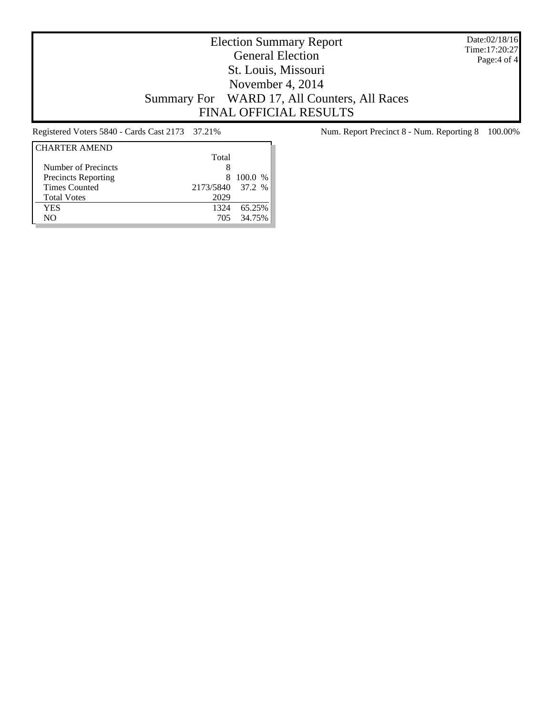Date:02/18/16 Time:17:20:27 Page:4 of 4

## Election Summary Report General Election St. Louis, Missouri November 4, 2014 Summary For WARD 17, All Counters, All Races FINAL OFFICIAL RESULTS

| <b>CHARTER AMEND</b>       |                  |         |
|----------------------------|------------------|---------|
|                            | Total            |         |
| Number of Precincts        |                  |         |
| <b>Precincts Reporting</b> | 8.               | 100.0 % |
| <b>Times Counted</b>       | 2173/5840 37.2 % |         |
| <b>Total Votes</b>         | 2029             |         |
| YES                        | 1324             | 65.25%  |
| NΟ                         | 705              | 34.75%  |

Registered Voters 5840 - Cards Cast 2173 37.21% Num. Report Precinct 8 - Num. Reporting 8 100.00%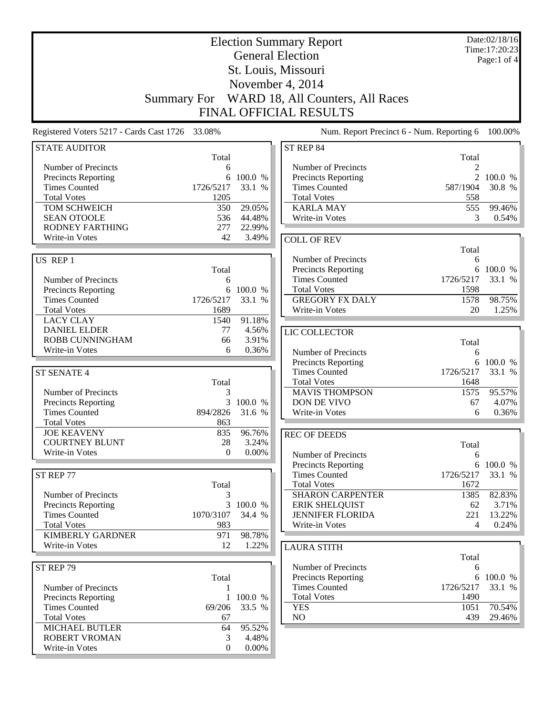|                                                                   |                    |                 | <b>Election Summary Report</b>                     |                | Date:02/18/16<br>Time: 17:20:23 |  |  |  |
|-------------------------------------------------------------------|--------------------|-----------------|----------------------------------------------------|----------------|---------------------------------|--|--|--|
|                                                                   |                    |                 | <b>General Election</b>                            |                | Page:1 of 4                     |  |  |  |
|                                                                   |                    |                 | St. Louis, Missouri                                |                |                                 |  |  |  |
|                                                                   |                    |                 | November 4, 2014                                   |                |                                 |  |  |  |
|                                                                   | <b>Summary For</b> |                 |                                                    |                |                                 |  |  |  |
| WARD 18, All Counters, All Races<br><b>FINAL OFFICIAL RESULTS</b> |                    |                 |                                                    |                |                                 |  |  |  |
| Registered Voters 5217 - Cards Cast 1726 33.08%                   |                    |                 | Num. Report Precinct 6 - Num. Reporting 6          |                | 100.00%                         |  |  |  |
|                                                                   |                    |                 |                                                    |                |                                 |  |  |  |
| <b>STATE AUDITOR</b>                                              | Total              |                 | ST REP 84                                          | Total          |                                 |  |  |  |
| Number of Precincts                                               | 6                  |                 | Number of Precincts                                | $\overline{c}$ |                                 |  |  |  |
| Precincts Reporting                                               | 6                  | 100.0 %         | <b>Precincts Reporting</b>                         | $\overline{2}$ | 100.0 %                         |  |  |  |
| <b>Times Counted</b>                                              | 1726/5217          | 33.1 %          | <b>Times Counted</b>                               | 587/1904       | 30.8 %                          |  |  |  |
| <b>Total Votes</b>                                                | 1205               |                 | <b>Total Votes</b>                                 | 558            |                                 |  |  |  |
| TOM SCHWEICH                                                      | 350                | 29.05%          | <b>KARLA MAY</b>                                   | 555            | 99.46%                          |  |  |  |
| <b>SEAN OTOOLE</b>                                                | 536                | 44.48%          | Write-in Votes                                     | 3              | 0.54%                           |  |  |  |
| <b>RODNEY FARTHING</b>                                            | 277                | 22.99%          |                                                    |                |                                 |  |  |  |
| Write-in Votes                                                    | 42                 | 3.49%           | <b>COLL OF REV</b>                                 |                |                                 |  |  |  |
|                                                                   |                    |                 |                                                    | Total          |                                 |  |  |  |
| US REP 1                                                          |                    |                 | Number of Precincts                                | 6<br>6         | 100.0 %                         |  |  |  |
| Number of Precincts                                               | Total              |                 | <b>Precincts Reporting</b><br><b>Times Counted</b> | 1726/5217      | 33.1 %                          |  |  |  |
| Precincts Reporting                                               | 6<br>6             | 100.0 %         | <b>Total Votes</b>                                 | 1598           |                                 |  |  |  |
| <b>Times Counted</b>                                              | 1726/5217          | 33.1 %          | <b>GREGORY FX DALY</b>                             | 1578           | 98.75%                          |  |  |  |
| <b>Total Votes</b>                                                | 1689               |                 | Write-in Votes                                     | 20             | $1.25\%$                        |  |  |  |
| <b>LACY CLAY</b>                                                  | 1540               | 91.18%          |                                                    |                |                                 |  |  |  |
| <b>DANIEL ELDER</b>                                               | 77                 | 4.56%           | LIC COLLECTOR                                      |                |                                 |  |  |  |
| ROBB CUNNINGHAM                                                   | 66                 | 3.91%           |                                                    | Total          |                                 |  |  |  |
| Write-in Votes                                                    | 6                  | 0.36%           | Number of Precincts                                | 6              |                                 |  |  |  |
|                                                                   |                    |                 | <b>Precincts Reporting</b>                         | 6              | 100.0 %                         |  |  |  |
| <b>ST SENATE 4</b>                                                |                    |                 | <b>Times Counted</b>                               | 1726/5217      | 33.1 %                          |  |  |  |
|                                                                   | Total              |                 | <b>Total Votes</b>                                 | 1648           |                                 |  |  |  |
| Number of Precincts                                               | 3                  |                 | <b>MAVIS THOMPSON</b>                              | 1575           | 95.57%                          |  |  |  |
| <b>Precincts Reporting</b>                                        |                    | 3 100.0 %       | DON DE VIVO                                        | 67             | 4.07%                           |  |  |  |
| <b>Times Counted</b>                                              | 894/2826           | 31.6 %          | Write-in Votes                                     | 6              | 0.36%                           |  |  |  |
| <b>Total Votes</b>                                                | 863                |                 |                                                    |                |                                 |  |  |  |
| <b>JOE KEAVENY</b><br><b>COURTNEY BLUNT</b>                       | 835<br>28          | 96.76%<br>3.24% | <b>REC OF DEEDS</b>                                |                |                                 |  |  |  |
| Write-in Votes                                                    | $\theta$           | $0.00\%$        |                                                    | Total          |                                 |  |  |  |
|                                                                   |                    |                 | Number of Precincts<br><b>Precincts Reporting</b>  | 6<br>6         | 100.0 %                         |  |  |  |
| ST REP 77                                                         |                    |                 | <b>Times Counted</b>                               | 1726/5217      | 33.1 %                          |  |  |  |
|                                                                   | Total              |                 | <b>Total Votes</b>                                 | 1672           |                                 |  |  |  |
| Number of Precincts                                               | 3                  |                 | <b>SHARON CARPENTER</b>                            | 1385           | 82.83%                          |  |  |  |
| <b>Precincts Reporting</b>                                        | 3                  | 100.0 %         | <b>ERIK SHELQUIST</b>                              | 62             | 3.71%                           |  |  |  |
| <b>Times Counted</b>                                              | 1070/3107          | 34.4 %          | <b>JENNIFER FLORIDA</b>                            | 221            | 13.22%                          |  |  |  |
| <b>Total Votes</b>                                                | 983                |                 | Write-in Votes                                     | 4              | 0.24%                           |  |  |  |
| <b>KIMBERLY GARDNER</b>                                           | 971                | 98.78%          |                                                    |                |                                 |  |  |  |
| Write-in Votes                                                    | 12                 | 1.22%           | <b>LAURA STITH</b>                                 |                |                                 |  |  |  |
|                                                                   |                    |                 |                                                    | Total          |                                 |  |  |  |
| ST REP 79                                                         |                    |                 | Number of Precincts                                | 6              |                                 |  |  |  |
|                                                                   | Total              |                 | <b>Precincts Reporting</b>                         | 6              | 100.0 %                         |  |  |  |
| Number of Precincts                                               |                    |                 | <b>Times Counted</b>                               | 1726/5217      | 33.1 %                          |  |  |  |
| <b>Precincts Reporting</b>                                        |                    | 1 100.0 %       | <b>Total Votes</b>                                 | 1490           |                                 |  |  |  |
| <b>Times Counted</b>                                              | 69/206             | 33.5 %          | <b>YES</b>                                         | 1051           | 70.54%                          |  |  |  |
| <b>Total Votes</b>                                                | 67                 |                 | NO.                                                | 439            | 29.46%                          |  |  |  |
| <b>MICHAEL BUTLER</b><br><b>ROBERT VROMAN</b>                     | 64                 | 95.52%<br>4.48% |                                                    |                |                                 |  |  |  |
| Write-in Votes                                                    | 3<br>0             | $0.00\%$        |                                                    |                |                                 |  |  |  |
|                                                                   |                    |                 |                                                    |                |                                 |  |  |  |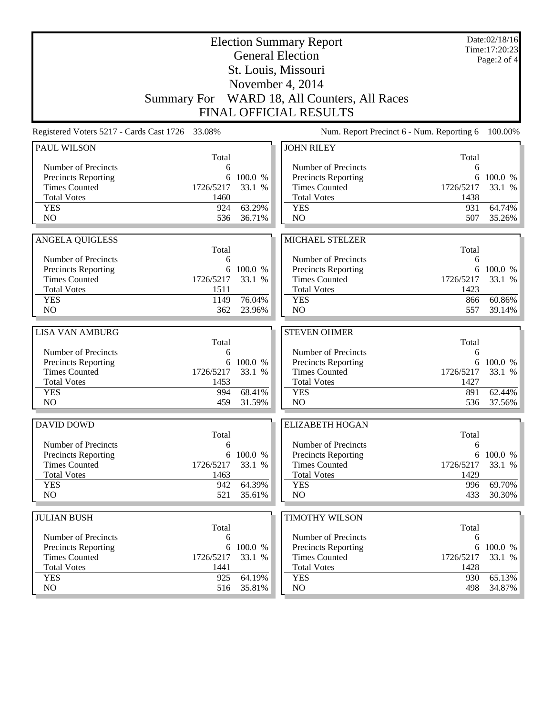|                            |                                                 |                  | <b>Election Summary Report</b>               |            | Date:02/18/16<br>Time: 17:20:23 |
|----------------------------|-------------------------------------------------|------------------|----------------------------------------------|------------|---------------------------------|
|                            |                                                 |                  | <b>General Election</b>                      |            | Page:2 of 4                     |
|                            |                                                 |                  | St. Louis, Missouri                          |            |                                 |
|                            |                                                 |                  | November 4, 2014                             |            |                                 |
|                            |                                                 |                  | Summary For WARD 18, All Counters, All Races |            |                                 |
|                            |                                                 |                  | <b>FINAL OFFICIAL RESULTS</b>                |            |                                 |
|                            | Registered Voters 5217 - Cards Cast 1726 33.08% |                  | Num. Report Precinct 6 - Num. Reporting 6    |            | 100.00%                         |
| PAUL WILSON                |                                                 |                  | <b>JOHN RILEY</b>                            |            |                                 |
|                            | Total                                           |                  |                                              | Total      |                                 |
| Number of Precincts        | 6                                               |                  | Number of Precincts                          | 6          |                                 |
| Precincts Reporting        | 6                                               | 100.0 %          | <b>Precincts Reporting</b>                   | 6          | 100.0 %                         |
| <b>Times Counted</b>       | 1726/5217                                       | 33.1 %           | <b>Times Counted</b>                         | 1726/5217  | 33.1 %                          |
| <b>Total Votes</b>         | 1460                                            |                  | <b>Total Votes</b>                           | 1438       |                                 |
| <b>YES</b>                 | 924                                             | 63.29%           | <b>YES</b>                                   | 931        | 64.74%                          |
| N <sub>O</sub>             | 536                                             | 36.71%           | N <sub>O</sub>                               | 507        | 35.26%                          |
| <b>ANGELA QUIGLESS</b>     |                                                 |                  | <b>MICHAEL STELZER</b>                       |            |                                 |
|                            | Total                                           |                  |                                              | Total      |                                 |
| Number of Precincts        | 6                                               |                  | Number of Precincts                          | 6          |                                 |
| Precincts Reporting        |                                                 | 6 100.0 %        | Precincts Reporting                          | 6          | 100.0 %                         |
| <b>Times Counted</b>       | 1726/5217                                       | 33.1 %           | <b>Times Counted</b>                         | 1726/5217  | 33.1 %                          |
| <b>Total Votes</b>         | 1511                                            |                  | <b>Total Votes</b>                           | 1423       |                                 |
| <b>YES</b>                 | 1149                                            | 76.04%           | <b>YES</b>                                   | 866        | 60.86%                          |
| N <sub>O</sub>             | 362                                             | 23.96%           | N <sub>O</sub>                               | 557        | 39.14%                          |
|                            |                                                 |                  |                                              |            |                                 |
| <b>LISA VAN AMBURG</b>     | Total                                           |                  | <b>STEVEN OHMER</b>                          | Total      |                                 |
| Number of Precincts        | 6                                               |                  | Number of Precincts                          | 6          |                                 |
| Precincts Reporting        | 6                                               | 100.0 %          | Precincts Reporting                          | 6          | 100.0 %                         |
| <b>Times Counted</b>       | 1726/5217                                       | 33.1 %           | <b>Times Counted</b>                         | 1726/5217  | 33.1 %                          |
| <b>Total Votes</b>         | 1453                                            |                  | <b>Total Votes</b>                           | 1427       |                                 |
| <b>YES</b>                 | 994                                             | 68.41%           | <b>YES</b>                                   | 891        | 62.44%                          |
| N <sub>O</sub>             | 459                                             | 31.59%           | NO                                           | 536        | 37.56%                          |
| <b>DAVID DOWD</b>          |                                                 |                  |                                              |            |                                 |
|                            |                                                 |                  |                                              |            |                                 |
|                            | Total                                           |                  | <b>ELIZABETH HOGAN</b>                       | Total      |                                 |
| Number of Precincts        | 6                                               |                  | Number of Precincts                          | 6          |                                 |
| Precincts Reporting        | 6                                               | 100.0 %          | Precincts Reporting                          | 6          |                                 |
| <b>Times Counted</b>       | 1726/5217                                       | 33.1 %           | <b>Times Counted</b>                         | 1726/5217  | 33.1 %                          |
| <b>Total Votes</b>         | 1463                                            |                  | <b>Total Votes</b>                           | 1429       | 100.0 %                         |
| <b>YES</b>                 | 942                                             | 64.39%           | <b>YES</b>                                   | 996        | 69.70%                          |
| NO                         | 521                                             | 35.61%           | NO                                           | 433        | 30.30%                          |
|                            |                                                 |                  |                                              |            |                                 |
| <b>JULIAN BUSH</b>         | Total                                           |                  | <b>TIMOTHY WILSON</b>                        | Total      |                                 |
| Number of Precincts        | 6                                               |                  | Number of Precincts                          | 6          |                                 |
| <b>Precincts Reporting</b> | 6                                               | 100.0 %          | Precincts Reporting                          | 6          | 100.0 %                         |
| <b>Times Counted</b>       | 1726/5217                                       | 33.1 %           | <b>Times Counted</b>                         | 1726/5217  | 33.1 %                          |
| <b>Total Votes</b>         | 1441                                            |                  | <b>Total Votes</b>                           | 1428       |                                 |
| <b>YES</b><br>NO           | 925<br>516                                      | 64.19%<br>35.81% | <b>YES</b><br>NO                             | 930<br>498 | 65.13%<br>34.87%                |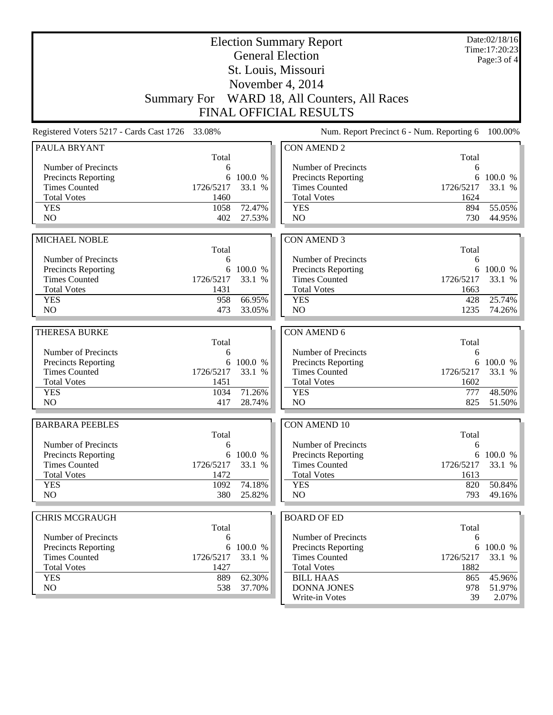| St. Louis, Missouri<br>November 4, 2014<br>Summary For WARD 18, All Counters, All Races<br><b>FINAL OFFICIAL RESULTS</b><br>Registered Voters 5217 - Cards Cast 1726<br>33.08%<br>Num. Report Precinct 6 - Num. Reporting 6<br>100.00%<br>PAULA BRYANT<br><b>CON AMEND 2</b><br>Total<br>Total<br>Number of Precincts<br>Number of Precincts<br>6<br>6<br><b>Precincts Reporting</b><br>100.0 %<br>Precincts Reporting<br>6<br>6<br>100.0 %<br><b>Times Counted</b><br>1726/5217<br>33.1 %<br><b>Times Counted</b><br>1726/5217<br>33.1 %<br><b>Total Votes</b><br>1460<br><b>Total Votes</b><br>1624<br>72.47%<br><b>YES</b><br>55.05%<br>1058<br><b>YES</b><br>894<br>NO<br>N <sub>O</sub><br>402<br>27.53%<br>730<br>44.95%<br><b>MICHAEL NOBLE</b><br><b>CON AMEND 3</b><br>Total<br>Total<br>Number of Precincts<br>Number of Precincts<br>6<br>6<br><b>Precincts Reporting</b><br>6<br>100.0 %<br>Precincts Reporting<br>6<br>100.0 %<br><b>Times Counted</b><br>1726/5217<br>33.1 %<br><b>Times Counted</b><br>1726/5217<br>33.1 %<br><b>Total Votes</b><br>1431<br><b>Total Votes</b><br>1663<br>958<br>66.95%<br>25.74%<br><b>YES</b><br><b>YES</b><br>428<br>NO<br>NO<br>473<br>33.05%<br>1235<br>74.26%<br>THERESA BURKE<br><b>CON AMEND 6</b><br>Total<br>Total<br>Number of Precincts<br>Number of Precincts<br>6<br>6<br>Precincts Reporting<br>100.0 %<br>Precincts Reporting<br>6<br>6<br>100.0 %<br><b>Times Counted</b><br><b>Times Counted</b><br>1726/5217<br>33.1 %<br>1726/5217<br>33.1 %<br><b>Total Votes</b><br>1451<br><b>Total Votes</b><br>1602<br><b>YES</b><br>1034<br>71.26%<br>48.50%<br><b>YES</b><br>777<br>NO<br>NO<br>825<br>417<br>28.74%<br>51.50%<br><b>BARBARA PEEBLES</b><br><b>CON AMEND 10</b><br>Total<br>Total<br>Number of Precincts<br>Number of Precincts<br>6<br>6<br><b>Precincts Reporting</b><br>6 100.0 %<br><b>Precincts Reporting</b><br>100.0 %<br>6<br><b>Times Counted</b><br>33.1 %<br><b>Times Counted</b><br>33.1 %<br>1726/5217<br>1726/5217<br><b>Total Votes</b><br><b>Total Votes</b><br>1472<br>1613<br>74.18%<br>50.84%<br><b>YES</b><br>1092<br><b>YES</b><br>820<br>NO<br>NO<br>793<br>380<br>25.82%<br>49.16% | <b>Election Summary Report</b><br><b>General Election</b> |  |  |  |  | Date:02/18/16<br>Time:17:20:23<br>Page: 3 of 4 |  |  |  |
|-------------------------------------------------------------------------------------------------------------------------------------------------------------------------------------------------------------------------------------------------------------------------------------------------------------------------------------------------------------------------------------------------------------------------------------------------------------------------------------------------------------------------------------------------------------------------------------------------------------------------------------------------------------------------------------------------------------------------------------------------------------------------------------------------------------------------------------------------------------------------------------------------------------------------------------------------------------------------------------------------------------------------------------------------------------------------------------------------------------------------------------------------------------------------------------------------------------------------------------------------------------------------------------------------------------------------------------------------------------------------------------------------------------------------------------------------------------------------------------------------------------------------------------------------------------------------------------------------------------------------------------------------------------------------------------------------------------------------------------------------------------------------------------------------------------------------------------------------------------------------------------------------------------------------------------------------------------------------------------------------------------------------------------------------------------------------------------------------------------------------------------------------------------------------------------|-----------------------------------------------------------|--|--|--|--|------------------------------------------------|--|--|--|
|                                                                                                                                                                                                                                                                                                                                                                                                                                                                                                                                                                                                                                                                                                                                                                                                                                                                                                                                                                                                                                                                                                                                                                                                                                                                                                                                                                                                                                                                                                                                                                                                                                                                                                                                                                                                                                                                                                                                                                                                                                                                                                                                                                                     |                                                           |  |  |  |  |                                                |  |  |  |
|                                                                                                                                                                                                                                                                                                                                                                                                                                                                                                                                                                                                                                                                                                                                                                                                                                                                                                                                                                                                                                                                                                                                                                                                                                                                                                                                                                                                                                                                                                                                                                                                                                                                                                                                                                                                                                                                                                                                                                                                                                                                                                                                                                                     |                                                           |  |  |  |  |                                                |  |  |  |
|                                                                                                                                                                                                                                                                                                                                                                                                                                                                                                                                                                                                                                                                                                                                                                                                                                                                                                                                                                                                                                                                                                                                                                                                                                                                                                                                                                                                                                                                                                                                                                                                                                                                                                                                                                                                                                                                                                                                                                                                                                                                                                                                                                                     |                                                           |  |  |  |  |                                                |  |  |  |
|                                                                                                                                                                                                                                                                                                                                                                                                                                                                                                                                                                                                                                                                                                                                                                                                                                                                                                                                                                                                                                                                                                                                                                                                                                                                                                                                                                                                                                                                                                                                                                                                                                                                                                                                                                                                                                                                                                                                                                                                                                                                                                                                                                                     |                                                           |  |  |  |  |                                                |  |  |  |
|                                                                                                                                                                                                                                                                                                                                                                                                                                                                                                                                                                                                                                                                                                                                                                                                                                                                                                                                                                                                                                                                                                                                                                                                                                                                                                                                                                                                                                                                                                                                                                                                                                                                                                                                                                                                                                                                                                                                                                                                                                                                                                                                                                                     |                                                           |  |  |  |  |                                                |  |  |  |
|                                                                                                                                                                                                                                                                                                                                                                                                                                                                                                                                                                                                                                                                                                                                                                                                                                                                                                                                                                                                                                                                                                                                                                                                                                                                                                                                                                                                                                                                                                                                                                                                                                                                                                                                                                                                                                                                                                                                                                                                                                                                                                                                                                                     |                                                           |  |  |  |  |                                                |  |  |  |
|                                                                                                                                                                                                                                                                                                                                                                                                                                                                                                                                                                                                                                                                                                                                                                                                                                                                                                                                                                                                                                                                                                                                                                                                                                                                                                                                                                                                                                                                                                                                                                                                                                                                                                                                                                                                                                                                                                                                                                                                                                                                                                                                                                                     |                                                           |  |  |  |  |                                                |  |  |  |
|                                                                                                                                                                                                                                                                                                                                                                                                                                                                                                                                                                                                                                                                                                                                                                                                                                                                                                                                                                                                                                                                                                                                                                                                                                                                                                                                                                                                                                                                                                                                                                                                                                                                                                                                                                                                                                                                                                                                                                                                                                                                                                                                                                                     |                                                           |  |  |  |  |                                                |  |  |  |
|                                                                                                                                                                                                                                                                                                                                                                                                                                                                                                                                                                                                                                                                                                                                                                                                                                                                                                                                                                                                                                                                                                                                                                                                                                                                                                                                                                                                                                                                                                                                                                                                                                                                                                                                                                                                                                                                                                                                                                                                                                                                                                                                                                                     |                                                           |  |  |  |  |                                                |  |  |  |
|                                                                                                                                                                                                                                                                                                                                                                                                                                                                                                                                                                                                                                                                                                                                                                                                                                                                                                                                                                                                                                                                                                                                                                                                                                                                                                                                                                                                                                                                                                                                                                                                                                                                                                                                                                                                                                                                                                                                                                                                                                                                                                                                                                                     |                                                           |  |  |  |  |                                                |  |  |  |
|                                                                                                                                                                                                                                                                                                                                                                                                                                                                                                                                                                                                                                                                                                                                                                                                                                                                                                                                                                                                                                                                                                                                                                                                                                                                                                                                                                                                                                                                                                                                                                                                                                                                                                                                                                                                                                                                                                                                                                                                                                                                                                                                                                                     |                                                           |  |  |  |  |                                                |  |  |  |
|                                                                                                                                                                                                                                                                                                                                                                                                                                                                                                                                                                                                                                                                                                                                                                                                                                                                                                                                                                                                                                                                                                                                                                                                                                                                                                                                                                                                                                                                                                                                                                                                                                                                                                                                                                                                                                                                                                                                                                                                                                                                                                                                                                                     |                                                           |  |  |  |  |                                                |  |  |  |
|                                                                                                                                                                                                                                                                                                                                                                                                                                                                                                                                                                                                                                                                                                                                                                                                                                                                                                                                                                                                                                                                                                                                                                                                                                                                                                                                                                                                                                                                                                                                                                                                                                                                                                                                                                                                                                                                                                                                                                                                                                                                                                                                                                                     |                                                           |  |  |  |  |                                                |  |  |  |
|                                                                                                                                                                                                                                                                                                                                                                                                                                                                                                                                                                                                                                                                                                                                                                                                                                                                                                                                                                                                                                                                                                                                                                                                                                                                                                                                                                                                                                                                                                                                                                                                                                                                                                                                                                                                                                                                                                                                                                                                                                                                                                                                                                                     |                                                           |  |  |  |  |                                                |  |  |  |
|                                                                                                                                                                                                                                                                                                                                                                                                                                                                                                                                                                                                                                                                                                                                                                                                                                                                                                                                                                                                                                                                                                                                                                                                                                                                                                                                                                                                                                                                                                                                                                                                                                                                                                                                                                                                                                                                                                                                                                                                                                                                                                                                                                                     |                                                           |  |  |  |  |                                                |  |  |  |
|                                                                                                                                                                                                                                                                                                                                                                                                                                                                                                                                                                                                                                                                                                                                                                                                                                                                                                                                                                                                                                                                                                                                                                                                                                                                                                                                                                                                                                                                                                                                                                                                                                                                                                                                                                                                                                                                                                                                                                                                                                                                                                                                                                                     |                                                           |  |  |  |  |                                                |  |  |  |
|                                                                                                                                                                                                                                                                                                                                                                                                                                                                                                                                                                                                                                                                                                                                                                                                                                                                                                                                                                                                                                                                                                                                                                                                                                                                                                                                                                                                                                                                                                                                                                                                                                                                                                                                                                                                                                                                                                                                                                                                                                                                                                                                                                                     |                                                           |  |  |  |  |                                                |  |  |  |
|                                                                                                                                                                                                                                                                                                                                                                                                                                                                                                                                                                                                                                                                                                                                                                                                                                                                                                                                                                                                                                                                                                                                                                                                                                                                                                                                                                                                                                                                                                                                                                                                                                                                                                                                                                                                                                                                                                                                                                                                                                                                                                                                                                                     |                                                           |  |  |  |  |                                                |  |  |  |
|                                                                                                                                                                                                                                                                                                                                                                                                                                                                                                                                                                                                                                                                                                                                                                                                                                                                                                                                                                                                                                                                                                                                                                                                                                                                                                                                                                                                                                                                                                                                                                                                                                                                                                                                                                                                                                                                                                                                                                                                                                                                                                                                                                                     |                                                           |  |  |  |  |                                                |  |  |  |
|                                                                                                                                                                                                                                                                                                                                                                                                                                                                                                                                                                                                                                                                                                                                                                                                                                                                                                                                                                                                                                                                                                                                                                                                                                                                                                                                                                                                                                                                                                                                                                                                                                                                                                                                                                                                                                                                                                                                                                                                                                                                                                                                                                                     |                                                           |  |  |  |  |                                                |  |  |  |
|                                                                                                                                                                                                                                                                                                                                                                                                                                                                                                                                                                                                                                                                                                                                                                                                                                                                                                                                                                                                                                                                                                                                                                                                                                                                                                                                                                                                                                                                                                                                                                                                                                                                                                                                                                                                                                                                                                                                                                                                                                                                                                                                                                                     |                                                           |  |  |  |  |                                                |  |  |  |
|                                                                                                                                                                                                                                                                                                                                                                                                                                                                                                                                                                                                                                                                                                                                                                                                                                                                                                                                                                                                                                                                                                                                                                                                                                                                                                                                                                                                                                                                                                                                                                                                                                                                                                                                                                                                                                                                                                                                                                                                                                                                                                                                                                                     |                                                           |  |  |  |  |                                                |  |  |  |
|                                                                                                                                                                                                                                                                                                                                                                                                                                                                                                                                                                                                                                                                                                                                                                                                                                                                                                                                                                                                                                                                                                                                                                                                                                                                                                                                                                                                                                                                                                                                                                                                                                                                                                                                                                                                                                                                                                                                                                                                                                                                                                                                                                                     |                                                           |  |  |  |  |                                                |  |  |  |
|                                                                                                                                                                                                                                                                                                                                                                                                                                                                                                                                                                                                                                                                                                                                                                                                                                                                                                                                                                                                                                                                                                                                                                                                                                                                                                                                                                                                                                                                                                                                                                                                                                                                                                                                                                                                                                                                                                                                                                                                                                                                                                                                                                                     |                                                           |  |  |  |  |                                                |  |  |  |
|                                                                                                                                                                                                                                                                                                                                                                                                                                                                                                                                                                                                                                                                                                                                                                                                                                                                                                                                                                                                                                                                                                                                                                                                                                                                                                                                                                                                                                                                                                                                                                                                                                                                                                                                                                                                                                                                                                                                                                                                                                                                                                                                                                                     |                                                           |  |  |  |  |                                                |  |  |  |
|                                                                                                                                                                                                                                                                                                                                                                                                                                                                                                                                                                                                                                                                                                                                                                                                                                                                                                                                                                                                                                                                                                                                                                                                                                                                                                                                                                                                                                                                                                                                                                                                                                                                                                                                                                                                                                                                                                                                                                                                                                                                                                                                                                                     |                                                           |  |  |  |  |                                                |  |  |  |
|                                                                                                                                                                                                                                                                                                                                                                                                                                                                                                                                                                                                                                                                                                                                                                                                                                                                                                                                                                                                                                                                                                                                                                                                                                                                                                                                                                                                                                                                                                                                                                                                                                                                                                                                                                                                                                                                                                                                                                                                                                                                                                                                                                                     |                                                           |  |  |  |  |                                                |  |  |  |
|                                                                                                                                                                                                                                                                                                                                                                                                                                                                                                                                                                                                                                                                                                                                                                                                                                                                                                                                                                                                                                                                                                                                                                                                                                                                                                                                                                                                                                                                                                                                                                                                                                                                                                                                                                                                                                                                                                                                                                                                                                                                                                                                                                                     |                                                           |  |  |  |  |                                                |  |  |  |
|                                                                                                                                                                                                                                                                                                                                                                                                                                                                                                                                                                                                                                                                                                                                                                                                                                                                                                                                                                                                                                                                                                                                                                                                                                                                                                                                                                                                                                                                                                                                                                                                                                                                                                                                                                                                                                                                                                                                                                                                                                                                                                                                                                                     |                                                           |  |  |  |  |                                                |  |  |  |
|                                                                                                                                                                                                                                                                                                                                                                                                                                                                                                                                                                                                                                                                                                                                                                                                                                                                                                                                                                                                                                                                                                                                                                                                                                                                                                                                                                                                                                                                                                                                                                                                                                                                                                                                                                                                                                                                                                                                                                                                                                                                                                                                                                                     |                                                           |  |  |  |  |                                                |  |  |  |
|                                                                                                                                                                                                                                                                                                                                                                                                                                                                                                                                                                                                                                                                                                                                                                                                                                                                                                                                                                                                                                                                                                                                                                                                                                                                                                                                                                                                                                                                                                                                                                                                                                                                                                                                                                                                                                                                                                                                                                                                                                                                                                                                                                                     |                                                           |  |  |  |  |                                                |  |  |  |
|                                                                                                                                                                                                                                                                                                                                                                                                                                                                                                                                                                                                                                                                                                                                                                                                                                                                                                                                                                                                                                                                                                                                                                                                                                                                                                                                                                                                                                                                                                                                                                                                                                                                                                                                                                                                                                                                                                                                                                                                                                                                                                                                                                                     |                                                           |  |  |  |  |                                                |  |  |  |
|                                                                                                                                                                                                                                                                                                                                                                                                                                                                                                                                                                                                                                                                                                                                                                                                                                                                                                                                                                                                                                                                                                                                                                                                                                                                                                                                                                                                                                                                                                                                                                                                                                                                                                                                                                                                                                                                                                                                                                                                                                                                                                                                                                                     |                                                           |  |  |  |  |                                                |  |  |  |
|                                                                                                                                                                                                                                                                                                                                                                                                                                                                                                                                                                                                                                                                                                                                                                                                                                                                                                                                                                                                                                                                                                                                                                                                                                                                                                                                                                                                                                                                                                                                                                                                                                                                                                                                                                                                                                                                                                                                                                                                                                                                                                                                                                                     |                                                           |  |  |  |  |                                                |  |  |  |
|                                                                                                                                                                                                                                                                                                                                                                                                                                                                                                                                                                                                                                                                                                                                                                                                                                                                                                                                                                                                                                                                                                                                                                                                                                                                                                                                                                                                                                                                                                                                                                                                                                                                                                                                                                                                                                                                                                                                                                                                                                                                                                                                                                                     |                                                           |  |  |  |  |                                                |  |  |  |
|                                                                                                                                                                                                                                                                                                                                                                                                                                                                                                                                                                                                                                                                                                                                                                                                                                                                                                                                                                                                                                                                                                                                                                                                                                                                                                                                                                                                                                                                                                                                                                                                                                                                                                                                                                                                                                                                                                                                                                                                                                                                                                                                                                                     |                                                           |  |  |  |  |                                                |  |  |  |
| <b>BOARD OF ED</b><br><b>CHRIS MCGRAUGH</b>                                                                                                                                                                                                                                                                                                                                                                                                                                                                                                                                                                                                                                                                                                                                                                                                                                                                                                                                                                                                                                                                                                                                                                                                                                                                                                                                                                                                                                                                                                                                                                                                                                                                                                                                                                                                                                                                                                                                                                                                                                                                                                                                         |                                                           |  |  |  |  |                                                |  |  |  |
| Total<br>Total                                                                                                                                                                                                                                                                                                                                                                                                                                                                                                                                                                                                                                                                                                                                                                                                                                                                                                                                                                                                                                                                                                                                                                                                                                                                                                                                                                                                                                                                                                                                                                                                                                                                                                                                                                                                                                                                                                                                                                                                                                                                                                                                                                      |                                                           |  |  |  |  |                                                |  |  |  |
| Number of Precincts<br>Number of Precincts<br>6<br>6                                                                                                                                                                                                                                                                                                                                                                                                                                                                                                                                                                                                                                                                                                                                                                                                                                                                                                                                                                                                                                                                                                                                                                                                                                                                                                                                                                                                                                                                                                                                                                                                                                                                                                                                                                                                                                                                                                                                                                                                                                                                                                                                |                                                           |  |  |  |  |                                                |  |  |  |
| Precincts Reporting<br>6 100.0 %<br><b>Precincts Reporting</b><br>6<br>100.0 %                                                                                                                                                                                                                                                                                                                                                                                                                                                                                                                                                                                                                                                                                                                                                                                                                                                                                                                                                                                                                                                                                                                                                                                                                                                                                                                                                                                                                                                                                                                                                                                                                                                                                                                                                                                                                                                                                                                                                                                                                                                                                                      |                                                           |  |  |  |  |                                                |  |  |  |
| <b>Times Counted</b><br>33.1 %<br><b>Times Counted</b><br>33.1 %<br>1726/5217<br>1726/5217                                                                                                                                                                                                                                                                                                                                                                                                                                                                                                                                                                                                                                                                                                                                                                                                                                                                                                                                                                                                                                                                                                                                                                                                                                                                                                                                                                                                                                                                                                                                                                                                                                                                                                                                                                                                                                                                                                                                                                                                                                                                                          |                                                           |  |  |  |  |                                                |  |  |  |
| <b>Total Votes</b><br>1427<br><b>Total Votes</b><br>1882                                                                                                                                                                                                                                                                                                                                                                                                                                                                                                                                                                                                                                                                                                                                                                                                                                                                                                                                                                                                                                                                                                                                                                                                                                                                                                                                                                                                                                                                                                                                                                                                                                                                                                                                                                                                                                                                                                                                                                                                                                                                                                                            |                                                           |  |  |  |  |                                                |  |  |  |
| 62.30%<br><b>BILL HAAS</b><br><b>YES</b><br>889<br>865<br>45.96%<br>NO                                                                                                                                                                                                                                                                                                                                                                                                                                                                                                                                                                                                                                                                                                                                                                                                                                                                                                                                                                                                                                                                                                                                                                                                                                                                                                                                                                                                                                                                                                                                                                                                                                                                                                                                                                                                                                                                                                                                                                                                                                                                                                              |                                                           |  |  |  |  |                                                |  |  |  |
| 538<br><b>DONNA JONES</b><br>978<br>37.70%<br>39<br>Write-in Votes                                                                                                                                                                                                                                                                                                                                                                                                                                                                                                                                                                                                                                                                                                                                                                                                                                                                                                                                                                                                                                                                                                                                                                                                                                                                                                                                                                                                                                                                                                                                                                                                                                                                                                                                                                                                                                                                                                                                                                                                                                                                                                                  |                                                           |  |  |  |  | 51.97%<br>$2.07\%$                             |  |  |  |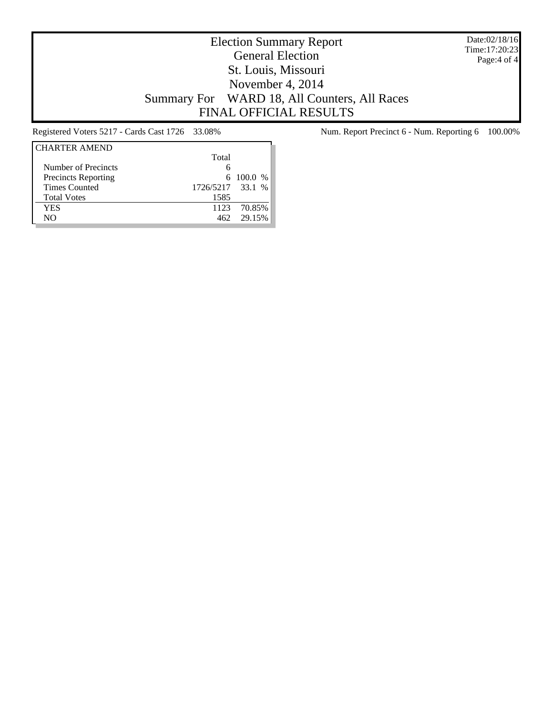Date:02/18/16 Time:17:20:23 Page:4 of 4

## Election Summary Report General Election St. Louis, Missouri November 4, 2014 Summary For WARD 18, All Counters, All Races FINAL OFFICIAL RESULTS

| <b>CHARTER AMEND</b>       |                  |           |
|----------------------------|------------------|-----------|
|                            | Total            |           |
| Number of Precincts        | 6                |           |
| <b>Precincts Reporting</b> |                  | 6 100.0 % |
| <b>Times Counted</b>       | 1726/5217 33.1 % |           |
| <b>Total Votes</b>         | 1585             |           |
| YES                        | 1123             | 70.85%    |
| NΟ                         | 462.             | 29.15%    |

Registered Voters 5217 - Cards Cast 1726 33.08% Num. Report Precinct 6 - Num. Reporting 6 100.00%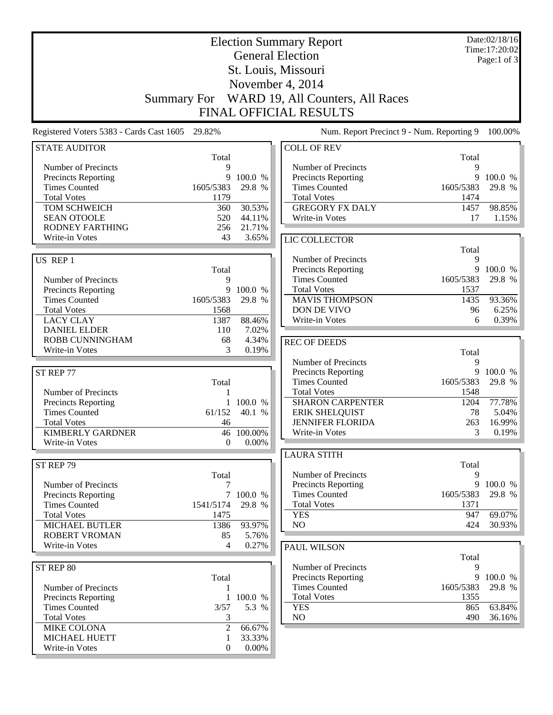| <b>Election Summary Report</b>                  |                    |                  |                                                    |                | Date:02/18/16<br>Time:17:20:02 |
|-------------------------------------------------|--------------------|------------------|----------------------------------------------------|----------------|--------------------------------|
|                                                 |                    |                  | <b>General Election</b>                            |                | Page:1 of 3                    |
|                                                 |                    |                  | St. Louis, Missouri                                |                |                                |
|                                                 |                    |                  | November 4, 2014                                   |                |                                |
|                                                 | <b>Summary For</b> |                  | WARD 19, All Counters, All Races                   |                |                                |
|                                                 |                    |                  | <b>FINAL OFFICIAL RESULTS</b>                      |                |                                |
| Registered Voters 5383 - Cards Cast 1605 29.82% |                    |                  | Num. Report Precinct 9 - Num. Reporting 9          |                | 100.00%                        |
| <b>STATE AUDITOR</b>                            |                    |                  | <b>COLL OF REV</b>                                 |                |                                |
|                                                 | Total              |                  |                                                    | Total          |                                |
| Number of Precincts                             | 9                  |                  | Number of Precincts                                | 9              |                                |
| Precincts Reporting                             | 9                  | 100.0 %          | <b>Precincts Reporting</b>                         | 9              | 100.0 %                        |
| <b>Times Counted</b>                            | 1605/5383          | 29.8 %           | <b>Times Counted</b>                               | 1605/5383      | 29.8 %                         |
| <b>Total Votes</b>                              | 1179               |                  | <b>Total Votes</b>                                 | 1474           |                                |
| TOM SCHWEICH<br><b>SEAN OTOOLE</b>              | 360<br>520         | 30.53%<br>44.11% | <b>GREGORY FX DALY</b><br>Write-in Votes           | 1457<br>17     | 98.85%<br>1.15%                |
| RODNEY FARTHING                                 | 256                | 21.71%           |                                                    |                |                                |
| Write-in Votes                                  | 43                 | 3.65%            | LIC COLLECTOR                                      |                |                                |
|                                                 |                    |                  |                                                    | Total          |                                |
| US REP 1                                        |                    |                  | Number of Precincts                                | 9              |                                |
|                                                 | Total              |                  | <b>Precincts Reporting</b>                         |                | 9 100.0 %                      |
| Number of Precincts                             | 9                  |                  | <b>Times Counted</b>                               | 1605/5383      | 29.8 %                         |
| Precincts Reporting                             | 9                  | 100.0 %          | <b>Total Votes</b>                                 | 1537           |                                |
| <b>Times Counted</b>                            | 1605/5383          | 29.8 %           | <b>MAVIS THOMPSON</b>                              | 1435           | 93.36%                         |
| <b>Total Votes</b>                              | 1568               |                  | DON DE VIVO                                        | 96             | 6.25%                          |
| <b>LACY CLAY</b>                                | 1387               | 88.46%           | Write-in Votes                                     | 6              | $0.39\%$                       |
| <b>DANIEL ELDER</b>                             | 110                | 7.02%            |                                                    |                |                                |
| ROBB CUNNINGHAM                                 | 68                 | 4.34%            | <b>REC OF DEEDS</b>                                |                |                                |
| Write-in Votes                                  | 3                  | 0.19%            |                                                    | Total          |                                |
|                                                 |                    |                  | Number of Precincts                                | 9              |                                |
| ST REP 77                                       |                    |                  | <b>Precincts Reporting</b><br><b>Times Counted</b> | 9<br>1605/5383 | 100.0 %<br>29.8 %              |
| Number of Precincts                             | Total              |                  | <b>Total Votes</b>                                 | 1548           |                                |
| <b>Precincts Reporting</b>                      | 1                  | 100.0 %          | <b>SHARON CARPENTER</b>                            | 1204           | 77.78%                         |
| <b>Times Counted</b>                            | 61/152             | 40.1 %           | <b>ERIK SHELQUIST</b>                              | 78             | 5.04%                          |
| <b>Total Votes</b>                              | 46                 |                  | <b>JENNIFER FLORIDA</b>                            | 263            | 16.99%                         |
| <b>KIMBERLY GARDNER</b>                         | 46                 | 100.00%          | Write-in Votes                                     | 3              | 0.19%                          |
| Write-in Votes                                  | $\boldsymbol{0}$   | $0.00\%$         |                                                    |                |                                |
|                                                 |                    |                  | <b>LAURA STITH</b>                                 |                |                                |
| ST REP 79                                       |                    |                  |                                                    | Total          |                                |
|                                                 | Total              |                  | Number of Precincts                                | 9              |                                |
| Number of Precincts                             | 7                  |                  | Precincts Reporting                                | 9              | 100.0 %                        |
| <b>Precincts Reporting</b>                      | 7                  | 100.0 %          | <b>Times Counted</b>                               | 1605/5383      | 29.8 %                         |
| <b>Times Counted</b>                            | 1541/5174          | 29.8 %           | <b>Total Votes</b>                                 | 1371           |                                |
| <b>Total Votes</b>                              | 1475               |                  | <b>YES</b>                                         | 947            | 69.07%                         |
| <b>MICHAEL BUTLER</b>                           | 1386               | 93.97%           | NO                                                 | 424            | 30.93%                         |
| <b>ROBERT VROMAN</b><br>Write-in Votes          | 85<br>4            | 5.76%<br>0.27%   |                                                    |                |                                |
|                                                 |                    |                  | <b>PAUL WILSON</b>                                 |                |                                |
|                                                 |                    |                  | Number of Precincts                                | Total<br>9     |                                |
| ST REP 80                                       | Total              |                  | Precincts Reporting                                | 9              | 100.0 %                        |
| Number of Precincts                             | 1                  |                  | <b>Times Counted</b>                               | 1605/5383      | 29.8 %                         |
| <b>Precincts Reporting</b>                      | $\mathbf{1}$       | 100.0 %          | <b>Total Votes</b>                                 | 1355           |                                |
| <b>Times Counted</b>                            | 3/57               | 5.3 %            | <b>YES</b>                                         | 865            | 63.84%                         |
| <b>Total Votes</b>                              | 3                  |                  | NO                                                 | 490            | $36.16\%$                      |
| MIKE COLONA                                     | $\overline{2}$     | 66.67%           |                                                    |                |                                |
| <b>MICHAEL HUETT</b>                            | $\mathbf{1}$       | 33.33%           |                                                    |                |                                |
| Write-in Votes                                  | $\overline{0}$     | $0.00\%$         |                                                    |                |                                |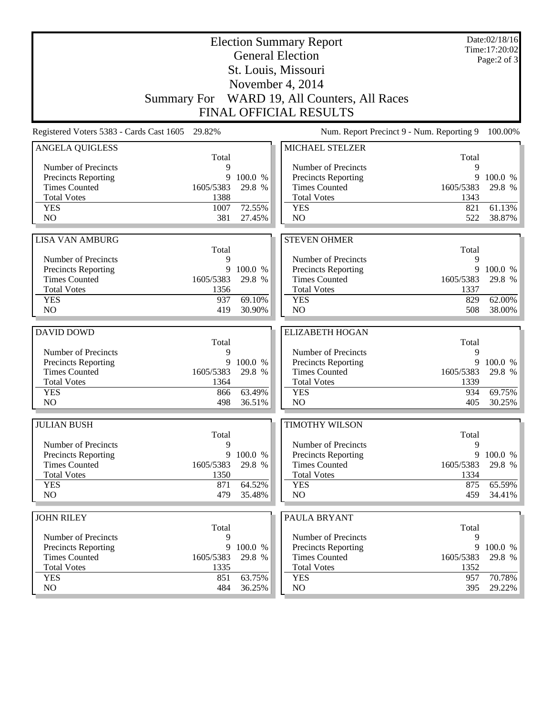| <b>Election Summary Report</b><br><b>General Election</b> |            |                     |                                              |            | Date:02/18/16<br>Time:17:20:02<br>Page: $2$ of $3$ |
|-----------------------------------------------------------|------------|---------------------|----------------------------------------------|------------|----------------------------------------------------|
|                                                           |            |                     | St. Louis, Missouri                          |            |                                                    |
|                                                           |            |                     | November 4, 2014                             |            |                                                    |
|                                                           |            |                     | Summary For WARD 19, All Counters, All Races |            |                                                    |
|                                                           |            |                     | <b>FINAL OFFICIAL RESULTS</b>                |            |                                                    |
| Registered Voters 5383 - Cards Cast 1605                  | 29.82%     |                     | Num. Report Precinct 9 - Num. Reporting 9    |            | 100.00%                                            |
| <b>ANGELA QUIGLESS</b>                                    |            |                     | MICHAEL STELZER                              |            |                                                    |
| Number of Precincts                                       | Total<br>9 |                     | Number of Precincts                          | Total<br>9 |                                                    |
| <b>Precincts Reporting</b>                                | 9          | 100.0 %             | <b>Precincts Reporting</b>                   | 9          | 100.0 %                                            |
| <b>Times Counted</b>                                      | 1605/5383  | 29.8 %              | <b>Times Counted</b>                         | 1605/5383  | 29.8 %                                             |
| <b>Total Votes</b>                                        | 1388       |                     | <b>Total Votes</b>                           | 1343       |                                                    |
| <b>YES</b>                                                | 1007       | 72.55%              | <b>YES</b>                                   | 821        | 61.13%                                             |
| NO                                                        | 381        | 27.45%              | NO                                           | 522        | 38.87%                                             |
| <b>LISA VAN AMBURG</b>                                    |            |                     | <b>STEVEN OHMER</b>                          |            |                                                    |
|                                                           | Total      |                     |                                              | Total      |                                                    |
| Number of Precincts                                       | 9          |                     | Number of Precincts                          | 9          |                                                    |
| <b>Precincts Reporting</b>                                |            | 9 100.0 %           | Precincts Reporting                          | 9          | 100.0 %                                            |
| <b>Times Counted</b>                                      | 1605/5383  | 29.8 %              | <b>Times Counted</b>                         | 1605/5383  | 29.8 %                                             |
| <b>Total Votes</b>                                        | 1356       |                     | <b>Total Votes</b>                           | 1337       |                                                    |
| <b>YES</b>                                                | 937        | 69.10%              | <b>YES</b>                                   | 829        | 62.00%                                             |
| NO                                                        | 419        | 30.90%              | NO                                           | 508        | 38.00%                                             |
| <b>DAVID DOWD</b>                                         |            |                     | <b>ELIZABETH HOGAN</b>                       |            |                                                    |
|                                                           | Total      |                     |                                              | Total      |                                                    |
| Number of Precincts                                       | 9          |                     | Number of Precincts                          | 9          |                                                    |
| <b>Precincts Reporting</b>                                | 9          | 100.0 %             | Precincts Reporting                          | 9          | 100.0 %                                            |
| <b>Times Counted</b>                                      | 1605/5383  | 29.8 %              | <b>Times Counted</b>                         | 1605/5383  | 29.8 %                                             |
| <b>Total Votes</b>                                        | 1364       |                     | <b>Total Votes</b>                           | 1339       |                                                    |
| <b>YES</b><br>N <sub>O</sub>                              | 866<br>498 | 63.49%<br>36.51%    | <b>YES</b><br>NO                             | 934<br>405 | 69.75%<br>30.25%                                   |
|                                                           |            |                     |                                              |            |                                                    |
| <b>JULIAN BUSH</b>                                        |            |                     |                                              |            |                                                    |
|                                                           |            |                     | <b>TIMOTHY WILSON</b>                        |            |                                                    |
|                                                           | Total      |                     |                                              | Total      |                                                    |
| Number of Precincts                                       | 9          |                     | Number of Precincts                          | 9<br>9     |                                                    |
| <b>Precincts Reporting</b><br><b>Times Counted</b>        | 1605/5383  | 9 100.0 %<br>29.8 % | Precincts Reporting<br><b>Times Counted</b>  | 1605/5383  | 100.0 %<br>29.8 %                                  |
| <b>Total Votes</b>                                        | 1350       |                     | <b>Total Votes</b>                           | 1334       |                                                    |
| <b>YES</b>                                                | 871        | 64.52%              | <b>YES</b>                                   | 875        | 65.59%                                             |
| NO                                                        | 479        | 35.48%              | NO                                           | 459        | 34.41%                                             |
|                                                           |            |                     |                                              |            |                                                    |
| <b>JOHN RILEY</b>                                         |            |                     | PAULA BRYANT                                 |            |                                                    |
| Number of Precincts                                       | Total<br>9 |                     | Number of Precincts                          | Total<br>9 |                                                    |
| <b>Precincts Reporting</b>                                | 9          | 100.0 %             | <b>Precincts Reporting</b>                   | 9          | 100.0 %                                            |
| <b>Times Counted</b>                                      | 1605/5383  | 29.8 %              | <b>Times Counted</b>                         | 1605/5383  | 29.8 %                                             |
| <b>Total Votes</b>                                        | 1335       |                     | <b>Total Votes</b>                           | 1352       |                                                    |
| <b>YES</b><br>NO                                          | 851<br>484 | 63.75%<br>36.25%    | <b>YES</b><br>NO                             | 957<br>395 | 70.78%<br>29.22%                                   |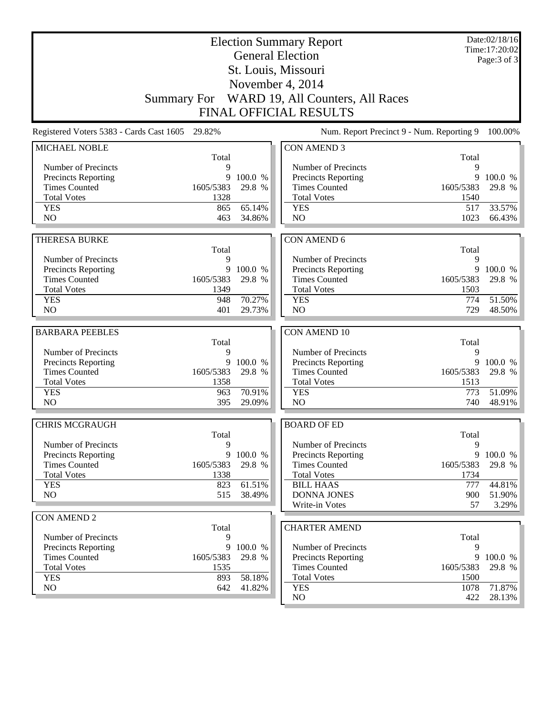| <b>Election Summary Report</b><br><b>General Election</b> |                                                 |           |                                              |            | Date:02/18/16<br>Time:17:20:02 |
|-----------------------------------------------------------|-------------------------------------------------|-----------|----------------------------------------------|------------|--------------------------------|
|                                                           |                                                 |           | St. Louis, Missouri                          |            | Page: 3 of 3                   |
|                                                           |                                                 |           | November 4, 2014                             |            |                                |
|                                                           |                                                 |           | Summary For WARD 19, All Counters, All Races |            |                                |
|                                                           |                                                 |           | <b>FINAL OFFICIAL RESULTS</b>                |            |                                |
|                                                           | Registered Voters 5383 - Cards Cast 1605 29.82% |           | Num. Report Precinct 9 - Num. Reporting 9    |            | 100.00%                        |
| MICHAEL NOBLE                                             |                                                 |           | <b>CON AMEND 3</b>                           |            |                                |
|                                                           | Total                                           |           |                                              | Total      |                                |
| Number of Precincts                                       | 9                                               |           | Number of Precincts                          | 9          |                                |
| <b>Precincts Reporting</b>                                | 9                                               | 100.0 %   | Precincts Reporting                          | 9          | 100.0 %                        |
| <b>Times Counted</b>                                      | 1605/5383                                       | 29.8 %    | <b>Times Counted</b>                         | 1605/5383  | 29.8 %                         |
| <b>Total Votes</b>                                        | 1328                                            |           | <b>Total Votes</b>                           | 1540       |                                |
| <b>YES</b>                                                | 865                                             | 65.14%    | <b>YES</b>                                   | 517        | 33.57%                         |
| N <sub>O</sub>                                            | 463                                             | 34.86%    | N <sub>O</sub>                               | 1023       | 66.43%                         |
| <b>THERESA BURKE</b>                                      |                                                 |           | <b>CON AMEND 6</b>                           |            |                                |
|                                                           | Total                                           |           |                                              | Total      |                                |
| Number of Precincts                                       | 9                                               |           | Number of Precincts                          | 9          |                                |
| Precincts Reporting                                       | 9                                               | 100.0 %   | <b>Precincts Reporting</b>                   | 9          | 100.0 %                        |
| <b>Times Counted</b>                                      | 1605/5383                                       | 29.8 %    | <b>Times Counted</b>                         | 1605/5383  | 29.8 %                         |
| <b>Total Votes</b>                                        | 1349                                            |           | <b>Total Votes</b>                           | 1503       |                                |
| <b>YES</b>                                                | 948                                             | 70.27%    | <b>YES</b>                                   | 774        | 51.50%                         |
| N <sub>O</sub>                                            | 401                                             | 29.73%    | N <sub>O</sub>                               | 729        | 48.50%                         |
| <b>BARBARA PEEBLES</b>                                    |                                                 |           | <b>CON AMEND 10</b>                          |            |                                |
|                                                           | Total                                           |           |                                              | Total      |                                |
| Number of Precincts                                       | 9                                               |           | Number of Precincts                          | 9          |                                |
| Precincts Reporting                                       | 9                                               | 100.0 %   | Precincts Reporting                          | 9          | 100.0 %                        |
| <b>Times Counted</b>                                      | 1605/5383                                       | 29.8 %    | <b>Times Counted</b>                         | 1605/5383  | 29.8 %                         |
| <b>Total Votes</b>                                        | 1358                                            | 70.91%    | <b>Total Votes</b>                           | 1513       |                                |
| <b>YES</b><br>NO                                          | 963<br>395                                      | 29.09%    | <b>YES</b><br>NO                             | 773<br>740 | 51.09%<br>48.91%               |
|                                                           |                                                 |           |                                              |            |                                |
| <b>CHRIS MCGRAUGH</b>                                     |                                                 |           | <b>BOARD OF ED</b>                           |            |                                |
|                                                           | Total                                           |           |                                              | Total      |                                |
| Number of Precincts                                       | 9                                               |           | Number of Precincts                          | 9          |                                |
| <b>Precincts Reporting</b>                                |                                                 | 9 100.0 % | Precincts Reporting                          | 9          | 100.0 %                        |
| <b>Times Counted</b>                                      | 1605/5383                                       | 29.8 %    | <b>Times Counted</b>                         | 1605/5383  | 29.8 %                         |
| <b>Total Votes</b>                                        | 1338                                            |           | <b>Total Votes</b>                           | 1734       |                                |
| <b>YES</b>                                                | 823                                             | 61.51%    | <b>BILL HAAS</b>                             | 777        | 44.81%                         |
| NO                                                        | 515                                             | 38.49%    | <b>DONNA JONES</b><br>Write-in Votes         | 900<br>57  | 51.90%<br>3.29%                |
| <b>CON AMEND 2</b>                                        |                                                 |           |                                              |            |                                |
|                                                           | Total                                           |           | <b>CHARTER AMEND</b>                         |            |                                |
| Number of Precincts                                       | 9                                               |           |                                              | Total      |                                |
| <b>Precincts Reporting</b>                                | 9                                               | 100.0 %   | Number of Precincts                          | 9          |                                |
| <b>Times Counted</b>                                      | 1605/5383                                       | 29.8 %    | Precincts Reporting                          | 9          | 100.0 %                        |
| <b>Total Votes</b>                                        | 1535                                            |           | <b>Times Counted</b>                         | 1605/5383  | 29.8 %                         |
| <b>YES</b>                                                | 893                                             | 58.18%    | <b>Total Votes</b>                           | 1500       |                                |
| NO                                                        | 642                                             | 41.82%    | <b>YES</b>                                   | 1078       | 71.87%                         |
|                                                           |                                                 |           | NO                                           | 422        | 28.13%                         |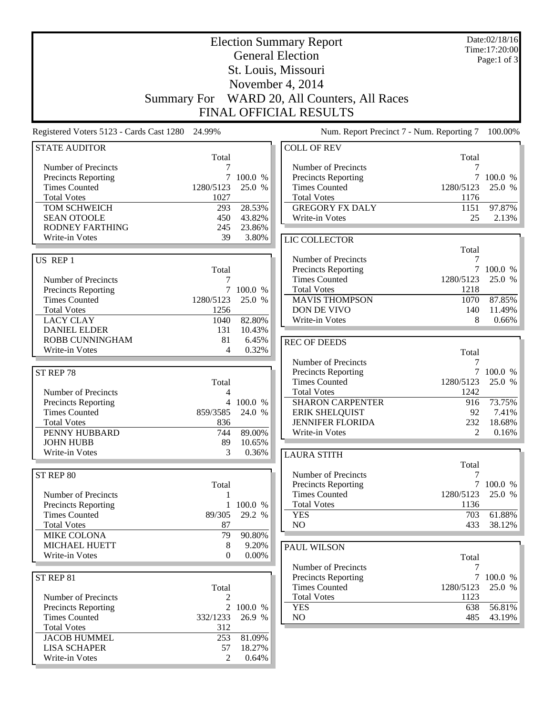| <b>Election Summary Report</b>                  |                     |                   |                                                  |                | Date:02/18/16<br>Time:17:20:00 |
|-------------------------------------------------|---------------------|-------------------|--------------------------------------------------|----------------|--------------------------------|
|                                                 |                     |                   | <b>General Election</b>                          |                | Page:1 of $3$                  |
|                                                 |                     |                   | St. Louis, Missouri                              |                |                                |
|                                                 |                     |                   | November 4, 2014                                 |                |                                |
|                                                 | <b>Summary For</b>  |                   | WARD 20, All Counters, All Races                 |                |                                |
|                                                 |                     |                   | <b>FINAL OFFICIAL RESULTS</b>                    |                |                                |
| Registered Voters 5123 - Cards Cast 1280 24.99% |                     |                   | Num. Report Precinct 7 - Num. Reporting 7        |                | 100.00%                        |
| <b>STATE AUDITOR</b>                            |                     |                   | <b>COLL OF REV</b>                               |                |                                |
|                                                 | Total               |                   |                                                  | Total          |                                |
| Number of Precincts                             |                     |                   | Number of Precincts                              | 7              |                                |
| Precincts Reporting<br><b>Times Counted</b>     | $\tau$<br>1280/5123 | 100.0 %<br>25.0 % | Precincts Reporting<br><b>Times Counted</b>      | 1280/5123      | 7 100.0 %<br>25.0 %            |
| <b>Total Votes</b>                              | 1027                |                   | <b>Total Votes</b>                               | 1176           |                                |
| TOM SCHWEICH                                    | 293                 | 28.53%            | <b>GREGORY FX DALY</b>                           | 1151           | 97.87%                         |
| <b>SEAN OTOOLE</b>                              | 450                 | 43.82%            | Write-in Votes                                   | 25             | 2.13%                          |
| <b>RODNEY FARTHING</b>                          | 245                 | 23.86%            |                                                  |                |                                |
| Write-in Votes                                  | 39                  | 3.80%             | LIC COLLECTOR                                    |                |                                |
|                                                 |                     |                   |                                                  | Total          |                                |
| US REP 1                                        |                     |                   | Number of Precincts                              | 7              |                                |
|                                                 | Total               |                   | Precincts Reporting                              |                | 7 100.0 %                      |
| Number of Precincts                             | 7                   |                   | <b>Times Counted</b>                             | 1280/5123      | 25.0 %                         |
| <b>Precincts Reporting</b>                      | $\overline{7}$      | 100.0 %           | <b>Total Votes</b>                               | 1218           |                                |
| <b>Times Counted</b>                            | 1280/5123           | 25.0 %            | <b>MAVIS THOMPSON</b>                            | 1070           | 87.85%                         |
| <b>Total Votes</b>                              | 1256                |                   | DON DE VIVO                                      | 140            | 11.49%                         |
| <b>LACY CLAY</b>                                | 1040                | 82.80%            | Write-in Votes                                   | 8              | 0.66%                          |
| <b>DANIEL ELDER</b>                             | 131                 | 10.43%            |                                                  |                |                                |
| ROBB CUNNINGHAM                                 | 81                  | 6.45%             | <b>REC OF DEEDS</b>                              |                |                                |
| Write-in Votes                                  | 4                   | 0.32%             |                                                  | Total          |                                |
|                                                 |                     |                   | Number of Precincts                              | 7              |                                |
| ST REP 78                                       |                     |                   | Precincts Reporting                              |                | 7 100.0 %                      |
|                                                 | Total               |                   | <b>Times Counted</b>                             | 1280/5123      | 25.0 %                         |
| Number of Precincts                             | 4                   |                   | <b>Total Votes</b>                               | 1242           |                                |
| <b>Precincts Reporting</b>                      |                     | 4 100.0 %         | <b>SHARON CARPENTER</b>                          | 916            | 73.75%                         |
| <b>Times Counted</b><br><b>Total Votes</b>      | 859/3585<br>836     | 24.0 %            | <b>ERIK SHELQUIST</b><br><b>JENNIFER FLORIDA</b> | 92<br>232      | 7.41%<br>18.68%                |
| PENNY HUBBARD                                   | 744                 | 89.00%            | Write-in Votes                                   | 2              | 0.16%                          |
| <b>JOHN HUBB</b>                                | 89                  | 10.65%            |                                                  |                |                                |
| Write-in Votes                                  | 3                   | 0.36%             |                                                  |                |                                |
|                                                 |                     |                   | <b>LAURA STITH</b>                               | Total          |                                |
| ST REP 80                                       |                     |                   | Number of Precincts                              | 7              |                                |
|                                                 | Total               |                   | Precincts Reporting                              | $\overline{7}$ | 100.0 %                        |
| Number of Precincts                             | 1                   |                   | <b>Times Counted</b>                             | 1280/5123      | 25.0 %                         |
| Precincts Reporting                             |                     | 1 100.0 %         | <b>Total Votes</b>                               | 1136           |                                |
| <b>Times Counted</b>                            | 89/305              | 29.2 %            | <b>YES</b>                                       | 703            | 61.88%                         |
| <b>Total Votes</b>                              | 87                  |                   | NO                                               | 433            | 38.12%                         |
| MIKE COLONA                                     | 79                  | 90.80%            |                                                  |                |                                |
| MICHAEL HUETT                                   | 8                   | 9.20%             | <b>PAUL WILSON</b>                               |                |                                |
| Write-in Votes                                  | $\overline{0}$      | $0.00\%$          |                                                  | Total          |                                |
|                                                 |                     |                   | Number of Precincts                              | 7              |                                |
| ST REP 81                                       |                     |                   | Precincts Reporting                              | $\tau$         | 100.0 %                        |
|                                                 | Total               |                   | <b>Times Counted</b>                             | 1280/5123      | 25.0 %                         |
| Number of Precincts                             | 2                   |                   | <b>Total Votes</b>                               | 1123           |                                |
| <b>Precincts Reporting</b>                      | $\overline{2}$      | 100.0 %           | <b>YES</b>                                       | 638            | 56.81%                         |
| <b>Times Counted</b>                            | 332/1233            | 26.9 %            | NO                                               | 485            | 43.19%                         |
| <b>Total Votes</b>                              | 312                 |                   |                                                  |                |                                |
| <b>JACOB HUMMEL</b>                             | 253                 | 81.09%            |                                                  |                |                                |
| <b>LISA SCHAPER</b>                             | 57                  | 18.27%            |                                                  |                |                                |
| Write-in Votes                                  | $\overline{c}$      | 0.64%             |                                                  |                |                                |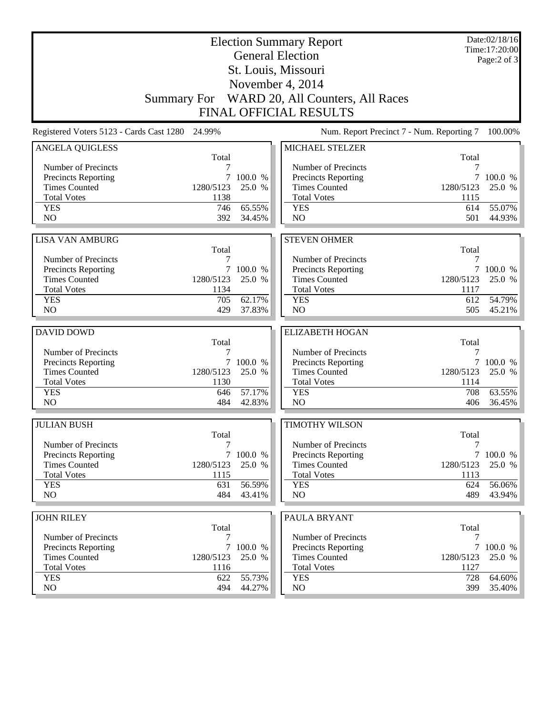|                                                                                                                                              | Date:02/18/16<br>Time:17:20:00<br>Page: $2$ of $3$ |  |
|----------------------------------------------------------------------------------------------------------------------------------------------|----------------------------------------------------|--|
| St. Louis, Missouri                                                                                                                          |                                                    |  |
| November 4, 2014                                                                                                                             |                                                    |  |
| Summary For WARD 20, All Counters, All Races                                                                                                 |                                                    |  |
| <b>FINAL OFFICIAL RESULTS</b>                                                                                                                |                                                    |  |
| Registered Voters 5123 - Cards Cast 1280<br>24.99%<br>Num. Report Precinct 7 - Num. Reporting 7                                              | 100.00%                                            |  |
| <b>MICHAEL STELZER</b><br><b>ANGELA QUIGLESS</b>                                                                                             |                                                    |  |
| Total<br>Total<br>Number of Precincts<br>Number of Precincts<br>7                                                                            | 7                                                  |  |
| <b>Precincts Reporting</b><br>100.0 %<br><b>Precincts Reporting</b><br>7                                                                     | 7<br>100.0 %                                       |  |
| <b>Times Counted</b><br>1280/5123<br>25.0 %<br><b>Times Counted</b><br>1280/5123                                                             | 25.0 %                                             |  |
| <b>Total Votes</b><br>1138<br><b>Total Votes</b><br>1115                                                                                     |                                                    |  |
| 65.55%<br><b>YES</b><br><b>YES</b><br>746                                                                                                    | 55.07%<br>614                                      |  |
| NO<br>NO<br>392<br>34.45%                                                                                                                    | 501<br>44.93%                                      |  |
|                                                                                                                                              |                                                    |  |
| <b>LISA VAN AMBURG</b><br><b>STEVEN OHMER</b><br>Total<br>Total                                                                              |                                                    |  |
| Number of Precincts<br>Number of Precincts<br>7                                                                                              | 7                                                  |  |
| <b>Precincts Reporting</b><br>$\tau$<br>Precincts Reporting<br>100.0 %                                                                       | 7 100.0 %                                          |  |
| <b>Times Counted</b><br>1280/5123<br>25.0 %<br><b>Times Counted</b><br>1280/5123                                                             | 25.0 %                                             |  |
| <b>Total Votes</b><br><b>Total Votes</b><br>1134<br>1117                                                                                     |                                                    |  |
| 62.17%<br><b>YES</b><br>705<br><b>YES</b>                                                                                                    | 612<br>54.79%                                      |  |
| NO<br>429<br>37.83%<br>N <sub>O</sub>                                                                                                        | 505<br>45.21%                                      |  |
| <b>ELIZABETH HOGAN</b>                                                                                                                       |                                                    |  |
| <b>DAVID DOWD</b><br>Total<br>Total                                                                                                          |                                                    |  |
| Number of Precincts<br>7<br>Number of Precincts                                                                                              | 7                                                  |  |
| <b>Precincts Reporting</b><br>Precincts Reporting<br>$\tau$<br>100.0 %                                                                       | 7 100.0 %                                          |  |
| <b>Times Counted</b><br>1280/5123<br>25.0 %<br><b>Times Counted</b><br>1280/5123                                                             | 25.0 %                                             |  |
| <b>Total Votes</b><br>1130<br><b>Total Votes</b>                                                                                             | 1114                                               |  |
| <b>YES</b><br>57.17%<br><b>YES</b><br>646                                                                                                    | 708<br>63.55%                                      |  |
| NO<br>N <sub>O</sub><br>484<br>42.83%                                                                                                        | 406<br>36.45%                                      |  |
| <b>JULIAN BUSH</b><br><b>TIMOTHY WILSON</b>                                                                                                  |                                                    |  |
|                                                                                                                                              |                                                    |  |
| Total<br>Total                                                                                                                               |                                                    |  |
| Number of Precincts<br>Number of Precincts<br>7                                                                                              | 7                                                  |  |
| 7 100.0 %<br><b>Precincts Reporting</b><br><b>Precincts Reporting</b>                                                                        | 7 100.0 %                                          |  |
| <b>Times Counted</b><br>25.0 %<br><b>Times Counted</b><br>1280/5123<br>1280/5123                                                             | 25.0 %                                             |  |
| <b>Total Votes</b><br><b>Total Votes</b><br>1115<br>1113                                                                                     |                                                    |  |
| 56.59%<br><b>YES</b><br>631<br><b>YES</b><br>NO<br>NO<br>484<br>43.41%                                                                       | 56.06%<br>624<br>489<br>43.94%                     |  |
|                                                                                                                                              |                                                    |  |
| <b>JOHN RILEY</b><br>PAULA BRYANT                                                                                                            |                                                    |  |
| Total<br>Total                                                                                                                               |                                                    |  |
| Number of Precincts<br>Number of Precincts<br>7                                                                                              | 7                                                  |  |
| <b>Precincts Reporting</b><br>7 100.0 %<br><b>Precincts Reporting</b>                                                                        | 7 100.0 %                                          |  |
| <b>Times Counted</b><br>1280/5123<br><b>Times Counted</b><br>25.0 %<br>1280/5123<br><b>Total Votes</b><br><b>Total Votes</b><br>1127<br>1116 | 25.0 %                                             |  |
| 55.73%<br><b>YES</b><br><b>YES</b><br>622<br>NO<br>494<br>NO                                                                                 | 728<br>64.60%<br>399<br>35.40%                     |  |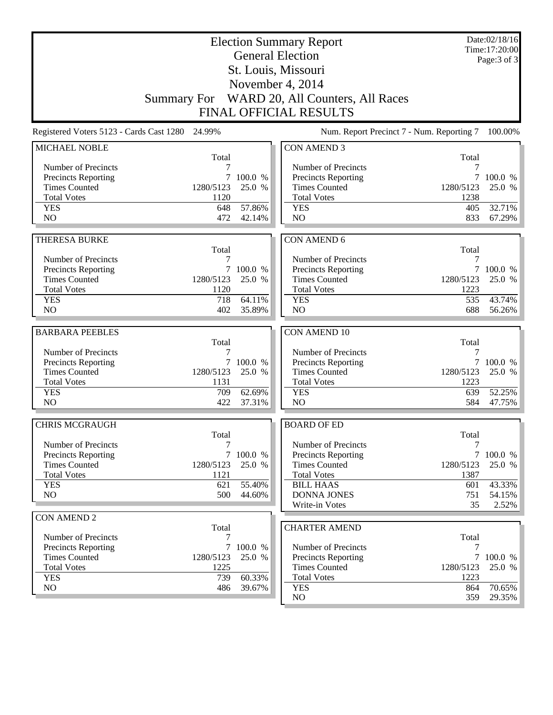| <b>Election Summary Report</b><br><b>General Election</b> |                   |                   |                                                    |                   | Date:02/18/16<br>Time:17:20:00<br>Page: $3$ of $3$ |
|-----------------------------------------------------------|-------------------|-------------------|----------------------------------------------------|-------------------|----------------------------------------------------|
|                                                           |                   |                   | St. Louis, Missouri                                |                   |                                                    |
|                                                           |                   |                   | November 4, 2014                                   |                   |                                                    |
|                                                           |                   |                   | Summary For WARD 20, All Counters, All Races       |                   |                                                    |
|                                                           |                   |                   | <b>FINAL OFFICIAL RESULTS</b>                      |                   |                                                    |
| Registered Voters 5123 - Cards Cast 1280                  | 24.99%            |                   | Num. Report Precinct 7 - Num. Reporting 7          |                   | 100.00%                                            |
| <b>MICHAEL NOBLE</b>                                      |                   |                   | <b>CON AMEND 3</b>                                 |                   |                                                    |
|                                                           | Total             |                   |                                                    | Total             |                                                    |
| Number of Precincts                                       | 7                 |                   | Number of Precincts                                | 7                 |                                                    |
| <b>Precincts Reporting</b><br><b>Times Counted</b>        | 7<br>1280/5123    | 100.0 %<br>25.0 % | <b>Precincts Reporting</b><br><b>Times Counted</b> | 7<br>1280/5123    | 100.0 %<br>25.0 %                                  |
| <b>Total Votes</b>                                        | 1120              |                   | <b>Total Votes</b>                                 | 1238              |                                                    |
| <b>YES</b>                                                | 648               | 57.86%            | <b>YES</b>                                         | 405               | 32.71%                                             |
| NO                                                        | 472               | 42.14%            | NO                                                 | 833               | 67.29%                                             |
| <b>THERESA BURKE</b>                                      |                   |                   | <b>CON AMEND 6</b>                                 |                   |                                                    |
|                                                           | Total             |                   |                                                    | Total             |                                                    |
| Number of Precincts                                       | 7                 |                   | Number of Precincts                                | 7                 |                                                    |
| <b>Precincts Reporting</b>                                | $\tau$            | 100.0 %           | Precincts Reporting                                | $7\overline{ }$   | 100.0 %                                            |
| <b>Times Counted</b>                                      | 1280/5123         | 25.0 %            | <b>Times Counted</b>                               | 1280/5123         | 25.0 %                                             |
| <b>Total Votes</b>                                        | 1120              |                   | <b>Total Votes</b>                                 | 1223              |                                                    |
| <b>YES</b>                                                | 718               | 64.11%            | <b>YES</b>                                         | 535               | 43.74%                                             |
| NO                                                        | 402               | 35.89%            | NO                                                 | 688               | 56.26%                                             |
| <b>BARBARA PEEBLES</b>                                    |                   |                   | <b>CON AMEND 10</b>                                |                   |                                                    |
|                                                           | Total             |                   |                                                    | Total             |                                                    |
| Number of Precincts                                       | 7                 |                   | Number of Precincts                                | 7                 |                                                    |
| <b>Precincts Reporting</b>                                | $\tau$            | 100.0 %           | Precincts Reporting                                |                   | 7 100.0 %                                          |
| <b>Times Counted</b><br><b>Total Votes</b>                | 1280/5123<br>1131 | 25.0 %            | <b>Times Counted</b><br><b>Total Votes</b>         | 1280/5123<br>1223 | 25.0 %                                             |
| <b>YES</b>                                                | 709               | 62.69%            | <b>YES</b>                                         | 639               | 52.25%                                             |
| N <sub>O</sub>                                            | 422               | 37.31%            | NO                                                 | 584               | 47.75%                                             |
|                                                           |                   |                   |                                                    |                   |                                                    |
| <b>CHRIS MCGRAUGH</b>                                     |                   |                   | <b>BOARD OF ED</b>                                 |                   |                                                    |
| Number of Precincts                                       | Total<br>7        |                   | Number of Precincts                                | Total<br>7        |                                                    |
| <b>Precincts Reporting</b>                                |                   | 7 100.0 %         | <b>Precincts Reporting</b>                         |                   | 7 100.0 %                                          |
| <b>Times Counted</b>                                      | 1280/5123         | 25.0 %            | <b>Times Counted</b>                               | 1280/5123         | 25.0 %                                             |
| <b>Total Votes</b>                                        | 1121              |                   | <b>Total Votes</b>                                 | 1387              |                                                    |
| <b>YES</b>                                                | 621               | 55.40%            | <b>BILL HAAS</b>                                   | 601               | 43.33%                                             |
| NO                                                        | 500               | 44.60%            | <b>DONNA JONES</b>                                 | 751               | 54.15%                                             |
|                                                           |                   |                   | Write-in Votes                                     | 35                | 2.52%                                              |
| <b>CON AMEND 2</b>                                        | Total             |                   | <b>CHARTER AMEND</b>                               |                   |                                                    |
| Number of Precincts                                       | 7                 |                   |                                                    | Total             |                                                    |
| <b>Precincts Reporting</b>                                |                   | 7 100.0 %         | Number of Precincts                                | 7                 |                                                    |
| <b>Times Counted</b>                                      | 1280/5123         | 25.0 %            | Precincts Reporting                                |                   | 7 100.0 %                                          |
| <b>Total Votes</b>                                        | 1225              |                   | <b>Times Counted</b>                               | 1280/5123         | 25.0 %                                             |
| <b>YES</b>                                                | 739               | 60.33%            | <b>Total Votes</b>                                 | 1223              |                                                    |
| NO                                                        | 486               | 39.67%            | <b>YES</b><br>NO                                   | 864<br>359        | 70.65%<br>29.35%                                   |
|                                                           |                   |                   |                                                    |                   |                                                    |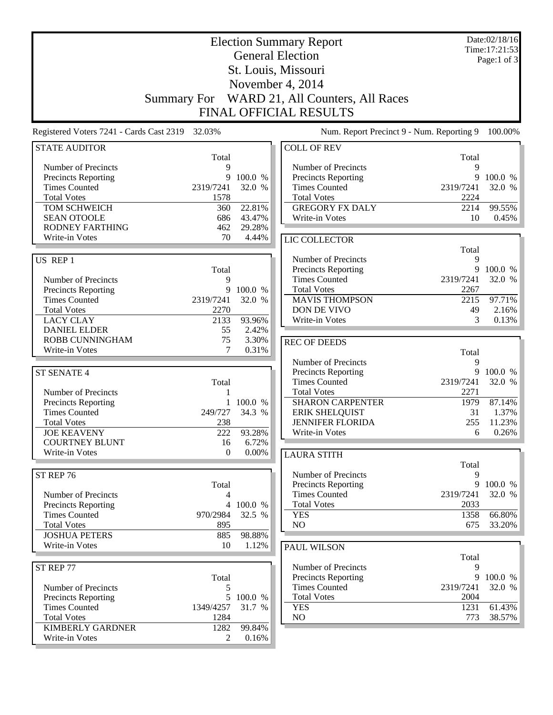|                                                 | <b>Election Summary Report</b> |                     |                                            |                   | Date:02/18/16<br>Time:17:21:53 |
|-------------------------------------------------|--------------------------------|---------------------|--------------------------------------------|-------------------|--------------------------------|
|                                                 |                                |                     | <b>General Election</b>                    |                   | Page:1 of $3$                  |
|                                                 |                                |                     | St. Louis, Missouri                        |                   |                                |
|                                                 |                                |                     | November 4, 2014                           |                   |                                |
|                                                 | <b>Summary For</b>             |                     | WARD 21, All Counters, All Races           |                   |                                |
|                                                 |                                |                     |                                            |                   |                                |
|                                                 |                                |                     | <b>FINAL OFFICIAL RESULTS</b>              |                   |                                |
| Registered Voters 7241 - Cards Cast 2319 32.03% |                                |                     | Num. Report Precinct 9 - Num. Reporting 9  |                   | 100.00%                        |
| <b>STATE AUDITOR</b>                            | Total                          |                     | <b>COLL OF REV</b>                         | Total             |                                |
| Number of Precincts                             | 9                              |                     | Number of Precincts                        | 9                 |                                |
| <b>Precincts Reporting</b>                      | 9                              | 100.0 %             | Precincts Reporting                        | 9                 | 100.0 %                        |
| <b>Times Counted</b>                            | 2319/7241                      | 32.0 %              | <b>Times Counted</b>                       | 2319/7241         | 32.0 %                         |
| <b>Total Votes</b>                              | 1578                           |                     | <b>Total Votes</b>                         | 2224              |                                |
| TOM SCHWEICH                                    | 360                            | 22.81%              | <b>GREGORY FX DALY</b>                     | 2214              | 99.55%                         |
| <b>SEAN OTOOLE</b><br><b>RODNEY FARTHING</b>    | 686<br>462                     | 43.47%<br>29.28%    | Write-in Votes                             | 10                | 0.45%                          |
| Write-in Votes                                  | 70                             | 4.44%               |                                            |                   |                                |
|                                                 |                                |                     | LIC COLLECTOR                              |                   |                                |
| US REP 1                                        |                                |                     | Number of Precincts                        | Total<br>9        |                                |
|                                                 | Total                          |                     | Precincts Reporting                        |                   | 9 100.0 %                      |
| Number of Precincts                             | 9                              |                     | <b>Times Counted</b>                       | 2319/7241         | 32.0 %                         |
| Precincts Reporting                             | 9                              | 100.0 %             | <b>Total Votes</b>                         | 2267              |                                |
| <b>Times Counted</b>                            | 2319/7241                      | 32.0 %              | <b>MAVIS THOMPSON</b>                      | 2215              | 97.71%                         |
| <b>Total Votes</b>                              | 2270                           |                     | DON DE VIVO                                | 49                | 2.16%                          |
| <b>LACY CLAY</b>                                | 2133                           | 93.96%              | Write-in Votes                             | 3                 | 0.13%                          |
| <b>DANIEL ELDER</b>                             | 55                             | 2.42%               |                                            |                   |                                |
| ROBB CUNNINGHAM                                 | 75                             | 3.30%               | <b>REC OF DEEDS</b>                        |                   |                                |
| Write-in Votes                                  | 7                              | 0.31%               |                                            | Total             |                                |
|                                                 |                                |                     | Number of Precincts                        | 9                 |                                |
| <b>ST SENATE 4</b>                              |                                |                     | Precincts Reporting                        | 9                 | 100.0 %                        |
|                                                 | Total                          |                     | <b>Times Counted</b>                       | 2319/7241         | 32.0 %                         |
| Number of Precincts                             | 1                              |                     | <b>Total Votes</b>                         | 2271              |                                |
| <b>Precincts Reporting</b>                      | 1                              | 100.0 %             | <b>SHARON CARPENTER</b>                    | 1979              | 87.14%                         |
| <b>Times Counted</b>                            | 249/727                        | 34.3 %              | <b>ERIK SHELQUIST</b>                      | 31                | 1.37%                          |
| <b>Total Votes</b>                              | 238                            |                     | <b>JENNIFER FLORIDA</b>                    | 255               | 11.23%                         |
| <b>JOE KEAVENY</b><br><b>COURTNEY BLUNT</b>     | 222<br>16                      | 93.28%<br>6.72%     | Write-in Votes                             | 6                 | 0.26%                          |
| Write-in Votes                                  | $\mathbf{0}$                   | $0.00\%$            |                                            |                   |                                |
|                                                 |                                |                     | <b>LAURA STITH</b>                         | Total             |                                |
| ST REP 76                                       |                                |                     | Number of Precincts                        | 9                 |                                |
|                                                 | Total                          |                     | Precincts Reporting                        | 9                 | 100.0 %                        |
| Number of Precincts                             | 4                              |                     | <b>Times Counted</b>                       | 2319/7241         | 32.0 %                         |
| Precincts Reporting                             | 4                              | 100.0 %             | <b>Total Votes</b>                         | 2033              |                                |
| <b>Times Counted</b>                            | 970/2984                       | 32.5 %              | <b>YES</b>                                 | 1358              | 66.80%                         |
| <b>Total Votes</b>                              | 895                            |                     | NO                                         | 675               | 33.20%                         |
| <b>JOSHUA PETERS</b>                            | 885                            | 98.88%              |                                            |                   |                                |
| Write-in Votes                                  | 10                             | 1.12%               | <b>PAUL WILSON</b>                         |                   |                                |
|                                                 |                                |                     |                                            | Total             |                                |
| ST REP 77                                       |                                |                     | Number of Precincts                        | 9                 |                                |
|                                                 | Total                          |                     | Precincts Reporting                        | 9                 | 100.0 %                        |
| Number of Precincts                             | 5                              |                     | <b>Times Counted</b><br><b>Total Votes</b> | 2319/7241<br>2004 | 32.0 %                         |
| Precincts Reporting<br><b>Times Counted</b>     | 1349/4257                      | 5 100.0 %<br>31.7 % | <b>YES</b>                                 | 1231              | 61.43%                         |
| <b>Total Votes</b>                              | 1284                           |                     | NO                                         | 773               | 38.57%                         |
| <b>KIMBERLY GARDNER</b>                         | 1282                           | 99.84%              |                                            |                   |                                |
| Write-in Votes                                  | 2                              | 0.16%               |                                            |                   |                                |
|                                                 |                                |                     |                                            |                   |                                |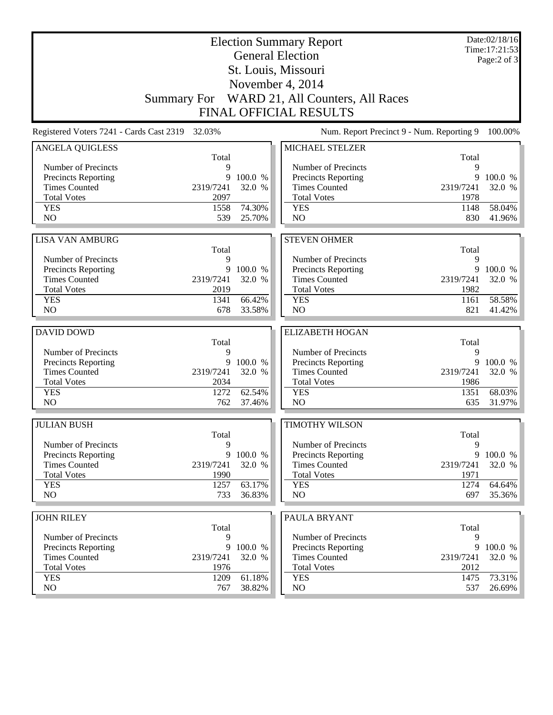| <b>Election Summary Report</b><br><b>General Election</b><br>St. Louis, Missouri |             |                  |                                                                               |                                           | Date:02/18/16<br>Time: 17:21:53<br>Page: $2$ of $3$ |
|----------------------------------------------------------------------------------|-------------|------------------|-------------------------------------------------------------------------------|-------------------------------------------|-----------------------------------------------------|
|                                                                                  |             |                  | November 4, 2014                                                              |                                           |                                                     |
|                                                                                  |             |                  |                                                                               |                                           |                                                     |
|                                                                                  |             |                  | Summary For WARD 21, All Counters, All Races<br><b>FINAL OFFICIAL RESULTS</b> |                                           |                                                     |
|                                                                                  |             |                  |                                                                               |                                           |                                                     |
| Registered Voters 7241 - Cards Cast 2319                                         | 32.03%      |                  |                                                                               | Num. Report Precinct 9 - Num. Reporting 9 | 100.00%                                             |
| <b>ANGELA QUIGLESS</b>                                                           |             |                  | <b>MICHAEL STELZER</b>                                                        |                                           |                                                     |
| Number of Precincts                                                              | Total<br>9  |                  | Number of Precincts                                                           | Total<br>9                                |                                                     |
| <b>Precincts Reporting</b>                                                       | 9           | 100.0 %          | Precincts Reporting                                                           | 9                                         | 100.0 %                                             |
| <b>Times Counted</b>                                                             | 2319/7241   | 32.0 %           | <b>Times Counted</b>                                                          | 2319/7241                                 | 32.0 %                                              |
| <b>Total Votes</b>                                                               | 2097        |                  | <b>Total Votes</b>                                                            | 1978                                      |                                                     |
| <b>YES</b>                                                                       | 1558        | 74.30%           | <b>YES</b>                                                                    | 1148                                      | 58.04%                                              |
| NO                                                                               | 539         | 25.70%           | NO                                                                            | 830                                       | 41.96%                                              |
|                                                                                  |             |                  | <b>STEVEN OHMER</b>                                                           |                                           |                                                     |
| <b>LISA VAN AMBURG</b>                                                           | Total       |                  |                                                                               | Total                                     |                                                     |
| Number of Precincts                                                              | 9           |                  | Number of Precincts                                                           | 9                                         |                                                     |
| <b>Precincts Reporting</b>                                                       | 9           | 100.0 %          | Precincts Reporting                                                           | 9                                         | 100.0 %                                             |
| <b>Times Counted</b>                                                             | 2319/7241   | 32.0 %           | <b>Times Counted</b>                                                          | 2319/7241                                 | 32.0 %                                              |
| <b>Total Votes</b>                                                               | 2019        |                  | <b>Total Votes</b>                                                            | 1982                                      |                                                     |
| <b>YES</b>                                                                       | 1341        | 66.42%           | <b>YES</b>                                                                    | 1161                                      | 58.58%                                              |
| NO                                                                               | 678         | 33.58%           | NO                                                                            | 821                                       | 41.42%                                              |
|                                                                                  |             |                  |                                                                               |                                           |                                                     |
|                                                                                  |             |                  |                                                                               |                                           |                                                     |
| <b>DAVID DOWD</b>                                                                |             |                  | <b>ELIZABETH HOGAN</b>                                                        |                                           |                                                     |
| Number of Precincts                                                              | Total<br>9  |                  | Number of Precincts                                                           | Total<br>9                                |                                                     |
|                                                                                  | 9           | 100.0 %          | Precincts Reporting                                                           | 9                                         | 100.0 %                                             |
| Precincts Reporting<br><b>Times Counted</b>                                      | 2319/7241   | 32.0 %           | <b>Times Counted</b>                                                          | 2319/7241                                 | 32.0 %                                              |
| <b>Total Votes</b>                                                               | 2034        |                  | <b>Total Votes</b>                                                            | 1986                                      |                                                     |
| <b>YES</b>                                                                       | 1272        | 62.54%           | <b>YES</b>                                                                    | 1351                                      | 68.03%                                              |
| NO                                                                               | 762         | 37.46%           | NO                                                                            | 635                                       | 31.97%                                              |
|                                                                                  |             |                  |                                                                               |                                           |                                                     |
| <b>JULIAN BUSH</b>                                                               | Total       |                  | <b>TIMOTHY WILSON</b>                                                         | Total                                     |                                                     |
| Number of Precincts                                                              | 9           |                  | Number of Precincts                                                           | 9                                         |                                                     |
| <b>Precincts Reporting</b>                                                       | 9           | 100.0 %          | Precincts Reporting                                                           | 9                                         | 100.0 %                                             |
| <b>Times Counted</b>                                                             | 2319/7241   | 32.0 %           | <b>Times Counted</b>                                                          | 2319/7241                                 | 32.0 %                                              |
| <b>Total Votes</b>                                                               | 1990        |                  | <b>Total Votes</b>                                                            | 1971                                      |                                                     |
| <b>YES</b>                                                                       | 1257        | 63.17%           | <b>YES</b>                                                                    | 1274                                      | 64.64%                                              |
| NO                                                                               | 733         | 36.83%           | NO                                                                            | 697                                       | 35.36%                                              |
|                                                                                  |             |                  |                                                                               |                                           |                                                     |
| <b>JOHN RILEY</b>                                                                | Total       |                  | PAULA BRYANT                                                                  | Total                                     |                                                     |
| Number of Precincts                                                              | 9           |                  | Number of Precincts                                                           | 9                                         |                                                     |
| <b>Precincts Reporting</b>                                                       | 9           | 100.0 %          | Precincts Reporting                                                           | 9                                         | 100.0 %                                             |
| <b>Times Counted</b>                                                             | 2319/7241   | 32.0 %           | <b>Times Counted</b>                                                          | 2319/7241                                 | 32.0 %                                              |
| <b>Total Votes</b>                                                               | 1976        |                  | <b>Total Votes</b>                                                            | 2012                                      |                                                     |
| <b>YES</b><br>NO                                                                 | 1209<br>767 | 61.18%<br>38.82% | <b>YES</b><br>NO                                                              | 1475<br>537                               | 73.31%<br>$26.69\%$                                 |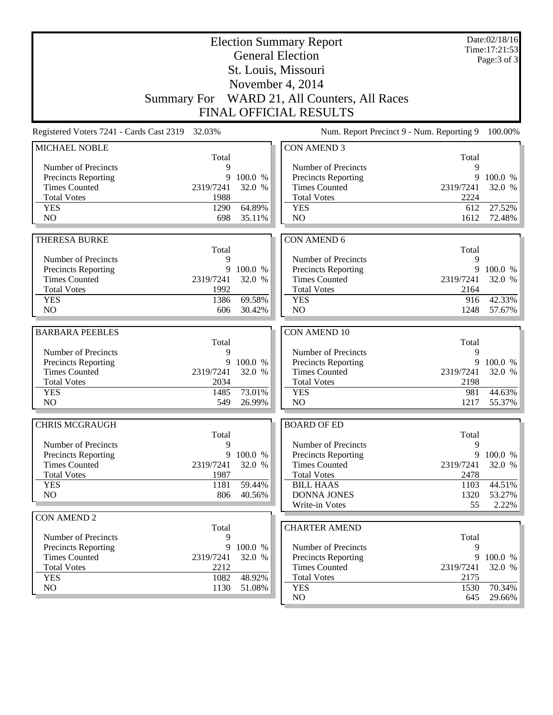| <b>Election Summary Report</b><br><b>General Election</b> |                |                   |                                             | Date:02/18/16<br>Time: 17:21:53 |                   |
|-----------------------------------------------------------|----------------|-------------------|---------------------------------------------|---------------------------------|-------------------|
|                                                           |                |                   | St. Louis, Missouri                         |                                 | Page: 3 of 3      |
|                                                           |                |                   | November 4, 2014                            |                                 |                   |
|                                                           | Summary For    |                   | WARD 21, All Counters, All Races            |                                 |                   |
|                                                           |                |                   | <b>FINAL OFFICIAL RESULTS</b>               |                                 |                   |
| Registered Voters 7241 - Cards Cast 2319 32.03%           |                |                   | Num. Report Precinct 9 - Num. Reporting 9   |                                 | 100.00%           |
| MICHAEL NOBLE                                             |                |                   | <b>CON AMEND 3</b>                          |                                 |                   |
|                                                           | Total          |                   |                                             | Total                           |                   |
| Number of Precincts<br>Precincts Reporting                | 9<br>9         | 100.0 %           | Number of Precincts<br>Precincts Reporting  | 9<br>9                          | 100.0 %           |
| <b>Times Counted</b>                                      | 2319/7241      | 32.0 %            | <b>Times Counted</b>                        | 2319/7241                       | 32.0 %            |
| <b>Total Votes</b>                                        | 1988           |                   | <b>Total Votes</b>                          | 2224                            |                   |
| <b>YES</b>                                                | 1290           | 64.89%            | <b>YES</b>                                  | 612                             | 27.52%            |
| N <sub>O</sub>                                            | 698            | 35.11%            | N <sub>O</sub>                              | 1612                            | 72.48%            |
| <b>THERESA BURKE</b>                                      |                |                   | <b>CON AMEND 6</b>                          |                                 |                   |
|                                                           | Total          |                   |                                             | Total                           |                   |
| Number of Precincts                                       | 9              |                   | Number of Precincts                         | 9                               |                   |
| Precincts Reporting                                       | 9              | 100.0 %           | Precincts Reporting                         | 9                               | 100.0 %           |
| <b>Times Counted</b>                                      | 2319/7241      | 32.0 %            | <b>Times Counted</b>                        | 2319/7241                       | 32.0 %            |
| <b>Total Votes</b>                                        | 1992           |                   | <b>Total Votes</b>                          | 2164                            |                   |
| <b>YES</b>                                                | 1386           | 69.58%            | <b>YES</b>                                  | 916                             | 42.33%            |
| N <sub>O</sub>                                            | 606            | 30.42%            | N <sub>O</sub>                              | 1248                            | 57.67%            |
| <b>BARBARA PEEBLES</b>                                    |                |                   | <b>CON AMEND 10</b>                         |                                 |                   |
|                                                           | Total          |                   |                                             | Total                           |                   |
| Number of Precincts                                       | 9<br>9         | 100.0 %           | Number of Precincts                         | 9<br>9                          | 100.0 %           |
| Precincts Reporting<br><b>Times Counted</b>               | 2319/7241      | 32.0 %            | Precincts Reporting<br><b>Times Counted</b> | 2319/7241                       | 32.0 %            |
|                                                           |                |                   |                                             |                                 |                   |
|                                                           |                |                   |                                             |                                 |                   |
| <b>Total Votes</b><br><b>YES</b>                          | 2034<br>1485   | 73.01%            | <b>Total Votes</b><br><b>YES</b>            | 2198<br>981                     | 44.63%            |
| NO                                                        | 549            | 26.99%            | NO                                          | 1217                            | 55.37%            |
|                                                           |                |                   |                                             |                                 |                   |
| <b>CHRIS MCGRAUGH</b>                                     |                |                   | <b>BOARD OF ED</b>                          |                                 |                   |
|                                                           | Total          |                   |                                             | Total                           |                   |
| Number of Precincts                                       | 9              |                   | Number of Precincts                         | 9                               |                   |
| <b>Precincts Reporting</b>                                | 9<br>2319/7241 | 100.0 %<br>32.0 % | Precincts Reporting                         | 9<br>2319/7241                  |                   |
| <b>Times Counted</b><br><b>Total Votes</b>                | 1987           |                   | <b>Times Counted</b><br><b>Total Votes</b>  | 2478                            | 100.0 %<br>32.0 % |
| <b>YES</b>                                                | 1181           | 59.44%            | <b>BILL HAAS</b>                            | 1103                            | 44.51%            |
| NO                                                        | 806            | 40.56%            | <b>DONNA JONES</b>                          | 1320                            | 53.27%            |
|                                                           |                |                   | Write-in Votes                              | 55                              | 2.22%             |
| <b>CON AMEND 2</b>                                        |                |                   |                                             |                                 |                   |
|                                                           | Total<br>9     |                   | <b>CHARTER AMEND</b>                        |                                 |                   |
| Number of Precincts<br><b>Precincts Reporting</b>         | 9              | 100.0 %           | Number of Precincts                         | Total<br>9                      |                   |
| <b>Times Counted</b>                                      | 2319/7241      | 32.0 %            | Precincts Reporting                         | 9                               | 100.0 %           |
| <b>Total Votes</b>                                        | 2212           |                   | <b>Times Counted</b>                        | 2319/7241                       | 32.0 %            |
| <b>YES</b><br>NO                                          | 1082<br>1130   | 48.92%<br>51.08%  | <b>Total Votes</b><br><b>YES</b>            | 2175<br>1530                    | 70.34%            |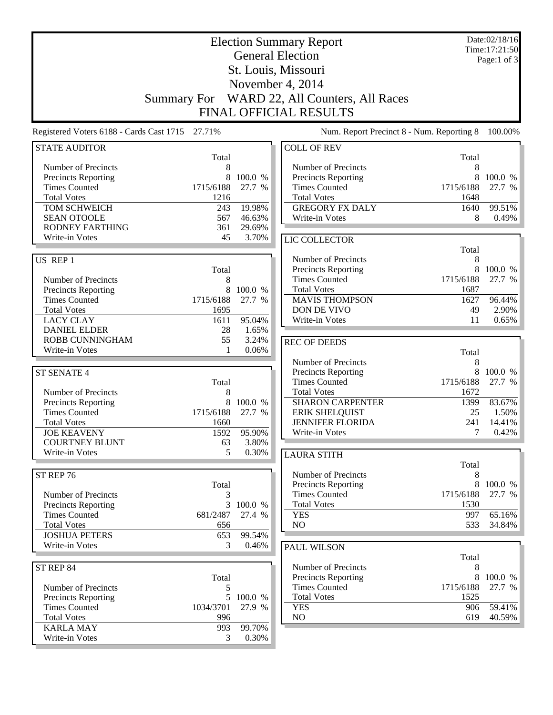|                                                    | <b>Election Summary Report</b> |                   |                                             |                | Date:02/18/16<br>Time:17:21:50 |
|----------------------------------------------------|--------------------------------|-------------------|---------------------------------------------|----------------|--------------------------------|
|                                                    |                                |                   | <b>General Election</b>                     |                | Page:1 of $3$                  |
|                                                    |                                |                   | St. Louis, Missouri                         |                |                                |
|                                                    |                                |                   | November 4, 2014                            |                |                                |
|                                                    | <b>Summary For</b>             |                   | WARD 22, All Counters, All Races            |                |                                |
|                                                    |                                |                   | <b>FINAL OFFICIAL RESULTS</b>               |                |                                |
| Registered Voters 6188 - Cards Cast 1715 27.71%    |                                |                   | Num. Report Precinct 8 - Num. Reporting 8   |                | 100.00%                        |
| <b>STATE AUDITOR</b>                               |                                |                   | <b>COLL OF REV</b>                          |                |                                |
|                                                    | Total                          |                   |                                             | Total          |                                |
| Number of Precincts                                | 8                              |                   | Number of Precincts                         | 8              |                                |
| <b>Precincts Reporting</b><br><b>Times Counted</b> | 8<br>1715/6188                 | 100.0 %<br>27.7 % | Precincts Reporting<br><b>Times Counted</b> | 8<br>1715/6188 | 100.0 %<br>27.7 %              |
| <b>Total Votes</b>                                 | 1216                           |                   | <b>Total Votes</b>                          | 1648           |                                |
| TOM SCHWEICH                                       | 243                            | 19.98%            | <b>GREGORY FX DALY</b>                      | 1640           | 99.51%                         |
| <b>SEAN OTOOLE</b>                                 | 567                            | 46.63%            | Write-in Votes                              | 8              | 0.49%                          |
| RODNEY FARTHING                                    | 361                            | 29.69%            |                                             |                |                                |
| Write-in Votes                                     | 45                             | 3.70%             | LIC COLLECTOR                               |                |                                |
|                                                    |                                |                   |                                             | Total          |                                |
| US REP 1                                           |                                |                   | Number of Precincts                         | 8              |                                |
|                                                    | Total                          |                   | Precincts Reporting                         | 8              | 100.0 %                        |
| Number of Precincts                                | 8                              |                   | <b>Times Counted</b>                        | 1715/6188      | 27.7 %                         |
| Precincts Reporting                                | 8                              | 100.0 %           | <b>Total Votes</b><br><b>MAVIS THOMPSON</b> | 1687           |                                |
| <b>Times Counted</b><br><b>Total Votes</b>         | 1715/6188<br>1695              | 27.7 %            | DON DE VIVO                                 | 1627<br>49     | 96.44%<br>2.90%                |
| <b>LACY CLAY</b>                                   | 1611                           | 95.04%            | Write-in Votes                              | 11             | 0.65%                          |
| <b>DANIEL ELDER</b>                                | 28                             | 1.65%             |                                             |                |                                |
| ROBB CUNNINGHAM                                    | 55                             | 3.24%             | <b>REC OF DEEDS</b>                         |                |                                |
| Write-in Votes                                     | 1                              | 0.06%             |                                             | Total          |                                |
|                                                    |                                |                   | Number of Precincts                         | 8              |                                |
| <b>ST SENATE 4</b>                                 |                                |                   | Precincts Reporting                         | 8              | 100.0 %                        |
|                                                    | Total                          |                   | <b>Times Counted</b>                        | 1715/6188      | 27.7 %                         |
| Number of Precincts                                | 8                              |                   | <b>Total Votes</b>                          | 1672           |                                |
| <b>Precincts Reporting</b>                         | 8                              | 100.0 %           | <b>SHARON CARPENTER</b>                     | 1399           | 83.67%                         |
| <b>Times Counted</b>                               | 1715/6188                      | 27.7 %            | <b>ERIK SHELQUIST</b>                       | 25             | 1.50%                          |
| <b>Total Votes</b><br><b>JOE KEAVENY</b>           | 1660                           | 95.90%            | <b>JENNIFER FLORIDA</b>                     | 241<br>7       | 14.41%<br>0.42%                |
| <b>COURTNEY BLUNT</b>                              | 1592<br>63                     | 3.80%             | Write-in Votes                              |                |                                |
| Write-in Votes                                     | 5                              | 0.30%             | <b>LAURA STITH</b>                          |                |                                |
|                                                    |                                |                   |                                             | Total          |                                |
| ST REP 76                                          |                                |                   | Number of Precincts                         | 8              |                                |
|                                                    | Total                          |                   | Precincts Reporting                         | 8              | 100.0 %                        |
| Number of Precincts                                | 3                              |                   | <b>Times Counted</b>                        | 1715/6188      | 27.7 %                         |
| Precincts Reporting                                | 3                              | 100.0 %           | <b>Total Votes</b>                          | 1530           |                                |
| <b>Times Counted</b>                               | 681/2487                       | 27.4 %            | <b>YES</b>                                  | 997            | 65.16%                         |
| <b>Total Votes</b>                                 | 656                            |                   | NO                                          | 533            | 34.84%                         |
| <b>JOSHUA PETERS</b>                               | 653                            | 99.54%            |                                             |                |                                |
| Write-in Votes                                     | 3                              | 0.46%             | <b>PAUL WILSON</b>                          |                |                                |
|                                                    |                                |                   | Number of Precincts                         | Total<br>8     |                                |
| ST REP 84                                          | Total                          |                   | Precincts Reporting                         | 8              | 100.0 %                        |
| Number of Precincts                                | 5                              |                   | <b>Times Counted</b>                        | 1715/6188      | 27.7 %                         |
| Precincts Reporting                                | 5                              | 100.0 %           | <b>Total Votes</b>                          | 1525           |                                |
| <b>Times Counted</b>                               | 1034/3701                      | 27.9 %            | <b>YES</b>                                  | 906            | 59.41%                         |
| <b>Total Votes</b>                                 | 996                            |                   | NO                                          | 619            | 40.59%                         |
| <b>KARLA MAY</b>                                   | 993                            | 99.70%            |                                             |                |                                |
| Write-in Votes                                     | 3                              | 0.30%             |                                             |                |                                |
|                                                    |                                |                   |                                             |                |                                |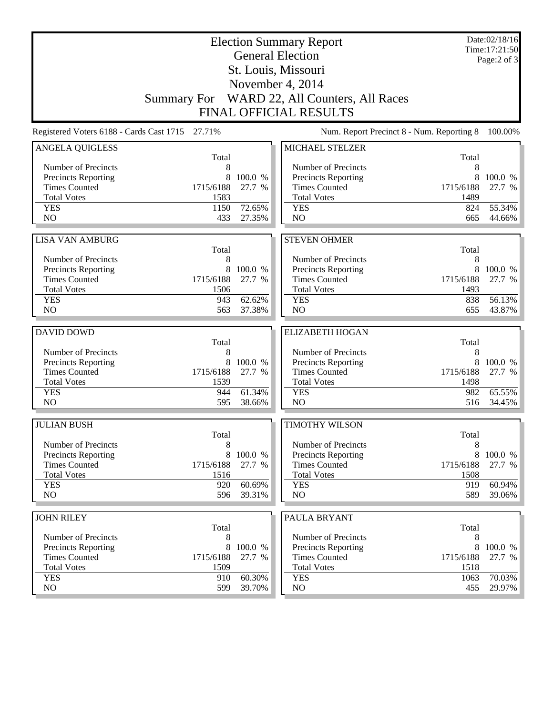| <b>Election Summary Report</b><br><b>General Election</b> |           |           |                                              |           | Date:02/18/16<br>Time:17:21:50<br>Page: $2$ of $3$ |  |  |
|-----------------------------------------------------------|-----------|-----------|----------------------------------------------|-----------|----------------------------------------------------|--|--|
|                                                           |           |           | St. Louis, Missouri                          |           |                                                    |  |  |
|                                                           |           |           | November 4, 2014                             |           |                                                    |  |  |
|                                                           |           |           | Summary For WARD 22, All Counters, All Races |           |                                                    |  |  |
|                                                           |           |           | <b>FINAL OFFICIAL RESULTS</b>                |           |                                                    |  |  |
|                                                           |           |           |                                              |           |                                                    |  |  |
| Registered Voters 6188 - Cards Cast 1715 27.71%           |           |           | Num. Report Precinct 8 - Num. Reporting 8    |           | 100.00%                                            |  |  |
| <b>ANGELA QUIGLESS</b>                                    | Total     |           | <b>MICHAEL STELZER</b>                       | Total     |                                                    |  |  |
| Number of Precincts                                       | 8         |           | Number of Precincts                          | 8         |                                                    |  |  |
| <b>Precincts Reporting</b>                                | 8         | 100.0 %   | <b>Precincts Reporting</b>                   | 8         | 100.0 %                                            |  |  |
| <b>Times Counted</b>                                      | 1715/6188 | 27.7 %    | <b>Times Counted</b>                         | 1715/6188 | 27.7 %                                             |  |  |
| <b>Total Votes</b>                                        | 1583      |           | <b>Total Votes</b>                           | 1489      |                                                    |  |  |
| <b>YES</b>                                                | 1150      | 72.65%    | <b>YES</b>                                   | 824       | 55.34%                                             |  |  |
| NO                                                        | 433       | 27.35%    | NO                                           | 665       | 44.66%                                             |  |  |
| <b>LISA VAN AMBURG</b>                                    |           |           | <b>STEVEN OHMER</b>                          |           |                                                    |  |  |
|                                                           | Total     |           |                                              | Total     |                                                    |  |  |
| Number of Precincts                                       | 8         |           | Number of Precincts                          | 8         |                                                    |  |  |
| <b>Precincts Reporting</b>                                | 8         | 100.0 %   | <b>Precincts Reporting</b>                   | 8         | 100.0 %                                            |  |  |
| <b>Times Counted</b>                                      | 1715/6188 | 27.7 %    | <b>Times Counted</b>                         | 1715/6188 | 27.7 %                                             |  |  |
| <b>Total Votes</b>                                        | 1506      |           | <b>Total Votes</b>                           | 1493      |                                                    |  |  |
| <b>YES</b>                                                | 943       | 62.62%    | <b>YES</b>                                   | 838       | 56.13%                                             |  |  |
| N <sub>O</sub>                                            | 563       | 37.38%    | NO                                           | 655       | 43.87%                                             |  |  |
|                                                           |           |           |                                              |           |                                                    |  |  |
| <b>DAVID DOWD</b>                                         | Total     |           | <b>ELIZABETH HOGAN</b>                       | Total     |                                                    |  |  |
| Number of Precincts                                       | 8         |           | Number of Precincts                          | 8         |                                                    |  |  |
| <b>Precincts Reporting</b>                                | 8         | 100.0 %   | Precincts Reporting                          | 8         | 100.0 %                                            |  |  |
| <b>Times Counted</b>                                      | 1715/6188 | 27.7 %    | <b>Times Counted</b>                         | 1715/6188 | 27.7 %                                             |  |  |
| <b>Total Votes</b>                                        | 1539      |           | <b>Total Votes</b>                           | 1498      |                                                    |  |  |
| <b>YES</b>                                                | 944       | 61.34%    | <b>YES</b>                                   | 982       | 65.55%                                             |  |  |
| N <sub>O</sub>                                            | 595       | 38.66%    | NO                                           | 516       | 34.45%                                             |  |  |
| <b>JULIAN BUSH</b>                                        |           |           | <b>TIMOTHY WILSON</b>                        |           |                                                    |  |  |
|                                                           | Total     |           |                                              | Total     |                                                    |  |  |
| Number of Precincts                                       | 8         |           | Number of Precincts                          | 8         |                                                    |  |  |
| <b>Precincts Reporting</b>                                |           | 8 100.0 % | <b>Precincts Reporting</b>                   | 8         | 100.0 %                                            |  |  |
| <b>Times Counted</b>                                      | 1715/6188 | 27.7 %    | <b>Times Counted</b>                         | 1715/6188 | 27.7 %                                             |  |  |
| <b>Total Votes</b>                                        | 1516      |           | <b>Total Votes</b>                           | 1508      |                                                    |  |  |
| <b>YES</b>                                                | 920       | 60.69%    | <b>YES</b>                                   | 919       | 60.94%                                             |  |  |
| NO.                                                       | 596       | 39.31%    | NO                                           | 589       | 39.06%                                             |  |  |
|                                                           |           |           |                                              |           |                                                    |  |  |
| <b>JOHN RILEY</b>                                         | Total     |           | PAULA BRYANT                                 | Total     |                                                    |  |  |
| Number of Precincts                                       | 8         |           | Number of Precincts                          | 8         |                                                    |  |  |
| Precincts Reporting                                       | 8         | 100.0 %   | <b>Precincts Reporting</b>                   | 8         | 100.0 %                                            |  |  |
| <b>Times Counted</b>                                      | 1715/6188 | 27.7 %    | <b>Times Counted</b>                         | 1715/6188 | 27.7 %                                             |  |  |
| <b>Total Votes</b>                                        | 1509      |           | <b>Total Votes</b>                           | 1518      |                                                    |  |  |
| <b>YES</b>                                                | 910       | 60.30%    | <b>YES</b>                                   | 1063      | 70.03%                                             |  |  |
| NO.                                                       | 599       | 39.70%    | NO                                           | 455       | 29.97%                                             |  |  |
|                                                           |           |           |                                              |           |                                                    |  |  |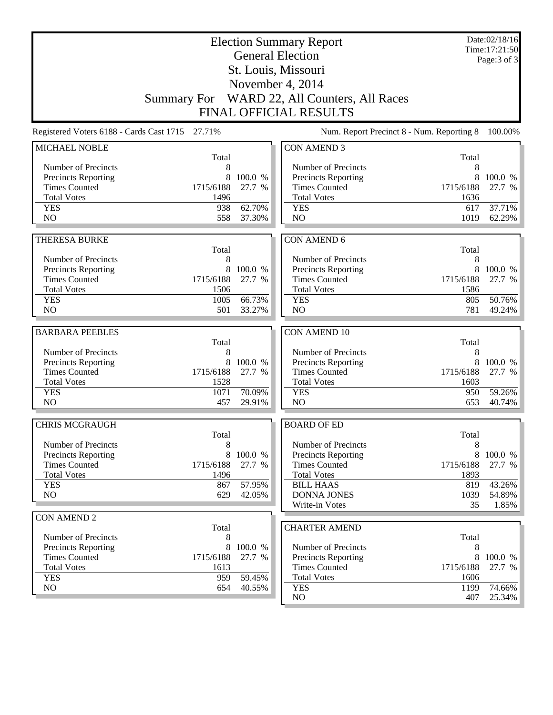| <b>Election Summary Report</b><br><b>General Election</b> |                                                 |         |                                           |             | Date:02/18/16<br>Time:17:21:50 |
|-----------------------------------------------------------|-------------------------------------------------|---------|-------------------------------------------|-------------|--------------------------------|
|                                                           |                                                 |         | St. Louis, Missouri                       |             | Page: 3 of 3                   |
|                                                           |                                                 |         | November 4, 2014                          |             |                                |
|                                                           | <b>Summary For</b>                              |         | WARD 22, All Counters, All Races          |             |                                |
|                                                           |                                                 |         | <b>FINAL OFFICIAL RESULTS</b>             |             |                                |
|                                                           |                                                 |         |                                           |             |                                |
|                                                           | Registered Voters 6188 - Cards Cast 1715 27.71% |         | Num. Report Precinct 8 - Num. Reporting 8 |             | 100.00%                        |
| MICHAEL NOBLE                                             |                                                 |         | <b>CON AMEND 3</b>                        |             |                                |
| Number of Precincts                                       | Total<br>8                                      |         | Number of Precincts                       | Total<br>8  |                                |
| Precincts Reporting                                       | 8                                               | 100.0 % | Precincts Reporting                       | 8           | 100.0 %                        |
| <b>Times Counted</b>                                      | 1715/6188                                       | 27.7 %  | <b>Times Counted</b>                      | 1715/6188   | 27.7 %                         |
| <b>Total Votes</b>                                        | 1496                                            |         | <b>Total Votes</b>                        | 1636        |                                |
| <b>YES</b>                                                | 938                                             | 62.70%  | <b>YES</b>                                | 617         | 37.71%                         |
| N <sub>O</sub>                                            | 558                                             | 37.30%  | N <sub>O</sub>                            | 1019        | 62.29%                         |
|                                                           |                                                 |         |                                           |             |                                |
| <b>THERESA BURKE</b>                                      | Total                                           |         | <b>CON AMEND 6</b>                        | Total       |                                |
| Number of Precincts                                       | 8                                               |         | Number of Precincts                       | 8           |                                |
| Precincts Reporting                                       | 8                                               | 100.0 % | Precincts Reporting                       | 8           | 100.0 %                        |
| <b>Times Counted</b>                                      | 1715/6188                                       | 27.7 %  | <b>Times Counted</b>                      | 1715/6188   | 27.7 %                         |
| <b>Total Votes</b>                                        | 1506                                            |         | <b>Total Votes</b>                        | 1586        |                                |
| <b>YES</b>                                                | 1005                                            | 66.73%  | <b>YES</b>                                | 805         | 50.76%                         |
| N <sub>O</sub>                                            | 501                                             | 33.27%  | N <sub>O</sub>                            | 781         | 49.24%                         |
|                                                           |                                                 |         |                                           |             |                                |
| <b>BARBARA PEEBLES</b>                                    | Total                                           |         | <b>CON AMEND 10</b>                       | Total       |                                |
| Number of Precincts                                       | 8                                               |         | Number of Precincts                       | 8           |                                |
| Precincts Reporting                                       | 8                                               | 100.0 % | Precincts Reporting                       | 8           | 100.0 %                        |
| <b>Times Counted</b>                                      | 1715/6188                                       | 27.7 %  | <b>Times Counted</b>                      | 1715/6188   | 27.7 %                         |
| <b>Total Votes</b>                                        | 1528                                            |         | <b>Total Votes</b>                        | 1603        |                                |
| <b>YES</b>                                                | 1071                                            | 70.09%  | <b>YES</b>                                | 950         | 59.26%                         |
| NO                                                        | 457                                             | 29.91%  | NO                                        | 653         | 40.74%                         |
| <b>CHRIS MCGRAUGH</b>                                     |                                                 |         | <b>BOARD OF ED</b>                        |             |                                |
|                                                           | Total                                           |         |                                           | Total       |                                |
| Number of Precincts                                       | 8                                               |         | Number of Precincts                       | 8           |                                |
| Precincts Reporting                                       | 8                                               | 100.0 % | Precincts Reporting                       | 8           | 100.0 %                        |
| <b>Times Counted</b>                                      | 1715/6188                                       | 27.7 %  | <b>Times Counted</b>                      | 1715/6188   | 27.7 %                         |
| <b>Total Votes</b>                                        | 1496                                            |         | <b>Total Votes</b>                        | 1893        |                                |
| <b>YES</b>                                                | 867                                             | 57.95%  | <b>BILL HAAS</b>                          | 819         | 43.26%                         |
| NO                                                        | 629                                             | 42.05%  | <b>DONNA JONES</b>                        | 1039        | 54.89%                         |
|                                                           |                                                 |         | Write-in Votes                            | 35          | 1.85%                          |
| <b>CON AMEND 2</b>                                        |                                                 |         |                                           |             |                                |
|                                                           | Total                                           |         | <b>CHARTER AMEND</b>                      |             |                                |
| Number of Precincts                                       | 8                                               |         |                                           | Total       |                                |
| <b>Precincts Reporting</b>                                | 8                                               | 100.0 % | Number of Precincts                       | 8           |                                |
| <b>Times Counted</b>                                      | 1715/6188                                       | 27.7 %  | Precincts Reporting                       | 8           | 100.0 %                        |
| <b>Total Votes</b>                                        | 1613                                            |         | <b>Times Counted</b>                      | 1715/6188   | 27.7 %                         |
| <b>YES</b>                                                | 959                                             | 59.45%  | <b>Total Votes</b>                        | 1606        |                                |
| NO                                                        | 654                                             | 40.55%  | <b>YES</b><br>NO                          | 1199<br>407 | 74.66%                         |
|                                                           |                                                 |         |                                           |             | 25.34%                         |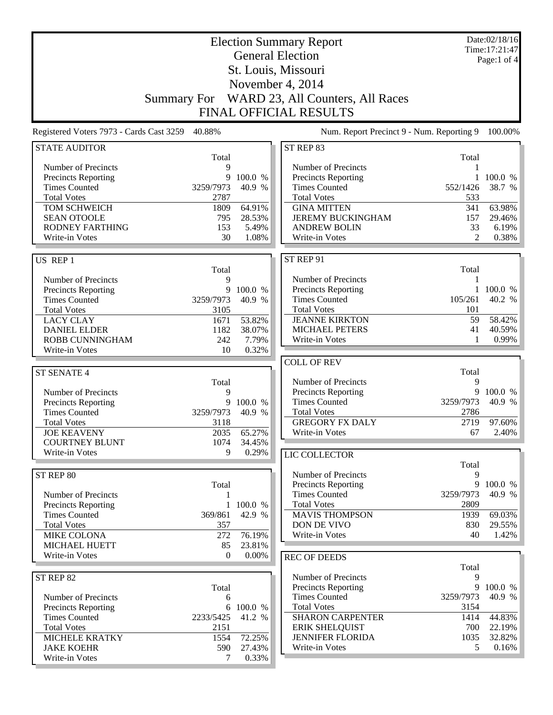|                                                 | <b>Election Summary Report</b><br><b>General Election</b> |           |                                                   |                |                               |
|-------------------------------------------------|-----------------------------------------------------------|-----------|---------------------------------------------------|----------------|-------------------------------|
|                                                 |                                                           |           |                                                   |                | Time: 17:21:47<br>Page:1 of 4 |
|                                                 |                                                           |           | St. Louis, Missouri                               |                |                               |
|                                                 |                                                           |           | November 4, 2014                                  |                |                               |
|                                                 | <b>Summary For</b>                                        |           | WARD 23, All Counters, All Races                  |                |                               |
|                                                 |                                                           |           | <b>FINAL OFFICIAL RESULTS</b>                     |                |                               |
| Registered Voters 7973 - Cards Cast 3259 40.88% |                                                           |           | Num. Report Precinct 9 - Num. Reporting 9         |                | 100.00%                       |
| <b>STATE AUDITOR</b>                            |                                                           |           | ST REP 83                                         |                |                               |
|                                                 | Total                                                     |           |                                                   | Total          |                               |
| Number of Precincts<br>Precincts Reporting      | 9<br>9                                                    | 100.0 %   | Number of Precincts<br><b>Precincts Reporting</b> | 1              | 1 100.0 %                     |
| <b>Times Counted</b>                            | 3259/7973                                                 | 40.9 %    | <b>Times Counted</b>                              | 552/1426       | 38.7 %                        |
| <b>Total Votes</b>                              | 2787                                                      |           | <b>Total Votes</b>                                | 533            |                               |
| TOM SCHWEICH                                    | 1809                                                      | 64.91%    | <b>GINA MITTEN</b>                                | 341            | 63.98%                        |
| <b>SEAN OTOOLE</b>                              | 795                                                       | 28.53%    | <b>JEREMY BUCKINGHAM</b>                          | 157            | 29.46%                        |
| <b>RODNEY FARTHING</b>                          | 153                                                       | 5.49%     | <b>ANDREW BOLIN</b>                               | 33             | 6.19%                         |
| Write-in Votes                                  | 30                                                        | 1.08%     | Write-in Votes                                    | $\overline{2}$ | 0.38%                         |
|                                                 |                                                           |           |                                                   |                |                               |
| US REP 1                                        |                                                           |           | ST REP 91                                         | Total          |                               |
| Number of Precincts                             | Total<br>9                                                |           | Number of Precincts                               | 1              |                               |
| <b>Precincts Reporting</b>                      | 9                                                         | 100.0 %   | <b>Precincts Reporting</b>                        | $\mathbf{1}$   | 100.0 %                       |
| <b>Times Counted</b>                            | 3259/7973                                                 | 40.9 %    | <b>Times Counted</b>                              | 105/261        | 40.2 %                        |
| <b>Total Votes</b>                              | 3105                                                      |           | <b>Total Votes</b>                                | 101            |                               |
| <b>LACY CLAY</b>                                | 1671                                                      | 53.82%    | <b>JEANNE KIRKTON</b>                             | 59             | 58.42%                        |
| <b>DANIEL ELDER</b>                             | 1182                                                      | 38.07%    | <b>MICHAEL PETERS</b>                             | 41             | 40.59%                        |
| ROBB CUNNINGHAM                                 | 242                                                       | 7.79%     | Write-in Votes                                    | 1              | 0.99%                         |
| Write-in Votes                                  | 10                                                        | 0.32%     |                                                   |                |                               |
|                                                 |                                                           |           | <b>COLL OF REV</b>                                |                |                               |
| <b>ST SENATE 4</b>                              |                                                           |           |                                                   | Total<br>9     |                               |
| Number of Precincts                             | Total<br>9                                                |           | Number of Precincts<br><b>Precincts Reporting</b> | 9              | 100.0 %                       |
| <b>Precincts Reporting</b>                      | 9                                                         | 100.0 %   | <b>Times Counted</b>                              | 3259/7973      | 40.9 %                        |
| <b>Times Counted</b>                            | 3259/7973                                                 | 40.9 %    | <b>Total Votes</b>                                | 2786           |                               |
| <b>Total Votes</b>                              | 3118                                                      |           | <b>GREGORY FX DALY</b>                            | 2719           | 97.60%                        |
| <b>JOE KEAVENY</b>                              | 2035                                                      | 65.27%    | Write-in Votes                                    | 67             | 2.40%                         |
| <b>COURTNEY BLUNT</b>                           | 1074                                                      | 34.45%    |                                                   |                |                               |
| Write-in Votes                                  | 9                                                         | 0.29%     | LIC COLLECTOR                                     |                |                               |
|                                                 |                                                           |           |                                                   | Total          |                               |
| ST REP 80                                       |                                                           |           | Number of Precincts                               | 9              |                               |
|                                                 | Total                                                     |           | <b>Precincts Reporting</b>                        | 9              | 100.0 %                       |
| Number of Precincts                             |                                                           |           | <b>Times Counted</b>                              | 3259/7973      | 40.9 %                        |
| Precincts Reporting                             | $\mathbf{1}$                                              | 100.0 %   | <b>Total Votes</b>                                | 2809           |                               |
| <b>Times Counted</b><br><b>Total Votes</b>      | 369/861<br>357                                            | 42.9 %    | <b>MAVIS THOMPSON</b><br>DON DE VIVO              | 1939<br>830    | 69.03%<br>29.55%              |
| <b>MIKE COLONA</b>                              | 272                                                       | 76.19%    | Write-in Votes                                    | 40             | 1.42%                         |
| <b>MICHAEL HUETT</b>                            | 85                                                        | 23.81%    |                                                   |                |                               |
| Write-in Votes                                  | $\mathbf{0}$                                              | $0.00\%$  | <b>REC OF DEEDS</b>                               |                |                               |
|                                                 |                                                           |           |                                                   | Total          |                               |
| ST REP 82                                       |                                                           |           | Number of Precincts                               | 9              |                               |
|                                                 | Total                                                     |           | <b>Precincts Reporting</b>                        | 9              | 100.0 %                       |
| Number of Precincts                             | 6                                                         |           | <b>Times Counted</b>                              | 3259/7973      | 40.9 %                        |
| <b>Precincts Reporting</b>                      |                                                           | 6 100.0 % | <b>Total Votes</b>                                | 3154           |                               |
| <b>Times Counted</b>                            | 2233/5425                                                 | 41.2 %    | <b>SHARON CARPENTER</b>                           | 1414           | 44.83%                        |
| <b>Total Votes</b>                              | 2151                                                      |           | <b>ERIK SHELQUIST</b>                             | 700            | 22.19%                        |
| MICHELE KRATKY                                  | 1554                                                      | 72.25%    | <b>JENNIFER FLORIDA</b>                           | 1035           | 32.82%                        |
| <b>JAKE KOEHR</b>                               | 590                                                       | 27.43%    | Write-in Votes                                    | 5              | 0.16%                         |
| Write-in Votes                                  | 7                                                         | 0.33%     |                                                   |                |                               |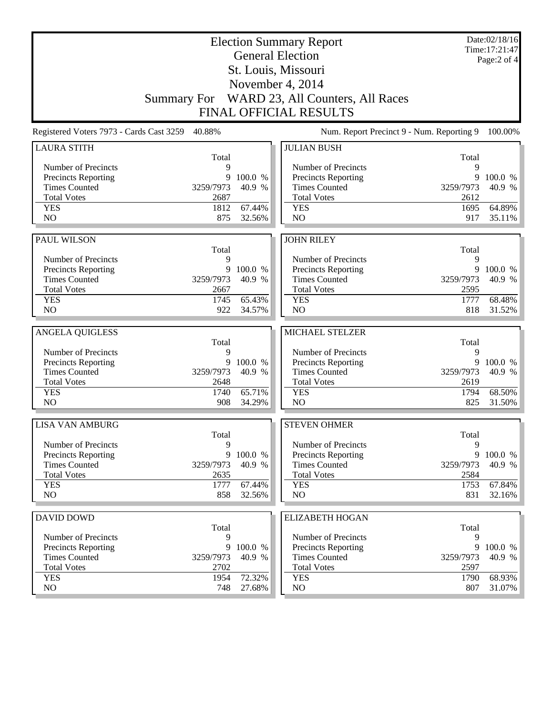|                                             |                    | Date:02/18/16<br>Time: 17:21:47 |                                                |                   |                   |
|---------------------------------------------|--------------------|---------------------------------|------------------------------------------------|-------------------|-------------------|
|                                             |                    |                                 | <b>General Election</b><br>St. Louis, Missouri |                   | Page:2 of 4       |
|                                             |                    |                                 |                                                |                   |                   |
|                                             |                    |                                 | November 4, 2014                               |                   |                   |
|                                             | <b>Summary For</b> |                                 | WARD 23, All Counters, All Races               |                   |                   |
|                                             |                    |                                 | <b>FINAL OFFICIAL RESULTS</b>                  |                   |                   |
| Registered Voters 7973 - Cards Cast 3259    | 40.88%             |                                 | Num. Report Precinct 9 - Num. Reporting 9      |                   | 100.00%           |
| <b>LAURA STITH</b>                          |                    |                                 | <b>JULIAN BUSH</b>                             |                   |                   |
| Number of Precincts                         | Total<br>9         |                                 | Number of Precincts                            | Total<br>9        |                   |
| Precincts Reporting                         | 9                  | 100.0 %                         | Precincts Reporting                            | 9                 | 100.0 %           |
| <b>Times Counted</b>                        | 3259/7973          | 40.9 %                          | <b>Times Counted</b>                           | 3259/7973         | 40.9 %            |
| <b>Total Votes</b>                          | 2687               |                                 | <b>Total Votes</b>                             | 2612              |                   |
| <b>YES</b>                                  | 1812               | 67.44%                          | <b>YES</b>                                     | 1695              | 64.89%            |
| N <sub>O</sub>                              | 875                | 32.56%                          | N <sub>O</sub>                                 | 917               | 35.11%            |
|                                             |                    |                                 |                                                |                   |                   |
| PAUL WILSON                                 |                    |                                 | <b>JOHN RILEY</b>                              |                   |                   |
|                                             | Total              |                                 |                                                | Total             |                   |
| Number of Precincts                         | 9                  |                                 | Number of Precincts                            | 9                 |                   |
| Precincts Reporting<br><b>Times Counted</b> | 9<br>3259/7973     | 100.0 %<br>40.9 %               | Precincts Reporting<br><b>Times Counted</b>    | 9<br>3259/7973    | 100.0 %<br>40.9 % |
| <b>Total Votes</b>                          | 2667               |                                 | <b>Total Votes</b>                             | 2595              |                   |
| <b>YES</b>                                  | 1745               | 65.43%                          | <b>YES</b>                                     | 1777              | 68.48%            |
| N <sub>O</sub>                              | 922                | 34.57%                          | N <sub>O</sub>                                 | 818               | 31.52%            |
|                                             |                    |                                 |                                                |                   |                   |
| <b>ANGELA QUIGLESS</b>                      |                    |                                 | MICHAEL STELZER                                |                   |                   |
|                                             | Total              |                                 |                                                | Total             |                   |
| Number of Precincts                         | 9                  |                                 | Number of Precincts                            | 9                 |                   |
| Precincts Reporting                         | 9                  | 100.0 %                         | Precincts Reporting                            | 9                 | 100.0 %           |
| <b>Times Counted</b><br><b>Total Votes</b>  | 3259/7973<br>2648  | 40.9 %                          | <b>Times Counted</b><br><b>Total Votes</b>     | 3259/7973<br>2619 | 40.9 %            |
| <b>YES</b>                                  | 1740               | 65.71%                          | <b>YES</b>                                     | 1794              | 68.50%            |
| N <sub>O</sub>                              | 908                | 34.29%                          | N <sub>O</sub>                                 | 825               | 31.50%            |
|                                             |                    |                                 |                                                |                   |                   |
| <b>LISA VAN AMBURG</b>                      |                    |                                 | <b>STEVEN OHMER</b>                            |                   |                   |
| Number of Precincts                         | Total<br>9         |                                 | Number of Precincts                            | Total<br>9        |                   |
| <b>Precincts Reporting</b>                  | 9                  | 100.0 %                         | Precincts Reporting                            | 9                 | 100.0 %           |
| <b>Times Counted</b>                        | 3259/7973          | 40.9 %                          | <b>Times Counted</b>                           | 3259/7973         | 40.9 %            |
| <b>Total Votes</b>                          | 2635               |                                 | <b>Total Votes</b>                             | 2584              |                   |
| <b>YES</b>                                  | 1777               |                                 |                                                |                   | 67.84%            |
| NO                                          |                    | 67.44%                          | <b>YES</b>                                     | 1753              |                   |
|                                             | 858                | 32.56%                          | NO                                             | 831               | 32.16%            |
|                                             |                    |                                 |                                                |                   |                   |
| <b>DAVID DOWD</b>                           |                    |                                 | <b>ELIZABETH HOGAN</b>                         |                   |                   |
|                                             | Total              |                                 |                                                | Total             |                   |
| Number of Precincts                         | 9                  |                                 | Number of Precincts                            | 9                 |                   |
| <b>Precincts Reporting</b>                  | 9                  | 100.0 %                         | Precincts Reporting                            | 9                 | 100.0 %           |
| <b>Times Counted</b>                        | 3259/7973          | 40.9 %                          | <b>Times Counted</b>                           | 3259/7973         | 40.9 %            |
| <b>Total Votes</b><br><b>YES</b>            | 2702<br>1954       | 72.32%                          | <b>Total Votes</b><br><b>YES</b>               | 2597<br>1790      | 68.93%            |
| NO                                          | 748                | 27.68%                          | NO                                             | 807               | $31.07\%$         |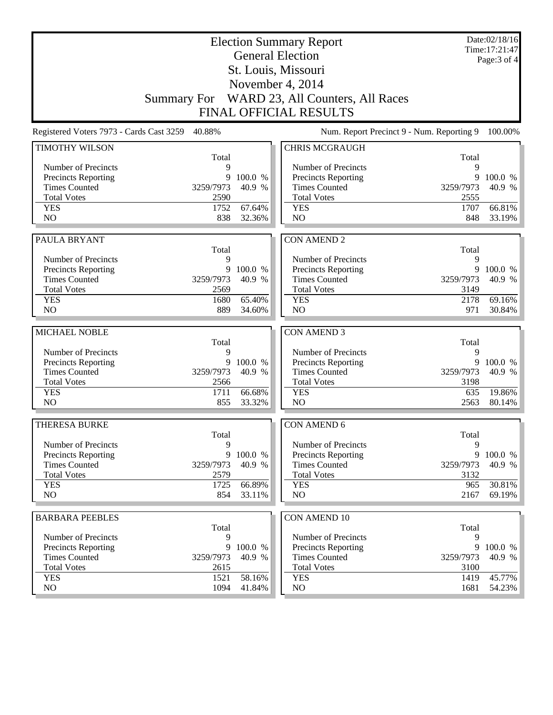|                                                    |                | Date:02/18/16<br>Time: 17:21:47<br>Page: 3 of 4 |                                                    |                |                   |
|----------------------------------------------------|----------------|-------------------------------------------------|----------------------------------------------------|----------------|-------------------|
|                                                    |                |                                                 | St. Louis, Missouri<br>November 4, 2014            |                |                   |
|                                                    |                |                                                 | Summary For WARD 23, All Counters, All Races       |                |                   |
|                                                    |                |                                                 | <b>FINAL OFFICIAL RESULTS</b>                      |                |                   |
| Registered Voters 7973 - Cards Cast 3259           | 40.88%         |                                                 | Num. Report Precinct 9 - Num. Reporting 9          |                | 100.00%           |
| <b>TIMOTHY WILSON</b>                              |                |                                                 | <b>CHRIS MCGRAUGH</b>                              |                |                   |
|                                                    | Total          |                                                 |                                                    | Total          |                   |
| Number of Precincts                                | 9              |                                                 | Number of Precincts                                | 9              |                   |
| <b>Precincts Reporting</b><br><b>Times Counted</b> | 9<br>3259/7973 | 100.0 %<br>40.9 %                               | Precincts Reporting<br><b>Times Counted</b>        | 9<br>3259/7973 | 100.0 %<br>40.9 % |
| <b>Total Votes</b>                                 | 2590           |                                                 | <b>Total Votes</b>                                 | 2555           |                   |
| <b>YES</b>                                         | 1752           | 67.64%                                          | <b>YES</b>                                         | 1707           | 66.81%            |
| NO                                                 | 838            | 32.36%                                          | NO                                                 | 848            | 33.19%            |
|                                                    |                |                                                 |                                                    |                |                   |
| PAULA BRYANT                                       |                |                                                 | <b>CON AMEND 2</b>                                 |                |                   |
|                                                    | Total          |                                                 |                                                    | Total          |                   |
| Number of Precincts                                | 9              |                                                 | Number of Precincts                                | 9              |                   |
| <b>Precincts Reporting</b>                         | 9              | 100.0 %                                         | Precincts Reporting                                | 9              | 100.0 %           |
| <b>Times Counted</b>                               | 3259/7973      | 40.9 %                                          | <b>Times Counted</b>                               | 3259/7973      | 40.9 %            |
| <b>Total Votes</b>                                 | 2569           |                                                 | <b>Total Votes</b>                                 | 3149           |                   |
| <b>YES</b>                                         | 1680           | 65.40%                                          | <b>YES</b>                                         | 2178           | 69.16%            |
| NO                                                 | 889            | 34.60%                                          | NO                                                 | 971            | 30.84%            |
| MICHAEL NOBLE                                      |                |                                                 | <b>CON AMEND 3</b>                                 |                |                   |
|                                                    | Total          |                                                 |                                                    | Total          |                   |
| Number of Precincts                                | 9              |                                                 | Number of Precincts                                | 9              |                   |
| Precincts Reporting                                |                |                                                 |                                                    |                |                   |
|                                                    |                |                                                 |                                                    | 9              |                   |
| <b>Times Counted</b>                               | 9<br>3259/7973 | 100.0 %<br>40.9 %                               | Precincts Reporting<br><b>Times Counted</b>        | 3259/7973      | 100.0 %           |
| <b>Total Votes</b>                                 | 2566           |                                                 | <b>Total Votes</b>                                 | 3198           | 40.9 %            |
| <b>YES</b>                                         | 1711           | 66.68%                                          | <b>YES</b>                                         | 635            | 19.86%            |
| NO                                                 | 855            | 33.32%                                          | NO                                                 | 2563           | 80.14%            |
| THERESA BURKE                                      |                |                                                 | <b>CON AMEND 6</b>                                 |                |                   |
|                                                    | Total          |                                                 |                                                    | Total          |                   |
| Number of Precincts                                | 9              |                                                 | Number of Precincts                                | 9              |                   |
| <b>Precincts Reporting</b>                         | 9              | 100.0 %                                         | Precincts Reporting                                | 9              |                   |
| <b>Times Counted</b>                               | 3259/7973      | 40.9 %                                          | <b>Times Counted</b>                               | 3259/7973      | 40.9 %            |
| <b>Total Votes</b>                                 | 2579           |                                                 | <b>Total Votes</b>                                 | 3132           | 100.0 %           |
| <b>YES</b>                                         | 1725           | 66.89%                                          | <b>YES</b>                                         | 965            | 30.81%            |
| NO                                                 | 854            | 33.11%                                          | NO                                                 | 2167           |                   |
|                                                    |                |                                                 |                                                    |                |                   |
| <b>BARBARA PEEBLES</b>                             |                |                                                 | <b>CON AMEND 10</b>                                |                |                   |
|                                                    | Total<br>9     |                                                 |                                                    | Total<br>9     |                   |
| Number of Precincts                                | 9              |                                                 | Number of Precincts                                | 9              | 69.19%            |
| <b>Precincts Reporting</b><br><b>Times Counted</b> | 3259/7973      | 100.0 %<br>40.9 %                               | <b>Precincts Reporting</b><br><b>Times Counted</b> | 3259/7973      | 100.0 %<br>40.9 % |
| <b>Total Votes</b>                                 | 2615           |                                                 | <b>Total Votes</b>                                 | 3100           |                   |
| <b>YES</b><br>NO                                   | 1521<br>1094   | 58.16%<br>41.84%                                | <b>YES</b><br>$\rm NO$                             | 1419<br>1681   | 45.77%<br>54.23%  |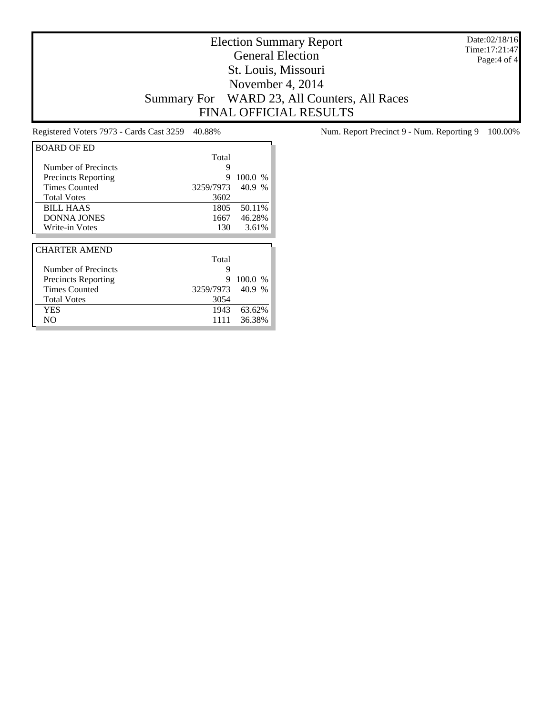Date:02/18/16 Time:17:21:47 Page:4 of 4

## Election Summary Report General Election St. Louis, Missouri November 4, 2014 Summary For WARD 23, All Counters, All Races FINAL OFFICIAL RESULTS

| <b>BOARD OF ED</b>         |           |         |
|----------------------------|-----------|---------|
|                            | Total     |         |
| Number of Precincts        | 9         |         |
| <b>Precincts Reporting</b> | 9         | 100.0 % |
| <b>Times Counted</b>       | 3259/7973 | 40.9 %  |
| <b>Total Votes</b>         | 3602      |         |
| <b>BILL HAAS</b>           | 1805      | 50.11%  |
| <b>DONNA JONES</b>         | 1667      | 46.28%  |
| Write-in Votes             | 130       | 3.61%   |
|                            |           |         |
|                            |           |         |
| <b>CHARTER AMEND</b>       |           |         |
|                            | Total     |         |
| Number of Precincts        | 9         |         |
| <b>Precincts Reporting</b> | 9         | 100.0%  |
| <b>Times Counted</b>       | 3259/7973 | 40.9 %  |
| <b>Total Votes</b>         | 3054      |         |
| YES                        | 1943      | 63.62%  |

Registered Voters 7973 - Cards Cast 3259 40.88% Num. Report Precinct 9 - Num. Reporting 9 100.00%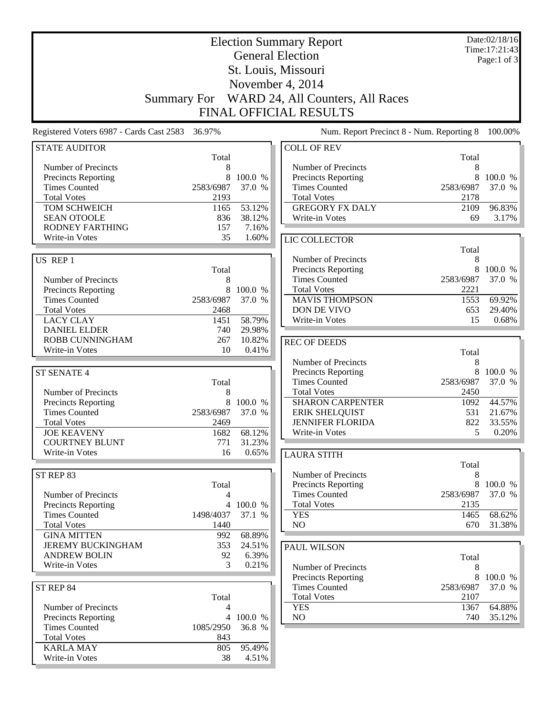|                                                   |                         | Date:02/18/16<br>Time: 17:21:43 |                                             |                |                   |  |
|---------------------------------------------------|-------------------------|---------------------------------|---------------------------------------------|----------------|-------------------|--|
|                                                   | <b>General Election</b> |                                 |                                             |                |                   |  |
|                                                   |                         |                                 | St. Louis, Missouri                         |                | Page:1 of 3       |  |
|                                                   |                         |                                 | November 4, 2014                            |                |                   |  |
|                                                   | <b>Summary For</b>      |                                 | WARD 24, All Counters, All Races            |                |                   |  |
|                                                   |                         |                                 | <b>FINAL OFFICIAL RESULTS</b>               |                |                   |  |
| Registered Voters 6987 - Cards Cast 2583          | 36.97%                  |                                 | Num. Report Precinct 8 - Num. Reporting 8   |                | 100.00%           |  |
| <b>STATE AUDITOR</b>                              |                         |                                 | <b>COLL OF REV</b>                          |                |                   |  |
|                                                   | Total<br>8              |                                 | Number of Precincts                         | Total<br>8     |                   |  |
| Number of Precincts<br><b>Precincts Reporting</b> | 8                       | 100.0 %                         | Precincts Reporting                         | 8              | 100.0 %           |  |
| <b>Times Counted</b>                              | 2583/6987               | 37.0 %                          | <b>Times Counted</b>                        | 2583/6987      | 37.0 %            |  |
| <b>Total Votes</b>                                | 2193                    |                                 | <b>Total Votes</b>                          | 2178           |                   |  |
| TOM SCHWEICH                                      | 1165                    | 53.12%                          | <b>GREGORY FX DALY</b>                      | 2109           | 96.83%            |  |
| <b>SEAN OTOOLE</b><br>RODNEY FARTHING             | 836<br>157              | 38.12%<br>7.16%                 | Write-in Votes                              | 69             | 3.17%             |  |
| Write-in Votes                                    | 35                      | 1.60%                           | LIC COLLECTOR                               |                |                   |  |
|                                                   |                         |                                 |                                             | Total          |                   |  |
| US REP 1                                          |                         |                                 | Number of Precincts                         | 8              |                   |  |
|                                                   | Total                   |                                 | <b>Precincts Reporting</b>                  | 8              | 100.0 %           |  |
| Number of Precincts                               | 8                       |                                 | <b>Times Counted</b>                        | 2583/6987      | 37.0 %            |  |
| <b>Precincts Reporting</b>                        | 8                       | 100.0 %                         | <b>Total Votes</b>                          | 2221           |                   |  |
| <b>Times Counted</b><br><b>Total Votes</b>        | 2583/6987<br>2468       | 37.0 %                          | <b>MAVIS THOMPSON</b><br>DON DE VIVO        | 1553<br>653    | 69.92%<br>29.40%  |  |
| <b>LACY CLAY</b>                                  | 1451                    | 58.79%                          | Write-in Votes                              | 15             | $0.68\%$          |  |
| <b>DANIEL ELDER</b>                               | 740                     | 29.98%                          |                                             |                |                   |  |
| ROBB CUNNINGHAM                                   | 267                     | 10.82%                          | <b>REC OF DEEDS</b>                         |                |                   |  |
| Write-in Votes                                    | 10                      | 0.41%                           |                                             | Total          |                   |  |
|                                                   |                         |                                 | Number of Precincts                         | 8              |                   |  |
| <b>ST SENATE 4</b>                                |                         |                                 | Precincts Reporting<br><b>Times Counted</b> | 8<br>2583/6987 | 100.0 %<br>37.0 % |  |
| Number of Precincts                               | Total<br>8              |                                 | <b>Total Votes</b>                          | 2450           |                   |  |
| <b>Precincts Reporting</b>                        | 8                       | 100.0 %                         | <b>SHARON CARPENTER</b>                     | 1092           | 44.57%            |  |
| <b>Times Counted</b>                              | 2583/6987               | 37.0 %                          | <b>ERIK SHELQUIST</b>                       | 531            | 21.67%            |  |
| <b>Total Votes</b>                                | 2469                    |                                 | <b>JENNIFER FLORIDA</b>                     | 822            | 33.55%            |  |
| <b>JOE KEAVENY</b>                                | 1682                    | 68.12%                          | Write-in Votes                              | 5              | 0.20%             |  |
| <b>COURTNEY BLUNT</b><br>Write-in Votes           | 771<br>16               | 31.23%<br>0.65%                 |                                             |                |                   |  |
|                                                   |                         |                                 | <b>LAURA STITH</b>                          | Total          |                   |  |
| ST REP 83                                         |                         |                                 | Number of Precincts                         | 8              |                   |  |
|                                                   | Total                   |                                 | Precincts Reporting                         | 8              | 100.0 %           |  |
| Number of Precincts                               | 4                       |                                 | <b>Times Counted</b>                        | 2583/6987      | 37.0 %            |  |
| Precincts Reporting                               |                         | 4 100.0 %                       | <b>Total Votes</b>                          | 2135           |                   |  |
| <b>Times Counted</b>                              | 1498/4037               | 37.1 %                          | <b>YES</b><br>NO.                           | 1465           | 68.62%            |  |
| <b>Total Votes</b><br><b>GINA MITTEN</b>          | 1440<br>992             | 68.89%                          |                                             | 670            | 31.38%            |  |
| <b>JEREMY BUCKINGHAM</b>                          | 353                     | 24.51%                          | <b>PAUL WILSON</b>                          |                |                   |  |
| <b>ANDREW BOLIN</b>                               | 92                      | 6.39%                           |                                             | Total          |                   |  |
| Write-in Votes                                    | 3                       | 0.21%                           | Number of Precincts                         | 8              |                   |  |
|                                                   |                         |                                 | Precincts Reporting                         | 8              | 100.0 %           |  |
| ST REP 84                                         |                         |                                 | <b>Times Counted</b>                        | 2583/6987      | 37.0 %            |  |
| Number of Precincts                               | Total<br>4              |                                 | <b>Total Votes</b><br><b>YES</b>            | 2107<br>1367   | 64.88%            |  |
| <b>Precincts Reporting</b>                        | 4                       | 100.0 %                         | NO                                          | 740            | $35.12\%$         |  |
| <b>Times Counted</b>                              | 1085/2950               | 36.8 %                          |                                             |                |                   |  |
| <b>Total Votes</b>                                | 843                     |                                 |                                             |                |                   |  |
| <b>KARLA MAY</b>                                  | 805                     | 95.49%                          |                                             |                |                   |  |
| Write-in Votes                                    | 38                      | 4.51%                           |                                             |                |                   |  |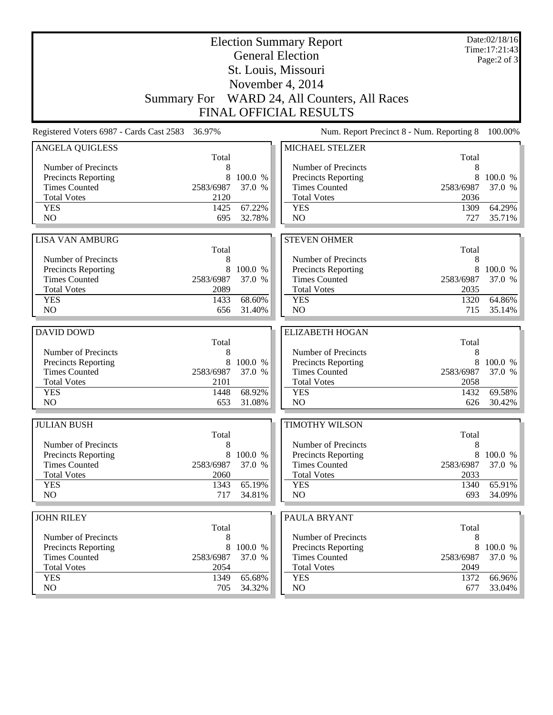|                                                    | Date:02/18/16<br>Time: 17:21:43 |                   |                                                |                |                   |
|----------------------------------------------------|---------------------------------|-------------------|------------------------------------------------|----------------|-------------------|
|                                                    |                                 |                   | <b>General Election</b><br>St. Louis, Missouri |                | Page: $2$ of $3$  |
|                                                    |                                 |                   | November 4, 2014                               |                |                   |
|                                                    |                                 |                   | Summary For WARD 24, All Counters, All Races   |                |                   |
|                                                    |                                 |                   | <b>FINAL OFFICIAL RESULTS</b>                  |                |                   |
|                                                    |                                 |                   |                                                |                |                   |
| Registered Voters 6987 - Cards Cast 2583           | 36.97%                          |                   | Num. Report Precinct 8 - Num. Reporting 8      |                | 100.00%           |
| <b>ANGELA QUIGLESS</b>                             | Total                           |                   | MICHAEL STELZER                                | Total          |                   |
| Number of Precincts                                | 8                               |                   | Number of Precincts                            | 8              |                   |
| <b>Precincts Reporting</b>                         | 8                               | 100.0 %           | <b>Precincts Reporting</b>                     | 8              | 100.0 %           |
| <b>Times Counted</b>                               | 2583/6987                       | 37.0 %            | <b>Times Counted</b>                           | 2583/6987      | 37.0 %            |
| <b>Total Votes</b>                                 | 2120                            |                   | <b>Total Votes</b>                             | 2036           |                   |
| <b>YES</b>                                         | 1425                            | 67.22%            | <b>YES</b>                                     | 1309           | 64.29%            |
| N <sub>O</sub>                                     | 695                             | 32.78%            | N <sub>O</sub>                                 | 727            | 35.71%            |
|                                                    |                                 |                   |                                                |                |                   |
| <b>LISA VAN AMBURG</b>                             |                                 |                   | <b>STEVEN OHMER</b>                            |                |                   |
|                                                    | Total                           |                   |                                                | Total          |                   |
| Number of Precincts                                | 8                               |                   | Number of Precincts                            | 8              |                   |
| <b>Precincts Reporting</b><br><b>Times Counted</b> | 8<br>2583/6987                  | 100.0 %<br>37.0 % | Precincts Reporting<br><b>Times Counted</b>    | 8<br>2583/6987 | 100.0 %<br>37.0 % |
| <b>Total Votes</b>                                 | 2089                            |                   | <b>Total Votes</b>                             | 2035           |                   |
| <b>YES</b>                                         | 1433                            | 68.60%            | <b>YES</b>                                     | 1320           | 64.86%            |
| N <sub>O</sub>                                     | 656                             | 31.40%            | N <sub>O</sub>                                 | 715            | 35.14%            |
|                                                    |                                 |                   |                                                |                |                   |
| <b>DAVID DOWD</b>                                  |                                 |                   | <b>ELIZABETH HOGAN</b>                         |                |                   |
| Number of Precincts                                | Total<br>8                      |                   | Number of Precincts                            | Total<br>8     |                   |
| <b>Precincts Reporting</b>                         | 8                               | 100.0 %           | Precincts Reporting                            | 8              | 100.0 %           |
| <b>Times Counted</b>                               | 2583/6987                       | 37.0 %            | <b>Times Counted</b>                           | 2583/6987      | 37.0 %            |
| <b>Total Votes</b>                                 | 2101                            |                   | <b>Total Votes</b>                             | 2058           |                   |
| <b>YES</b>                                         | 1448                            | 68.92%            | <b>YES</b>                                     | 1432           | 69.58%            |
| N <sub>O</sub>                                     | 653                             | 31.08%            | NO                                             | 626            | 30.42%            |
|                                                    |                                 |                   |                                                |                |                   |
| <b>JULIAN BUSH</b>                                 | Total                           |                   | <b>TIMOTHY WILSON</b>                          | Total          |                   |
| Number of Precincts                                | 8                               |                   | Number of Precincts                            | 8              |                   |
| <b>Precincts Reporting</b>                         | 8                               | 100.0 %           | Precincts Reporting                            | 8              | 100.0 %           |
| <b>Times Counted</b>                               | 2583/6987                       | 37.0 %            | <b>Times Counted</b>                           | 2583/6987      | 37.0 %            |
| <b>Total Votes</b>                                 | 2060                            |                   | <b>Total Votes</b>                             | 2033           |                   |
| <b>YES</b>                                         | 1343                            | 65.19%            | <b>YES</b>                                     | 1340           | 65.91%            |
| NO.                                                | 717                             | 34.81%            | NO                                             | 693            | $34.09\%$         |
|                                                    |                                 |                   |                                                |                |                   |
| <b>JOHN RILEY</b>                                  |                                 |                   | PAULA BRYANT                                   |                |                   |
| Number of Precincts                                | Total<br>8                      |                   | Number of Precincts                            | Total<br>8     |                   |
| Precincts Reporting                                | 8                               | 100.0 %           | Precincts Reporting                            | 8              | 100.0 %           |
| <b>Times Counted</b>                               | 2583/6987                       | 37.0 %            | <b>Times Counted</b>                           | 2583/6987      | 37.0 %            |
| <b>Total Votes</b>                                 | 2054                            |                   | <b>Total Votes</b>                             | 2049           |                   |
| <b>YES</b>                                         | 1349                            | 65.68%            | <b>YES</b>                                     | 1372           | 66.96%            |
|                                                    |                                 |                   |                                                |                |                   |
| NO.                                                | 705                             | 34.32%            | NO.                                            | 677            | 33.04%            |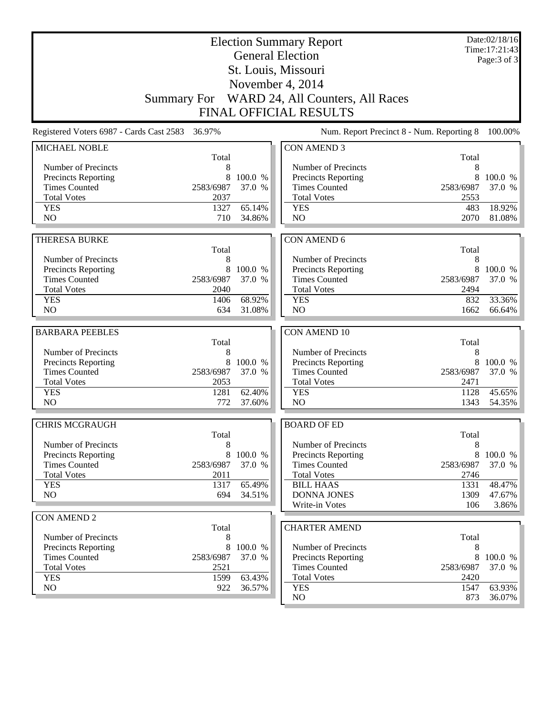|                                            |                    | Date:02/18/16<br>Time: 17:21:43<br>Page: $3$ of $3$ |                                            |           |         |
|--------------------------------------------|--------------------|-----------------------------------------------------|--------------------------------------------|-----------|---------|
|                                            |                    |                                                     | St. Louis, Missouri                        |           |         |
|                                            |                    |                                                     | November 4, 2014                           |           |         |
|                                            | <b>Summary For</b> |                                                     | WARD 24, All Counters, All Races           |           |         |
|                                            |                    |                                                     | <b>FINAL OFFICIAL RESULTS</b>              |           |         |
| Registered Voters 6987 - Cards Cast 2583   | 36.97%             |                                                     | Num. Report Precinct 8 - Num. Reporting 8  |           | 100.00% |
| MICHAEL NOBLE                              |                    |                                                     | <b>CON AMEND 3</b>                         |           |         |
|                                            | Total              |                                                     |                                            | Total     |         |
| Number of Precincts<br>Precincts Reporting | 8<br>8             | 100.0 %                                             | Number of Precincts<br>Precincts Reporting | 8<br>8    | 100.0 % |
| <b>Times Counted</b>                       | 2583/6987          | 37.0 %                                              | <b>Times Counted</b>                       | 2583/6987 | 37.0 %  |
| <b>Total Votes</b>                         | 2037               |                                                     | <b>Total Votes</b>                         | 2553      |         |
| <b>YES</b>                                 | 1327               | 65.14%                                              | <b>YES</b>                                 | 483       | 18.92%  |
| N <sub>O</sub>                             | 710                | 34.86%                                              | N <sub>O</sub>                             | 2070      | 81.08%  |
|                                            |                    |                                                     |                                            |           |         |
| <b>THERESA BURKE</b>                       | Total              |                                                     | <b>CON AMEND 6</b>                         | Total     |         |
| Number of Precincts                        | 8                  |                                                     | Number of Precincts                        | 8         |         |
| Precincts Reporting                        | 8                  | 100.0 %                                             | Precincts Reporting                        | 8         | 100.0 % |
| <b>Times Counted</b>                       | 2583/6987          | 37.0 %                                              | <b>Times Counted</b>                       | 2583/6987 | 37.0 %  |
| <b>Total Votes</b>                         | 2040               |                                                     | <b>Total Votes</b>                         | 2494      |         |
| <b>YES</b>                                 | 1406               | 68.92%                                              | <b>YES</b>                                 | 832       | 33.36%  |
| N <sub>O</sub>                             | 634                | 31.08%                                              | N <sub>O</sub>                             | 1662      | 66.64%  |
| <b>BARBARA PEEBLES</b>                     |                    |                                                     | <b>CON AMEND 10</b>                        |           |         |
|                                            | Total              |                                                     |                                            | Total     |         |
| Number of Precincts                        | 8                  |                                                     | Number of Precincts                        | 8         |         |
| Precincts Reporting                        | 8                  | 100.0 %                                             | Precincts Reporting                        | 8         | 100.0 % |
| <b>Times Counted</b>                       | 2583/6987          | 37.0 %                                              | <b>Times Counted</b>                       | 2583/6987 | 37.0 %  |
| <b>Total Votes</b>                         | 2053               |                                                     | <b>Total Votes</b>                         | 2471      |         |
| <b>YES</b>                                 | 1281               | 62.40%                                              | <b>YES</b>                                 | 1128      | 45.65%  |
| NO                                         | 772                | 37.60%                                              | NO                                         | 1343      | 54.35%  |
| <b>CHRIS MCGRAUGH</b>                      |                    |                                                     | <b>BOARD OF ED</b>                         |           |         |
|                                            | Total              |                                                     |                                            | Total     |         |
| Number of Precincts                        | 8                  |                                                     | Number of Precincts                        | 8         |         |
| Precincts Reporting                        | 8                  | 100.0 %                                             | <b>Precincts Reporting</b>                 | 8         | 100.0 % |
| <b>Times Counted</b>                       | 2583/6987          | 37.0 %                                              | <b>Times Counted</b>                       | 2583/6987 | 37.0 %  |
| <b>Total Votes</b>                         | 2011               |                                                     | <b>Total Votes</b>                         | 2746      |         |
| <b>YES</b>                                 | 1317               | 65.49%                                              | <b>BILL HAAS</b>                           | 1331      | 48.47%  |
| NO                                         | 694                | 34.51%                                              | <b>DONNA JONES</b>                         | 1309      | 47.67%  |
|                                            |                    |                                                     | Write-in Votes                             | 106       | 3.86%   |
| <b>CON AMEND 2</b>                         | Total              |                                                     | <b>CHARTER AMEND</b>                       |           |         |
| Number of Precincts                        | 8                  |                                                     |                                            | Total     |         |
| <b>Precincts Reporting</b>                 | 8                  | 100.0 %                                             | Number of Precincts                        | 8         |         |
| <b>Times Counted</b>                       | 2583/6987          | 37.0 %                                              | Precincts Reporting                        | 8         | 100.0 % |
| <b>Total Votes</b>                         | 2521               |                                                     | <b>Times Counted</b>                       | 2583/6987 | 37.0 %  |
| <b>YES</b>                                 | 1599               | 63.43%                                              | <b>Total Votes</b>                         | 2420      |         |
| NO                                         | 922                | 36.57%                                              | <b>YES</b>                                 | 1547      | 63.93%  |
|                                            |                    |                                                     | NO                                         | 873       | 36.07%  |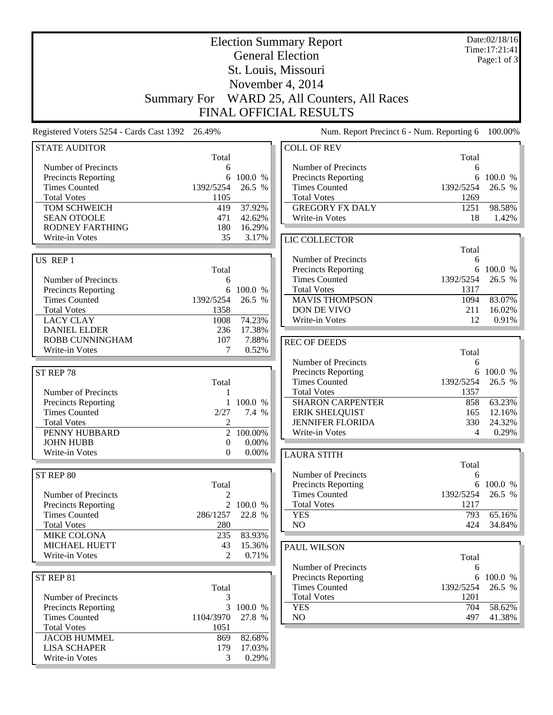| <b>Election Summary Report</b><br>Time: 17:21:41   |                         |                        |                                             |                   |                   |  |
|----------------------------------------------------|-------------------------|------------------------|---------------------------------------------|-------------------|-------------------|--|
|                                                    | <b>General Election</b> |                        |                                             |                   |                   |  |
|                                                    |                         |                        | St. Louis, Missouri                         |                   | Page:1 of 3       |  |
|                                                    |                         |                        | November 4, 2014                            |                   |                   |  |
|                                                    |                         |                        | WARD 25, All Counters, All Races            |                   |                   |  |
|                                                    | <b>Summary For</b>      |                        |                                             |                   |                   |  |
|                                                    |                         |                        | <b>FINAL OFFICIAL RESULTS</b>               |                   |                   |  |
| Registered Voters 5254 - Cards Cast 1392 26.49%    |                         |                        | Num. Report Precinct 6 - Num. Reporting 6   |                   | 100.00%           |  |
| <b>STATE AUDITOR</b>                               |                         |                        | <b>COLL OF REV</b>                          |                   |                   |  |
|                                                    | Total                   |                        |                                             | Total             |                   |  |
| Number of Precincts                                | 6<br>6                  | 100.0 %                | Number of Precincts                         | 6<br>6            | 100.0 %           |  |
| <b>Precincts Reporting</b><br><b>Times Counted</b> | 1392/5254               | 26.5 %                 | Precincts Reporting<br><b>Times Counted</b> | 1392/5254         | 26.5 %            |  |
| <b>Total Votes</b>                                 | 1105                    |                        | <b>Total Votes</b>                          | 1269              |                   |  |
| TOM SCHWEICH                                       | 419                     | 37.92%                 | <b>GREGORY FX DALY</b>                      | 1251              | 98.58%            |  |
| <b>SEAN OTOOLE</b>                                 | 471                     | 42.62%                 | Write-in Votes                              | 18                | 1.42%             |  |
| RODNEY FARTHING                                    | 180                     | 16.29%                 |                                             |                   |                   |  |
| Write-in Votes                                     | 35                      | 3.17%                  | LIC COLLECTOR                               |                   |                   |  |
|                                                    |                         |                        |                                             | Total             |                   |  |
| US REP 1                                           |                         |                        | Number of Precincts                         | 6                 |                   |  |
|                                                    | Total                   |                        | Precincts Reporting<br><b>Times Counted</b> | 6<br>1392/5254    | 100.0 %<br>26.5 % |  |
| Number of Precincts<br>Precincts Reporting         | 6                       | 6 100.0 %              | <b>Total Votes</b>                          | 1317              |                   |  |
| <b>Times Counted</b>                               | 1392/5254               | 26.5 %                 | <b>MAVIS THOMPSON</b>                       | 1094              | 83.07%            |  |
| <b>Total Votes</b>                                 | 1358                    |                        | DON DE VIVO                                 | 211               | 16.02%            |  |
| <b>LACY CLAY</b>                                   | 1008                    | 74.23%                 | Write-in Votes                              | 12                | 0.91%             |  |
| <b>DANIEL ELDER</b>                                | 236                     | 17.38%                 |                                             |                   |                   |  |
| ROBB CUNNINGHAM                                    | 107                     | 7.88%                  | <b>REC OF DEEDS</b>                         |                   |                   |  |
| Write-in Votes                                     | 7                       | 0.52%                  |                                             | Total             |                   |  |
|                                                    |                         |                        | Number of Precincts                         | 6                 |                   |  |
| ST REP 78                                          |                         |                        | Precincts Reporting                         | 6                 | 100.0 %           |  |
| Number of Precincts                                | Total<br>1              |                        | <b>Times Counted</b><br><b>Total Votes</b>  | 1392/5254<br>1357 | 26.5 %            |  |
| <b>Precincts Reporting</b>                         | 1                       | 100.0 %                | <b>SHARON CARPENTER</b>                     | 858               | 63.23%            |  |
| <b>Times Counted</b>                               | 2/27                    | 7.4 %                  | <b>ERIK SHELQUIST</b>                       | 165               | 12.16%            |  |
| <b>Total Votes</b>                                 | 2                       |                        | <b>JENNIFER FLORIDA</b>                     | 330               | 24.32%            |  |
| PENNY HUBBARD                                      |                         | $\overline{2}$ 100.00% | Write-in Votes                              | 4                 | 0.29%             |  |
| <b>JOHN HUBB</b>                                   | $\boldsymbol{0}$        | $0.00\%$               |                                             |                   |                   |  |
| Write-in Votes                                     | $\boldsymbol{0}$        | $0.00\%$               | <b>LAURA STITH</b>                          |                   |                   |  |
|                                                    |                         |                        |                                             | Total             |                   |  |
| ST REP 80                                          |                         |                        | Number of Precincts                         | 6                 |                   |  |
| Number of Precincts                                | Total                   |                        | Precincts Reporting<br><b>Times Counted</b> | 6<br>1392/5254    | 100.0 %<br>26.5 % |  |
| Precincts Reporting                                | 2<br>$\overline{2}$     | 100.0 %                | <b>Total Votes</b>                          | 1217              |                   |  |
| <b>Times Counted</b>                               | 286/1257                | 22.8 %                 | <b>YES</b>                                  | 793               | 65.16%            |  |
| <b>Total Votes</b>                                 | 280                     |                        | N <sub>O</sub>                              | 424               | 34.84%            |  |
| <b>MIKE COLONA</b>                                 | 235                     | 83.93%                 |                                             |                   |                   |  |
| MICHAEL HUETT                                      | 43                      | 15.36%                 | PAUL WILSON                                 |                   |                   |  |
| Write-in Votes                                     | 2                       | 0.71%                  |                                             | Total             |                   |  |
|                                                    |                         |                        | Number of Precincts                         | 6                 |                   |  |
| ST REP 81                                          |                         |                        | <b>Precincts Reporting</b>                  | 6                 | 100.0 %           |  |
|                                                    | Total                   |                        | <b>Times Counted</b><br><b>Total Votes</b>  | 1392/5254         | 26.5 %            |  |
| Number of Precincts<br><b>Precincts Reporting</b>  | 3<br>3                  | 100.0 %                | <b>YES</b>                                  | 1201<br>704       | 58.62%            |  |
| <b>Times Counted</b>                               | 1104/3970               | 27.8 %                 | NO                                          | 497               | 41.38%            |  |
| <b>Total Votes</b>                                 | 1051                    |                        |                                             |                   |                   |  |
| <b>JACOB HUMMEL</b>                                | 869                     | 82.68%                 |                                             |                   |                   |  |
| <b>LISA SCHAPER</b>                                | 179                     | 17.03%                 |                                             |                   |                   |  |
| Write-in Votes                                     | 3                       | 0.29%                  |                                             |                   |                   |  |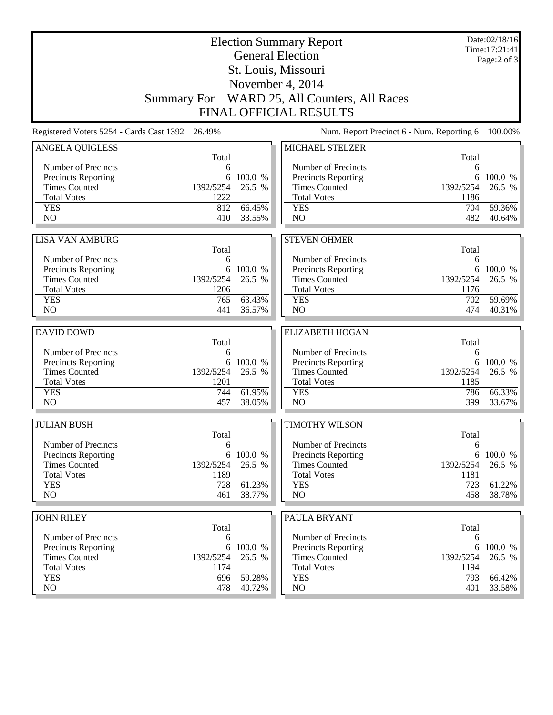|                                                    |                | Date:02/18/16<br>Time:17:21:41<br>Page: $2$ of $3$ |                                                    |            |                   |
|----------------------------------------------------|----------------|----------------------------------------------------|----------------------------------------------------|------------|-------------------|
|                                                    |                |                                                    | <b>General Election</b><br>St. Louis, Missouri     |            |                   |
|                                                    |                |                                                    | November 4, 2014                                   |            |                   |
|                                                    |                |                                                    | Summary For WARD 25, All Counters, All Races       |            |                   |
|                                                    |                |                                                    | <b>FINAL OFFICIAL RESULTS</b>                      |            |                   |
| Registered Voters 5254 - Cards Cast 1392           | 26.49%         |                                                    | Num. Report Precinct 6 - Num. Reporting 6          |            | 100.00%           |
| <b>ANGELA QUIGLESS</b>                             |                |                                                    | <b>MICHAEL STELZER</b>                             |            |                   |
| Number of Precincts                                | Total          |                                                    | Number of Precincts                                | Total      |                   |
| <b>Precincts Reporting</b>                         | 6<br>6         | 100.0 %                                            | Precincts Reporting                                | 6<br>6     | 100.0 %           |
| <b>Times Counted</b>                               | 1392/5254      | 26.5 %                                             | <b>Times Counted</b>                               | 1392/5254  | 26.5 %            |
| <b>Total Votes</b>                                 | 1222           |                                                    | <b>Total Votes</b>                                 | 1186       |                   |
| <b>YES</b>                                         | 812            | 66.45%                                             | <b>YES</b>                                         | 704        | 59.36%            |
| NO                                                 | 410            | 33.55%                                             | NO                                                 | 482        | 40.64%            |
| <b>LISA VAN AMBURG</b>                             |                |                                                    | <b>STEVEN OHMER</b>                                |            |                   |
|                                                    | Total          |                                                    |                                                    | Total      |                   |
| Number of Precincts                                | 6              |                                                    | Number of Precincts                                | 6          |                   |
| <b>Precincts Reporting</b>                         | 6              | 100.0 %                                            | Precincts Reporting                                | 6          | 100.0 %           |
| <b>Times Counted</b>                               | 1392/5254      | 26.5 %                                             | <b>Times Counted</b>                               | 1392/5254  | 26.5 %            |
| <b>Total Votes</b>                                 | 1206           |                                                    | <b>Total Votes</b>                                 | 1176       |                   |
| <b>YES</b>                                         | 765            | 63.43%                                             | <b>YES</b>                                         | 702        | 59.69%            |
| N <sub>O</sub>                                     | 441            | 36.57%                                             | NO                                                 | 474        | 40.31%            |
| <b>DAVID DOWD</b>                                  |                |                                                    | <b>ELIZABETH HOGAN</b>                             |            |                   |
|                                                    | Total          |                                                    |                                                    | Total      |                   |
| Number of Precincts                                | 6              |                                                    | Number of Precincts                                | 6          |                   |
| <b>Precincts Reporting</b>                         |                | 6 100.0 %                                          | Precincts Reporting                                | 6          | 100.0 %           |
| <b>Times Counted</b>                               | 1392/5254      | 26.5 %                                             | <b>Times Counted</b>                               | 1392/5254  | 26.5 %            |
| <b>Total Votes</b>                                 | 1201           |                                                    | <b>Total Votes</b><br><b>YES</b>                   | 1185       |                   |
| <b>YES</b><br>N <sub>O</sub>                       | 744            | 61.95%                                             |                                                    |            |                   |
|                                                    |                |                                                    |                                                    | 786        | 66.33%            |
|                                                    | 457            | 38.05%                                             | NO                                                 | 399        | 33.67%            |
| <b>JULIAN BUSH</b>                                 |                |                                                    | <b>TIMOTHY WILSON</b>                              |            |                   |
|                                                    | Total          |                                                    |                                                    | Total      |                   |
| Number of Precincts                                | 6              |                                                    | Number of Precincts                                | 6          |                   |
| <b>Precincts Reporting</b>                         |                | 6 100.0 %                                          | <b>Precincts Reporting</b>                         | 6          | 100.0 %           |
| <b>Times Counted</b>                               | 1392/5254      | 26.5 %                                             | <b>Times Counted</b>                               | 1392/5254  | 26.5 %            |
| <b>Total Votes</b>                                 | 1189           |                                                    | <b>Total Votes</b>                                 | 1181       |                   |
| <b>YES</b><br>NO.                                  | 728<br>461     | 61.23%<br>38.77%                                   | <b>YES</b><br>NO                                   | 723<br>458 | 61.22%<br>38.78%  |
|                                                    |                |                                                    |                                                    |            |                   |
| <b>JOHN RILEY</b>                                  |                |                                                    | PAULA BRYANT                                       |            |                   |
|                                                    | Total          |                                                    |                                                    | Total      |                   |
| Number of Precincts                                | 6              |                                                    | Number of Precincts                                | 6<br>6     |                   |
| <b>Precincts Reporting</b><br><b>Times Counted</b> | 6<br>1392/5254 | 100.0 %<br>26.5 %                                  | <b>Precincts Reporting</b><br><b>Times Counted</b> | 1392/5254  | 100.0 %<br>26.5 % |
| <b>Total Votes</b>                                 | 1174           |                                                    | <b>Total Votes</b>                                 | 1194       |                   |
| <b>YES</b><br>NO.                                  | 696<br>478     | 59.28%<br>40.72%                                   | <b>YES</b><br>NO                                   | 793<br>401 | 66.42%<br>33.58%  |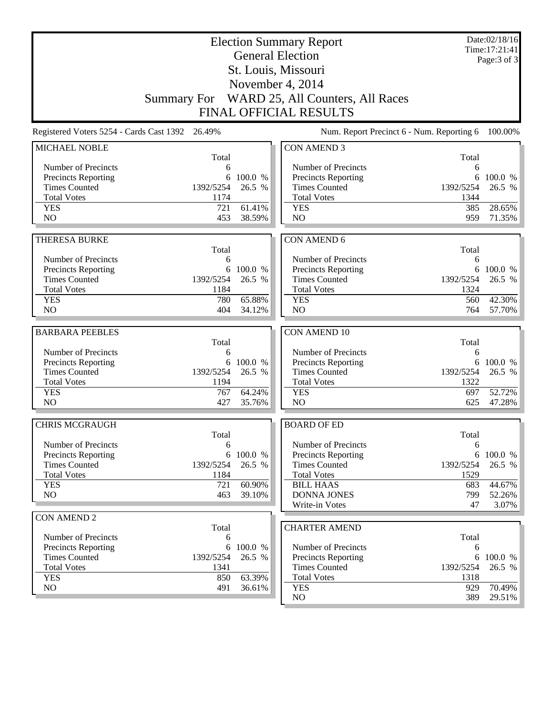| <b>Election Summary Report</b><br><b>General Election</b> |            |                  |                                              |             | Date:02/18/16<br>Time: 17:21:41<br>Page: 3 of 3 |
|-----------------------------------------------------------|------------|------------------|----------------------------------------------|-------------|-------------------------------------------------|
|                                                           |            |                  | St. Louis, Missouri                          |             |                                                 |
|                                                           |            |                  | November 4, 2014                             |             |                                                 |
|                                                           |            |                  | Summary For WARD 25, All Counters, All Races |             |                                                 |
|                                                           |            |                  | <b>FINAL OFFICIAL RESULTS</b>                |             |                                                 |
| Registered Voters 5254 - Cards Cast 1392 26.49%           |            |                  | Num. Report Precinct 6 - Num. Reporting 6    |             | 100.00%                                         |
| MICHAEL NOBLE                                             | Total      |                  | <b>CON AMEND 3</b>                           | Total       |                                                 |
| Number of Precincts                                       | 6          |                  | Number of Precincts                          | 6           |                                                 |
| <b>Precincts Reporting</b>                                | 6          | 100.0 %          | <b>Precincts Reporting</b>                   | 6           | 100.0 %                                         |
| <b>Times Counted</b>                                      | 1392/5254  | 26.5 %           | <b>Times Counted</b>                         | 1392/5254   | 26.5 %                                          |
| <b>Total Votes</b>                                        | 1174       |                  | <b>Total Votes</b>                           | 1344        |                                                 |
| <b>YES</b>                                                | 721        | 61.41%           | <b>YES</b>                                   | 385         | 28.65%                                          |
| N <sub>O</sub>                                            | 453        | 38.59%           | N <sub>O</sub>                               | 959         | 71.35%                                          |
| <b>THERESA BURKE</b>                                      |            |                  | <b>CON AMEND 6</b>                           |             |                                                 |
|                                                           | Total      |                  |                                              | Total       |                                                 |
| Number of Precincts                                       | 6          |                  | Number of Precincts                          | 6           |                                                 |
| <b>Precincts Reporting</b>                                | 6          | 100.0 %          | Precincts Reporting                          | 6           | 100.0 %                                         |
| <b>Times Counted</b>                                      | 1392/5254  | 26.5 %           | <b>Times Counted</b>                         | 1392/5254   | 26.5 %                                          |
| <b>Total Votes</b>                                        | 1184       |                  | <b>Total Votes</b>                           | 1324        |                                                 |
| <b>YES</b>                                                | 780        | 65.88%           | <b>YES</b>                                   | 560         | 42.30%                                          |
| NO                                                        | 404        | 34.12%           | NO                                           | 764         | 57.70%                                          |
| <b>BARBARA PEEBLES</b>                                    |            |                  | <b>CON AMEND 10</b>                          |             |                                                 |
|                                                           | Total      |                  |                                              | Total       |                                                 |
| Number of Precincts                                       | 6          |                  | Number of Precincts                          | 6           |                                                 |
| <b>Precincts Reporting</b>                                | 6          | 100.0 %          | Precincts Reporting                          | 6           | 100.0 %                                         |
| <b>Times Counted</b>                                      | 1392/5254  | 26.5 %           | <b>Times Counted</b><br><b>Total Votes</b>   | 1392/5254   | 26.5 %                                          |
|                                                           |            |                  |                                              |             |                                                 |
| <b>Total Votes</b>                                        | 1194       |                  |                                              | 1322        |                                                 |
| <b>YES</b>                                                | 767        | 64.24%           | <b>YES</b>                                   | 697         | 52.72%                                          |
| N <sub>O</sub>                                            | 427        | 35.76%           | NO                                           | 625         | 47.28%                                          |
| <b>CHRIS MCGRAUGH</b>                                     |            |                  | <b>BOARD OF ED</b>                           |             |                                                 |
|                                                           | Total      |                  |                                              | Total       |                                                 |
| Number of Precincts                                       | 6          |                  | Number of Precincts                          | 6           |                                                 |
| <b>Precincts Reporting</b>                                |            | 6 100.0 %        | <b>Precincts Reporting</b>                   | 6           |                                                 |
| <b>Times Counted</b>                                      | 1392/5254  | 26.5 %           | <b>Times Counted</b>                         | 1392/5254   |                                                 |
| <b>Total Votes</b>                                        | 1184       |                  | <b>Total Votes</b>                           | 1529        |                                                 |
| <b>YES</b>                                                | 721        | 60.90%           | <b>BILL HAAS</b>                             | 683         | 100.0 %<br>26.5 %<br>44.67%                     |
| NO                                                        | 463        | 39.10%           | <b>DONNA JONES</b>                           | 799         | 52.26%                                          |
|                                                           |            |                  | Write-in Votes                               | 47          | 3.07%                                           |
| <b>CON AMEND 2</b>                                        | Total      |                  | <b>CHARTER AMEND</b>                         |             |                                                 |
| Number of Precincts                                       | 6          |                  |                                              | Total       |                                                 |
| <b>Precincts Reporting</b>                                | 6          | 100.0 %          | Number of Precincts                          | 6           |                                                 |
| <b>Times Counted</b>                                      | 1392/5254  | 26.5 %           | Precincts Reporting                          | 6           | 100.0 %                                         |
| <b>Total Votes</b>                                        | 1341       |                  | <b>Times Counted</b>                         | 1392/5254   | 26.5 %                                          |
| <b>YES</b><br>NO.                                         | 850<br>491 | 63.39%<br>36.61% | <b>Total Votes</b><br><b>YES</b>             | 1318<br>929 | 70.49%                                          |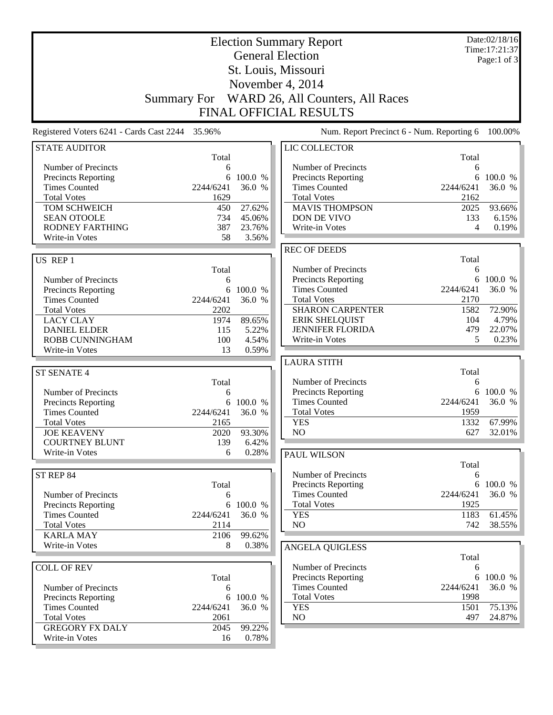| <b>Election Summary Report</b><br><b>General Election</b> |             |                 |                                             |            | Date:02/18/16<br>Time: 17:21:37 |
|-----------------------------------------------------------|-------------|-----------------|---------------------------------------------|------------|---------------------------------|
|                                                           |             |                 |                                             |            | Page:1 of $3$                   |
|                                                           |             |                 | St. Louis, Missouri                         |            |                                 |
|                                                           |             |                 | November 4, 2014                            |            |                                 |
|                                                           | Summary For |                 | WARD 26, All Counters, All Races            |            |                                 |
|                                                           |             |                 | <b>FINAL OFFICIAL RESULTS</b>               |            |                                 |
| Registered Voters 6241 - Cards Cast 2244 35.96%           |             |                 | Num. Report Precinct 6 - Num. Reporting 6   |            | 100.00%                         |
| <b>STATE AUDITOR</b>                                      | Total       |                 | LIC COLLECTOR                               | Total      |                                 |
| Number of Precincts                                       | 6           |                 | Number of Precincts                         | 6          |                                 |
| Precincts Reporting                                       | 6           | 100.0 %         | <b>Precincts Reporting</b>                  | 6          | 100.0 %                         |
| <b>Times Counted</b>                                      | 2244/6241   | 36.0 %          | <b>Times Counted</b>                        | 2244/6241  | 36.0 %                          |
| <b>Total Votes</b>                                        | 1629        |                 | <b>Total Votes</b>                          | 2162       |                                 |
| <b>TOM SCHWEICH</b>                                       | 450         | 27.62%          | <b>MAVIS THOMPSON</b>                       | 2025       | 93.66%                          |
| <b>SEAN OTOOLE</b>                                        | 734         | 45.06%          | DON DE VIVO                                 | 133        | 6.15%                           |
| <b>RODNEY FARTHING</b><br>Write-in Votes                  | 387<br>58   | 23.76%<br>3.56% | Write-in Votes                              | 4          | 0.19%                           |
|                                                           |             |                 | <b>REC OF DEEDS</b>                         |            |                                 |
| US REP 1                                                  |             |                 |                                             | Total      |                                 |
|                                                           | Total       |                 | Number of Precincts                         | 6          |                                 |
| Number of Precincts                                       | 6           |                 | Precincts Reporting                         | 6          | 100.0 %                         |
| Precincts Reporting                                       | 6           | 100.0 %         | <b>Times Counted</b>                        | 2244/6241  | 36.0 %                          |
| <b>Times Counted</b>                                      | 2244/6241   | 36.0 %          | <b>Total Votes</b>                          | 2170       |                                 |
| <b>Total Votes</b>                                        | 2202        |                 | <b>SHARON CARPENTER</b>                     | 1582       | 72.90%                          |
| <b>LACY CLAY</b>                                          | 1974        | 89.65%          | <b>ERIK SHELQUIST</b>                       | 104        | 4.79%                           |
| <b>DANIEL ELDER</b>                                       | 115         | 5.22%           | <b>JENNIFER FLORIDA</b>                     | 479        | 22.07%                          |
| <b>ROBB CUNNINGHAM</b>                                    | 100         | 4.54%           | Write-in Votes                              | 5          | 0.23%                           |
| Write-in Votes                                            | 13          | 0.59%           |                                             |            |                                 |
| <b>ST SENATE 4</b>                                        |             |                 | <b>LAURA STITH</b>                          | Total      |                                 |
|                                                           | Total       |                 | Number of Precincts                         | 6          |                                 |
| Number of Precincts                                       | 6           |                 | <b>Precincts Reporting</b>                  | 6          | 100.0 %                         |
| <b>Precincts Reporting</b>                                | 6           | 100.0 %         | <b>Times Counted</b>                        | 2244/6241  | 36.0 %                          |
| <b>Times Counted</b>                                      | 2244/6241   | 36.0 %          | <b>Total Votes</b>                          | 1959       |                                 |
| <b>Total Votes</b>                                        | 2165        |                 | <b>YES</b>                                  | 1332       | 67.99%                          |
| <b>JOE KEAVENY</b>                                        | 2020        | 93.30%          | NO                                          | 627        | 32.01%                          |
| <b>COURTNEY BLUNT</b>                                     | 139         | 6.42%           |                                             |            |                                 |
| Write-in Votes                                            | 6           | 0.28%           | PAUL WILSON                                 |            |                                 |
| ST REP 84                                                 |             |                 | Number of Precincts                         | Total<br>6 |                                 |
|                                                           | Total       |                 | Precincts Reporting                         | 6          | 100.0 %                         |
| Number of Precincts                                       | 6           |                 | <b>Times Counted</b>                        | 2244/6241  | 36.0 %                          |
| <b>Precincts Reporting</b>                                |             | 6 100.0 %       | <b>Total Votes</b>                          | 1925       |                                 |
| <b>Times Counted</b>                                      | 2244/6241   | 36.0 %          | <b>YES</b>                                  | 1183       | 61.45%                          |
| <b>Total Votes</b>                                        | 2114        |                 | N <sub>O</sub>                              | 742        | 38.55%                          |
| <b>KARLA MAY</b>                                          | 2106        | 99.62%          |                                             |            |                                 |
| Write-in Votes                                            | 8           | 0.38%           | <b>ANGELA QUIGLESS</b>                      |            |                                 |
|                                                           |             |                 |                                             | Total      |                                 |
| <b>COLL OF REV</b>                                        |             |                 | Number of Precincts                         | 6<br>6     | 100.0 %                         |
| Number of Precincts                                       | Total       |                 | Precincts Reporting<br><b>Times Counted</b> | 2244/6241  | 36.0 %                          |
| <b>Precincts Reporting</b>                                | 6<br>6      | 100.0 %         | <b>Total Votes</b>                          | 1998       |                                 |
| <b>Times Counted</b>                                      | 2244/6241   | 36.0 %          | <b>YES</b>                                  | 1501       | 75.13%                          |
| <b>Total Votes</b>                                        | 2061        |                 | NO                                          | 497        | 24.87%                          |
| <b>GREGORY FX DALY</b>                                    | 2045        | 99.22%          |                                             |            |                                 |
| Write-in Votes                                            | 16          | 0.78%           |                                             |            |                                 |
|                                                           |             |                 |                                             |            |                                 |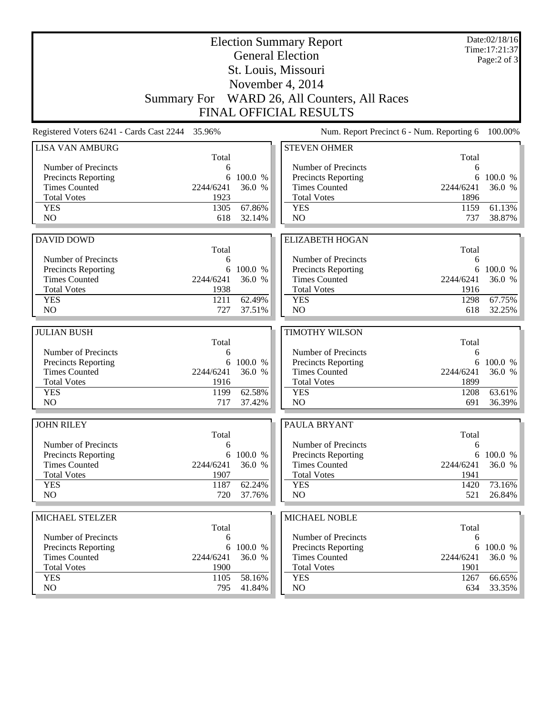|                                                    |            | Date:02/18/16<br>Time: 17:21:37<br>Page: $2$ of $3$ |                                                   |                |                   |  |  |
|----------------------------------------------------|------------|-----------------------------------------------------|---------------------------------------------------|----------------|-------------------|--|--|
| St. Louis, Missouri                                |            |                                                     |                                                   |                |                   |  |  |
| November 4, 2014                                   |            |                                                     |                                                   |                |                   |  |  |
|                                                    |            |                                                     | Summary For WARD 26, All Counters, All Races      |                |                   |  |  |
| <b>FINAL OFFICIAL RESULTS</b>                      |            |                                                     |                                                   |                |                   |  |  |
| Registered Voters 6241 - Cards Cast 2244           | 35.96%     |                                                     | Num. Report Precinct 6 - Num. Reporting 6         |                | 100.00%           |  |  |
| <b>LISA VAN AMBURG</b>                             |            |                                                     | <b>STEVEN OHMER</b>                               |                |                   |  |  |
| Number of Precincts                                | Total<br>6 |                                                     | Number of Precincts                               | Total<br>6     |                   |  |  |
| <b>Precincts Reporting</b>                         | 6          | 100.0 %                                             | <b>Precincts Reporting</b>                        | 6              | 100.0 %           |  |  |
| <b>Times Counted</b>                               | 2244/6241  | 36.0 %                                              | <b>Times Counted</b>                              | 2244/6241      | 36.0 %            |  |  |
| <b>Total Votes</b>                                 | 1923       |                                                     | <b>Total Votes</b>                                | 1896           |                   |  |  |
| <b>YES</b>                                         | 1305       | 67.86%                                              | <b>YES</b>                                        | 1159           | 61.13%            |  |  |
| N <sub>O</sub>                                     | 618        | 32.14%                                              | N <sub>O</sub>                                    | 737            | 38.87%            |  |  |
|                                                    |            |                                                     |                                                   |                |                   |  |  |
| <b>DAVID DOWD</b>                                  |            |                                                     | <b>ELIZABETH HOGAN</b>                            |                |                   |  |  |
|                                                    | Total      |                                                     |                                                   | Total          |                   |  |  |
| Number of Precincts<br><b>Precincts Reporting</b>  | 6<br>6     | 100.0 %                                             | Number of Precincts<br><b>Precincts Reporting</b> | 6<br>6         | 100.0 %           |  |  |
| <b>Times Counted</b>                               | 2244/6241  | 36.0 %                                              | <b>Times Counted</b>                              | 2244/6241      | 36.0 %            |  |  |
| <b>Total Votes</b>                                 | 1938       |                                                     | <b>Total Votes</b>                                | 1916           |                   |  |  |
| <b>YES</b>                                         | 1211       | 62.49%                                              | <b>YES</b>                                        | 1298           | 67.75%            |  |  |
| NO                                                 | 727        | 37.51%                                              | NO                                                | 618            | 32.25%            |  |  |
|                                                    |            |                                                     |                                                   |                |                   |  |  |
| <b>JULIAN BUSH</b>                                 | Total      |                                                     | <b>TIMOTHY WILSON</b>                             | Total          |                   |  |  |
| Number of Precincts                                | 6          |                                                     | Number of Precincts                               | 6              |                   |  |  |
| <b>Precincts Reporting</b>                         | 6          | 100.0 %                                             | Precincts Reporting                               | 6              | 100.0 %           |  |  |
| <b>Times Counted</b>                               | 2244/6241  | 36.0 %                                              | <b>Times Counted</b>                              | 2244/6241      | 36.0 %            |  |  |
| <b>Total Votes</b>                                 | 1916       |                                                     | <b>Total Votes</b>                                | 1899           |                   |  |  |
| <b>YES</b>                                         | 1199       | 62.58%                                              | <b>YES</b>                                        | 1208           | 63.61%            |  |  |
| N <sub>O</sub>                                     | 717        | 37.42%                                              | NO                                                | 691            | 36.39%            |  |  |
| <b>JOHN RILEY</b>                                  |            |                                                     | PAULA BRYANT                                      |                |                   |  |  |
|                                                    | Total      |                                                     |                                                   | Total          |                   |  |  |
| Number of Precincts                                | 6          |                                                     | Number of Precincts                               | 6              |                   |  |  |
| <b>Precincts Reporting</b><br><b>Times Counted</b> | 2244/6241  | 6 100.0 %<br>36.0 %                                 | Precincts Reporting<br><b>Times Counted</b>       | 6<br>2244/6241 | 100.0 %<br>36.0 % |  |  |
| <b>Total Votes</b>                                 | 1907       |                                                     | <b>Total Votes</b>                                | 1941           |                   |  |  |
| <b>YES</b>                                         | 1187       | 62.24%                                              | <b>YES</b>                                        | 1420           | 73.16%            |  |  |
| NO                                                 | 720        | 37.76%                                              | NO                                                | 521            | 26.84%            |  |  |
|                                                    |            |                                                     |                                                   |                |                   |  |  |
| MICHAEL STELZER                                    | Total      |                                                     | <b>MICHAEL NOBLE</b>                              | Total          |                   |  |  |
| Number of Precincts                                | 6          |                                                     | Number of Precincts                               | 6              |                   |  |  |
| <b>Precincts Reporting</b>                         | 6          | 100.0 %                                             | <b>Precincts Reporting</b>                        | 6              | 100.0 %           |  |  |
| <b>Times Counted</b>                               | 2244/6241  | 36.0 %                                              | <b>Times Counted</b>                              | 2244/6241      | 36.0 %            |  |  |
| <b>Total Votes</b>                                 | 1900       |                                                     | <b>Total Votes</b>                                | 1901           |                   |  |  |
| <b>YES</b>                                         | 1105       | 58.16%                                              | <b>YES</b>                                        | 1267           | 66.65%            |  |  |
| NO.                                                | 795        | 41.84%                                              | NO                                                | 634            | 33.35%            |  |  |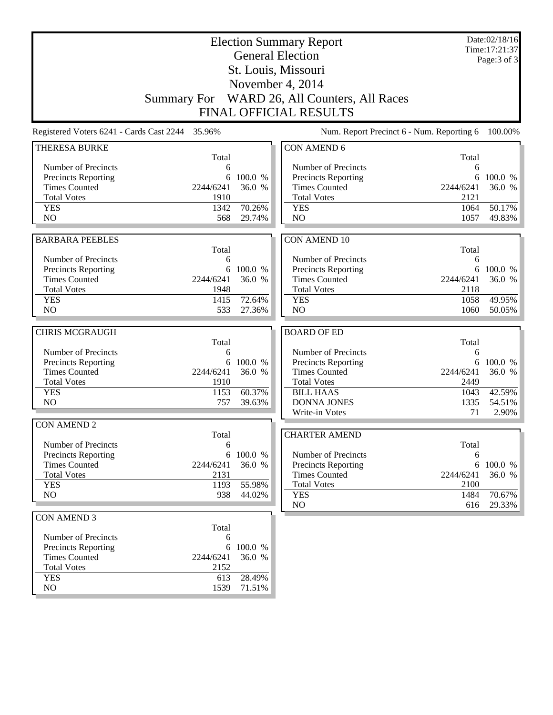| <b>Election Summary Report</b><br><b>General Election</b> |                               |                     |                                                    |                | Date:02/18/16<br>Time: 17:21:37 |  |  |  |
|-----------------------------------------------------------|-------------------------------|---------------------|----------------------------------------------------|----------------|---------------------------------|--|--|--|
|                                                           |                               | Page: 3 of 3        |                                                    |                |                                 |  |  |  |
|                                                           |                               |                     | St. Louis, Missouri                                |                |                                 |  |  |  |
|                                                           |                               |                     | November 4, 2014                                   |                |                                 |  |  |  |
|                                                           |                               |                     |                                                    |                |                                 |  |  |  |
|                                                           | Summary For                   |                     | WARD 26, All Counters, All Races                   |                |                                 |  |  |  |
|                                                           | <b>FINAL OFFICIAL RESULTS</b> |                     |                                                    |                |                                 |  |  |  |
| Registered Voters 6241 - Cards Cast 2244 35.96%           |                               |                     | Num. Report Precinct 6 - Num. Reporting 6          |                | 100.00%                         |  |  |  |
| <b>THERESA BURKE</b>                                      |                               |                     | <b>CON AMEND 6</b>                                 |                |                                 |  |  |  |
|                                                           | Total                         |                     |                                                    | Total          |                                 |  |  |  |
| Number of Precincts                                       | 6                             |                     | Number of Precincts                                | 6              |                                 |  |  |  |
| Precincts Reporting<br><b>Times Counted</b>               | 2244/6241                     | 6 100.0 %<br>36.0 % | <b>Precincts Reporting</b><br><b>Times Counted</b> | 6<br>2244/6241 | 100.0 %<br>36.0 %               |  |  |  |
| <b>Total Votes</b>                                        | 1910                          |                     | <b>Total Votes</b>                                 | 2121           |                                 |  |  |  |
| <b>YES</b>                                                | 1342                          | 70.26%              | <b>YES</b>                                         | 1064           | 50.17%                          |  |  |  |
| N <sub>O</sub>                                            | 568                           | 29.74%              | NO                                                 | 1057           | 49.83%                          |  |  |  |
|                                                           |                               |                     |                                                    |                |                                 |  |  |  |
| <b>BARBARA PEEBLES</b>                                    |                               |                     | <b>CON AMEND 10</b>                                |                |                                 |  |  |  |
|                                                           | Total                         |                     |                                                    | Total          |                                 |  |  |  |
| Number of Precincts                                       | 6                             |                     | Number of Precincts                                | 6              |                                 |  |  |  |
| <b>Precincts Reporting</b>                                |                               | 6 100.0 %           | <b>Precincts Reporting</b>                         | 6              | 100.0 %                         |  |  |  |
| <b>Times Counted</b>                                      | 2244/6241                     | 36.0 %              | <b>Times Counted</b>                               | 2244/6241      | 36.0 %                          |  |  |  |
| <b>Total Votes</b>                                        | 1948                          |                     | <b>Total Votes</b>                                 | 2118           |                                 |  |  |  |
| <b>YES</b>                                                | 1415                          | 72.64%              | <b>YES</b>                                         | 1058           | 49.95%                          |  |  |  |
| N <sub>O</sub>                                            | 533                           | 27.36%              | N <sub>O</sub>                                     | 1060           | $50.05\%$                       |  |  |  |
|                                                           |                               |                     |                                                    |                |                                 |  |  |  |
| <b>CHRIS MCGRAUGH</b>                                     |                               |                     | <b>BOARD OF ED</b>                                 |                |                                 |  |  |  |
| Number of Precincts                                       | Total<br>6                    |                     | Number of Precincts                                | Total<br>6     |                                 |  |  |  |
| Precincts Reporting                                       | 6                             | 100.0 %             | Precincts Reporting                                | 6              | 100.0 %                         |  |  |  |
| <b>Times Counted</b>                                      | 2244/6241                     | 36.0 %              | <b>Times Counted</b>                               | 2244/6241      | 36.0 %                          |  |  |  |
| <b>Total Votes</b>                                        | 1910                          |                     | <b>Total Votes</b>                                 | 2449           |                                 |  |  |  |
| <b>YES</b>                                                | 1153                          | 60.37%              | <b>BILL HAAS</b>                                   | 1043           | 42.59%                          |  |  |  |
| N <sub>O</sub>                                            | 757                           | 39.63%              | <b>DONNA JONES</b>                                 | 1335           | 54.51%                          |  |  |  |
|                                                           |                               |                     | Write-in Votes                                     | 71             | 2.90%                           |  |  |  |
| <b>CON AMEND 2</b>                                        |                               |                     |                                                    |                |                                 |  |  |  |
|                                                           | Total                         |                     | <b>CHARTER AMEND</b>                               |                |                                 |  |  |  |
| Number of Precincts                                       | 6                             |                     |                                                    | Total          |                                 |  |  |  |
| Precincts Reporting                                       |                               | 6 100.0 %           | Number of Precincts                                | 6              |                                 |  |  |  |
| <b>Times Counted</b>                                      | 2244/6241                     | 36.0 %              | <b>Precincts Reporting</b>                         |                | 6 100.0 %                       |  |  |  |
| <b>Total Votes</b>                                        | 2131                          |                     | <b>Times Counted</b>                               | 2244/6241      | 36.0 %                          |  |  |  |
| <b>YES</b>                                                | 1193                          | 55.98%              | <b>Total Votes</b>                                 | 2100           |                                 |  |  |  |
| N <sub>O</sub>                                            | 938                           | 44.02%              | <b>YES</b>                                         | 1484           | 70.67%                          |  |  |  |
|                                                           |                               |                     | NO                                                 | 616            | 29.33%                          |  |  |  |
| <b>CON AMEND 3</b>                                        |                               |                     |                                                    |                |                                 |  |  |  |
| Number of Precincts                                       | Total<br>6                    |                     |                                                    |                |                                 |  |  |  |
| Precincts Reporting                                       | 6                             | 100.0 %             |                                                    |                |                                 |  |  |  |
| <b>Times Counted</b>                                      | 2244/6241                     | 36.0 %              |                                                    |                |                                 |  |  |  |
| <b>Total Votes</b>                                        | 2152                          |                     |                                                    |                |                                 |  |  |  |
| <b>YES</b>                                                | 613                           | 28.49%              |                                                    |                |                                 |  |  |  |
| NO                                                        | 1539                          | 71.51%              |                                                    |                |                                 |  |  |  |
|                                                           |                               |                     |                                                    |                |                                 |  |  |  |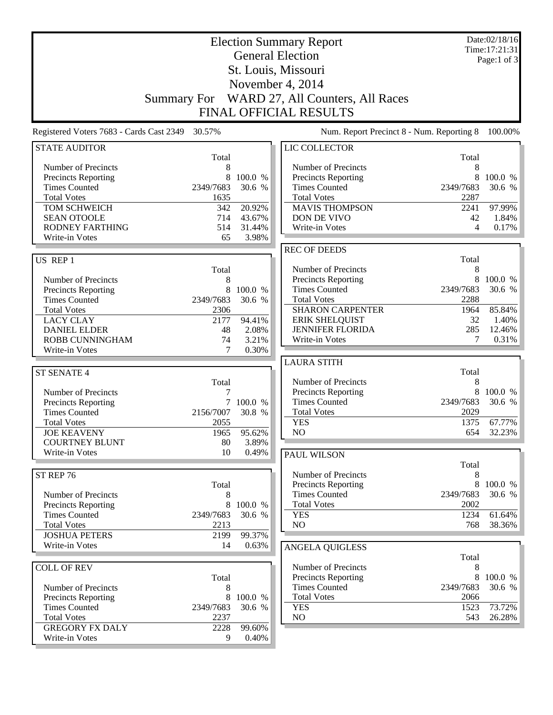| Page:1 of $3$<br>St. Louis, Missouri<br>November 4, 2014<br>WARD 27, All Counters, All Races<br>Summary For<br><b>FINAL OFFICIAL RESULTS</b><br>Registered Voters 7683 - Cards Cast 2349 30.57%<br>Num. Report Precinct 8 - Num. Reporting 8<br>100.00%<br>LIC COLLECTOR<br><b>STATE AUDITOR</b><br>Total<br>Total<br>Number of Precincts<br>8<br>Number of Precincts<br>8<br>8<br>8<br><b>Precincts Reporting</b><br>100.0 %<br>100.0 %<br>Precincts Reporting<br>2349/7683<br>2349/7683<br><b>Times Counted</b><br>30.6 %<br><b>Times Counted</b><br>30.6 %<br><b>Total Votes</b><br><b>Total Votes</b><br>2287<br>1635<br>TOM SCHWEICH<br>20.92%<br><b>MAVIS THOMPSON</b><br>97.99%<br>342<br>2241<br><b>SEAN OTOOLE</b><br>714<br>DON DE VIVO<br>43.67%<br>42<br>1.84%<br><b>RODNEY FARTHING</b><br>514<br>31.44%<br>Write-in Votes<br>4<br>0.17%<br>Write-in Votes<br>3.98%<br>65<br><b>REC OF DEEDS</b><br>US REP 1<br>Total<br>Number of Precincts<br>8<br>Total<br>8<br><b>Precincts Reporting</b><br>100.0 %<br>Number of Precincts<br>8<br>8<br><b>Times Counted</b><br>2349/7683<br>30.6 %<br><b>Precincts Reporting</b><br>100.0 %<br><b>Total Votes</b><br>2288<br><b>Times Counted</b><br>2349/7683<br>30.6 %<br><b>SHARON CARPENTER</b><br>1964<br>85.84%<br><b>Total Votes</b><br>2306<br>32<br>1.40%<br><b>LACY CLAY</b><br>2177<br><b>ERIK SHELQUIST</b><br>94.41%<br><b>JENNIFER FLORIDA</b><br>285<br>12.46%<br><b>DANIEL ELDER</b><br>48<br>2.08%<br>Write-in Votes<br>7<br>0.31%<br>ROBB CUNNINGHAM<br>74<br>3.21%<br>Write-in Votes<br>0.30%<br>7<br><b>LAURA STITH</b><br><b>ST SENATE 4</b><br>Total<br>Number of Precincts<br>8<br>Total<br><b>Precincts Reporting</b><br>8<br>100.0 %<br>Number of Precincts<br>7<br><b>Times Counted</b><br>30.6 %<br>2349/7683<br>Precincts Reporting<br>7<br>100.0 %<br><b>Total Votes</b><br>2029<br><b>Times Counted</b><br>2156/7007<br>30.8 %<br><b>YES</b><br>1375<br>67.77%<br><b>Total Votes</b><br>2055<br>NO<br><b>JOE KEAVENY</b><br>95.62%<br>654<br>32.23%<br>1965<br><b>COURTNEY BLUNT</b><br>80<br>3.89%<br>10<br>Write-in Votes<br>0.49%<br>PAUL WILSON<br>Total<br>ST REP 76<br>Number of Precincts<br>8<br>8<br>Precincts Reporting<br>100.0 %<br>Total<br><b>Times Counted</b><br>2349/7683<br>30.6 %<br>Number of Precincts<br>8<br><b>Precincts Reporting</b><br>8<br>100.0 %<br><b>Total Votes</b><br>2002<br><b>Times Counted</b><br>2349/7683<br>30.6 %<br><b>YES</b><br>1234<br>61.64%<br><b>Total Votes</b><br>2213<br>N <sub>O</sub><br>768<br><b>JOSHUA PETERS</b><br>99.37%<br>2199<br>Write-in Votes<br>14<br>0.63%<br><b>ANGELA QUIGLESS</b><br>Total<br>Number of Precincts<br>8<br><b>COLL OF REV</b><br>8<br>Precincts Reporting<br>100.0 %<br>Total<br><b>Times Counted</b><br>2349/7683<br>30.6 %<br>Number of Precincts<br>8<br><b>Total Votes</b><br>8<br>2066<br><b>Precincts Reporting</b><br>100.0 %<br><b>Times Counted</b><br><b>YES</b><br>73.72%<br>2349/7683<br>30.6 %<br>1523<br>NO<br><b>Total Votes</b><br>543<br>2237<br><b>GREGORY FX DALY</b><br>99.60%<br>2228<br>Write-in Votes<br>9<br>0.40% |  | <b>Election Summary Report</b><br><b>General Election</b> |  |  |  |  |
|------------------------------------------------------------------------------------------------------------------------------------------------------------------------------------------------------------------------------------------------------------------------------------------------------------------------------------------------------------------------------------------------------------------------------------------------------------------------------------------------------------------------------------------------------------------------------------------------------------------------------------------------------------------------------------------------------------------------------------------------------------------------------------------------------------------------------------------------------------------------------------------------------------------------------------------------------------------------------------------------------------------------------------------------------------------------------------------------------------------------------------------------------------------------------------------------------------------------------------------------------------------------------------------------------------------------------------------------------------------------------------------------------------------------------------------------------------------------------------------------------------------------------------------------------------------------------------------------------------------------------------------------------------------------------------------------------------------------------------------------------------------------------------------------------------------------------------------------------------------------------------------------------------------------------------------------------------------------------------------------------------------------------------------------------------------------------------------------------------------------------------------------------------------------------------------------------------------------------------------------------------------------------------------------------------------------------------------------------------------------------------------------------------------------------------------------------------------------------------------------------------------------------------------------------------------------------------------------------------------------------------------------------------------------------------------------------------------------------------------------------------------------------------------------------------------------------------------------------------------------------------------------------------------------------------------------------------------------------------------------------------------------------------------------------------------------------------------------------------------|--|-----------------------------------------------------------|--|--|--|--|
|                                                                                                                                                                                                                                                                                                                                                                                                                                                                                                                                                                                                                                                                                                                                                                                                                                                                                                                                                                                                                                                                                                                                                                                                                                                                                                                                                                                                                                                                                                                                                                                                                                                                                                                                                                                                                                                                                                                                                                                                                                                                                                                                                                                                                                                                                                                                                                                                                                                                                                                                                                                                                                                                                                                                                                                                                                                                                                                                                                                                                                                                                                                  |  |                                                           |  |  |  |  |
|                                                                                                                                                                                                                                                                                                                                                                                                                                                                                                                                                                                                                                                                                                                                                                                                                                                                                                                                                                                                                                                                                                                                                                                                                                                                                                                                                                                                                                                                                                                                                                                                                                                                                                                                                                                                                                                                                                                                                                                                                                                                                                                                                                                                                                                                                                                                                                                                                                                                                                                                                                                                                                                                                                                                                                                                                                                                                                                                                                                                                                                                                                                  |  |                                                           |  |  |  |  |
|                                                                                                                                                                                                                                                                                                                                                                                                                                                                                                                                                                                                                                                                                                                                                                                                                                                                                                                                                                                                                                                                                                                                                                                                                                                                                                                                                                                                                                                                                                                                                                                                                                                                                                                                                                                                                                                                                                                                                                                                                                                                                                                                                                                                                                                                                                                                                                                                                                                                                                                                                                                                                                                                                                                                                                                                                                                                                                                                                                                                                                                                                                                  |  |                                                           |  |  |  |  |
|                                                                                                                                                                                                                                                                                                                                                                                                                                                                                                                                                                                                                                                                                                                                                                                                                                                                                                                                                                                                                                                                                                                                                                                                                                                                                                                                                                                                                                                                                                                                                                                                                                                                                                                                                                                                                                                                                                                                                                                                                                                                                                                                                                                                                                                                                                                                                                                                                                                                                                                                                                                                                                                                                                                                                                                                                                                                                                                                                                                                                                                                                                                  |  |                                                           |  |  |  |  |
|                                                                                                                                                                                                                                                                                                                                                                                                                                                                                                                                                                                                                                                                                                                                                                                                                                                                                                                                                                                                                                                                                                                                                                                                                                                                                                                                                                                                                                                                                                                                                                                                                                                                                                                                                                                                                                                                                                                                                                                                                                                                                                                                                                                                                                                                                                                                                                                                                                                                                                                                                                                                                                                                                                                                                                                                                                                                                                                                                                                                                                                                                                                  |  |                                                           |  |  |  |  |
| 38.36%                                                                                                                                                                                                                                                                                                                                                                                                                                                                                                                                                                                                                                                                                                                                                                                                                                                                                                                                                                                                                                                                                                                                                                                                                                                                                                                                                                                                                                                                                                                                                                                                                                                                                                                                                                                                                                                                                                                                                                                                                                                                                                                                                                                                                                                                                                                                                                                                                                                                                                                                                                                                                                                                                                                                                                                                                                                                                                                                                                                                                                                                                                           |  |                                                           |  |  |  |  |
|                                                                                                                                                                                                                                                                                                                                                                                                                                                                                                                                                                                                                                                                                                                                                                                                                                                                                                                                                                                                                                                                                                                                                                                                                                                                                                                                                                                                                                                                                                                                                                                                                                                                                                                                                                                                                                                                                                                                                                                                                                                                                                                                                                                                                                                                                                                                                                                                                                                                                                                                                                                                                                                                                                                                                                                                                                                                                                                                                                                                                                                                                                                  |  |                                                           |  |  |  |  |
|                                                                                                                                                                                                                                                                                                                                                                                                                                                                                                                                                                                                                                                                                                                                                                                                                                                                                                                                                                                                                                                                                                                                                                                                                                                                                                                                                                                                                                                                                                                                                                                                                                                                                                                                                                                                                                                                                                                                                                                                                                                                                                                                                                                                                                                                                                                                                                                                                                                                                                                                                                                                                                                                                                                                                                                                                                                                                                                                                                                                                                                                                                                  |  |                                                           |  |  |  |  |
|                                                                                                                                                                                                                                                                                                                                                                                                                                                                                                                                                                                                                                                                                                                                                                                                                                                                                                                                                                                                                                                                                                                                                                                                                                                                                                                                                                                                                                                                                                                                                                                                                                                                                                                                                                                                                                                                                                                                                                                                                                                                                                                                                                                                                                                                                                                                                                                                                                                                                                                                                                                                                                                                                                                                                                                                                                                                                                                                                                                                                                                                                                                  |  |                                                           |  |  |  |  |
|                                                                                                                                                                                                                                                                                                                                                                                                                                                                                                                                                                                                                                                                                                                                                                                                                                                                                                                                                                                                                                                                                                                                                                                                                                                                                                                                                                                                                                                                                                                                                                                                                                                                                                                                                                                                                                                                                                                                                                                                                                                                                                                                                                                                                                                                                                                                                                                                                                                                                                                                                                                                                                                                                                                                                                                                                                                                                                                                                                                                                                                                                                                  |  |                                                           |  |  |  |  |
|                                                                                                                                                                                                                                                                                                                                                                                                                                                                                                                                                                                                                                                                                                                                                                                                                                                                                                                                                                                                                                                                                                                                                                                                                                                                                                                                                                                                                                                                                                                                                                                                                                                                                                                                                                                                                                                                                                                                                                                                                                                                                                                                                                                                                                                                                                                                                                                                                                                                                                                                                                                                                                                                                                                                                                                                                                                                                                                                                                                                                                                                                                                  |  |                                                           |  |  |  |  |
|                                                                                                                                                                                                                                                                                                                                                                                                                                                                                                                                                                                                                                                                                                                                                                                                                                                                                                                                                                                                                                                                                                                                                                                                                                                                                                                                                                                                                                                                                                                                                                                                                                                                                                                                                                                                                                                                                                                                                                                                                                                                                                                                                                                                                                                                                                                                                                                                                                                                                                                                                                                                                                                                                                                                                                                                                                                                                                                                                                                                                                                                                                                  |  |                                                           |  |  |  |  |
|                                                                                                                                                                                                                                                                                                                                                                                                                                                                                                                                                                                                                                                                                                                                                                                                                                                                                                                                                                                                                                                                                                                                                                                                                                                                                                                                                                                                                                                                                                                                                                                                                                                                                                                                                                                                                                                                                                                                                                                                                                                                                                                                                                                                                                                                                                                                                                                                                                                                                                                                                                                                                                                                                                                                                                                                                                                                                                                                                                                                                                                                                                                  |  |                                                           |  |  |  |  |
|                                                                                                                                                                                                                                                                                                                                                                                                                                                                                                                                                                                                                                                                                                                                                                                                                                                                                                                                                                                                                                                                                                                                                                                                                                                                                                                                                                                                                                                                                                                                                                                                                                                                                                                                                                                                                                                                                                                                                                                                                                                                                                                                                                                                                                                                                                                                                                                                                                                                                                                                                                                                                                                                                                                                                                                                                                                                                                                                                                                                                                                                                                                  |  |                                                           |  |  |  |  |
|                                                                                                                                                                                                                                                                                                                                                                                                                                                                                                                                                                                                                                                                                                                                                                                                                                                                                                                                                                                                                                                                                                                                                                                                                                                                                                                                                                                                                                                                                                                                                                                                                                                                                                                                                                                                                                                                                                                                                                                                                                                                                                                                                                                                                                                                                                                                                                                                                                                                                                                                                                                                                                                                                                                                                                                                                                                                                                                                                                                                                                                                                                                  |  |                                                           |  |  |  |  |
|                                                                                                                                                                                                                                                                                                                                                                                                                                                                                                                                                                                                                                                                                                                                                                                                                                                                                                                                                                                                                                                                                                                                                                                                                                                                                                                                                                                                                                                                                                                                                                                                                                                                                                                                                                                                                                                                                                                                                                                                                                                                                                                                                                                                                                                                                                                                                                                                                                                                                                                                                                                                                                                                                                                                                                                                                                                                                                                                                                                                                                                                                                                  |  |                                                           |  |  |  |  |
|                                                                                                                                                                                                                                                                                                                                                                                                                                                                                                                                                                                                                                                                                                                                                                                                                                                                                                                                                                                                                                                                                                                                                                                                                                                                                                                                                                                                                                                                                                                                                                                                                                                                                                                                                                                                                                                                                                                                                                                                                                                                                                                                                                                                                                                                                                                                                                                                                                                                                                                                                                                                                                                                                                                                                                                                                                                                                                                                                                                                                                                                                                                  |  |                                                           |  |  |  |  |
|                                                                                                                                                                                                                                                                                                                                                                                                                                                                                                                                                                                                                                                                                                                                                                                                                                                                                                                                                                                                                                                                                                                                                                                                                                                                                                                                                                                                                                                                                                                                                                                                                                                                                                                                                                                                                                                                                                                                                                                                                                                                                                                                                                                                                                                                                                                                                                                                                                                                                                                                                                                                                                                                                                                                                                                                                                                                                                                                                                                                                                                                                                                  |  |                                                           |  |  |  |  |
|                                                                                                                                                                                                                                                                                                                                                                                                                                                                                                                                                                                                                                                                                                                                                                                                                                                                                                                                                                                                                                                                                                                                                                                                                                                                                                                                                                                                                                                                                                                                                                                                                                                                                                                                                                                                                                                                                                                                                                                                                                                                                                                                                                                                                                                                                                                                                                                                                                                                                                                                                                                                                                                                                                                                                                                                                                                                                                                                                                                                                                                                                                                  |  |                                                           |  |  |  |  |
|                                                                                                                                                                                                                                                                                                                                                                                                                                                                                                                                                                                                                                                                                                                                                                                                                                                                                                                                                                                                                                                                                                                                                                                                                                                                                                                                                                                                                                                                                                                                                                                                                                                                                                                                                                                                                                                                                                                                                                                                                                                                                                                                                                                                                                                                                                                                                                                                                                                                                                                                                                                                                                                                                                                                                                                                                                                                                                                                                                                                                                                                                                                  |  |                                                           |  |  |  |  |
|                                                                                                                                                                                                                                                                                                                                                                                                                                                                                                                                                                                                                                                                                                                                                                                                                                                                                                                                                                                                                                                                                                                                                                                                                                                                                                                                                                                                                                                                                                                                                                                                                                                                                                                                                                                                                                                                                                                                                                                                                                                                                                                                                                                                                                                                                                                                                                                                                                                                                                                                                                                                                                                                                                                                                                                                                                                                                                                                                                                                                                                                                                                  |  |                                                           |  |  |  |  |
|                                                                                                                                                                                                                                                                                                                                                                                                                                                                                                                                                                                                                                                                                                                                                                                                                                                                                                                                                                                                                                                                                                                                                                                                                                                                                                                                                                                                                                                                                                                                                                                                                                                                                                                                                                                                                                                                                                                                                                                                                                                                                                                                                                                                                                                                                                                                                                                                                                                                                                                                                                                                                                                                                                                                                                                                                                                                                                                                                                                                                                                                                                                  |  |                                                           |  |  |  |  |
|                                                                                                                                                                                                                                                                                                                                                                                                                                                                                                                                                                                                                                                                                                                                                                                                                                                                                                                                                                                                                                                                                                                                                                                                                                                                                                                                                                                                                                                                                                                                                                                                                                                                                                                                                                                                                                                                                                                                                                                                                                                                                                                                                                                                                                                                                                                                                                                                                                                                                                                                                                                                                                                                                                                                                                                                                                                                                                                                                                                                                                                                                                                  |  |                                                           |  |  |  |  |
|                                                                                                                                                                                                                                                                                                                                                                                                                                                                                                                                                                                                                                                                                                                                                                                                                                                                                                                                                                                                                                                                                                                                                                                                                                                                                                                                                                                                                                                                                                                                                                                                                                                                                                                                                                                                                                                                                                                                                                                                                                                                                                                                                                                                                                                                                                                                                                                                                                                                                                                                                                                                                                                                                                                                                                                                                                                                                                                                                                                                                                                                                                                  |  |                                                           |  |  |  |  |
|                                                                                                                                                                                                                                                                                                                                                                                                                                                                                                                                                                                                                                                                                                                                                                                                                                                                                                                                                                                                                                                                                                                                                                                                                                                                                                                                                                                                                                                                                                                                                                                                                                                                                                                                                                                                                                                                                                                                                                                                                                                                                                                                                                                                                                                                                                                                                                                                                                                                                                                                                                                                                                                                                                                                                                                                                                                                                                                                                                                                                                                                                                                  |  |                                                           |  |  |  |  |
|                                                                                                                                                                                                                                                                                                                                                                                                                                                                                                                                                                                                                                                                                                                                                                                                                                                                                                                                                                                                                                                                                                                                                                                                                                                                                                                                                                                                                                                                                                                                                                                                                                                                                                                                                                                                                                                                                                                                                                                                                                                                                                                                                                                                                                                                                                                                                                                                                                                                                                                                                                                                                                                                                                                                                                                                                                                                                                                                                                                                                                                                                                                  |  |                                                           |  |  |  |  |
|                                                                                                                                                                                                                                                                                                                                                                                                                                                                                                                                                                                                                                                                                                                                                                                                                                                                                                                                                                                                                                                                                                                                                                                                                                                                                                                                                                                                                                                                                                                                                                                                                                                                                                                                                                                                                                                                                                                                                                                                                                                                                                                                                                                                                                                                                                                                                                                                                                                                                                                                                                                                                                                                                                                                                                                                                                                                                                                                                                                                                                                                                                                  |  |                                                           |  |  |  |  |
|                                                                                                                                                                                                                                                                                                                                                                                                                                                                                                                                                                                                                                                                                                                                                                                                                                                                                                                                                                                                                                                                                                                                                                                                                                                                                                                                                                                                                                                                                                                                                                                                                                                                                                                                                                                                                                                                                                                                                                                                                                                                                                                                                                                                                                                                                                                                                                                                                                                                                                                                                                                                                                                                                                                                                                                                                                                                                                                                                                                                                                                                                                                  |  |                                                           |  |  |  |  |
|                                                                                                                                                                                                                                                                                                                                                                                                                                                                                                                                                                                                                                                                                                                                                                                                                                                                                                                                                                                                                                                                                                                                                                                                                                                                                                                                                                                                                                                                                                                                                                                                                                                                                                                                                                                                                                                                                                                                                                                                                                                                                                                                                                                                                                                                                                                                                                                                                                                                                                                                                                                                                                                                                                                                                                                                                                                                                                                                                                                                                                                                                                                  |  |                                                           |  |  |  |  |
|                                                                                                                                                                                                                                                                                                                                                                                                                                                                                                                                                                                                                                                                                                                                                                                                                                                                                                                                                                                                                                                                                                                                                                                                                                                                                                                                                                                                                                                                                                                                                                                                                                                                                                                                                                                                                                                                                                                                                                                                                                                                                                                                                                                                                                                                                                                                                                                                                                                                                                                                                                                                                                                                                                                                                                                                                                                                                                                                                                                                                                                                                                                  |  |                                                           |  |  |  |  |
|                                                                                                                                                                                                                                                                                                                                                                                                                                                                                                                                                                                                                                                                                                                                                                                                                                                                                                                                                                                                                                                                                                                                                                                                                                                                                                                                                                                                                                                                                                                                                                                                                                                                                                                                                                                                                                                                                                                                                                                                                                                                                                                                                                                                                                                                                                                                                                                                                                                                                                                                                                                                                                                                                                                                                                                                                                                                                                                                                                                                                                                                                                                  |  |                                                           |  |  |  |  |
|                                                                                                                                                                                                                                                                                                                                                                                                                                                                                                                                                                                                                                                                                                                                                                                                                                                                                                                                                                                                                                                                                                                                                                                                                                                                                                                                                                                                                                                                                                                                                                                                                                                                                                                                                                                                                                                                                                                                                                                                                                                                                                                                                                                                                                                                                                                                                                                                                                                                                                                                                                                                                                                                                                                                                                                                                                                                                                                                                                                                                                                                                                                  |  |                                                           |  |  |  |  |
|                                                                                                                                                                                                                                                                                                                                                                                                                                                                                                                                                                                                                                                                                                                                                                                                                                                                                                                                                                                                                                                                                                                                                                                                                                                                                                                                                                                                                                                                                                                                                                                                                                                                                                                                                                                                                                                                                                                                                                                                                                                                                                                                                                                                                                                                                                                                                                                                                                                                                                                                                                                                                                                                                                                                                                                                                                                                                                                                                                                                                                                                                                                  |  |                                                           |  |  |  |  |
|                                                                                                                                                                                                                                                                                                                                                                                                                                                                                                                                                                                                                                                                                                                                                                                                                                                                                                                                                                                                                                                                                                                                                                                                                                                                                                                                                                                                                                                                                                                                                                                                                                                                                                                                                                                                                                                                                                                                                                                                                                                                                                                                                                                                                                                                                                                                                                                                                                                                                                                                                                                                                                                                                                                                                                                                                                                                                                                                                                                                                                                                                                                  |  |                                                           |  |  |  |  |
|                                                                                                                                                                                                                                                                                                                                                                                                                                                                                                                                                                                                                                                                                                                                                                                                                                                                                                                                                                                                                                                                                                                                                                                                                                                                                                                                                                                                                                                                                                                                                                                                                                                                                                                                                                                                                                                                                                                                                                                                                                                                                                                                                                                                                                                                                                                                                                                                                                                                                                                                                                                                                                                                                                                                                                                                                                                                                                                                                                                                                                                                                                                  |  |                                                           |  |  |  |  |
|                                                                                                                                                                                                                                                                                                                                                                                                                                                                                                                                                                                                                                                                                                                                                                                                                                                                                                                                                                                                                                                                                                                                                                                                                                                                                                                                                                                                                                                                                                                                                                                                                                                                                                                                                                                                                                                                                                                                                                                                                                                                                                                                                                                                                                                                                                                                                                                                                                                                                                                                                                                                                                                                                                                                                                                                                                                                                                                                                                                                                                                                                                                  |  |                                                           |  |  |  |  |
|                                                                                                                                                                                                                                                                                                                                                                                                                                                                                                                                                                                                                                                                                                                                                                                                                                                                                                                                                                                                                                                                                                                                                                                                                                                                                                                                                                                                                                                                                                                                                                                                                                                                                                                                                                                                                                                                                                                                                                                                                                                                                                                                                                                                                                                                                                                                                                                                                                                                                                                                                                                                                                                                                                                                                                                                                                                                                                                                                                                                                                                                                                                  |  |                                                           |  |  |  |  |
|                                                                                                                                                                                                                                                                                                                                                                                                                                                                                                                                                                                                                                                                                                                                                                                                                                                                                                                                                                                                                                                                                                                                                                                                                                                                                                                                                                                                                                                                                                                                                                                                                                                                                                                                                                                                                                                                                                                                                                                                                                                                                                                                                                                                                                                                                                                                                                                                                                                                                                                                                                                                                                                                                                                                                                                                                                                                                                                                                                                                                                                                                                                  |  |                                                           |  |  |  |  |
|                                                                                                                                                                                                                                                                                                                                                                                                                                                                                                                                                                                                                                                                                                                                                                                                                                                                                                                                                                                                                                                                                                                                                                                                                                                                                                                                                                                                                                                                                                                                                                                                                                                                                                                                                                                                                                                                                                                                                                                                                                                                                                                                                                                                                                                                                                                                                                                                                                                                                                                                                                                                                                                                                                                                                                                                                                                                                                                                                                                                                                                                                                                  |  |                                                           |  |  |  |  |
|                                                                                                                                                                                                                                                                                                                                                                                                                                                                                                                                                                                                                                                                                                                                                                                                                                                                                                                                                                                                                                                                                                                                                                                                                                                                                                                                                                                                                                                                                                                                                                                                                                                                                                                                                                                                                                                                                                                                                                                                                                                                                                                                                                                                                                                                                                                                                                                                                                                                                                                                                                                                                                                                                                                                                                                                                                                                                                                                                                                                                                                                                                                  |  |                                                           |  |  |  |  |
| 26.28%                                                                                                                                                                                                                                                                                                                                                                                                                                                                                                                                                                                                                                                                                                                                                                                                                                                                                                                                                                                                                                                                                                                                                                                                                                                                                                                                                                                                                                                                                                                                                                                                                                                                                                                                                                                                                                                                                                                                                                                                                                                                                                                                                                                                                                                                                                                                                                                                                                                                                                                                                                                                                                                                                                                                                                                                                                                                                                                                                                                                                                                                                                           |  |                                                           |  |  |  |  |
|                                                                                                                                                                                                                                                                                                                                                                                                                                                                                                                                                                                                                                                                                                                                                                                                                                                                                                                                                                                                                                                                                                                                                                                                                                                                                                                                                                                                                                                                                                                                                                                                                                                                                                                                                                                                                                                                                                                                                                                                                                                                                                                                                                                                                                                                                                                                                                                                                                                                                                                                                                                                                                                                                                                                                                                                                                                                                                                                                                                                                                                                                                                  |  |                                                           |  |  |  |  |
|                                                                                                                                                                                                                                                                                                                                                                                                                                                                                                                                                                                                                                                                                                                                                                                                                                                                                                                                                                                                                                                                                                                                                                                                                                                                                                                                                                                                                                                                                                                                                                                                                                                                                                                                                                                                                                                                                                                                                                                                                                                                                                                                                                                                                                                                                                                                                                                                                                                                                                                                                                                                                                                                                                                                                                                                                                                                                                                                                                                                                                                                                                                  |  |                                                           |  |  |  |  |
|                                                                                                                                                                                                                                                                                                                                                                                                                                                                                                                                                                                                                                                                                                                                                                                                                                                                                                                                                                                                                                                                                                                                                                                                                                                                                                                                                                                                                                                                                                                                                                                                                                                                                                                                                                                                                                                                                                                                                                                                                                                                                                                                                                                                                                                                                                                                                                                                                                                                                                                                                                                                                                                                                                                                                                                                                                                                                                                                                                                                                                                                                                                  |  |                                                           |  |  |  |  |
|                                                                                                                                                                                                                                                                                                                                                                                                                                                                                                                                                                                                                                                                                                                                                                                                                                                                                                                                                                                                                                                                                                                                                                                                                                                                                                                                                                                                                                                                                                                                                                                                                                                                                                                                                                                                                                                                                                                                                                                                                                                                                                                                                                                                                                                                                                                                                                                                                                                                                                                                                                                                                                                                                                                                                                                                                                                                                                                                                                                                                                                                                                                  |  |                                                           |  |  |  |  |
|                                                                                                                                                                                                                                                                                                                                                                                                                                                                                                                                                                                                                                                                                                                                                                                                                                                                                                                                                                                                                                                                                                                                                                                                                                                                                                                                                                                                                                                                                                                                                                                                                                                                                                                                                                                                                                                                                                                                                                                                                                                                                                                                                                                                                                                                                                                                                                                                                                                                                                                                                                                                                                                                                                                                                                                                                                                                                                                                                                                                                                                                                                                  |  |                                                           |  |  |  |  |
|                                                                                                                                                                                                                                                                                                                                                                                                                                                                                                                                                                                                                                                                                                                                                                                                                                                                                                                                                                                                                                                                                                                                                                                                                                                                                                                                                                                                                                                                                                                                                                                                                                                                                                                                                                                                                                                                                                                                                                                                                                                                                                                                                                                                                                                                                                                                                                                                                                                                                                                                                                                                                                                                                                                                                                                                                                                                                                                                                                                                                                                                                                                  |  |                                                           |  |  |  |  |
|                                                                                                                                                                                                                                                                                                                                                                                                                                                                                                                                                                                                                                                                                                                                                                                                                                                                                                                                                                                                                                                                                                                                                                                                                                                                                                                                                                                                                                                                                                                                                                                                                                                                                                                                                                                                                                                                                                                                                                                                                                                                                                                                                                                                                                                                                                                                                                                                                                                                                                                                                                                                                                                                                                                                                                                                                                                                                                                                                                                                                                                                                                                  |  |                                                           |  |  |  |  |
|                                                                                                                                                                                                                                                                                                                                                                                                                                                                                                                                                                                                                                                                                                                                                                                                                                                                                                                                                                                                                                                                                                                                                                                                                                                                                                                                                                                                                                                                                                                                                                                                                                                                                                                                                                                                                                                                                                                                                                                                                                                                                                                                                                                                                                                                                                                                                                                                                                                                                                                                                                                                                                                                                                                                                                                                                                                                                                                                                                                                                                                                                                                  |  |                                                           |  |  |  |  |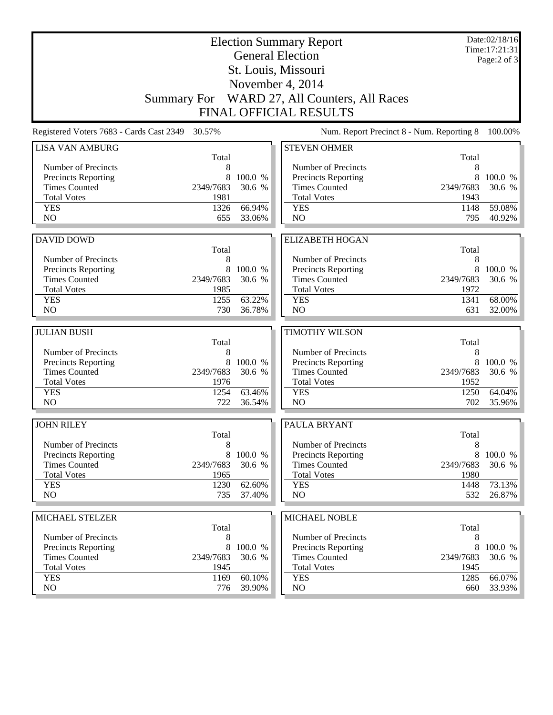|                                          | Date:02/18/16<br>Time: 17:21:31<br>Page: $2$ of $3$ |                  |                                              |             |                  |  |
|------------------------------------------|-----------------------------------------------------|------------------|----------------------------------------------|-------------|------------------|--|
| St. Louis, Missouri                      |                                                     |                  |                                              |             |                  |  |
| November 4, 2014                         |                                                     |                  |                                              |             |                  |  |
|                                          |                                                     |                  | Summary For WARD 27, All Counters, All Races |             |                  |  |
| <b>FINAL OFFICIAL RESULTS</b>            |                                                     |                  |                                              |             |                  |  |
| Registered Voters 7683 - Cards Cast 2349 | 30.57%                                              |                  | Num. Report Precinct 8 - Num. Reporting 8    |             | 100.00%          |  |
| <b>LISA VAN AMBURG</b>                   |                                                     |                  | <b>STEVEN OHMER</b>                          |             |                  |  |
| Number of Precincts                      | Total<br>8                                          |                  | Number of Precincts                          | Total<br>8  |                  |  |
| <b>Precincts Reporting</b>               | 8                                                   | 100.0 %          | <b>Precincts Reporting</b>                   | 8           | 100.0 %          |  |
| <b>Times Counted</b>                     | 2349/7683                                           | 30.6 %           | <b>Times Counted</b>                         | 2349/7683   | 30.6 %           |  |
| <b>Total Votes</b>                       | 1981                                                |                  | <b>Total Votes</b>                           | 1943        |                  |  |
| <b>YES</b>                               | 1326                                                | 66.94%           | <b>YES</b>                                   | 1148        | 59.08%           |  |
| N <sub>O</sub>                           | 655                                                 | 33.06%           | N <sub>O</sub>                               | 795         | 40.92%           |  |
| <b>DAVID DOWD</b>                        |                                                     |                  | <b>ELIZABETH HOGAN</b>                       |             |                  |  |
|                                          | Total                                               |                  |                                              | Total       |                  |  |
| Number of Precincts                      | 8                                                   |                  | Number of Precincts                          | 8           |                  |  |
| <b>Precincts Reporting</b>               | 8                                                   | 100.0 %          | <b>Precincts Reporting</b>                   | 8           | 100.0 %          |  |
| <b>Times Counted</b>                     | 2349/7683                                           | 30.6 %           | <b>Times Counted</b>                         | 2349/7683   | 30.6 %           |  |
| <b>Total Votes</b>                       | 1985                                                |                  | <b>Total Votes</b>                           | 1972        |                  |  |
| <b>YES</b>                               | 1255                                                | 63.22%           | <b>YES</b>                                   | 1341        | 68.00%           |  |
| NO                                       | 730                                                 | 36.78%           | NO                                           | 631         | 32.00%           |  |
| <b>JULIAN BUSH</b>                       |                                                     |                  | <b>TIMOTHY WILSON</b>                        |             |                  |  |
|                                          | Total                                               |                  |                                              | Total       |                  |  |
| Number of Precincts                      | 8                                                   |                  | Number of Precincts                          | 8           |                  |  |
| <b>Precincts Reporting</b>               | 8                                                   | 100.0 %          | Precincts Reporting                          | 8           | 100.0 %          |  |
| <b>Times Counted</b>                     | 2349/7683                                           | 30.6 %           | <b>Times Counted</b>                         | 2349/7683   | 30.6 %           |  |
| <b>Total Votes</b>                       | 1976<br>1254                                        | 63.46%           | <b>Total Votes</b>                           | 1952        |                  |  |
| <b>YES</b><br>N <sub>O</sub>             | 722                                                 | 36.54%           | <b>YES</b><br>NO                             | 1250<br>702 | 64.04%<br>35.96% |  |
|                                          |                                                     |                  |                                              |             |                  |  |
| <b>JOHN RILEY</b>                        | Total                                               |                  | PAULA BRYANT                                 | Total       |                  |  |
| Number of Precincts                      | 8                                                   |                  | Number of Precincts                          | 8           |                  |  |
| <b>Precincts Reporting</b>               | 8                                                   | 100.0 %          | <b>Precincts Reporting</b>                   | 8           | 100.0 %          |  |
| <b>Times Counted</b>                     | 2349/7683                                           | 30.6 %           | <b>Times Counted</b>                         | 2349/7683   | 30.6 %           |  |
| <b>Total Votes</b>                       | 1965                                                |                  | <b>Total Votes</b>                           | 1980        |                  |  |
| <b>YES</b>                               | 1230                                                | 62.60%           | <b>YES</b>                                   | 1448        | 73.13%           |  |
| NO                                       | 735                                                 | 37.40%           | NO                                           | 532         | 26.87%           |  |
| MICHAEL STELZER                          |                                                     |                  | <b>MICHAEL NOBLE</b>                         |             |                  |  |
|                                          | Total                                               |                  |                                              | Total       |                  |  |
| Number of Precincts                      | 8                                                   |                  | Number of Precincts                          | 8           |                  |  |
| Precincts Reporting                      | 8                                                   | 100.0 %          | <b>Precincts Reporting</b>                   | 8           | 100.0 %          |  |
| <b>Times Counted</b>                     | 2349/7683                                           | 30.6 %           | <b>Times Counted</b>                         | 2349/7683   | 30.6 %           |  |
| <b>Total Votes</b>                       | 1945                                                |                  | <b>Total Votes</b>                           | 1945        |                  |  |
| <b>YES</b><br>NO                         | 1169<br>776                                         | 60.10%<br>39.90% | <b>YES</b><br>NO                             | 1285<br>660 | 66.07%<br>33.93% |  |
|                                          |                                                     |                  |                                              |             |                  |  |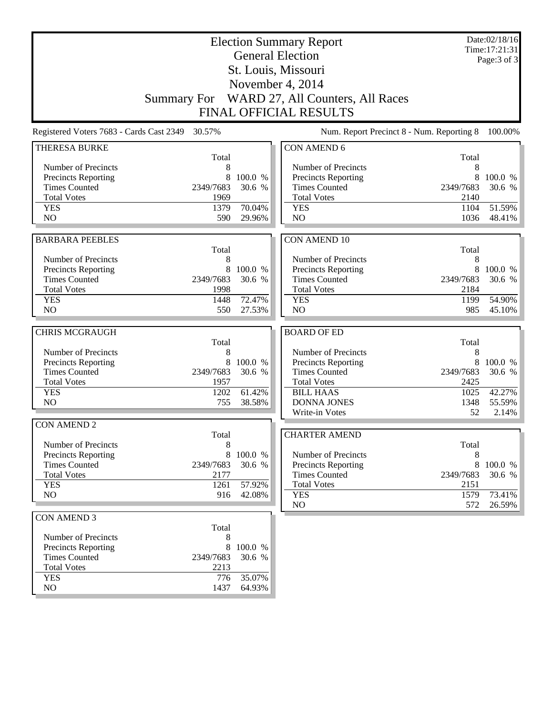| <b>Election Summary Report</b>                     |                  |                   |                                                   |                | Date:02/18/16<br>Time: 17:21:31 |  |  |
|----------------------------------------------------|------------------|-------------------|---------------------------------------------------|----------------|---------------------------------|--|--|
| <b>General Election</b>                            |                  |                   |                                                   |                | Page: 3 of 3                    |  |  |
|                                                    |                  |                   | St. Louis, Missouri                               |                |                                 |  |  |
|                                                    | November 4, 2014 |                   |                                                   |                |                                 |  |  |
|                                                    |                  |                   |                                                   |                |                                 |  |  |
|                                                    |                  |                   | Summary For WARD 27, All Counters, All Races      |                |                                 |  |  |
| <b>FINAL OFFICIAL RESULTS</b>                      |                  |                   |                                                   |                |                                 |  |  |
| Registered Voters 7683 - Cards Cast 2349 30.57%    |                  |                   | Num. Report Precinct 8 - Num. Reporting 8         |                | 100.00%                         |  |  |
| <b>THERESA BURKE</b>                               |                  |                   | <b>CON AMEND 6</b>                                |                |                                 |  |  |
|                                                    | Total            |                   |                                                   | Total          |                                 |  |  |
| Number of Precincts<br>Precincts Reporting         | 8<br>8           | 100.0 %           | Number of Precincts<br><b>Precincts Reporting</b> | 8<br>8         | 100.0 %                         |  |  |
| <b>Times Counted</b>                               | 2349/7683        | 30.6 %            | <b>Times Counted</b>                              | 2349/7683      | 30.6 %                          |  |  |
| <b>Total Votes</b>                                 | 1969             |                   | <b>Total Votes</b>                                | 2140           |                                 |  |  |
| <b>YES</b>                                         | 1379             | 70.04%            | <b>YES</b>                                        | 1104           | 51.59%                          |  |  |
| N <sub>O</sub>                                     | 590              | 29.96%            | N <sub>O</sub>                                    | 1036           | 48.41%                          |  |  |
|                                                    |                  |                   |                                                   |                |                                 |  |  |
| <b>BARBARA PEEBLES</b>                             |                  |                   | <b>CON AMEND 10</b>                               |                |                                 |  |  |
|                                                    | Total            |                   |                                                   | Total          |                                 |  |  |
| Number of Precincts                                | 8                |                   | Number of Precincts                               | 8              |                                 |  |  |
| Precincts Reporting                                | 8                | 100.0 %           | Precincts Reporting                               | 8              | 100.0 %                         |  |  |
| <b>Times Counted</b>                               | 2349/7683        | 30.6 %            | <b>Times Counted</b>                              | 2349/7683      | 30.6 %                          |  |  |
| <b>Total Votes</b>                                 | 1998             |                   | <b>Total Votes</b>                                | 2184           |                                 |  |  |
| <b>YES</b>                                         | 1448             | 72.47%            | <b>YES</b>                                        | 1199           | 54.90%                          |  |  |
|                                                    |                  |                   |                                                   |                | 45.10%                          |  |  |
| N <sub>O</sub>                                     | 550              | 27.53%            | N <sub>O</sub>                                    | 985            |                                 |  |  |
|                                                    |                  |                   |                                                   |                |                                 |  |  |
| <b>CHRIS MCGRAUGH</b>                              |                  |                   | <b>BOARD OF ED</b>                                |                |                                 |  |  |
|                                                    | Total            |                   |                                                   | Total          |                                 |  |  |
| Number of Precincts                                | 8<br>8           |                   | Number of Precincts                               | 8              |                                 |  |  |
| <b>Precincts Reporting</b><br><b>Times Counted</b> | 2349/7683        | 100.0 %<br>30.6 % | Precincts Reporting<br><b>Times Counted</b>       | 8<br>2349/7683 | 100.0 %<br>30.6 %               |  |  |
| <b>Total Votes</b>                                 | 1957             |                   | <b>Total Votes</b>                                | 2425           |                                 |  |  |
| <b>YES</b>                                         | 1202             | 61.42%            | <b>BILL HAAS</b>                                  | 1025           | 42.27%                          |  |  |
| N <sub>O</sub>                                     | 755              | 38.58%            | <b>DONNA JONES</b>                                | 1348           | 55.59%                          |  |  |
|                                                    |                  |                   | Write-in Votes                                    | 52             | 2.14%                           |  |  |
| <b>CON AMEND 2</b>                                 |                  |                   |                                                   |                |                                 |  |  |
|                                                    | Total            |                   | <b>CHARTER AMEND</b>                              |                |                                 |  |  |
| Number of Precincts                                | 8                |                   |                                                   | Total          |                                 |  |  |
| Precincts Reporting                                | 8                | 100.0 %           | Number of Precincts                               | 8              |                                 |  |  |
| <b>Times Counted</b>                               | 2349/7683        | 30.6 %            | Precincts Reporting                               | 8              | 100.0 %                         |  |  |
| <b>Total Votes</b>                                 | 2177             |                   | <b>Times Counted</b>                              | 2349/7683      | 30.6 %                          |  |  |
| <b>YES</b>                                         | 1261             | 57.92%            | <b>Total Votes</b>                                | 2151           |                                 |  |  |
| NO                                                 | 916              | 42.08%            | <b>YES</b><br>NO                                  | 1579<br>572    | 73.41%                          |  |  |
|                                                    |                  |                   |                                                   |                |                                 |  |  |
| <b>CON AMEND 3</b>                                 | Total            |                   |                                                   |                |                                 |  |  |
| Number of Precincts                                | 8                |                   |                                                   |                |                                 |  |  |
| <b>Precincts Reporting</b>                         | 8                | 100.0 %           |                                                   |                |                                 |  |  |
| <b>Times Counted</b>                               | 2349/7683        | 30.6 %            |                                                   |                |                                 |  |  |
| <b>Total Votes</b>                                 | 2213             |                   |                                                   |                |                                 |  |  |
| <b>YES</b><br>NO                                   | 776<br>1437      | 35.07%<br>64.93%  |                                                   |                | 26.59%                          |  |  |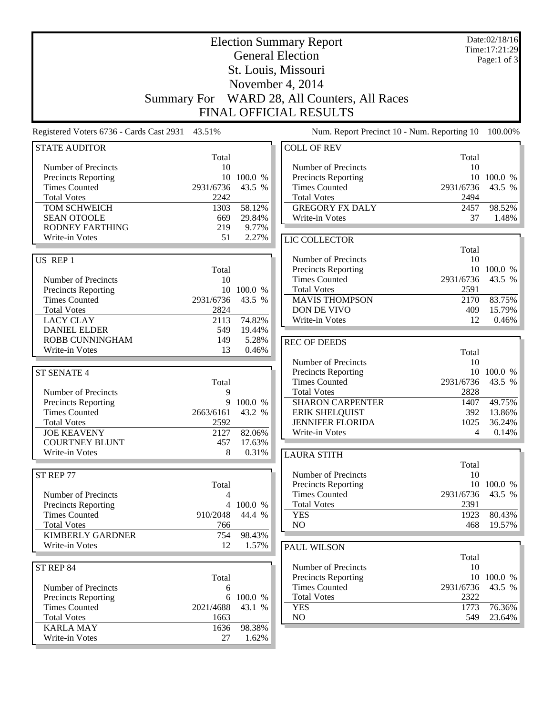|                                          | <b>Election Summary Report</b>                 |               |                                             |                                             |                      |
|------------------------------------------|------------------------------------------------|---------------|---------------------------------------------|---------------------------------------------|----------------------|
|                                          | <b>General Election</b><br>St. Louis, Missouri |               |                                             |                                             |                      |
|                                          |                                                | Page:1 of $3$ |                                             |                                             |                      |
|                                          |                                                |               |                                             |                                             |                      |
|                                          |                                                |               | November 4, 2014                            |                                             |                      |
|                                          | <b>Summary For</b>                             |               | WARD 28, All Counters, All Races            |                                             |                      |
|                                          |                                                |               | <b>FINAL OFFICIAL RESULTS</b>               |                                             |                      |
| Registered Voters 6736 - Cards Cast 2931 | 43.51%                                         |               |                                             | Num. Report Precinct 10 - Num. Reporting 10 | 100.00%              |
| <b>STATE AUDITOR</b>                     | Total                                          |               | <b>COLL OF REV</b>                          | Total                                       |                      |
| Number of Precincts                      | 10                                             |               | Number of Precincts                         | 10                                          |                      |
| <b>Precincts Reporting</b>               |                                                | 10 100.0 %    | Precincts Reporting                         |                                             | 10 100.0 %           |
| <b>Times Counted</b>                     | 2931/6736                                      | 43.5 %        | <b>Times Counted</b>                        | 2931/6736                                   | 43.5 %               |
| <b>Total Votes</b>                       | 2242                                           |               | <b>Total Votes</b>                          | 2494                                        |                      |
| TOM SCHWEICH                             | 1303                                           | 58.12%        | <b>GREGORY FX DALY</b>                      | 2457                                        | 98.52%               |
| <b>SEAN OTOOLE</b>                       | 669                                            | 29.84%        | Write-in Votes                              | 37                                          | 1.48%                |
| RODNEY FARTHING                          | 219                                            | 9.77%         |                                             |                                             |                      |
| Write-in Votes                           | 51                                             | 2.27%         | LIC COLLECTOR                               |                                             |                      |
|                                          |                                                |               |                                             | Total                                       |                      |
| US REP 1                                 |                                                |               | Number of Precincts                         | 10                                          |                      |
|                                          | Total                                          |               | <b>Precincts Reporting</b>                  |                                             | 10 100.0 %           |
| Number of Precincts                      | 10                                             |               | <b>Times Counted</b>                        | 2931/6736                                   | 43.5 %               |
| Precincts Reporting                      |                                                | 10 100.0 %    | <b>Total Votes</b>                          | 2591                                        |                      |
| <b>Times Counted</b>                     | 2931/6736                                      | 43.5 %        | <b>MAVIS THOMPSON</b>                       | 2170                                        | 83.75%               |
| <b>Total Votes</b>                       | 2824                                           |               | DON DE VIVO                                 | 409                                         | 15.79%               |
| <b>LACY CLAY</b>                         | 2113                                           | 74.82%        | Write-in Votes                              | 12                                          | 0.46%                |
| <b>DANIEL ELDER</b>                      | 549                                            | 19.44%        |                                             |                                             |                      |
| ROBB CUNNINGHAM                          | 149                                            | 5.28%         | <b>REC OF DEEDS</b>                         |                                             |                      |
| Write-in Votes                           | 13                                             | 0.46%         |                                             | Total                                       |                      |
|                                          |                                                |               | Number of Precincts                         | 10                                          |                      |
| <b>ST SENATE 4</b>                       |                                                |               | Precincts Reporting<br><b>Times Counted</b> | 2931/6736                                   | 10 100.0 %<br>43.5 % |
| Number of Precincts                      | Total<br>9                                     |               | <b>Total Votes</b>                          | 2828                                        |                      |
| <b>Precincts Reporting</b>               | 9                                              | 100.0 %       | <b>SHARON CARPENTER</b>                     | 1407                                        | 49.75%               |
| <b>Times Counted</b>                     | 2663/6161                                      | 43.2 %        | <b>ERIK SHELQUIST</b>                       | 392                                         | 13.86%               |
| <b>Total Votes</b>                       | 2592                                           |               | <b>JENNIFER FLORIDA</b>                     | 1025                                        | 36.24%               |
| <b>JOE KEAVENY</b>                       | 2127                                           | 82.06%        | Write-in Votes                              | 4                                           | 0.14%                |
| <b>COURTNEY BLUNT</b>                    | 457                                            | 17.63%        |                                             |                                             |                      |
| Write-in Votes                           | 8                                              | 0.31%         | <b>LAURA STITH</b>                          |                                             |                      |
|                                          |                                                |               |                                             | Total                                       |                      |
| ST REP 77                                |                                                |               | Number of Precincts                         | 10                                          |                      |
|                                          | Total                                          |               | Precincts Reporting                         | 10                                          | 100.0 %              |
| Number of Precincts                      | 4                                              |               | <b>Times Counted</b>                        | 2931/6736                                   | 43.5 %               |
| Precincts Reporting                      |                                                | 4 100.0 %     | <b>Total Votes</b>                          | 2391                                        |                      |
| <b>Times Counted</b>                     | 910/2048                                       | 44.4 %        | <b>YES</b>                                  | 1923                                        | 80.43%               |
| <b>Total Votes</b>                       | 766                                            |               | NO                                          | 468                                         | 19.57%               |
| <b>KIMBERLY GARDNER</b>                  | 754                                            | 98.43%        |                                             |                                             |                      |
| Write-in Votes                           | 12                                             | 1.57%         | PAUL WILSON                                 |                                             |                      |
|                                          |                                                |               |                                             | Total                                       |                      |
| ST REP 84                                |                                                |               | Number of Precincts                         | 10                                          |                      |
|                                          | Total                                          |               | Precincts Reporting                         | 10                                          | 100.0 %              |
| Number of Precincts                      | 6                                              |               | <b>Times Counted</b>                        | 2931/6736                                   | 43.5 %               |
| Precincts Reporting                      | 6                                              | 100.0 %       | <b>Total Votes</b>                          | 2322                                        |                      |
| <b>Times Counted</b>                     | 2021/4688                                      | 43.1 %        | <b>YES</b>                                  | 1773                                        | 76.36%               |
| <b>Total Votes</b>                       | 1663                                           |               | NO                                          | 549                                         | 23.64%               |
| <b>KARLA MAY</b>                         | 1636                                           | 98.38%        |                                             |                                             |                      |
| Write-in Votes                           | 27                                             | 1.62%         |                                             |                                             |                      |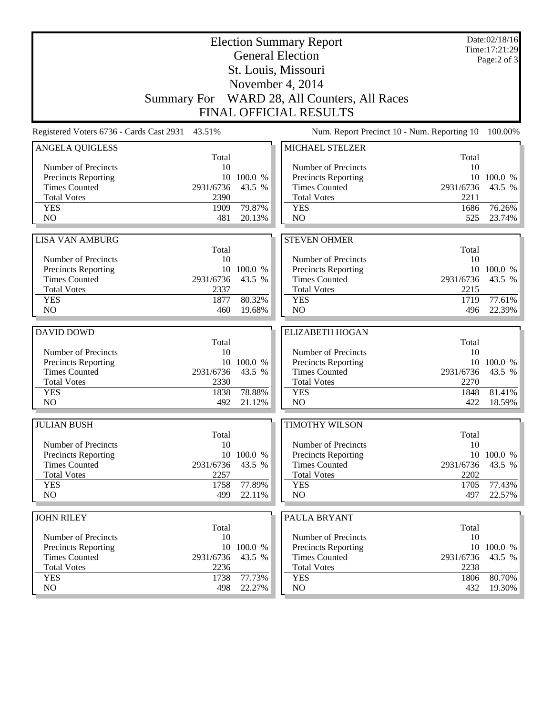|                                                | Date:02/18/16<br>Time: 17:21:29 |                  |                                              |             |                  |
|------------------------------------------------|---------------------------------|------------------|----------------------------------------------|-------------|------------------|
| <b>General Election</b><br>St. Louis, Missouri |                                 |                  |                                              |             | Page: $2$ of $3$ |
| November 4, 2014                               |                                 |                  |                                              |             |                  |
|                                                |                                 |                  | Summary For WARD 28, All Counters, All Races |             |                  |
|                                                |                                 |                  | FINAL OFFICIAL RESULTS                       |             |                  |
|                                                |                                 |                  |                                              |             |                  |
| Registered Voters 6736 - Cards Cast 2931       | 43.51%                          |                  | Num. Report Precinct 10 - Num. Reporting 10  |             | 100.00%          |
| <b>ANGELA QUIGLESS</b>                         | Total                           |                  | MICHAEL STELZER                              | Total       |                  |
| Number of Precincts                            | 10                              |                  | Number of Precincts                          | 10          |                  |
| <b>Precincts Reporting</b>                     | 10                              | 100.0 %          | <b>Precincts Reporting</b>                   | 10          | 100.0 %          |
| <b>Times Counted</b>                           | 2931/6736                       | 43.5 %           | <b>Times Counted</b>                         | 2931/6736   | 43.5 %           |
| <b>Total Votes</b>                             | 2390                            |                  | <b>Total Votes</b>                           | 2211        |                  |
| <b>YES</b>                                     | 1909                            | 79.87%           | <b>YES</b>                                   | 1686        | 76.26%           |
| N <sub>O</sub>                                 | 481                             | 20.13%           | N <sub>O</sub>                               | 525         | 23.74%           |
| <b>LISA VAN AMBURG</b>                         |                                 |                  |                                              |             |                  |
|                                                | Total                           |                  | <b>STEVEN OHMER</b>                          | Total       |                  |
| Number of Precincts                            | 10                              |                  | Number of Precincts                          | 10          |                  |
| <b>Precincts Reporting</b>                     |                                 | 10 100.0 %       | Precincts Reporting                          | 10          | 100.0 %          |
| <b>Times Counted</b>                           | 2931/6736                       | 43.5 %           | <b>Times Counted</b>                         | 2931/6736   | 43.5 %           |
| <b>Total Votes</b>                             | 2337                            |                  | <b>Total Votes</b>                           | 2215        |                  |
| <b>YES</b>                                     | 1877                            | 80.32%           | <b>YES</b>                                   | 1719        | 77.61%           |
| NO                                             | 460                             | 19.68%           | NO                                           | 496         | 22.39%           |
| <b>DAVID DOWD</b>                              |                                 |                  | <b>ELIZABETH HOGAN</b>                       |             |                  |
|                                                | Total                           |                  |                                              | Total       |                  |
| Number of Precincts                            | 10                              |                  | Number of Precincts                          | 10          |                  |
| <b>Precincts Reporting</b>                     |                                 | 10 100.0 %       | Precincts Reporting                          |             | 10 100.0 %       |
| <b>Times Counted</b>                           | 2931/6736                       | 43.5 %           | <b>Times Counted</b>                         | 2931/6736   | 43.5 %           |
| <b>Total Votes</b>                             | 2330                            |                  | <b>Total Votes</b>                           | 2270        |                  |
| <b>YES</b>                                     | 1838                            | 78.88%           | <b>YES</b>                                   | 1848        | 81.41%           |
| N <sub>O</sub>                                 | 492                             | 21.12%           | NO                                           | 422         | 18.59%           |
| <b>JULIAN BUSH</b>                             |                                 |                  | <b>TIMOTHY WILSON</b>                        |             |                  |
|                                                | Total                           |                  |                                              | Total       |                  |
| Number of Precincts                            | 10                              |                  | Number of Precincts                          | 10          |                  |
| <b>Precincts Reporting</b>                     |                                 | 10 100.0 %       | Precincts Reporting                          |             | 10 100.0 %       |
| <b>Times Counted</b>                           | 2931/6736                       | 43.5 %           | <b>Times Counted</b>                         | 2931/6736   | 43.5 %           |
| <b>Total Votes</b>                             | 2257                            |                  | <b>Total Votes</b>                           | 2202        |                  |
| <b>YES</b><br>N <sub>O</sub>                   |                                 | 77.89%           | <b>YES</b>                                   | 1705        | 77.43%<br>22.57% |
|                                                | 1758                            |                  |                                              |             |                  |
|                                                | 499                             | 22.11%           | NO                                           | 497         |                  |
|                                                |                                 |                  |                                              |             |                  |
| <b>JOHN RILEY</b>                              | Total                           |                  | PAULA BRYANT                                 | Total       |                  |
| Number of Precincts                            | 10                              |                  | Number of Precincts                          | 10          |                  |
| Precincts Reporting                            |                                 | 10 100.0 %       | Precincts Reporting                          | 10          | 100.0 %          |
| <b>Times Counted</b>                           | 2931/6736                       | 43.5 %           | <b>Times Counted</b>                         | 2931/6736   | 43.5 %           |
| <b>Total Votes</b>                             | 2236                            |                  | <b>Total Votes</b>                           | 2238        |                  |
| <b>YES</b><br>NO.                              | 1738<br>498                     | 77.73%<br>22.27% | <b>YES</b><br>NO.                            | 1806<br>432 | 80.70%<br>19.30% |